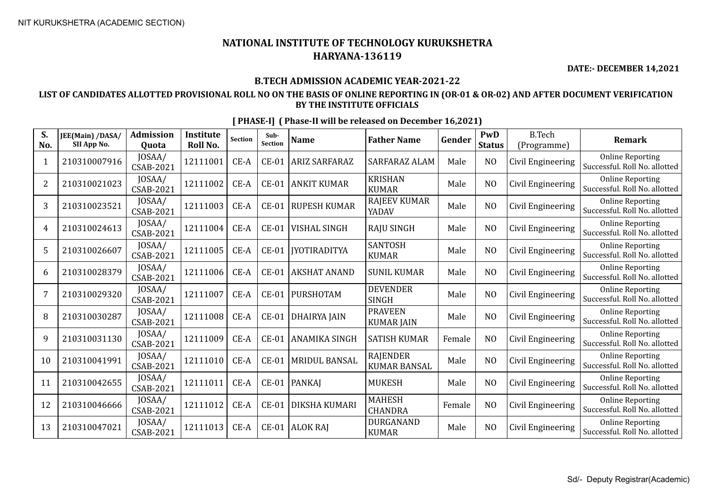**DATE:- DECEMBER 14,2021**

### **B.TECH ADMISSION ACADEMIC YEAR-2021-22**

### **LIST OF CANDIDATES ALLOTTED PROVISIONAL ROLL NO ON THE BASIS OF ONLINE REPORTING IN (OR-01 & OR-02) AND AFTER DOCUMENT VERIFICATION BY THE INSTITUTE OFFICIALS**

| S.<br>No.      | JEE(Main) /DASA/<br>SII App No. | <b>Admission</b><br><b>Ouota</b> | <b>Institute</b><br><b>Roll No.</b> | Section | Sub-<br><b>Section</b> | <b>Name</b>          | <b>Father Name</b>                     | Gender | PwD<br><b>Status</b> | <b>B.Tech</b><br>(Programme) | <b>Remark</b>                                            |
|----------------|---------------------------------|----------------------------------|-------------------------------------|---------|------------------------|----------------------|----------------------------------------|--------|----------------------|------------------------------|----------------------------------------------------------|
| 1              | 210310007916                    | JOSAA/<br>CSAB-2021              | 12111001                            | CE-A    | $CE-01$                | <b>ARIZ SARFARAZ</b> | <b>SARFARAZ ALAM</b>                   | Male   | N <sub>O</sub>       | Civil Engineering            | <b>Online Reporting</b><br>Successful. Roll No. allotted |
| $\overline{2}$ | 210310021023                    | JOSAA/<br>CSAB-2021              | 12111002                            | CE-A    | $CE-01$                | <b>ANKIT KUMAR</b>   | <b>KRISHAN</b><br><b>KUMAR</b>         | Male   | N <sub>O</sub>       | Civil Engineering            | <b>Online Reporting</b><br>Successful. Roll No. allotted |
| 3              | 210310023521                    | JOSAA/<br><b>CSAB-2021</b>       | 12111003                            | CE-A    | $CE-01$                | <b>RUPESH KUMAR</b>  | <b>RAJEEV KUMAR</b><br>YADAV           | Male   | N <sub>O</sub>       | Civil Engineering            | <b>Online Reporting</b><br>Successful. Roll No. allotted |
| 4              | 210310024613                    | JOSAA/<br><b>CSAB-2021</b>       | 12111004                            | CE-A    | $CE-01$                | <b>VISHAL SINGH</b>  | <b>RAJU SINGH</b>                      | Male   | N <sub>O</sub>       | Civil Engineering            | <b>Online Reporting</b><br>Successful. Roll No. allotted |
| 5              | 210310026607                    | JOSAA/<br>CSAB-2021              | 12111005                            | $CE-A$  | $CE-01$                | <b>IYOTIRADITYA</b>  | <b>SANTOSH</b><br><b>KUMAR</b>         | Male   | N <sub>O</sub>       | Civil Engineering            | <b>Online Reporting</b><br>Successful. Roll No. allotted |
| 6              | 210310028379                    | JOSAA/<br><b>CSAB-2021</b>       | 12111006                            | $CE-A$  | $CE-01$                | <b>AKSHAT ANAND</b>  | <b>SUNIL KUMAR</b>                     | Male   | N <sub>O</sub>       | Civil Engineering            | <b>Online Reporting</b><br>Successful. Roll No. allotted |
| 7              | 210310029320                    | JOSAA/<br>CSAB-2021              | 12111007                            | CE-A    | $CE-01$                | PURSHOTAM            | <b>DEVENDER</b><br><b>SINGH</b>        | Male   | N <sub>O</sub>       | Civil Engineering            | <b>Online Reporting</b><br>Successful. Roll No. allotted |
| 8              | 210310030287                    | JOSAA/<br><b>CSAB-2021</b>       | 12111008                            | $CE-A$  | $CE-01$                | <b>DHAIRYA JAIN</b>  | <b>PRAVEEN</b><br><b>KUMAR JAIN</b>    | Male   | N <sub>O</sub>       | Civil Engineering            | <b>Online Reporting</b><br>Successful. Roll No. allotted |
| 9              | 210310031130                    | JOSAA/<br><b>CSAB-2021</b>       | 12111009                            | CE-A    | $CE-01$                | <b>ANAMIKA SINGH</b> | <b>SATISH KUMAR</b>                    | Female | N <sub>O</sub>       | Civil Engineering            | <b>Online Reporting</b><br>Successful. Roll No. allotted |
| 10             | 210310041991                    | JOSAA/<br>CSAB-2021              | 12111010                            | CE-A    | $CE-01$                | <b>MRIDUL BANSAL</b> | <b>RAJENDER</b><br><b>KUMAR BANSAL</b> | Male   | N <sub>O</sub>       | Civil Engineering            | <b>Online Reporting</b><br>Successful. Roll No. allotted |
| 11             | 210310042655                    | JOSAA/<br>CSAB-2021              | 12111011                            | $CE-A$  | $CE-01$                | <b>PANKAJ</b>        | <b>MUKESH</b>                          | Male   | N <sub>O</sub>       | Civil Engineering            | <b>Online Reporting</b><br>Successful. Roll No. allotted |
| 12             | 210310046666                    | JOSAA/<br>CSAB-2021              | 12111012                            | $CE-A$  | $CE-01$                | <b>DIKSHA KUMARI</b> | <b>MAHESH</b><br><b>CHANDRA</b>        | Female | N <sub>O</sub>       | Civil Engineering            | <b>Online Reporting</b><br>Successful. Roll No. allotted |
| 13             | 210310047021                    | JOSAA/<br>CSAB-2021              | 12111013                            | $CE-A$  | $CE-01$                | <b>ALOK RAJ</b>      | <b>DURGANAND</b><br><b>KUMAR</b>       | Male   | N <sub>O</sub>       | Civil Engineering            | <b>Online Reporting</b><br>Successful. Roll No. allotted |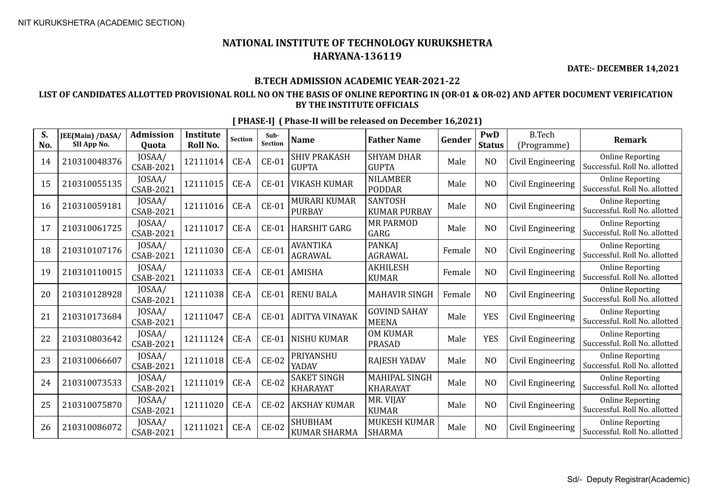**DATE:- DECEMBER 14,2021**

### **B.TECH ADMISSION ACADEMIC YEAR-2021-22**

### **LIST OF CANDIDATES ALLOTTED PROVISIONAL ROLL NO ON THE BASIS OF ONLINE REPORTING IN (OR-01 & OR-02) AND AFTER DOCUMENT VERIFICATION BY THE INSTITUTE OFFICIALS**

| S.<br>No. | JEE(Main) /DASA/<br>SII App No. | <b>Admission</b><br>Quota  | <b>Institute</b><br>Roll No. | Section | Sub-<br><b>Section</b> | <b>Name</b>                           | <b>Father Name</b>                    | Gender | <b>PwD</b><br><b>Status</b> | <b>B.Tech</b><br>(Programme) | <b>Remark</b>                                            |
|-----------|---------------------------------|----------------------------|------------------------------|---------|------------------------|---------------------------------------|---------------------------------------|--------|-----------------------------|------------------------------|----------------------------------------------------------|
| 14        | 210310048376                    | JOSAA/<br><b>CSAB-2021</b> | 12111014                     | CE-A    | $CE-01$                | <b>SHIV PRAKASH</b><br><b>GUPTA</b>   | <b>SHYAM DHAR</b><br><b>GUPTA</b>     | Male   | N <sub>O</sub>              | Civil Engineering            | <b>Online Reporting</b><br>Successful. Roll No. allotted |
| 15        | 210310055135                    | JOSAA/<br>CSAB-2021        | 12111015                     | $CE-A$  | $CE-01$                | <b>VIKASH KUMAR</b>                   | <b>NILAMBER</b><br><b>PODDAR</b>      | Male   | N <sub>O</sub>              | Civil Engineering            | <b>Online Reporting</b><br>Successful. Roll No. allotted |
| 16        | 210310059181                    | JOSAA/<br><b>CSAB-2021</b> | 12111016                     | $CE-A$  | $CE-01$                | <b>MURARI KUMAR</b><br><b>PURBAY</b>  | <b>SANTOSH</b><br><b>KUMAR PURBAY</b> | Male   | N <sub>O</sub>              | Civil Engineering            | <b>Online Reporting</b><br>Successful. Roll No. allotted |
| 17        | 210310061725                    | JOSAA/<br><b>CSAB-2021</b> | 12111017                     | $CE-A$  | $CE-01$                | <b>HARSHIT GARG</b>                   | <b>MR PARMOD</b><br>GARG              | Male   | NO                          | Civil Engineering            | <b>Online Reporting</b><br>Successful. Roll No. allotted |
| 18        | 210310107176                    | JOSAA/<br>CSAB-2021        | 12111030                     | CE-A    | $CE-01$                | <b>AVANTIKA</b><br>AGRAWAL            | <b>PANKAJ</b><br><b>AGRAWAL</b>       | Female | N <sub>O</sub>              | Civil Engineering            | <b>Online Reporting</b><br>Successful. Roll No. allotted |
| 19        | 210310110015                    | JOSAA/<br><b>CSAB-2021</b> | 12111033                     | CE-A    | $CE-01$                | <b>AMISHA</b>                         | <b>AKHILESH</b><br><b>KUMAR</b>       | Female | N <sub>O</sub>              | Civil Engineering            | <b>Online Reporting</b><br>Successful. Roll No. allotted |
| 20        | 210310128928                    | JOSAA/<br><b>CSAB-2021</b> | 12111038                     | CE-A    | $CE-01$                | <b>RENU BALA</b>                      | <b>MAHAVIR SINGH</b>                  | Female | N <sub>O</sub>              | Civil Engineering            | <b>Online Reporting</b><br>Successful. Roll No. allotted |
| 21        | 210310173684                    | JOSAA/<br>CSAB-2021        | 12111047                     | $CE-A$  | $CE-01$                | <b>ADITYA VINAYAK</b>                 | <b>GOVIND SAHAY</b><br><b>MEENA</b>   | Male   | <b>YES</b>                  | Civil Engineering            | <b>Online Reporting</b><br>Successful. Roll No. allotted |
| 22        | 210310803642                    | JOSAA/<br><b>CSAB-2021</b> | 12111124                     | CE-A    | <b>CE-01</b>           | <b>NISHU KUMAR</b>                    | <b>OM KUMAR</b><br><b>PRASAD</b>      | Male   | <b>YES</b>                  | Civil Engineering            | <b>Online Reporting</b><br>Successful. Roll No. allotted |
| 23        | 210310066607                    | JOSAA/<br><b>CSAB-2021</b> | 12111018                     | CE-A    | <b>CE-02</b>           | PRIYANSHU<br>YADAV                    | <b>RAJESH YADAV</b>                   | Male   | NO                          | Civil Engineering            | <b>Online Reporting</b><br>Successful. Roll No. allotted |
| 24        | 210310073533                    | JOSAA/<br>CSAB-2021        | 12111019                     | CE-A    | <b>CE-02</b>           | <b>SAKET SINGH</b><br><b>KHARAYAT</b> | MAHIPAL SINGH<br><b>KHARAYAT</b>      | Male   | N <sub>O</sub>              | Civil Engineering            | <b>Online Reporting</b><br>Successful. Roll No. allotted |
| 25        | 210310075870                    | JOSAA/<br><b>CSAB-2021</b> | 12111020                     | $CE-A$  | $CE-02$                | <b>AKSHAY KUMAR</b>                   | MR. VIJAY<br><b>KUMAR</b>             | Male   | N <sub>O</sub>              | Civil Engineering            | <b>Online Reporting</b><br>Successful. Roll No. allotted |
| 26        | 210310086072                    | JOSAA/<br><b>CSAB-2021</b> | 12111021                     | $CE-A$  | $CE-02$                | <b>SHUBHAM</b><br><b>KUMAR SHARMA</b> | <b>MUKESH KUMAR</b><br><b>SHARMA</b>  | Male   | N <sub>O</sub>              | Civil Engineering            | <b>Online Reporting</b><br>Successful. Roll No. allotted |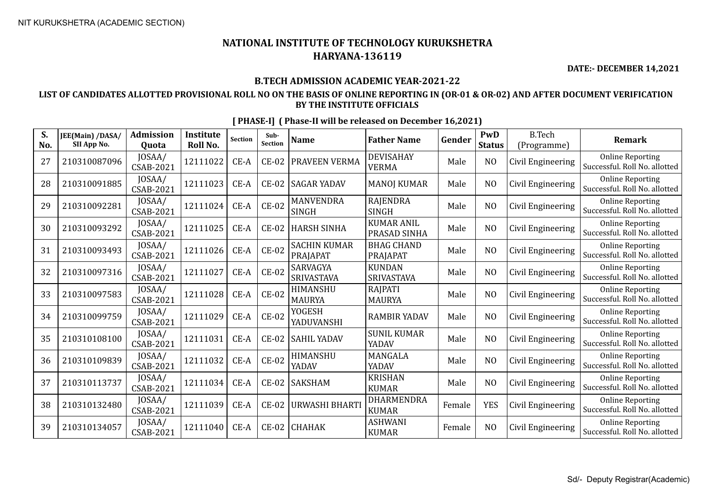**DATE:- DECEMBER 14,2021**

### **B.TECH ADMISSION ACADEMIC YEAR-2021-22**

### **LIST OF CANDIDATES ALLOTTED PROVISIONAL ROLL NO ON THE BASIS OF ONLINE REPORTING IN (OR-01 & OR-02) AND AFTER DOCUMENT VERIFICATION BY THE INSTITUTE OFFICIALS**

| S.<br>No. | JEE(Main) /DASA/<br>SII App No. | <b>Admission</b><br>Quota  | <b>Institute</b><br>Roll No. | <b>Section</b> | Sub-<br><b>Section</b> | <b>Name</b>                      | <b>Father Name</b>                 | Gender | PwD<br><b>Status</b> | <b>B.Tech</b><br>(Programme) | <b>Remark</b>                                            |
|-----------|---------------------------------|----------------------------|------------------------------|----------------|------------------------|----------------------------------|------------------------------------|--------|----------------------|------------------------------|----------------------------------------------------------|
| 27        | 210310087096                    | JOSAA/<br>CSAB-2021        | 12111022                     | $CE-A$         | <b>CE-02</b>           | PRAVEEN VERMA                    | <b>DEVISAHAY</b><br><b>VERMA</b>   | Male   | N <sub>O</sub>       | Civil Engineering            | <b>Online Reporting</b><br>Successful. Roll No. allotted |
| 28        | 210310091885                    | JOSAA/<br>CSAB-2021        | 12111023                     | $CE-A$         | $CE-02$                | <b>SAGAR YADAV</b>               | <b>MANOJ KUMAR</b>                 | Male   | N <sub>O</sub>       | Civil Engineering            | <b>Online Reporting</b><br>Successful. Roll No. allotted |
| 29        | 210310092281                    | JOSAA/<br>CSAB-2021        | 12111024                     | $CE-A$         | $CE-02$                | <b>MANVENDRA</b><br><b>SINGH</b> | <b>RAJENDRA</b><br><b>SINGH</b>    | Male   | N <sub>O</sub>       | Civil Engineering            | <b>Online Reporting</b><br>Successful. Roll No. allotted |
| 30        | 210310093292                    | JOSAA/<br><b>CSAB-2021</b> | 12111025                     | $CE-A$         | $CE-02$                | <b>HARSH SINHA</b>               | <b>KUMAR ANIL</b><br>PRASAD SINHA  | Male   | N <sub>O</sub>       | Civil Engineering            | <b>Online Reporting</b><br>Successful. Roll No. allotted |
| 31        | 210310093493                    | JOSAA/<br>CSAB-2021        | 12111026                     | $CE-A$         | <b>CE-02</b>           | <b>SACHIN KUMAR</b><br>PRAJAPAT  | <b>BHAG CHAND</b><br>PRAJAPAT      | Male   | N <sub>O</sub>       | Civil Engineering            | <b>Online Reporting</b><br>Successful. Roll No. allotted |
| 32        | 210310097316                    | JOSAA/<br>CSAB-2021        | 12111027                     | $CE-A$         | $CE-02$                | SARVAGYA<br>SRIVASTAVA           | <b>KUNDAN</b><br><b>SRIVASTAVA</b> | Male   | N <sub>O</sub>       | Civil Engineering            | <b>Online Reporting</b><br>Successful. Roll No. allotted |
| 33        | 210310097583                    | JOSAA/<br>CSAB-2021        | 12111028                     | $CE-A$         | $CE-02$                | <b>HIMANSHU</b><br><b>MAURYA</b> | <b>RAJPATI</b><br><b>MAURYA</b>    | Male   | N <sub>O</sub>       | Civil Engineering            | <b>Online Reporting</b><br>Successful. Roll No. allotted |
| 34        | 210310099759                    | JOSAA/<br>CSAB-2021        | 12111029                     | $CE-A$         | <b>CE-02</b>           | YOGESH<br>YADUVANSHI             | <b>RAMBIR YADAV</b>                | Male   | N <sub>O</sub>       | Civil Engineering            | <b>Online Reporting</b><br>Successful. Roll No. allotted |
| 35        | 210310108100                    | JOSAA/<br>CSAB-2021        | 12111031                     | $CE-A$         | <b>CE-02</b>           | <b>SAHIL YADAV</b>               | <b>SUNIL KUMAR</b><br>YADAV        | Male   | N <sub>O</sub>       | Civil Engineering            | <b>Online Reporting</b><br>Successful. Roll No. allotted |
| 36        | 210310109839                    | JOSAA/<br>CSAB-2021        | 12111032                     | $CE-A$         | $CE-02$                | HIMANSHU<br>YADAV                | <b>MANGALA</b><br>YADAV            | Male   | N <sub>O</sub>       | Civil Engineering            | <b>Online Reporting</b><br>Successful. Roll No. allotted |
| 37        | 210310113737                    | JOSAA/<br>CSAB-2021        | 12111034                     | $CE-A$         | $CE-02$                | SAKSHAM                          | <b>KRISHAN</b><br><b>KUMAR</b>     | Male   | N <sub>O</sub>       | Civil Engineering            | <b>Online Reporting</b><br>Successful. Roll No. allotted |
| 38        | 210310132480                    | JOSAA/<br><b>CSAB-2021</b> | 12111039                     | $CE-A$         | <b>CE-02</b>           | URWASHI BHARTI                   | DHARMENDRA<br><b>KUMAR</b>         | Female | <b>YES</b>           | Civil Engineering            | <b>Online Reporting</b><br>Successful. Roll No. allotted |
| 39        | 210310134057                    | JOSAA/<br>CSAB-2021        | 12111040                     | $CE-A$         | $CE-02$                | <b>CHAHAK</b>                    | <b>ASHWANI</b><br><b>KUMAR</b>     | Female | N <sub>0</sub>       | Civil Engineering            | <b>Online Reporting</b><br>Successful. Roll No. allotted |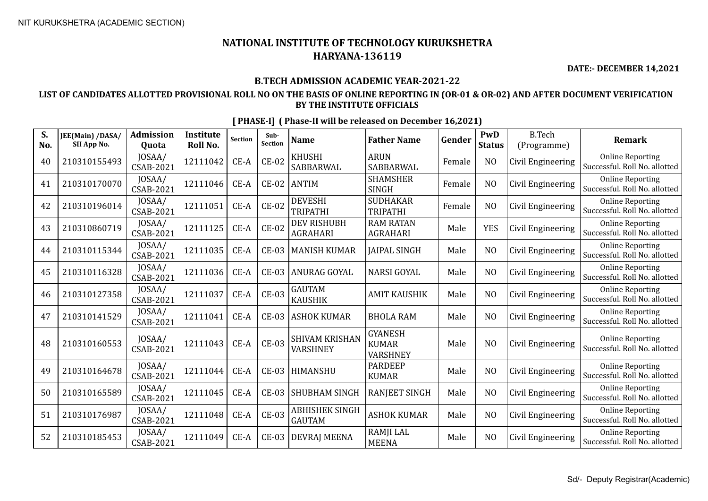**DATE:- DECEMBER 14,2021**

### **B.TECH ADMISSION ACADEMIC YEAR-2021-22**

### **LIST OF CANDIDATES ALLOTTED PROVISIONAL ROLL NO ON THE BASIS OF ONLINE REPORTING IN (OR-01 & OR-02) AND AFTER DOCUMENT VERIFICATION BY THE INSTITUTE OFFICIALS**

| S.<br>No. | JEE(Main) /DASA/<br>SII App No. | <b>Admission</b><br>Quota  | <b>Institute</b><br>Roll No. | <b>Section</b> | Sub-<br>Section | <b>Name</b>                            | <b>Father Name</b>                                | Gender | PwD<br><b>Status</b> | <b>B.Tech</b><br>(Programme) | <b>Remark</b>                                            |
|-----------|---------------------------------|----------------------------|------------------------------|----------------|-----------------|----------------------------------------|---------------------------------------------------|--------|----------------------|------------------------------|----------------------------------------------------------|
| 40        | 210310155493                    | JOSAA/<br>CSAB-2021        | 12111042                     | $CE-A$         | $CE-02$         | <b>KHUSHI</b><br>SABBARWAL             | <b>ARUN</b><br>SABBARWAL                          | Female | N <sub>O</sub>       | Civil Engineering            | <b>Online Reporting</b><br>Successful. Roll No. allotted |
| 41        | 210310170070                    | JOSAA/<br>CSAB-2021        | 12111046                     | $CE-A$         | $CE-02$         | <b>ANTIM</b>                           | <b>SHAMSHER</b><br><b>SINGH</b>                   | Female | N <sub>O</sub>       | Civil Engineering            | <b>Online Reporting</b><br>Successful. Roll No. allotted |
| 42        | 210310196014                    | JOSAA/<br>CSAB-2021        | 12111051                     | $CE-A$         | $CE-02$         | <b>DEVESHI</b><br><b>TRIPATHI</b>      | <b>SUDHAKAR</b><br><b>TRIPATHI</b>                | Female | N <sub>O</sub>       | Civil Engineering            | <b>Online Reporting</b><br>Successful. Roll No. allotted |
| 43        | 210310860719                    | JOSAA/<br>CSAB-2021        | 12111125                     | $CE-A$         | $CE-02$         | <b>DEV RISHUBH</b><br><b>AGRAHARI</b>  | <b>RAM RATAN</b><br><b>AGRAHARI</b>               | Male   | <b>YES</b>           | Civil Engineering            | <b>Online Reporting</b><br>Successful. Roll No. allotted |
| 44        | 210310115344                    | JOSAA/<br>CSAB-2021        | 12111035                     | CE-A           | <b>CE-03</b>    | <b>MANISH KUMAR</b>                    | <b>JAIPAL SINGH</b>                               | Male   | N <sub>O</sub>       | Civil Engineering            | <b>Online Reporting</b><br>Successful. Roll No. allotted |
| 45        | 210310116328                    | JOSAA/<br>CSAB-2021        | 12111036                     | $CE-A$         | $CE-03$         | ANURAG GOYAL                           | <b>NARSI GOYAL</b>                                | Male   | N <sub>O</sub>       | Civil Engineering            | <b>Online Reporting</b><br>Successful. Roll No. allotted |
| 46        | 210310127358                    | JOSAA/<br>CSAB-2021        | 12111037                     | $CE-A$         | <b>CE-03</b>    | <b>GAUTAM</b><br><b>KAUSHIK</b>        | <b>AMIT KAUSHIK</b>                               | Male   | N <sub>O</sub>       | Civil Engineering            | <b>Online Reporting</b><br>Successful. Roll No. allotted |
| 47        | 210310141529                    | JOSAA/<br>CSAB-2021        | 12111041                     | $CE-A$         | $CE-03$         | <b>ASHOK KUMAR</b>                     | <b>BHOLA RAM</b>                                  | Male   | N <sub>O</sub>       | Civil Engineering            | <b>Online Reporting</b><br>Successful. Roll No. allotted |
| 48        | 210310160553                    | JOSAA/<br>CSAB-2021        | 12111043                     | $CE-A$         | <b>CE-03</b>    | <b>SHIVAM KRISHAN</b><br>VARSHNEY      | <b>GYANESH</b><br><b>KUMAR</b><br><b>VARSHNEY</b> | Male   | N <sub>O</sub>       | Civil Engineering            | <b>Online Reporting</b><br>Successful. Roll No. allotted |
| 49        | 210310164678                    | JOSAA/<br>CSAB-2021        | 12111044                     | $CE-A$         | <b>CE-03</b>    | HIMANSHU                               | <b>PARDEEP</b><br><b>KUMAR</b>                    | Male   | N <sub>O</sub>       | Civil Engineering            | <b>Online Reporting</b><br>Successful. Roll No. allotted |
| 50        | 210310165589                    | JOSAA/<br><b>CSAB-2021</b> | 12111045                     | $CE-A$         | $CE-03$         | <b>SHUBHAM SINGH</b>                   | RANJEET SINGH                                     | Male   | N <sub>O</sub>       | Civil Engineering            | <b>Online Reporting</b><br>Successful. Roll No. allotted |
| 51        | 210310176987                    | JOSAA/<br>CSAB-2021        | 12111048                     | $CE-A$         | $CE-03$         | <b>ABHISHEK SINGH</b><br><b>GAUTAM</b> | <b>ASHOK KUMAR</b>                                | Male   | N <sub>O</sub>       | Civil Engineering            | <b>Online Reporting</b><br>Successful. Roll No. allotted |
| 52        | 210310185453                    | JOSAA/<br>CSAB-2021        | 12111049                     | $CE-A$         | <b>CE-03</b>    | <b>DEVRAJ MEENA</b>                    | <b>RAMJI LAL</b><br><b>MEENA</b>                  | Male   | N <sub>O</sub>       | Civil Engineering            | <b>Online Reporting</b><br>Successful. Roll No. allotted |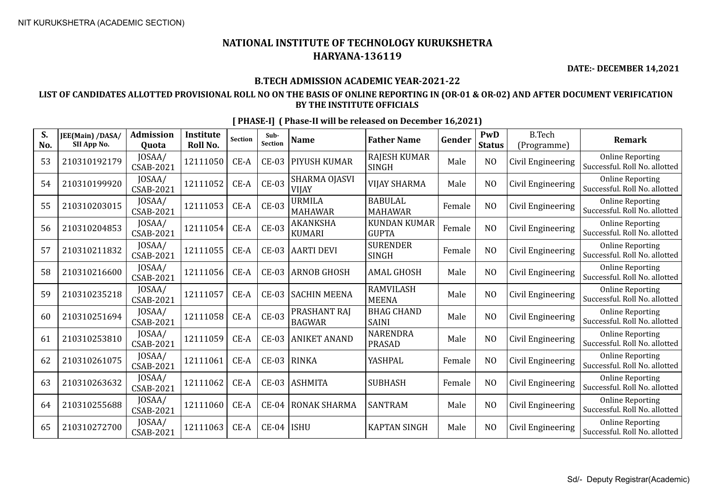**DATE:- DECEMBER 14,2021**

### **B.TECH ADMISSION ACADEMIC YEAR-2021-22**

### **LIST OF CANDIDATES ALLOTTED PROVISIONAL ROLL NO ON THE BASIS OF ONLINE REPORTING IN (OR-01 & OR-02) AND AFTER DOCUMENT VERIFICATION BY THE INSTITUTE OFFICIALS**

| S.<br>No. | JEE(Main) /DASA/<br>SII App No. | <b>Admission</b><br>Quota  | <b>Institute</b><br>Roll No. | <b>Section</b> | Sub-<br><b>Section</b> | <b>Name</b>                   | <b>Father Name</b>                  | Gender | PwD<br><b>Status</b> | <b>B.Tech</b><br>(Programme) | <b>Remark</b>                                            |
|-----------|---------------------------------|----------------------------|------------------------------|----------------|------------------------|-------------------------------|-------------------------------------|--------|----------------------|------------------------------|----------------------------------------------------------|
| 53        | 210310192179                    | JOSAA/<br>CSAB-2021        | 12111050                     | CE-A           | <b>CE-03</b>           | PIYUSH KUMAR                  | <b>RAJESH KUMAR</b><br><b>SINGH</b> | Male   | N <sub>O</sub>       | Civil Engineering            | <b>Online Reporting</b><br>Successful. Roll No. allotted |
| 54        | 210310199920                    | JOSAA/<br><b>CSAB-2021</b> | 12111052                     | CE-A           | <b>CE-03</b>           | SHARMA OJASVI<br><b>VIJAY</b> | <b>VIJAY SHARMA</b>                 | Male   | N <sub>O</sub>       | Civil Engineering            | <b>Online Reporting</b><br>Successful. Roll No. allotted |
| 55        | 210310203015                    | JOSAA/<br>CSAB-2021        | 12111053                     | $CE-A$         | <b>CE-03</b>           | URMILA<br><b>MAHAWAR</b>      | <b>BABULAL</b><br><b>MAHAWAR</b>    | Female | N <sub>O</sub>       | Civil Engineering            | <b>Online Reporting</b><br>Successful. Roll No. allotted |
| 56        | 210310204853                    | JOSAA/<br>CSAB-2021        | 12111054                     | $CE-A$         | <b>CE-03</b>           | AKANKSHA<br><b>KUMARI</b>     | <b>KUNDAN KUMAR</b><br><b>GUPTA</b> | Female | N <sub>O</sub>       | Civil Engineering            | <b>Online Reporting</b><br>Successful. Roll No. allotted |
| 57        | 210310211832                    | JOSAA/<br><b>CSAB-2021</b> | 12111055                     | $CE-A$         | $CE-03$                | <b>AARTI DEVI</b>             | <b>SURENDER</b><br><b>SINGH</b>     | Female | N <sub>O</sub>       | Civil Engineering            | <b>Online Reporting</b><br>Successful. Roll No. allotted |
| 58        | 210310216600                    | JOSAA/<br><b>CSAB-2021</b> | 12111056                     | $CE-A$         | <b>CE-03</b>           | <b>ARNOB GHOSH</b>            | <b>AMAL GHOSH</b>                   | Male   | N <sub>O</sub>       | Civil Engineering            | <b>Online Reporting</b><br>Successful. Roll No. allotted |
| 59        | 210310235218                    | JOSAA/<br><b>CSAB-2021</b> | 12111057                     | CE-A           | CE-03                  | <b>SACHIN MEENA</b>           | <b>RAMVILASH</b><br><b>MEENA</b>    | Male   | N <sub>0</sub>       | Civil Engineering            | <b>Online Reporting</b><br>Successful. Roll No. allotted |
| 60        | 210310251694                    | JOSAA/<br>CSAB-2021        | 12111058                     | $CE-A$         | <b>CE-03</b>           | PRASHANT RAJ<br><b>BAGWAR</b> | <b>BHAG CHAND</b><br><b>SAINI</b>   | Male   | N <sub>O</sub>       | Civil Engineering            | <b>Online Reporting</b><br>Successful. Roll No. allotted |
| 61        | 210310253810                    | JOSAA/<br><b>CSAB-2021</b> | 12111059                     | CE-A           | <b>CE-03</b>           | <b>ANIKET ANAND</b>           | <b>NARENDRA</b><br><b>PRASAD</b>    | Male   | N <sub>O</sub>       | Civil Engineering            | <b>Online Reporting</b><br>Successful. Roll No. allotted |
| 62        | 210310261075                    | JOSAA/<br><b>CSAB-2021</b> | 12111061                     | $CE-A$         | $CE-03$                | <b>RINKA</b>                  | YASHPAL                             | Female | N <sub>O</sub>       | Civil Engineering            | <b>Online Reporting</b><br>Successful. Roll No. allotted |
| 63        | 210310263632                    | JOSAA/<br><b>CSAB-2021</b> | 12111062                     | CE-A           | <b>CE-03</b>           | <b>ASHMITA</b>                | <b>SUBHASH</b>                      | Female | N <sub>O</sub>       | Civil Engineering            | <b>Online Reporting</b><br>Successful. Roll No. allotted |
| 64        | 210310255688                    | JOSAA/<br><b>CSAB-2021</b> | 12111060                     | $CE-A$         | <b>CE-04</b>           | RONAK SHARMA                  | <b>SANTRAM</b>                      | Male   | N <sub>O</sub>       | Civil Engineering            | <b>Online Reporting</b><br>Successful. Roll No. allotted |
| 65        | 210310272700                    | JOSAA/<br><b>CSAB-2021</b> | 12111063                     | $CE-A$         | $CE-04$                | <b>ISHU</b>                   | <b>KAPTAN SINGH</b>                 | Male   | N <sub>O</sub>       | Civil Engineering            | <b>Online Reporting</b><br>Successful. Roll No. allotted |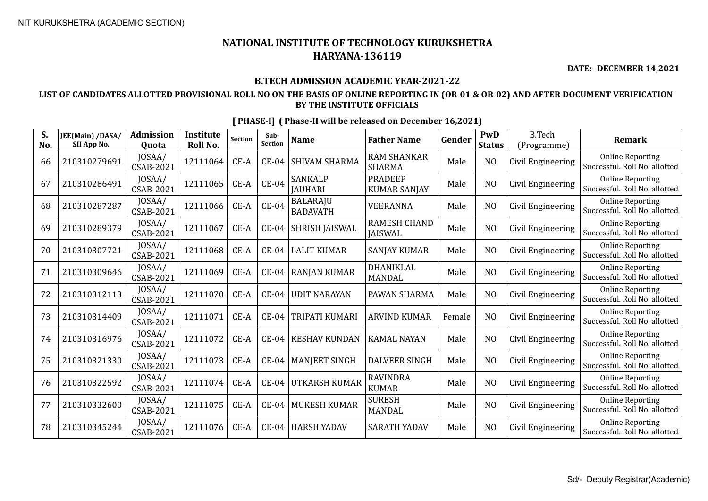**DATE:- DECEMBER 14,2021**

### **B.TECH ADMISSION ACADEMIC YEAR-2021-22**

### **LIST OF CANDIDATES ALLOTTED PROVISIONAL ROLL NO ON THE BASIS OF ONLINE REPORTING IN (OR-01 & OR-02) AND AFTER DOCUMENT VERIFICATION BY THE INSTITUTE OFFICIALS**

| S.<br>No. | JEE(Main) /DASA/<br>SII App No. | <b>Admission</b><br>Quota  | <b>Institute</b><br><b>Roll No.</b> | <b>Section</b> | Sub-<br><b>Section</b> | <b>Name</b>                        | <b>Father Name</b>                    | Gender | <b>PwD</b><br><b>Status</b> | <b>B.Tech</b><br>(Programme) | <b>Remark</b>                                            |
|-----------|---------------------------------|----------------------------|-------------------------------------|----------------|------------------------|------------------------------------|---------------------------------------|--------|-----------------------------|------------------------------|----------------------------------------------------------|
| 66        | 210310279691                    | JOSAA/<br><b>CSAB-2021</b> | 12111064                            | CE-A           | <b>CE-04</b>           | SHIVAM SHARMA                      | <b>RAM SHANKAR</b><br><b>SHARMA</b>   | Male   | N <sub>O</sub>              | Civil Engineering            | <b>Online Reporting</b><br>Successful. Roll No. allotted |
| 67        | 210310286491                    | JOSAA/<br>CSAB-2021        | 12111065                            | $CE-A$         | <b>CE-04</b>           | <b>SANKALP</b><br><b>JAUHARI</b>   | <b>PRADEEP</b><br><b>KUMAR SANJAY</b> | Male   | N <sub>O</sub>              | Civil Engineering            | <b>Online Reporting</b><br>Successful. Roll No. allotted |
| 68        | 210310287287                    | JOSAA/<br><b>CSAB-2021</b> | 12111066                            | $CE-A$         | $CE-04$                | <b>BALARAJU</b><br><b>BADAVATH</b> | <b>VEERANNA</b>                       | Male   | N <sub>O</sub>              | Civil Engineering            | <b>Online Reporting</b><br>Successful. Roll No. allotted |
| 69        | 210310289379                    | JOSAA/<br><b>CSAB-2021</b> | 12111067                            | $CE-A$         | $CE-04$                | SHRISH JAISWAL                     | <b>RAMESH CHAND</b><br><b>JAISWAL</b> | Male   | N <sub>O</sub>              | Civil Engineering            | <b>Online Reporting</b><br>Successful. Roll No. allotted |
| 70        | 210310307721                    | JOSAA/<br><b>CSAB-2021</b> | 12111068                            | $CE-A$         | $CE-04$                | <b>LALIT KUMAR</b>                 | <b>SANJAY KUMAR</b>                   | Male   | N <sub>O</sub>              | Civil Engineering            | <b>Online Reporting</b><br>Successful. Roll No. allotted |
| 71        | 210310309646                    | JOSAA/<br><b>CSAB-2021</b> | 12111069                            | CE-A           | <b>CE-04</b>           | <b>RANJAN KUMAR</b>                | DHANIKLAL<br><b>MANDAL</b>            | Male   | N <sub>O</sub>              | Civil Engineering            | <b>Online Reporting</b><br>Successful. Roll No. allotted |
| 72        | 210310312113                    | JOSAA/<br><b>CSAB-2021</b> | 12111070                            | CE-A           | <b>CE-04</b>           | <b>UDIT NARAYAN</b>                | PAWAN SHARMA                          | Male   | N <sub>O</sub>              | Civil Engineering            | <b>Online Reporting</b><br>Successful. Roll No. allotted |
| 73        | 210310314409                    | JOSAA/<br>CSAB-2021        | 12111071                            | CE-A           | $CE-04$                | TRIPATI KUMARI                     | <b>ARVIND KUMAR</b>                   | Female | N <sub>O</sub>              | Civil Engineering            | <b>Online Reporting</b><br>Successful. Roll No. allotted |
| 74        | 210310316976                    | JOSAA/<br><b>CSAB-2021</b> | 12111072                            | $CE-A$         | <b>CE-04</b>           | <b>KESHAV KUNDAN</b>               | <b>KAMAL NAYAN</b>                    | Male   | N <sub>O</sub>              | Civil Engineering            | <b>Online Reporting</b><br>Successful. Roll No. allotted |
| 75        | 210310321330                    | JOSAA/<br><b>CSAB-2021</b> | 12111073                            | CE-A           | <b>CE-04</b>           | <b>MANJEET SINGH</b>               | <b>DALVEER SINGH</b>                  | Male   | N <sub>O</sub>              | Civil Engineering            | <b>Online Reporting</b><br>Successful. Roll No. allotted |
| 76        | 210310322592                    | JOSAA/<br>CSAB-2021        | 12111074                            | CE-A           | <b>CE-04</b>           | <b>UTKARSH KUMAR</b>               | <b>RAVINDRA</b><br><b>KUMAR</b>       | Male   | N <sub>O</sub>              | Civil Engineering            | <b>Online Reporting</b><br>Successful. Roll No. allotted |
| 77        | 210310332600                    | JOSAA/<br><b>CSAB-2021</b> | 12111075                            | $CE-A$         | <b>CE-04</b>           | <b>MUKESH KUMAR</b>                | <b>SURESH</b><br><b>MANDAL</b>        | Male   | N <sub>O</sub>              | Civil Engineering            | <b>Online Reporting</b><br>Successful. Roll No. allotted |
| 78        | 210310345244                    | JOSAA/<br>CSAB-2021        | 12111076                            | CE-A           | <b>CE-04</b>           | <b>HARSH YADAV</b>                 | <b>SARATH YADAV</b>                   | Male   | NO                          | Civil Engineering            | <b>Online Reporting</b><br>Successful. Roll No. allotted |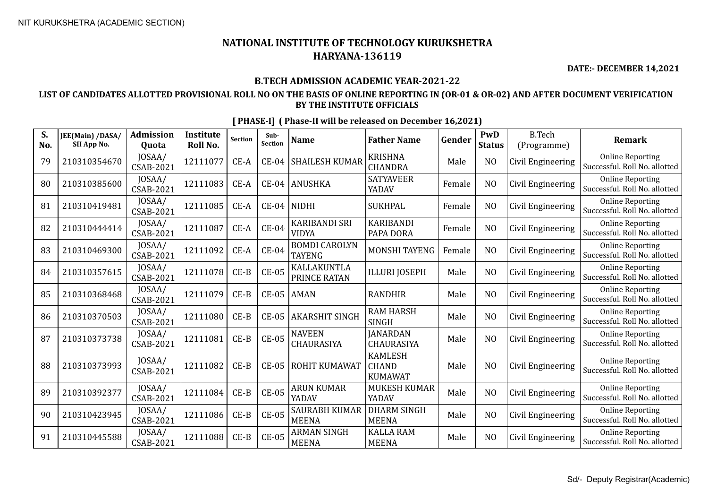**DATE:- DECEMBER 14,2021**

### **B.TECH ADMISSION ACADEMIC YEAR-2021-22**

### **LIST OF CANDIDATES ALLOTTED PROVISIONAL ROLL NO ON THE BASIS OF ONLINE REPORTING IN (OR-01 & OR-02) AND AFTER DOCUMENT VERIFICATION BY THE INSTITUTE OFFICIALS**

| S.<br>No. | JEE(Main) /DASA/<br>SII App No. | <b>Admission</b><br>Quota  | <b>Institute</b><br>Roll No. | <b>Section</b> | Sub-<br><b>Section</b> | <b>Name</b>                           | <b>Father Name</b>                               | Gender | PwD<br><b>Status</b> | <b>B.Tech</b><br>(Programme) | <b>Remark</b>                                            |
|-----------|---------------------------------|----------------------------|------------------------------|----------------|------------------------|---------------------------------------|--------------------------------------------------|--------|----------------------|------------------------------|----------------------------------------------------------|
| 79        | 210310354670                    | JOSAA/<br><b>CSAB-2021</b> | 12111077                     | CE-A           | <b>CE-04</b>           | <b>SHAILESH KUMAR</b>                 | <b>KRISHNA</b><br><b>CHANDRA</b>                 | Male   | N <sub>O</sub>       | Civil Engineering            | <b>Online Reporting</b><br>Successful. Roll No. allotted |
| 80        | 210310385600                    | JOSAA/<br><b>CSAB-2021</b> | 12111083                     | $CE-A$         | $CE-04$                | <b>ANUSHKA</b>                        | <b>SATYAVEER</b><br>YADAV                        | Female | N <sub>O</sub>       | Civil Engineering            | <b>Online Reporting</b><br>Successful. Roll No. allotted |
| 81        | 210310419481                    | JOSAA/<br><b>CSAB-2021</b> | 12111085                     | $CE-A$         | $CE-04$                | <b>NIDHI</b>                          | <b>SUKHPAL</b>                                   | Female | N <sub>O</sub>       | Civil Engineering            | <b>Online Reporting</b><br>Successful. Roll No. allotted |
| 82        | 210310444414                    | JOSAA/<br><b>CSAB-2021</b> | 12111087                     | $CE-A$         | $CE-04$                | KARIBANDI SRI<br>VIDYA                | <b>KARIBANDI</b><br>PAPA DORA                    | Female | N <sub>O</sub>       | Civil Engineering            | <b>Online Reporting</b><br>Successful. Roll No. allotted |
| 83        | 210310469300                    | JOSAA/<br><b>CSAB-2021</b> | 12111092                     | $CE-A$         | $CE-04$                | <b>BOMDI CAROLYN</b><br><b>TAYENG</b> | MONSHI TAYENG                                    | Female | N <sub>O</sub>       | Civil Engineering            | <b>Online Reporting</b><br>Successful. Roll No. allotted |
| 84        | 210310357615                    | JOSAA/<br><b>CSAB-2021</b> | 12111078                     | $CE-B$         | <b>CE-05</b>           | KALLAKUNTLA<br>PRINCE RATAN           | <b>ILLURI JOSEPH</b>                             | Male   | N <sub>O</sub>       | Civil Engineering            | <b>Online Reporting</b><br>Successful. Roll No. allotted |
| 85        | 210310368468                    | JOSAA/<br>CSAB-2021        | 12111079                     | $CE-B$         | <b>CE-05</b>           | <b>AMAN</b>                           | <b>RANDHIR</b>                                   | Male   | N <sub>O</sub>       | Civil Engineering            | <b>Online Reporting</b><br>Successful. Roll No. allotted |
| 86        | 210310370503                    | JOSAA/<br><b>CSAB-2021</b> | 12111080                     | $CE-B$         | $CE-05$                | <b>AKARSHIT SINGH</b>                 | <b>RAM HARSH</b><br><b>SINGH</b>                 | Male   | N <sub>O</sub>       | Civil Engineering            | <b>Online Reporting</b><br>Successful. Roll No. allotted |
| 87        | 210310373738                    | JOSAA/<br><b>CSAB-2021</b> | 12111081                     | $CE-B$         | <b>CE-05</b>           | <b>NAVEEN</b><br><b>CHAURASIYA</b>    | <b>JANARDAN</b><br><b>CHAURASIYA</b>             | Male   | N <sub>O</sub>       | Civil Engineering            | <b>Online Reporting</b><br>Successful. Roll No. allotted |
| 88        | 210310373993                    | JOSAA/<br><b>CSAB-2021</b> | 12111082                     | $CE-B$         | $CE-05$                | ROHIT KUMAWAT                         | <b>KAMLESH</b><br><b>CHAND</b><br><b>KUMAWAT</b> | Male   | N <sub>O</sub>       | Civil Engineering            | <b>Online Reporting</b><br>Successful. Roll No. allotted |
| 89        | 210310392377                    | JOSAA/<br><b>CSAB-2021</b> | 12111084                     | $CE-B$         | <b>CE-05</b>           | <b>ARUN KUMAR</b><br>YADAV            | <b>MUKESH KUMAR</b><br>YADAV                     | Male   | N <sub>O</sub>       | Civil Engineering            | <b>Online Reporting</b><br>Successful. Roll No. allotted |
| 90        | 210310423945                    | JOSAA/<br><b>CSAB-2021</b> | 12111086                     | $CE-B$         | $CE-05$                | SAURABH KUMAR<br><b>MEENA</b>         | <b>DHARM SINGH</b><br><b>MEENA</b>               | Male   | N <sub>O</sub>       | Civil Engineering            | <b>Online Reporting</b><br>Successful. Roll No. allotted |
| 91        | 210310445588                    | JOSAA/<br><b>CSAB-2021</b> | 12111088                     | $CE-B$         | $CE-05$                | <b>ARMAN SINGH</b><br><b>MEENA</b>    | <b>KALLA RAM</b><br><b>MEENA</b>                 | Male   | N <sub>O</sub>       | Civil Engineering            | <b>Online Reporting</b><br>Successful. Roll No. allotted |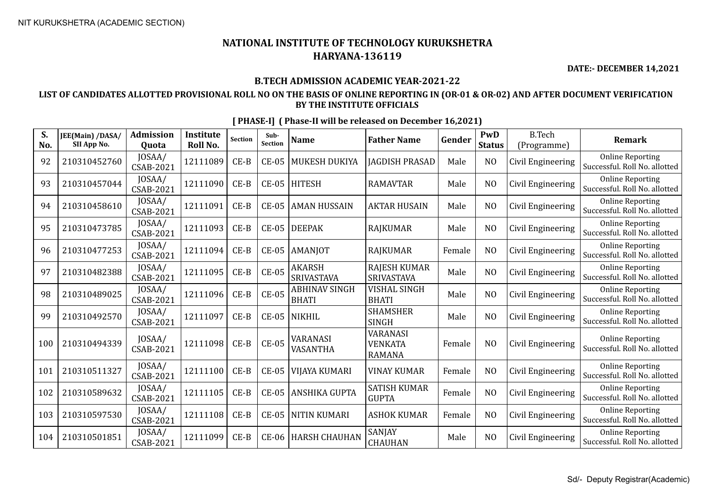**DATE:- DECEMBER 14,2021**

### **B.TECH ADMISSION ACADEMIC YEAR-2021-22**

### **LIST OF CANDIDATES ALLOTTED PROVISIONAL ROLL NO ON THE BASIS OF ONLINE REPORTING IN (OR-01 & OR-02) AND AFTER DOCUMENT VERIFICATION BY THE INSTITUTE OFFICIALS**

| S.<br>No. | JEE(Main) /DASA/<br>SII App No. | <b>Admission</b><br>Quota | <b>Institute</b><br>Roll No. | <b>Section</b> | Sub-<br>Section | <b>Name</b>                          | <b>Father Name</b>                                 | Gender | PwD<br><b>Status</b> | <b>B.Tech</b><br>(Programme) | <b>Remark</b>                                            |
|-----------|---------------------------------|---------------------------|------------------------------|----------------|-----------------|--------------------------------------|----------------------------------------------------|--------|----------------------|------------------------------|----------------------------------------------------------|
| 92        | 210310452760                    | JOSAA/<br>CSAB-2021       | 12111089                     | $CE-B$         | $CE-05$         | MUKESH DUKIYA                        | <b>JAGDISH PRASAD</b>                              | Male   | N <sub>O</sub>       | Civil Engineering            | <b>Online Reporting</b><br>Successful. Roll No. allotted |
| 93        | 210310457044                    | JOSAA/<br>CSAB-2021       | 12111090                     | $CE-B$         | $CE-05$         | <b>HITESH</b>                        | <b>RAMAVTAR</b>                                    | Male   | N <sub>O</sub>       | Civil Engineering            | <b>Online Reporting</b><br>Successful. Roll No. allotted |
| 94        | 210310458610                    | JOSAA/<br>CSAB-2021       | 12111091                     | $CE-B$         | $CE-05$         | <b>AMAN HUSSAIN</b>                  | <b>AKTAR HUSAIN</b>                                | Male   | N <sub>O</sub>       | Civil Engineering            | <b>Online Reporting</b><br>Successful. Roll No. allotted |
| 95        | 210310473785                    | JOSAA/<br>CSAB-2021       | 12111093                     | $CE-B$         | $CE-05$         | <b>DEEPAK</b>                        | <b>RAJKUMAR</b>                                    | Male   | N <sub>O</sub>       | Civil Engineering            | <b>Online Reporting</b><br>Successful. Roll No. allotted |
| 96        | 210310477253                    | JOSAA/<br>CSAB-2021       | 12111094                     | $CE-B$         | <b>CE-05</b>    | <b>AMANJOT</b>                       | <b>RAJKUMAR</b>                                    | Female | N <sub>O</sub>       | Civil Engineering            | <b>Online Reporting</b><br>Successful. Roll No. allotted |
| 97        | 210310482388                    | JOSAA/<br>CSAB-2021       | 12111095                     | $CE-B$         | <b>CE-05</b>    | AKARSH<br>SRIVASTAVA                 | <b>RAJESH KUMAR</b><br>SRIVASTAVA                  | Male   | N <sub>O</sub>       | Civil Engineering            | <b>Online Reporting</b><br>Successful. Roll No. allotted |
| 98        | 210310489025                    | JOSAA/<br>CSAB-2021       | 12111096                     | $CE-B$         | <b>CE-05</b>    | <b>ABHINAV SINGH</b><br><b>BHATI</b> | <b>VISHAL SINGH</b><br><b>BHATI</b>                | Male   | N <sub>O</sub>       | Civil Engineering            | <b>Online Reporting</b><br>Successful. Roll No. allotted |
| 99        | 210310492570                    | JOSAA/<br>CSAB-2021       | 12111097                     | $CE-B$         | $CE-05$         | <b>NIKHIL</b>                        | <b>SHAMSHER</b><br><b>SINGH</b>                    | Male   | N <sub>O</sub>       | Civil Engineering            | <b>Online Reporting</b><br>Successful. Roll No. allotted |
| 100       | 210310494339                    | JOSAA/<br>CSAB-2021       | 12111098                     | $CE-B$         | <b>CE-05</b>    | VARANASI<br>VASANTHA                 | <b>VARANASI</b><br><b>VENKATA</b><br><b>RAMANA</b> | Female | N <sub>O</sub>       | Civil Engineering            | <b>Online Reporting</b><br>Successful. Roll No. allotted |
| 101       | 210310511327                    | JOSAA/<br>CSAB-2021       | 12111100                     | $CE-B$         | $CE-05$         | VIJAYA KUMARI                        | <b>VINAY KUMAR</b>                                 | Female | N <sub>O</sub>       | Civil Engineering            | <b>Online Reporting</b><br>Successful. Roll No. allotted |
| 102       | 210310589632                    | JOSAA/<br>CSAB-2021       | 12111105                     | $CE-B$         | <b>CE-05</b>    | ANSHIKA GUPTA                        | <b>SATISH KUMAR</b><br><b>GUPTA</b>                | Female | N <sub>O</sub>       | Civil Engineering            | <b>Online Reporting</b><br>Successful. Roll No. allotted |
| 103       | 210310597530                    | JOSAA/<br>CSAB-2021       | 12111108                     | $CE-B$         | $CE-05$         | <b>NITIN KUMARI</b>                  | <b>ASHOK KUMAR</b>                                 | Female | N <sub>O</sub>       | Civil Engineering            | <b>Online Reporting</b><br>Successful. Roll No. allotted |
| 104       | 210310501851                    | JOSAA/<br>CSAB-2021       | 12111099                     | $CE-B$         | <b>CE-06</b>    | <b>HARSH CHAUHAN</b>                 | <b>SANJAY</b><br><b>CHAUHAN</b>                    | Male   | N <sub>O</sub>       | Civil Engineering            | <b>Online Reporting</b><br>Successful. Roll No. allotted |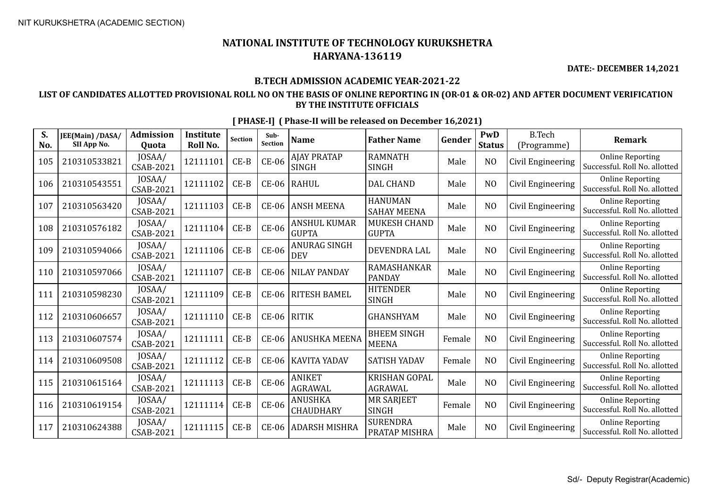**DATE:- DECEMBER 14,2021**

### **B.TECH ADMISSION ACADEMIC YEAR-2021-22**

### **LIST OF CANDIDATES ALLOTTED PROVISIONAL ROLL NO ON THE BASIS OF ONLINE REPORTING IN (OR-01 & OR-02) AND AFTER DOCUMENT VERIFICATION BY THE INSTITUTE OFFICIALS**

| S.<br>No. | JEE(Main) /DASA/<br>SII App No. | <b>Admission</b><br>Quota | <b>Institute</b><br>Roll No. | <b>Section</b> | Sub-<br>Section | <b>Name</b>                         | <b>Father Name</b>                   | Gender | PwD<br><b>Status</b> | <b>B.Tech</b><br>(Programme) | <b>Remark</b>                                            |
|-----------|---------------------------------|---------------------------|------------------------------|----------------|-----------------|-------------------------------------|--------------------------------------|--------|----------------------|------------------------------|----------------------------------------------------------|
| 105       | 210310533821                    | JOSAA/<br>CSAB-2021       | 12111101                     | $CE-B$         | <b>CE-06</b>    | <b>AJAY PRATAP</b><br><b>SINGH</b>  | <b>RAMNATH</b><br><b>SINGH</b>       | Male   | N <sub>O</sub>       | Civil Engineering            | <b>Online Reporting</b><br>Successful. Roll No. allotted |
| 106       | 210310543551                    | JOSAA/<br>CSAB-2021       | 12111102                     | $CE-B$         | <b>CE-06</b>    | <b>RAHUL</b>                        | <b>DAL CHAND</b>                     | Male   | N <sub>O</sub>       | Civil Engineering            | <b>Online Reporting</b><br>Successful. Roll No. allotted |
| 107       | 210310563420                    | JOSAA/<br>CSAB-2021       | 12111103                     | $CE-B$         | CE-06           | <b>ANSH MEENA</b>                   | <b>HANUMAN</b><br><b>SAHAY MEENA</b> | Male   | N <sub>O</sub>       | Civil Engineering            | <b>Online Reporting</b><br>Successful. Roll No. allotted |
| 108       | 210310576182                    | JOSAA/<br>CSAB-2021       | 12111104                     | $CE-B$         | <b>CE-06</b>    | <b>ANSHUL KUMAR</b><br><b>GUPTA</b> | MUKESH CHAND<br><b>GUPTA</b>         | Male   | N <sub>O</sub>       | Civil Engineering            | <b>Online Reporting</b><br>Successful. Roll No. allotted |
| 109       | 210310594066                    | JOSAA/<br>CSAB-2021       | 12111106                     | $CE-B$         | <b>CE-06</b>    | ANURAG SINGH<br><b>DEV</b>          | DEVENDRA LAL                         | Male   | N <sub>0</sub>       | Civil Engineering            | <b>Online Reporting</b><br>Successful. Roll No. allotted |
| 110       | 210310597066                    | JOSAA/<br>CSAB-2021       | 12111107                     | $CE-B$         | CE-06           | <b>NILAY PANDAY</b>                 | RAMASHANKAR<br><b>PANDAY</b>         | Male   | N <sub>0</sub>       | Civil Engineering            | <b>Online Reporting</b><br>Successful. Roll No. allotted |
| 111       | 210310598230                    | JOSAA/<br>CSAB-2021       | 12111109                     | $CE-B$         | <b>CE-06</b>    | <b>RITESH BAMEL</b>                 | <b>HITENDER</b><br><b>SINGH</b>      | Male   | N <sub>O</sub>       | Civil Engineering            | <b>Online Reporting</b><br>Successful. Roll No. allotted |
| 112       | 210310606657                    | JOSAA/<br>CSAB-2021       | 12111110                     | $CE-B$         | $CE-06$         | RITIK                               | <b>GHANSHYAM</b>                     | Male   | N <sub>O</sub>       | Civil Engineering            | <b>Online Reporting</b><br>Successful. Roll No. allotted |
| 113       | 210310607574                    | JOSAA/<br>CSAB-2021       | 12111111                     | $CE-B$         | CE-06           | <b>ANUSHKA MEENA</b>                | <b>BHEEM SINGH</b><br><b>MEENA</b>   | Female | N <sub>O</sub>       | Civil Engineering            | <b>Online Reporting</b><br>Successful. Roll No. allotted |
| 114       | 210310609508                    | JOSAA/<br>CSAB-2021       | 12111112                     | $CE-B$         | CE-06           | <b>KAVITA YADAV</b>                 | SATISH YADAV                         | Female | N <sub>O</sub>       | Civil Engineering            | <b>Online Reporting</b><br>Successful. Roll No. allotted |
| 115       | 210310615164                    | JOSAA/<br>CSAB-2021       | 12111113                     | $CE-B$         | <b>CE-06</b>    | ANIKET<br><b>AGRAWAL</b>            | KRISHAN GOPAL<br><b>AGRAWAL</b>      | Male   | N <sub>O</sub>       | Civil Engineering            | <b>Online Reporting</b><br>Successful. Roll No. allotted |
| 116       | 210310619154                    | JOSAA/<br>CSAB-2021       | 12111114                     | $CE-B$         | <b>CE-06</b>    | <b>ANUSHKA</b><br><b>CHAUDHARY</b>  | <b>MR SARJEET</b><br><b>SINGH</b>    | Female | N <sub>O</sub>       | Civil Engineering            | <b>Online Reporting</b><br>Successful. Roll No. allotted |
| 117       | 210310624388                    | JOSAA/<br>CSAB-2021       | 12111115                     | $CE-B$         | CE-06           | <b>ADARSH MISHRA</b>                | <b>SURENDRA</b><br>PRATAP MISHRA     | Male   | N <sub>O</sub>       | Civil Engineering            | <b>Online Reporting</b><br>Successful. Roll No. allotted |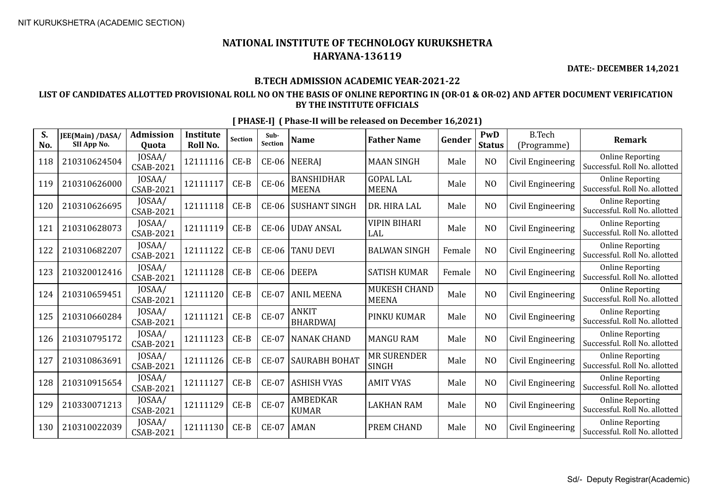**DATE:- DECEMBER 14,2021**

### **B.TECH ADMISSION ACADEMIC YEAR-2021-22**

### **LIST OF CANDIDATES ALLOTTED PROVISIONAL ROLL NO ON THE BASIS OF ONLINE REPORTING IN (OR-01 & OR-02) AND AFTER DOCUMENT VERIFICATION BY THE INSTITUTE OFFICIALS**

| S.<br>No. | JEE(Main) /DASA/<br>SII App No. | <b>Admission</b><br>Quota | <b>Institute</b><br>Roll No. | <b>Section</b> | Sub-<br>Section | <b>Name</b>                       | <b>Father Name</b>                 | Gender | PwD<br><b>Status</b> | <b>B.Tech</b><br>(Programme) | <b>Remark</b>                                            |
|-----------|---------------------------------|---------------------------|------------------------------|----------------|-----------------|-----------------------------------|------------------------------------|--------|----------------------|------------------------------|----------------------------------------------------------|
| 118       | 210310624504                    | JOSAA/<br>CSAB-2021       | 12111116                     | $CE-B$         | CE-06           | <b>NEERAJ</b>                     | <b>MAAN SINGH</b>                  | Male   | N <sub>O</sub>       | Civil Engineering            | <b>Online Reporting</b><br>Successful. Roll No. allotted |
| 119       | 210310626000                    | JOSAA/<br>CSAB-2021       | 12111117                     | $CE-B$         | <b>CE-06</b>    | <b>BANSHIDHAR</b><br><b>MEENA</b> | <b>GOPAL LAL</b><br><b>MEENA</b>   | Male   | N <sub>O</sub>       | Civil Engineering            | <b>Online Reporting</b><br>Successful. Roll No. allotted |
| 120       | 210310626695                    | JOSAA/<br>CSAB-2021       | 12111118                     | $CE-B$         | $CE-06$         | SUSHANT SINGH                     | DR. HIRA LAL                       | Male   | N <sub>O</sub>       | Civil Engineering            | <b>Online Reporting</b><br>Successful. Roll No. allotted |
| 121       | 210310628073                    | JOSAA/<br>CSAB-2021       | 12111119                     | $CE-B$         | $CE-06$         | <b>UDAY ANSAL</b>                 | <b>VIPIN BIHARI</b><br>LAL         | Male   | N <sub>O</sub>       | Civil Engineering            | <b>Online Reporting</b><br>Successful. Roll No. allotted |
| 122       | 210310682207                    | JOSAA/<br>CSAB-2021       | 12111122                     | $CE-B$         | $CE-06$         | <b>TANU DEVI</b>                  | <b>BALWAN SINGH</b>                | Female | N <sub>O</sub>       | Civil Engineering            | <b>Online Reporting</b><br>Successful. Roll No. allotted |
| 123       | 210320012416                    | JOSAA/<br>CSAB-2021       | 12111128                     | $CE-B$         | $CE-06$         | <b>DEEPA</b>                      | <b>SATISH KUMAR</b>                | Female | N <sub>O</sub>       | Civil Engineering            | <b>Online Reporting</b><br>Successful. Roll No. allotted |
| 124       | 210310659451                    | JOSAA/<br>CSAB-2021       | 12111120                     | $CE-B$         | <b>CE-07</b>    | <b>ANIL MEENA</b>                 | MUKESH CHAND<br><b>MEENA</b>       | Male   | N <sub>O</sub>       | Civil Engineering            | <b>Online Reporting</b><br>Successful. Roll No. allotted |
| 125       | 210310660284                    | JOSAA/<br>CSAB-2021       | 12111121                     | $CE-B$         | <b>CE-07</b>    | <b>ANKIT</b><br><b>BHARDWAJ</b>   | PINKU KUMAR                        | Male   | N <sub>O</sub>       | Civil Engineering            | <b>Online Reporting</b><br>Successful. Roll No. allotted |
| 126       | 210310795172                    | JOSAA/<br>CSAB-2021       | 12111123                     | $CE-B$         | <b>CE-07</b>    | <b>NANAK CHAND</b>                | <b>MANGU RAM</b>                   | Male   | N <sub>O</sub>       | Civil Engineering            | <b>Online Reporting</b><br>Successful. Roll No. allotted |
| 127       | 210310863691                    | JOSAA/<br>CSAB-2021       | 12111126                     | $CE-B$         | <b>CE-07</b>    | <b>SAURABH BOHAT</b>              | <b>MR SURENDER</b><br><b>SINGH</b> | Male   | N <sub>O</sub>       | Civil Engineering            | <b>Online Reporting</b><br>Successful. Roll No. allotted |
| 128       | 210310915654                    | JOSAA/<br>CSAB-2021       | 12111127                     | $CE-B$         | <b>CE-07</b>    | <b>ASHISH VYAS</b>                | <b>AMIT VYAS</b>                   | Male   | N <sub>O</sub>       | Civil Engineering            | <b>Online Reporting</b><br>Successful. Roll No. allotted |
| 129       | 210330071213                    | JOSAA/<br>CSAB-2021       | 12111129                     | $CE-B$         | <b>CE-07</b>    | <b>AMBEDKAR</b><br><b>KUMAR</b>   | <b>LAKHAN RAM</b>                  | Male   | N <sub>O</sub>       | Civil Engineering            | <b>Online Reporting</b><br>Successful. Roll No. allotted |
| 130       | 210310022039                    | JOSAA/<br>CSAB-2021       | 12111130                     | $CE-B$         | $CE-07$         | <b>AMAN</b>                       | PREM CHAND                         | Male   | N <sub>0</sub>       | Civil Engineering            | <b>Online Reporting</b><br>Successful. Roll No. allotted |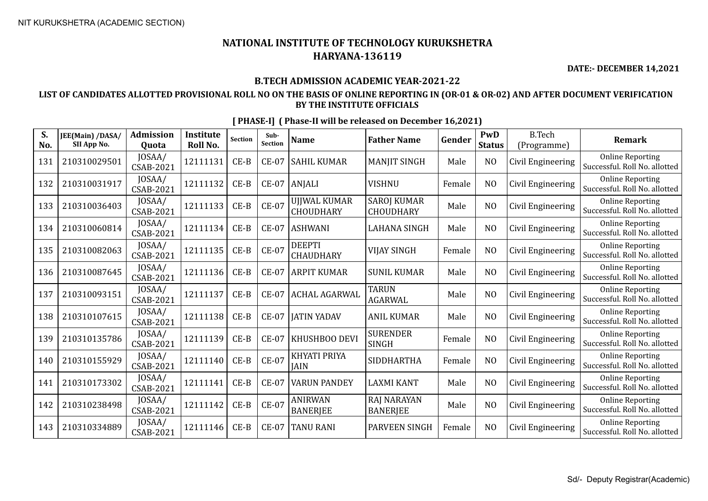**DATE:- DECEMBER 14,2021**

### **B.TECH ADMISSION ACADEMIC YEAR-2021-22**

### **LIST OF CANDIDATES ALLOTTED PROVISIONAL ROLL NO ON THE BASIS OF ONLINE REPORTING IN (OR-01 & OR-02) AND AFTER DOCUMENT VERIFICATION BY THE INSTITUTE OFFICIALS**

| S.<br>No. | JEE(Main) /DASA/<br>SII App No. | <b>Admission</b><br>Quota  | <b>Institute</b><br>Roll No. | <b>Section</b> | Sub-<br><b>Section</b> | <b>Name</b>                       | <b>Father Name</b>                     | Gender | PwD<br><b>Status</b> | <b>B.Tech</b><br>(Programme) | Remark                                                   |
|-----------|---------------------------------|----------------------------|------------------------------|----------------|------------------------|-----------------------------------|----------------------------------------|--------|----------------------|------------------------------|----------------------------------------------------------|
| 131       | 210310029501                    | JOSAA/<br><b>CSAB-2021</b> | 12111131                     | $CE-B$         | $CE-07$                | <b>SAHIL KUMAR</b>                | <b>MANJIT SINGH</b>                    | Male   | N <sub>O</sub>       | Civil Engineering            | <b>Online Reporting</b><br>Successful. Roll No. allotted |
| 132       | 210310031917                    | JOSAA/<br><b>CSAB-2021</b> | 12111132                     | $CE-B$         | <b>CE-07</b>           | <b>ANJALI</b>                     | <b>VISHNU</b>                          | Female | N <sub>O</sub>       | Civil Engineering            | <b>Online Reporting</b><br>Successful. Roll No. allotted |
| 133       | 210310036403                    | JOSAA/<br><b>CSAB-2021</b> | 12111133                     | $CE-B$         | <b>CE-07</b>           | <b>UJJWAL KUMAR</b><br>CHOUDHARY  | <b>SAROJ KUMAR</b><br><b>CHOUDHARY</b> | Male   | N <sub>O</sub>       | Civil Engineering            | <b>Online Reporting</b><br>Successful. Roll No. allotted |
| 134       | 210310060814                    | JOSAA/<br><b>CSAB-2021</b> | 12111134                     | $CE-B$         | $CE-07$                | <b>ASHWANI</b>                    | <b>LAHANA SINGH</b>                    | Male   | N <sub>O</sub>       | Civil Engineering            | <b>Online Reporting</b><br>Successful. Roll No. allotted |
| 135       | 210310082063                    | JOSAA/<br>CSAB-2021        | 12111135                     | $CE-B$         | <b>CE-07</b>           | <b>DEEPTI</b><br><b>CHAUDHARY</b> | <b>VIJAY SINGH</b>                     | Female | N <sub>O</sub>       | Civil Engineering            | <b>Online Reporting</b><br>Successful. Roll No. allotted |
| 136       | 210310087645                    | JOSAA/<br><b>CSAB-2021</b> | 12111136                     | $CE-B$         | $CE-07$                | <b>ARPIT KUMAR</b>                | <b>SUNIL KUMAR</b>                     | Male   | N <sub>0</sub>       | Civil Engineering            | <b>Online Reporting</b><br>Successful. Roll No. allotted |
| 137       | 210310093151                    | JOSAA/<br>CSAB-2021        | 12111137                     | $CE-B$         | <b>CE-07</b>           | <b>ACHAL AGARWAL</b>              | <b>TARUN</b><br><b>AGARWAL</b>         | Male   | N <sub>O</sub>       | Civil Engineering            | <b>Online Reporting</b><br>Successful. Roll No. allotted |
| 138       | 210310107615                    | JOSAA/<br>CSAB-2021        | 12111138                     | $CE-B$         | <b>CE-07</b>           | <b>JATIN YADAV</b>                | <b>ANIL KUMAR</b>                      | Male   | N <sub>O</sub>       | Civil Engineering            | <b>Online Reporting</b><br>Successful. Roll No. allotted |
| 139       | 210310135786                    | JOSAA/<br><b>CSAB-2021</b> | 12111139                     | $CE-B$         | <b>CE-07</b>           | KHUSHBOO DEVI                     | <b>SURENDER</b><br><b>SINGH</b>        | Female | N <sub>O</sub>       | Civil Engineering            | <b>Online Reporting</b><br>Successful. Roll No. allotted |
| 140       | 210310155929                    | JOSAA/<br><b>CSAB-2021</b> | 12111140                     | $CE-B$         | $CE-07$                | KHYATI PRIYA<br><b>JAIN</b>       | SIDDHARTHA                             | Female | N <sub>O</sub>       | Civil Engineering            | <b>Online Reporting</b><br>Successful. Roll No. allotted |
| 141       | 210310173302                    | JOSAA/<br><b>CSAB-2021</b> | 12111141                     | $CE-B$         | <b>CE-07</b>           | <b>VARUN PANDEY</b>               | <b>LAXMI KANT</b>                      | Male   | N <sub>O</sub>       | Civil Engineering            | <b>Online Reporting</b><br>Successful. Roll No. allotted |
| 142       | 210310238498                    | JOSAA/<br><b>CSAB-2021</b> | 12111142                     | $CE-B$         | <b>CE-07</b>           | <b>ANIRWAN</b><br><b>BANERJEE</b> | <b>RAJ NARAYAN</b><br><b>BANERJEE</b>  | Male   | N <sub>O</sub>       | Civil Engineering            | <b>Online Reporting</b><br>Successful. Roll No. allotted |
| 143       | 210310334889                    | JOSAA/<br>CSAB-2021        | 12111146                     | $CE-B$         | $CE-07$                | <b>TANU RANI</b>                  | <b>PARVEEN SINGH</b>                   | Female | N <sub>0</sub>       | Civil Engineering            | <b>Online Reporting</b><br>Successful. Roll No. allotted |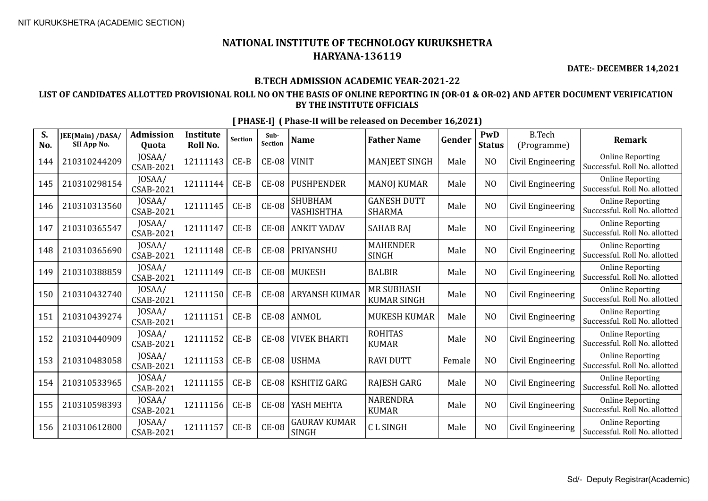**DATE:- DECEMBER 14,2021**

### **B.TECH ADMISSION ACADEMIC YEAR-2021-22**

### **LIST OF CANDIDATES ALLOTTED PROVISIONAL ROLL NO ON THE BASIS OF ONLINE REPORTING IN (OR-01 & OR-02) AND AFTER DOCUMENT VERIFICATION BY THE INSTITUTE OFFICIALS**

| S.<br>No. | JEE(Main) /DASA/<br>SII App No. | <b>Admission</b><br>Quota  | <b>Institute</b><br>Roll No. | <b>Section</b> | Sub-<br><b>Section</b> | <b>Name</b>                         | <b>Father Name</b>                      | Gender | PwD<br><b>Status</b> | <b>B.Tech</b><br>(Programme) | <b>Remark</b>                                            |
|-----------|---------------------------------|----------------------------|------------------------------|----------------|------------------------|-------------------------------------|-----------------------------------------|--------|----------------------|------------------------------|----------------------------------------------------------|
| 144       | 210310244209                    | JOSAA/<br>CSAB-2021        | 12111143                     | $CE-B$         | <b>CE-08</b>           | <b>VINIT</b>                        | MANJEET SINGH                           | Male   | N <sub>O</sub>       | Civil Engineering            | <b>Online Reporting</b><br>Successful. Roll No. allotted |
| 145       | 210310298154                    | JOSAA/<br>CSAB-2021        | 12111144                     | $CE-B$         | <b>CE-08</b>           | <b>PUSHPENDER</b>                   | <b>MANOJ KUMAR</b>                      | Male   | N <sub>O</sub>       | Civil Engineering            | <b>Online Reporting</b><br>Successful. Roll No. allotted |
| 146       | 210310313560                    | JOSAA/<br>CSAB-2021        | 12111145                     | $CE-B$         | <b>CE-08</b>           | <b>SHUBHAM</b><br>VASHISHTHA        | <b>GANESH DUTT</b><br><b>SHARMA</b>     | Male   | N <sub>O</sub>       | Civil Engineering            | <b>Online Reporting</b><br>Successful. Roll No. allotted |
| 147       | 210310365547                    | JOSAA/<br>CSAB-2021        | 12111147                     | $CE-B$         | <b>CE-08</b>           | <b>ANKIT YADAV</b>                  | <b>SAHAB RAJ</b>                        | Male   | N <sub>O</sub>       | Civil Engineering            | <b>Online Reporting</b><br>Successful. Roll No. allotted |
| 148       | 210310365690                    | JOSAA/<br>CSAB-2021        | 12111148                     | $CE-B$         | <b>CE-08</b>           | <b>PRIYANSHU</b>                    | <b>MAHENDER</b><br><b>SINGH</b>         | Male   | N <sub>O</sub>       | Civil Engineering            | <b>Online Reporting</b><br>Successful. Roll No. allotted |
| 149       | 210310388859                    | JOSAA/<br>CSAB-2021        | 12111149                     | $CE-B$         | <b>CE-08</b>           | MUKESH                              | <b>BALBIR</b>                           | Male   | N <sub>O</sub>       | Civil Engineering            | <b>Online Reporting</b><br>Successful. Roll No. allotted |
| 150       | 210310432740                    | JOSAA/<br>CSAB-2021        | 12111150                     | $CE-B$         | <b>CE-08</b>           | <b>ARYANSH KUMAR</b>                | <b>MR SUBHASH</b><br><b>KUMAR SINGH</b> | Male   | N <sub>0</sub>       | Civil Engineering            | <b>Online Reporting</b><br>Successful. Roll No. allotted |
| 151       | 210310439274                    | JOSAA/<br>CSAB-2021        | 12111151                     | $CE-B$         |                        | CE-08 ANMOL                         | <b>MUKESH KUMAR</b>                     | Male   | N <sub>O</sub>       | Civil Engineering            | <b>Online Reporting</b><br>Successful. Roll No. allotted |
| 152       | 210310440909                    | JOSAA/<br><b>CSAB-2021</b> | 12111152                     | $CE-B$         | <b>CE-08</b>           | <b>VIVEK BHARTI</b>                 | <b>ROHITAS</b><br><b>KUMAR</b>          | Male   | N <sub>O</sub>       | Civil Engineering            | <b>Online Reporting</b><br>Successful. Roll No. allotted |
| 153       | 210310483058                    | JOSAA/<br>CSAB-2021        | 12111153                     | $CE-B$         | <b>CE-08</b>           | <b>USHMA</b>                        | <b>RAVI DUTT</b>                        | Female | N <sub>O</sub>       | Civil Engineering            | <b>Online Reporting</b><br>Successful. Roll No. allotted |
| 154       | 210310533965                    | JOSAA/<br>CSAB-2021        | 12111155                     | $CE-B$         | <b>CE-08</b>           | <b>KSHITIZ GARG</b>                 | <b>RAJESH GARG</b>                      | Male   | N <sub>O</sub>       | Civil Engineering            | <b>Online Reporting</b><br>Successful. Roll No. allotted |
| 155       | 210310598393                    | JOSAA/<br>CSAB-2021        | 12111156                     | $CE-B$         | <b>CE-08</b>           | YASH MEHTA                          | <b>NARENDRA</b><br><b>KUMAR</b>         | Male   | N <sub>O</sub>       | Civil Engineering            | <b>Online Reporting</b><br>Successful. Roll No. allotted |
| 156       | 210310612800                    | JOSAA/<br>CSAB-2021        | 12111157                     | $CE-B$         | <b>CE-08</b>           | <b>GAURAV KUMAR</b><br><b>SINGH</b> | <b>CLSINGH</b>                          | Male   | N <sub>O</sub>       | Civil Engineering            | <b>Online Reporting</b><br>Successful. Roll No. allotted |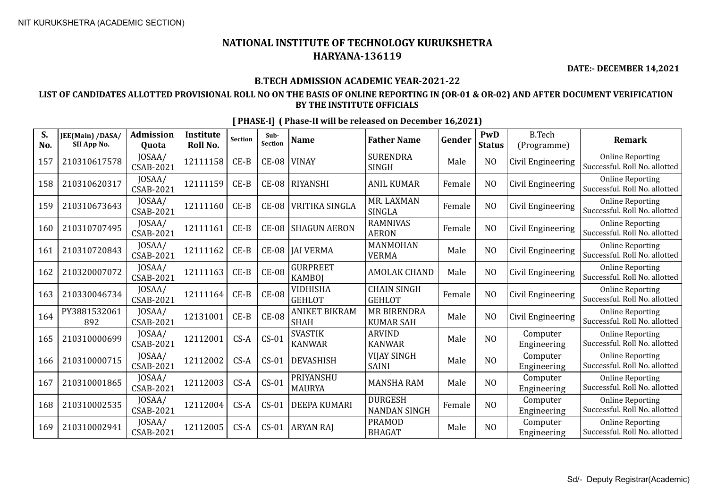**DATE:- DECEMBER 14,2021**

### **B.TECH ADMISSION ACADEMIC YEAR-2021-22**

### **LIST OF CANDIDATES ALLOTTED PROVISIONAL ROLL NO ON THE BASIS OF ONLINE REPORTING IN (OR-01 & OR-02) AND AFTER DOCUMENT VERIFICATION BY THE INSTITUTE OFFICIALS**

| S.<br>No. | JEE(Main) /DASA/<br>SII App No. | <b>Admission</b><br><b>Ouota</b> | <b>Institute</b><br>Roll No. | <b>Section</b> | Sub-<br>Section | <b>Name</b>                         | <b>Father Name</b>                     | Gender | PwD<br><b>Status</b> | <b>B.Tech</b><br>(Programme) | <b>Remark</b>                                            |
|-----------|---------------------------------|----------------------------------|------------------------------|----------------|-----------------|-------------------------------------|----------------------------------------|--------|----------------------|------------------------------|----------------------------------------------------------|
| 157       | 210310617578                    | JOSAA/<br><b>CSAB-2021</b>       | 12111158                     | $CE-B$         | <b>CE-08</b>    | <b>VINAY</b>                        | <b>SURENDRA</b><br><b>SINGH</b>        | Male   | N <sub>O</sub>       | Civil Engineering            | <b>Online Reporting</b><br>Successful. Roll No. allotted |
| 158       | 210310620317                    | JOSAA/<br><b>CSAB-2021</b>       | 12111159                     | $CE-B$         | $CE-08$         | RIYANSHI                            | <b>ANIL KUMAR</b>                      | Female | N <sub>O</sub>       | Civil Engineering            | <b>Online Reporting</b><br>Successful. Roll No. allotted |
| 159       | 210310673643                    | JOSAA/<br>CSAB-2021              | 12111160                     | $CE-B$         | <b>CE-08</b>    | <b>VRITIKA SINGLA</b>               | MR. LAXMAN<br><b>SINGLA</b>            | Female | N <sub>O</sub>       | Civil Engineering            | <b>Online Reporting</b><br>Successful. Roll No. allotted |
| 160       | 210310707495                    | JOSAA/<br>CSAB-2021              | 12111161                     | $CE-B$         | <b>CE-08</b>    | <b>SHAGUN AERON</b>                 | <b>RAMNIVAS</b><br><b>AERON</b>        | Female | N <sub>O</sub>       | Civil Engineering            | <b>Online Reporting</b><br>Successful. Roll No. allotted |
| 161       | 210310720843                    | JOSAA/<br>CSAB-2021              | 12111162                     | $CE-B$         | <b>CE-08</b>    | <b>JAI VERMA</b>                    | MANMOHAN<br><b>VERMA</b>               | Male   | N <sub>O</sub>       | Civil Engineering            | <b>Online Reporting</b><br>Successful. Roll No. allotted |
| 162       | 210320007072                    | JOSAA/<br><b>CSAB-2021</b>       | 12111163                     | $CE-B$         | <b>CE-08</b>    | <b>GURPREET</b><br><b>KAMBOJ</b>    | <b>AMOLAK CHAND</b>                    | Male   | N <sub>O</sub>       | Civil Engineering            | <b>Online Reporting</b><br>Successful. Roll No. allotted |
| 163       | 210330046734                    | JOSAA/<br>CSAB-2021              | 12111164                     | $CE-B$         | <b>CE-08</b>    | <b>VIDHISHA</b><br><b>GEHLOT</b>    | <b>CHAIN SINGH</b><br><b>GEHLOT</b>    | Female | N <sub>O</sub>       | Civil Engineering            | <b>Online Reporting</b><br>Successful. Roll No. allotted |
| 164       | PY3881532061<br>892             | JOSAA/<br>CSAB-2021              | 12131001                     | $CE-B$         | <b>CE-08</b>    | <b>ANIKET BIKRAM</b><br><b>SHAH</b> | <b>MR BIRENDRA</b><br><b>KUMAR SAH</b> | Male   | N <sub>O</sub>       | Civil Engineering            | <b>Online Reporting</b><br>Successful. Roll No. allotted |
| 165       | 210310000699                    | JOSAA/<br><b>CSAB-2021</b>       | 12112001                     | $CS-A$         | $CS-01$         | <b>SVASTIK</b><br><b>KANWAR</b>     | <b>ARVIND</b><br><b>KANWAR</b>         | Male   | N <sub>O</sub>       | Computer<br>Engineering      | <b>Online Reporting</b><br>Successful. Roll No. allotted |
| 166       | 210310000715                    | JOSAA/<br><b>CSAB-2021</b>       | 12112002                     | $CS-A$         | $CS-01$         | <b>DEVASHISH</b>                    | <b>VIJAY SINGH</b><br><b>SAINI</b>     | Male   | N <sub>O</sub>       | Computer<br>Engineering      | <b>Online Reporting</b><br>Successful, Roll No. allotted |
| 167       | 210310001865                    | JOSAA/<br><b>CSAB-2021</b>       | 12112003                     | $CS-A$         | $CS-01$         | PRIYANSHU<br><b>MAURYA</b>          | <b>MANSHA RAM</b>                      | Male   | N <sub>O</sub>       | Computer<br>Engineering      | <b>Online Reporting</b><br>Successful. Roll No. allotted |
| 168       | 210310002535                    | JOSAA/<br>CSAB-2021              | 12112004                     | $CS-A$         | $CS-01$         | <b>DEEPA KUMARI</b>                 | <b>DURGESH</b><br><b>NANDAN SINGH</b>  | Female | N <sub>O</sub>       | Computer<br>Engineering      | <b>Online Reporting</b><br>Successful. Roll No. allotted |
| 169       | 210310002941                    | JOSAA/<br>CSAB-2021              | 12112005                     | $CS-A$         | $CS-01$         | <b>ARYAN RAJ</b>                    | <b>PRAMOD</b><br><b>BHAGAT</b>         | Male   | N <sub>O</sub>       | Computer<br>Engineering      | <b>Online Reporting</b><br>Successful. Roll No. allotted |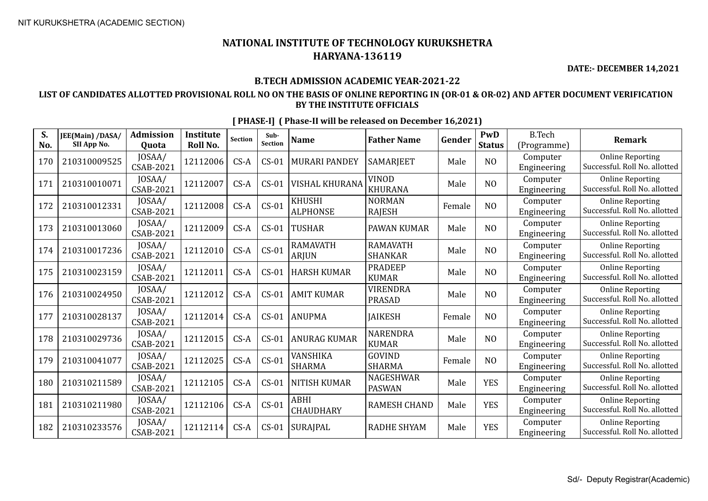**DATE:- DECEMBER 14,2021**

### **B.TECH ADMISSION ACADEMIC YEAR-2021-22**

### **LIST OF CANDIDATES ALLOTTED PROVISIONAL ROLL NO ON THE BASIS OF ONLINE REPORTING IN (OR-01 & OR-02) AND AFTER DOCUMENT VERIFICATION BY THE INSTITUTE OFFICIALS**

| S.<br>No. | JEE(Main) /DASA/<br>SII App No. | <b>Admission</b><br>Quota | <b>Institute</b><br>Roll No. | <b>Section</b> | Sub-<br><b>Section</b> | <b>Name</b>                      | <b>Father Name</b>                | Gender | PwD<br><b>Status</b> | <b>B.Tech</b><br>(Programme) | <b>Remark</b>                                            |
|-----------|---------------------------------|---------------------------|------------------------------|----------------|------------------------|----------------------------------|-----------------------------------|--------|----------------------|------------------------------|----------------------------------------------------------|
| 170       | 210310009525                    | JOSAA/<br>CSAB-2021       | 12112006                     | $CS-A$         | $CS-01$                | <b>MURARI PANDEY</b>             | SAMARJEET                         | Male   | N <sub>O</sub>       | Computer<br>Engineering      | <b>Online Reporting</b><br>Successful. Roll No. allotted |
| 171       | 210310010071                    | JOSAA/<br>CSAB-2021       | 12112007                     | $CS-A$         | $CS-01$                | <b>VISHAL KHURANA</b>            | VINOD<br><b>KHURANA</b>           | Male   | N <sub>O</sub>       | Computer<br>Engineering      | <b>Online Reporting</b><br>Successful. Roll No. allotted |
| 172       | 210310012331                    | JOSAA/<br>CSAB-2021       | 12112008                     | $CS-A$         | $CS-01$                | <b>KHUSHI</b><br><b>ALPHONSE</b> | <b>NORMAN</b><br><b>RAJESH</b>    | Female | NO                   | Computer<br>Engineering      | <b>Online Reporting</b><br>Successful. Roll No. allotted |
| 173       | 210310013060                    | JOSAA/<br>CSAB-2021       | 12112009                     | $CS-A$         | $CS-01$                | <b>TUSHAR</b>                    | PAWAN KUMAR                       | Male   | N <sub>O</sub>       | Computer<br>Engineering      | <b>Online Reporting</b><br>Successful. Roll No. allotted |
| 174       | 210310017236                    | JOSAA/<br>CSAB-2021       | 12112010                     | $CS-A$         | $CS-01$                | <b>RAMAVATH</b><br><b>ARJUN</b>  | <b>RAMAVATH</b><br><b>SHANKAR</b> | Male   | N <sub>O</sub>       | Computer<br>Engineering      | <b>Online Reporting</b><br>Successful. Roll No. allotted |
| 175       | 210310023159                    | JOSAA/<br>CSAB-2021       | 12112011                     | $CS-A$         | $CS-01$                | <b>HARSH KUMAR</b>               | <b>PRADEEP</b><br><b>KUMAR</b>    | Male   | NO                   | Computer<br>Engineering      | <b>Online Reporting</b><br>Successful. Roll No. allotted |
| 176       | 210310024950                    | JOSAA/<br>CSAB-2021       | 12112012                     | $CS-A$         | $CS-01$                | <b>AMIT KUMAR</b>                | <b>VIRENDRA</b><br><b>PRASAD</b>  | Male   | N <sub>O</sub>       | Computer<br>Engineering      | <b>Online Reporting</b><br>Successful. Roll No. allotted |
| 177       | 210310028137                    | JOSAA/<br>CSAB-2021       | 12112014                     | $CS-A$         | $CS-01$                | <b>ANUPMA</b>                    | <b>JAIKESH</b>                    | Female | N <sub>O</sub>       | Computer<br>Engineering      | <b>Online Reporting</b><br>Successful. Roll No. allotted |
| 178       | 210310029736                    | JOSAA/<br>CSAB-2021       | 12112015                     | $CS-A$         | $CS-01$                | <b>ANURAG KUMAR</b>              | <b>NARENDRA</b><br><b>KUMAR</b>   | Male   | N <sub>O</sub>       | Computer<br>Engineering      | <b>Online Reporting</b><br>Successful. Roll No. allotted |
| 179       | 210310041077                    | JOSAA/<br>CSAB-2021       | 12112025                     | $CS-A$         | $CS-01$                | VANSHIKA<br><b>SHARMA</b>        | <b>GOVIND</b><br><b>SHARMA</b>    | Female | N <sub>O</sub>       | Computer<br>Engineering      | <b>Online Reporting</b><br>Successful. Roll No. allotted |
| 180       | 210310211589                    | JOSAA/<br>CSAB-2021       | 12112105                     | $CS-A$         | $CS-01$                | <b>NITISH KUMAR</b>              | <b>NAGESHWAR</b><br><b>PASWAN</b> | Male   | <b>YES</b>           | Computer<br>Engineering      | <b>Online Reporting</b><br>Successful. Roll No. allotted |
| 181       | 210310211980                    | JOSAA/<br>CSAB-2021       | 12112106                     | $CS-A$         | $CS-01$                | ABHI<br><b>CHAUDHARY</b>         | <b>RAMESH CHAND</b>               | Male   | <b>YES</b>           | Computer<br>Engineering      | <b>Online Reporting</b><br>Successful. Roll No. allotted |
| 182       | 210310233576                    | JOSAA/<br>CSAB-2021       | 12112114                     | $CS-A$         | $CS-01$                | <b>SURAJPAL</b>                  | <b>RADHE SHYAM</b>                | Male   | <b>YES</b>           | Computer<br>Engineering      | <b>Online Reporting</b><br>Successful. Roll No. allotted |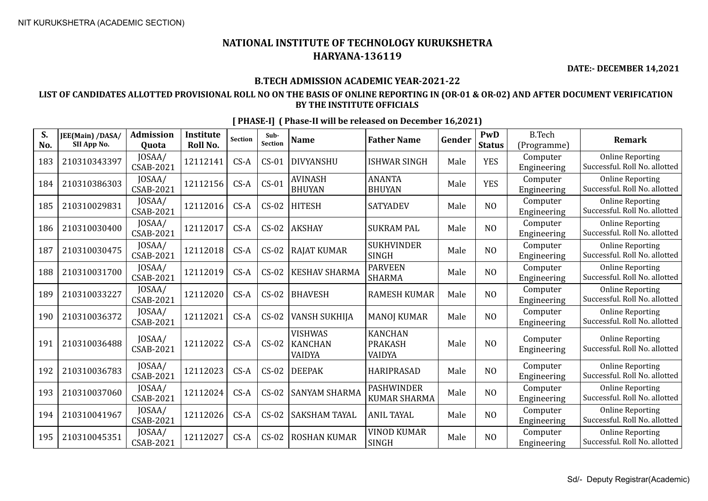**DATE:- DECEMBER 14,2021**

### **B.TECH ADMISSION ACADEMIC YEAR-2021-22**

### **LIST OF CANDIDATES ALLOTTED PROVISIONAL ROLL NO ON THE BASIS OF ONLINE REPORTING IN (OR-01 & OR-02) AND AFTER DOCUMENT VERIFICATION BY THE INSTITUTE OFFICIALS**

| S.<br>No. | JEE(Main) /DASA/<br>SII App No. | <b>Admission</b><br>Quota  | <b>Institute</b><br>Roll No. | <b>Section</b> | Sub-<br>Section | <b>Name</b>                                       | <b>Father Name</b>                         | Gender | PwD<br><b>Status</b> | <b>B.Tech</b><br>(Programme) | <b>Remark</b>                                            |
|-----------|---------------------------------|----------------------------|------------------------------|----------------|-----------------|---------------------------------------------------|--------------------------------------------|--------|----------------------|------------------------------|----------------------------------------------------------|
| 183       | 210310343397                    | JOSAA/<br><b>CSAB-2021</b> | 12112141                     | $CS-A$         | $CS-01$         | <b>DIVYANSHU</b>                                  | <b>ISHWAR SINGH</b>                        | Male   | <b>YES</b>           | Computer<br>Engineering      | <b>Online Reporting</b><br>Successful. Roll No. allotted |
| 184       | 210310386303                    | JOSAA/<br><b>CSAB-2021</b> | 12112156                     | $CS-A$         | $CS-01$         | <b>AVINASH</b><br><b>BHUYAN</b>                   | <b>ANANTA</b><br><b>BHUYAN</b>             | Male   | <b>YES</b>           | Computer<br>Engineering      | <b>Online Reporting</b><br>Successful. Roll No. allotted |
| 185       | 210310029831                    | JOSAA/<br><b>CSAB-2021</b> | 12112016                     | $CS-A$         | $CS-02$         | <b>HITESH</b>                                     | <b>SATYADEV</b>                            | Male   | N <sub>O</sub>       | Computer<br>Engineering      | <b>Online Reporting</b><br>Successful. Roll No. allotted |
| 186       | 210310030400                    | JOSAA/<br><b>CSAB-2021</b> | 12112017                     | $CS-A$         | $CS-02$         | <b>AKSHAY</b>                                     | <b>SUKRAM PAL</b>                          | Male   | N <sub>O</sub>       | Computer<br>Engineering      | <b>Online Reporting</b><br>Successful. Roll No. allotted |
| 187       | 210310030475                    | JOSAA/<br>CSAB-2021        | 12112018                     | $CS-A$         | $CS-02$         | <b>RAJAT KUMAR</b>                                | <b>SUKHVINDER</b><br><b>SINGH</b>          | Male   | N <sub>O</sub>       | Computer<br>Engineering      | <b>Online Reporting</b><br>Successful. Roll No. allotted |
| 188       | 210310031700                    | JOSAA/<br><b>CSAB-2021</b> | 12112019                     | $CS-A$         | $CS-02$         | <b>KESHAV SHARMA</b>                              | <b>PARVEEN</b><br>SHARMA                   | Male   | N <sub>O</sub>       | Computer<br>Engineering      | <b>Online Reporting</b><br>Successful. Roll No. allotted |
| 189       | 210310033227                    | JOSAA/<br><b>CSAB-2021</b> | 12112020                     | $CS-A$         | $CS-02$         | <b>BHAVESH</b>                                    | <b>RAMESH KUMAR</b>                        | Male   | N <sub>O</sub>       | Computer<br>Engineering      | <b>Online Reporting</b><br>Successful. Roll No. allotted |
| 190       | 210310036372                    | JOSAA/<br><b>CSAB-2021</b> | 12112021                     | $CS-A$         | $CS-02$         | <b>VANSH SUKHIJA</b>                              | <b>MANOJ KUMAR</b>                         | Male   | N <sub>O</sub>       | Computer<br>Engineering      | <b>Online Reporting</b><br>Successful. Roll No. allotted |
| 191       | 210310036488                    | JOSAA/<br><b>CSAB-2021</b> | 12112022                     | $CS-A$         | $CS-02$         | <b>VISHWAS</b><br><b>KANCHAN</b><br><b>VAIDYA</b> | <b>KANCHAN</b><br><b>PRAKASH</b><br>VAIDYA | Male   | N <sub>O</sub>       | Computer<br>Engineering      | <b>Online Reporting</b><br>Successful. Roll No. allotted |
| 192       | 210310036783                    | JOSAA/<br>CSAB-2021        | 12112023                     | $CS-A$         | $CS-02$         | <b>DEEPAK</b>                                     | <b>HARIPRASAD</b>                          | Male   | N <sub>O</sub>       | Computer<br>Engineering      | <b>Online Reporting</b><br>Successful. Roll No. allotted |
| 193       | 210310037060                    | JOSAA/<br><b>CSAB-2021</b> | 12112024                     | $CS-A$         | $CS-02$         | <b>SANYAM SHARMA</b>                              | <b>PASHWINDER</b><br><b>KUMAR SHARMA</b>   | Male   | N <sub>O</sub>       | Computer<br>Engineering      | <b>Online Reporting</b><br>Successful. Roll No. allotted |
| 194       | 210310041967                    | JOSAA/<br><b>CSAB-2021</b> | 12112026                     | $CS-A$         | $CS-02$         | <b>SAKSHAM TAYAL</b>                              | <b>ANIL TAYAL</b>                          | Male   | N <sub>O</sub>       | Computer<br>Engineering      | <b>Online Reporting</b><br>Successful. Roll No. allotted |
| 195       | 210310045351                    | JOSAA/<br>CSAB-2021        | 12112027                     | $CS-A$         | $CS-02$         | <b>ROSHAN KUMAR</b>                               | <b>VINOD KUMAR</b><br><b>SINGH</b>         | Male   | N <sub>O</sub>       | Computer<br>Engineering      | <b>Online Reporting</b><br>Successful. Roll No. allotted |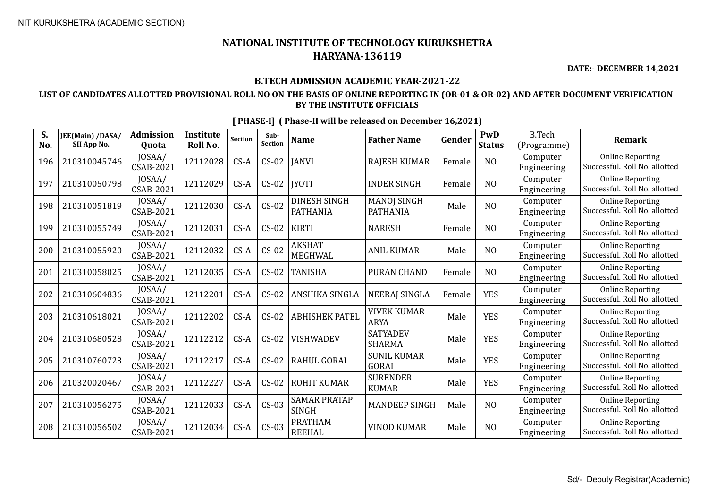**DATE:- DECEMBER 14,2021**

### **B.TECH ADMISSION ACADEMIC YEAR-2021-22**

### **LIST OF CANDIDATES ALLOTTED PROVISIONAL ROLL NO ON THE BASIS OF ONLINE REPORTING IN (OR-01 & OR-02) AND AFTER DOCUMENT VERIFICATION BY THE INSTITUTE OFFICIALS**

| S.<br>No. | JEE(Main) /DASA/<br>SII App No. | <b>Admission</b><br>Quota | <b>Institute</b><br>Roll No. | <b>Section</b> | Sub-<br><b>Section</b> | <b>Name</b>                            | <b>Father Name</b>                    | Gender | PwD<br><b>Status</b> | <b>B.Tech</b><br>(Programme) | <b>Remark</b>                                            |
|-----------|---------------------------------|---------------------------|------------------------------|----------------|------------------------|----------------------------------------|---------------------------------------|--------|----------------------|------------------------------|----------------------------------------------------------|
| 196       | 210310045746                    | JOSAA/<br>CSAB-2021       | 12112028                     | $CS-A$         | $CS-02$                | <b>JANVI</b>                           | <b>RAJESH KUMAR</b>                   | Female | N <sub>O</sub>       | Computer<br>Engineering      | <b>Online Reporting</b><br>Successful. Roll No. allotted |
| 197       | 210310050798                    | JOSAA/<br>CSAB-2021       | 12112029                     | $CS-A$         | $CS-02$                | <b>IYOTI</b>                           | <b>INDER SINGH</b>                    | Female | N <sub>O</sub>       | Computer<br>Engineering      | <b>Online Reporting</b><br>Successful. Roll No. allotted |
| 198       | 210310051819                    | JOSAA/<br>CSAB-2021       | 12112030                     | $CS-A$         | $CS-02$                | <b>DINESH SINGH</b><br><b>PATHANIA</b> | <b>MANOJ SINGH</b><br><b>PATHANIA</b> | Male   | N <sub>O</sub>       | Computer<br>Engineering      | <b>Online Reporting</b><br>Successful. Roll No. allotted |
| 199       | 210310055749                    | JOSAA/<br>CSAB-2021       | 12112031                     | $CS-A$         | $CS-02$                | <b>KIRTI</b>                           | <b>NARESH</b>                         | Female | N <sub>O</sub>       | Computer<br>Engineering      | <b>Online Reporting</b><br>Successful. Roll No. allotted |
| 200       | 210310055920                    | JOSAA/<br>CSAB-2021       | 12112032                     | $CS-A$         | $CS-02$                | <b>AKSHAT</b><br><b>MEGHWAL</b>        | <b>ANIL KUMAR</b>                     | Male   | N <sub>O</sub>       | Computer<br>Engineering      | <b>Online Reporting</b><br>Successful. Roll No. allotted |
| 201       | 210310058025                    | JOSAA/<br>CSAB-2021       | 12112035                     | $CS-A$         | $CS-02$                | <b>TANISHA</b>                         | <b>PURAN CHAND</b>                    | Female | N <sub>O</sub>       | Computer<br>Engineering      | <b>Online Reporting</b><br>Successful. Roll No. allotted |
| 202       | 210310604836                    | JOSAA/<br>CSAB-2021       | 12112201                     | $CS-A$         | $CS-02$                | ANSHIKA SINGLA                         | <b>NEERAJ SINGLA</b>                  | Female | <b>YES</b>           | Computer<br>Engineering      | <b>Online Reporting</b><br>Successful. Roll No. allotted |
| 203       | 210310618021                    | JOSAA/<br>CSAB-2021       | 12112202                     | $CS-A$         | $CS-02$                | <b>ABHISHEK PATEL</b>                  | <b>VIVEK KUMAR</b><br><b>ARYA</b>     | Male   | <b>YES</b>           | Computer<br>Engineering      | <b>Online Reporting</b><br>Successful. Roll No. allotted |
| 204       | 210310680528                    | JOSAA/<br>CSAB-2021       | 12112212                     | $CS-A$         | $CS-02$                | <b>VISHWADEV</b>                       | <b>SATYADEV</b><br><b>SHARMA</b>      | Male   | <b>YES</b>           | Computer<br>Engineering      | <b>Online Reporting</b><br>Successful. Roll No. allotted |
| 205       | 210310760723                    | JOSAA/<br>CSAB-2021       | 12112217                     | $CS-A$         | $CS-02$                | <b>RAHUL GORAI</b>                     | <b>SUNIL KUMAR</b><br><b>GORAI</b>    | Male   | <b>YES</b>           | Computer<br>Engineering      | <b>Online Reporting</b><br>Successful. Roll No. allotted |
| 206       | 210320020467                    | JOSAA/<br>CSAB-2021       | 12112227                     | $CS-A$         | $CS-02$                | <b>ROHIT KUMAR</b>                     | <b>SURENDER</b><br><b>KUMAR</b>       | Male   | <b>YES</b>           | Computer<br>Engineering      | <b>Online Reporting</b><br>Successful. Roll No. allotted |
| 207       | 210310056275                    | JOSAA/<br>CSAB-2021       | 12112033                     | $CS-A$         | $CS-03$                | <b>SAMAR PRATAP</b><br><b>SINGH</b>    | <b>MANDEEP SINGH</b>                  | Male   | N <sub>O</sub>       | Computer<br>Engineering      | <b>Online Reporting</b><br>Successful. Roll No. allotted |
| 208       | 210310056502                    | JOSAA/<br>CSAB-2021       | 12112034                     | $CS-A$         | $CS-03$                | <b>PRATHAM</b><br><b>REEHAL</b>        | <b>VINOD KUMAR</b>                    | Male   | N <sub>O</sub>       | Computer<br>Engineering      | <b>Online Reporting</b><br>Successful. Roll No. allotted |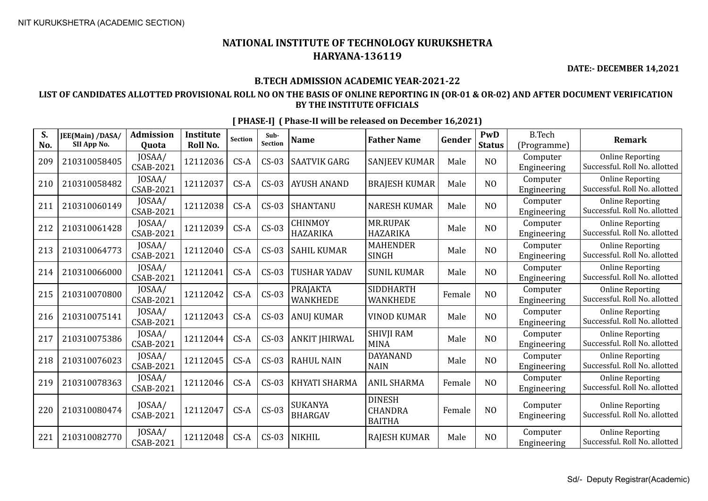**DATE:- DECEMBER 14,2021**

### **B.TECH ADMISSION ACADEMIC YEAR-2021-22**

### **LIST OF CANDIDATES ALLOTTED PROVISIONAL ROLL NO ON THE BASIS OF ONLINE REPORTING IN (OR-01 & OR-02) AND AFTER DOCUMENT VERIFICATION BY THE INSTITUTE OFFICIALS**

| S.<br>No. | JEE(Main) /DASA/<br>SII App No. | <b>Admission</b><br>Quota | <b>Institute</b><br>Roll No. | <b>Section</b> | Sub-<br>Section | <b>Name</b>                        | <b>Father Name</b>                               | Gender | PwD<br><b>Status</b> | <b>B.Tech</b><br>(Programme) | <b>Remark</b>                                            |
|-----------|---------------------------------|---------------------------|------------------------------|----------------|-----------------|------------------------------------|--------------------------------------------------|--------|----------------------|------------------------------|----------------------------------------------------------|
| 209       | 210310058405                    | JOSAA/<br>CSAB-2021       | 12112036                     | $CS-A$         | $CS-03$         | <b>SAATVIK GARG</b>                | <b>SANJEEV KUMAR</b>                             | Male   | N <sub>O</sub>       | Computer<br>Engineering      | <b>Online Reporting</b><br>Successful. Roll No. allotted |
| 210       | 210310058482                    | JOSAA/<br>CSAB-2021       | 12112037                     | $CS-A$         | $CS-03$         | <b>AYUSH ANAND</b>                 | <b>BRAJESH KUMAR</b>                             | Male   | N <sub>O</sub>       | Computer<br>Engineering      | <b>Online Reporting</b><br>Successful. Roll No. allotted |
| 211       | 210310060149                    | JOSAA/<br>CSAB-2021       | 12112038                     | $CS-A$         | $CS-03$         | <b>SHANTANU</b>                    | <b>NARESH KUMAR</b>                              | Male   | N <sub>O</sub>       | Computer<br>Engineering      | <b>Online Reporting</b><br>Successful. Roll No. allotted |
| 212       | 210310061428                    | JOSAA/<br>CSAB-2021       | 12112039                     | $CS-A$         | $CS-03$         | <b>CHINMOY</b><br><b>HAZARIKA</b>  | MR.RUPAK<br><b>HAZARIKA</b>                      | Male   | N <sub>O</sub>       | Computer<br>Engineering      | <b>Online Reporting</b><br>Successful. Roll No. allotted |
| 213       | 210310064773                    | JOSAA/<br>CSAB-2021       | 12112040                     | $CS-A$         | $CS-03$         | <b>SAHIL KUMAR</b>                 | <b>MAHENDER</b><br><b>SINGH</b>                  | Male   | N <sub>O</sub>       | Computer<br>Engineering      | <b>Online Reporting</b><br>Successful. Roll No. allotted |
| 214       | 210310066000                    | JOSAA/<br>CSAB-2021       | 12112041                     | $CS-A$         | $CS-03$         | <b>TUSHAR YADAV</b>                | <b>SUNIL KUMAR</b>                               | Male   | N <sub>O</sub>       | Computer<br>Engineering      | <b>Online Reporting</b><br>Successful. Roll No. allotted |
| 215       | 210310070800                    | JOSAA/<br>CSAB-2021       | 12112042                     | $CS-A$         | $CS-03$         | <b>PRAJAKTA</b><br><b>WANKHEDE</b> | <b>SIDDHARTH</b><br><b>WANKHEDE</b>              | Female | N <sub>O</sub>       | Computer<br>Engineering      | <b>Online Reporting</b><br>Successful. Roll No. allotted |
| 216       | 210310075141                    | JOSAA/<br>CSAB-2021       | 12112043                     | $CS-A$         | $CS-03$         | <b>ANUJ KUMAR</b>                  | <b>VINOD KUMAR</b>                               | Male   | N <sub>O</sub>       | Computer<br>Engineering      | <b>Online Reporting</b><br>Successful. Roll No. allotted |
| 217       | 210310075386                    | JOSAA/<br>CSAB-2021       | 12112044                     | $CS-A$         | $CS-03$         | <b>ANKIT JHIRWAL</b>               | <b>SHIVJI RAM</b><br><b>MINA</b>                 | Male   | N <sub>O</sub>       | Computer<br>Engineering      | <b>Online Reporting</b><br>Successful. Roll No. allotted |
| 218       | 210310076023                    | JOSAA/<br>CSAB-2021       | 12112045                     | $CS-A$         | $CS-03$         | <b>RAHUL NAIN</b>                  | <b>DAYANAND</b><br><b>NAIN</b>                   | Male   | N <sub>O</sub>       | Computer<br>Engineering      | <b>Online Reporting</b><br>Successful. Roll No. allotted |
| 219       | 210310078363                    | JOSAA/<br>CSAB-2021       | 12112046                     | $CS-A$         | $CS-03$         | <b>KHYATI SHARMA</b>               | <b>ANIL SHARMA</b>                               | Female | N <sub>O</sub>       | Computer<br>Engineering      | <b>Online Reporting</b><br>Successful. Roll No. allotted |
| 220       | 210310080474                    | JOSAA/<br>CSAB-2021       | 12112047                     | $CS-A$         | $CS-03$         | <b>SUKANYA</b><br><b>BHARGAV</b>   | <b>DINESH</b><br><b>CHANDRA</b><br><b>BAITHA</b> | Female | N <sub>O</sub>       | Computer<br>Engineering      | <b>Online Reporting</b><br>Successful. Roll No. allotted |
| 221       | 210310082770                    | JOSAA/<br>CSAB-2021       | 12112048                     | $CS-A$         | $CS-03$         | <b>NIKHIL</b>                      | <b>RAJESH KUMAR</b>                              | Male   | N <sub>O</sub>       | Computer<br>Engineering      | <b>Online Reporting</b><br>Successful. Roll No. allotted |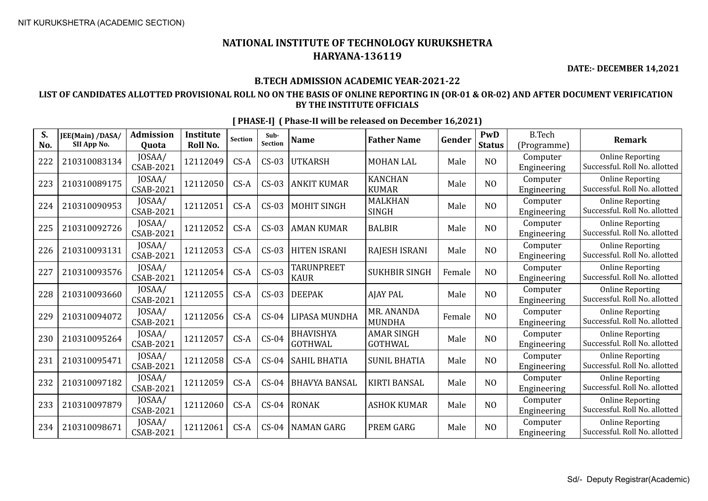**DATE:- DECEMBER 14,2021**

### **B.TECH ADMISSION ACADEMIC YEAR-2021-22**

### **LIST OF CANDIDATES ALLOTTED PROVISIONAL ROLL NO ON THE BASIS OF ONLINE REPORTING IN (OR-01 & OR-02) AND AFTER DOCUMENT VERIFICATION BY THE INSTITUTE OFFICIALS**

| S.<br>No. | JEE(Main) /DASA/<br>SII App No. | <b>Admission</b><br>Quota | <b>Institute</b><br>Roll No. | <b>Section</b> | Sub-<br>Section | <b>Name</b>                        | <b>Father Name</b>                  | Gender | PwD<br><b>Status</b> | <b>B.Tech</b><br>(Programme) | <b>Remark</b>                                            |
|-----------|---------------------------------|---------------------------|------------------------------|----------------|-----------------|------------------------------------|-------------------------------------|--------|----------------------|------------------------------|----------------------------------------------------------|
| 222       | 210310083134                    | JOSAA/<br>CSAB-2021       | 12112049                     | $CS-A$         | $CS-03$         | <b>UTKARSH</b>                     | <b>MOHAN LAL</b>                    | Male   | N <sub>O</sub>       | Computer<br>Engineering      | <b>Online Reporting</b><br>Successful. Roll No. allotted |
| 223       | 210310089175                    | JOSAA/<br>CSAB-2021       | 12112050                     | $CS-A$         | $CS-03$         | <b>ANKIT KUMAR</b>                 | <b>KANCHAN</b><br><b>KUMAR</b>      | Male   | N <sub>O</sub>       | Computer<br>Engineering      | <b>Online Reporting</b><br>Successful. Roll No. allotted |
| 224       | 210310090953                    | JOSAA/<br>CSAB-2021       | 12112051                     | $CS-A$         | $CS-03$         | <b>MOHIT SINGH</b>                 | <b>MALKHAN</b><br><b>SINGH</b>      | Male   | N <sub>O</sub>       | Computer<br>Engineering      | <b>Online Reporting</b><br>Successful. Roll No. allotted |
| 225       | 210310092726                    | JOSAA/<br>CSAB-2021       | 12112052                     | $CS-A$         | $CS-03$         | <b>AMAN KUMAR</b>                  | <b>BALBIR</b>                       | Male   | N <sub>O</sub>       | Computer<br>Engineering      | <b>Online Reporting</b><br>Successful. Roll No. allotted |
| 226       | 210310093131                    | JOSAA/<br>CSAB-2021       | 12112053                     | $CS-A$         | $CS-03$         | <b>HITEN ISRANI</b>                | RAJESH ISRANI                       | Male   | N <sub>O</sub>       | Computer<br>Engineering      | <b>Online Reporting</b><br>Successful. Roll No. allotted |
| 227       | 210310093576                    | JOSAA/<br>CSAB-2021       | 12112054                     | $CS-A$         | $CS-03$         | TARUNPREET<br><b>KAUR</b>          | <b>SUKHBIR SINGH</b>                | Female | N <sub>O</sub>       | Computer<br>Engineering      | <b>Online Reporting</b><br>Successful. Roll No. allotted |
| 228       | 210310093660                    | JOSAA/<br>CSAB-2021       | 12112055                     | $CS-A$         | $CS-03$         | <b>DEEPAK</b>                      | <b>AJAY PAL</b>                     | Male   | N <sub>O</sub>       | Computer<br>Engineering      | <b>Online Reporting</b><br>Successful. Roll No. allotted |
| 229       | 210310094072                    | JOSAA/<br>CSAB-2021       | 12112056                     | $CS-A$         | $CS-04$         | LIPASA MUNDHA                      | MR. ANANDA<br><b>MUNDHA</b>         | Female | N <sub>O</sub>       | Computer<br>Engineering      | <b>Online Reporting</b><br>Successful. Roll No. allotted |
| 230       | 210310095264                    | JOSAA/<br>CSAB-2021       | 12112057                     | $CS-A$         | $CS-04$         | <b>BHAVISHYA</b><br><b>GOTHWAL</b> | <b>AMAR SINGH</b><br><b>GOTHWAL</b> | Male   | NO                   | Computer<br>Engineering      | <b>Online Reporting</b><br>Successful. Roll No. allotted |
| 231       | 210310095471                    | JOSAA/<br>CSAB-2021       | 12112058                     | $CS-A$         | $CS-04$         | <b>SAHIL BHATIA</b>                | <b>SUNIL BHATIA</b>                 | Male   | N <sub>O</sub>       | Computer<br>Engineering      | <b>Online Reporting</b><br>Successful. Roll No. allotted |
| 232       | 210310097182                    | JOSAA/<br>CSAB-2021       | 12112059                     | $CS-A$         | $CS-04$         | <b>BHAVYA BANSAL</b>               | <b>KIRTI BANSAL</b>                 | Male   | N <sub>O</sub>       | Computer<br>Engineering      | <b>Online Reporting</b><br>Successful. Roll No. allotted |
| 233       | 210310097879                    | JOSAA/<br>CSAB-2021       | 12112060                     | $CS-A$         | $CS-04$         | <b>RONAK</b>                       | <b>ASHOK KUMAR</b>                  | Male   | N <sub>O</sub>       | Computer<br>Engineering      | <b>Online Reporting</b><br>Successful. Roll No. allotted |
| 234       | 210310098671                    | JOSAA/<br>CSAB-2021       | 12112061                     | $CS-A$         | $CS-04$         | <b>NAMAN GARG</b>                  | <b>PREM GARG</b>                    | Male   | N <sub>O</sub>       | Computer<br>Engineering      | <b>Online Reporting</b><br>Successful. Roll No. allotted |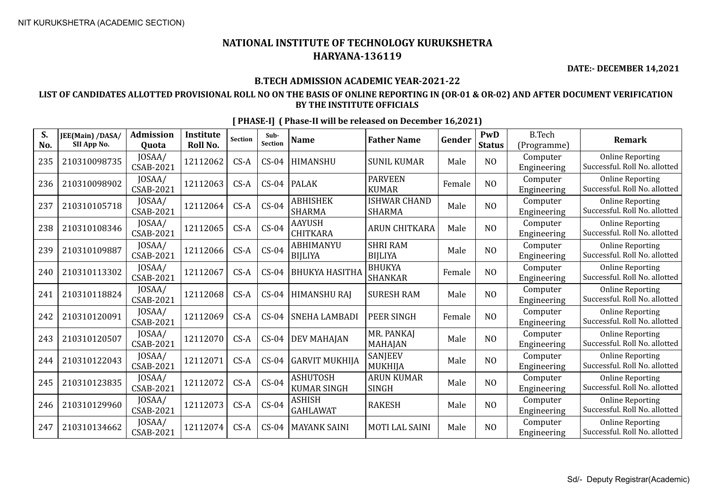**DATE:- DECEMBER 14,2021**

### **B.TECH ADMISSION ACADEMIC YEAR-2021-22**

### **LIST OF CANDIDATES ALLOTTED PROVISIONAL ROLL NO ON THE BASIS OF ONLINE REPORTING IN (OR-01 & OR-02) AND AFTER DOCUMENT VERIFICATION BY THE INSTITUTE OFFICIALS**

| S.<br>No. | JEE(Main) /DASA/<br>SII App No. | <b>Admission</b><br>Quota  | <b>Institute</b><br>Roll No. | <b>Section</b> | Sub-<br><b>Section</b> | <b>Name</b>                      | <b>Father Name</b>                   | Gender | PwD<br><b>Status</b> | <b>B.Tech</b><br>(Programme) | <b>Remark</b>                                            |
|-----------|---------------------------------|----------------------------|------------------------------|----------------|------------------------|----------------------------------|--------------------------------------|--------|----------------------|------------------------------|----------------------------------------------------------|
| 235       | 210310098735                    | JOSAA/<br>CSAB-2021        | 12112062                     | $CS-A$         | $CS-04$                | HIMANSHU                         | <b>SUNIL KUMAR</b>                   | Male   | N <sub>O</sub>       | Computer<br>Engineering      | <b>Online Reporting</b><br>Successful. Roll No. allotted |
| 236       | 210310098902                    | JOSAA/<br>CSAB-2021        | 12112063                     | $CS-A$         | $CS-04$                | <b>PALAK</b>                     | <b>PARVEEN</b><br><b>KUMAR</b>       | Female | N <sub>O</sub>       | Computer<br>Engineering      | <b>Online Reporting</b><br>Successful. Roll No. allotted |
| 237       | 210310105718                    | JOSAA/<br><b>CSAB-2021</b> | 12112064                     | $CS-A$         | $CS-04$                | <b>ABHISHEK</b><br><b>SHARMA</b> | <b>ISHWAR CHAND</b><br><b>SHARMA</b> | Male   | N <sub>O</sub>       | Computer<br>Engineering      | <b>Online Reporting</b><br>Successful. Roll No. allotted |
| 238       | 210310108346                    | JOSAA/<br>CSAB-2021        | 12112065                     | $CS-A$         | $CS-04$                | <b>AAYUSH</b><br><b>CHITKARA</b> | <b>ARUN CHITKARA</b>                 | Male   | N <sub>O</sub>       | Computer<br>Engineering      | <b>Online Reporting</b><br>Successful. Roll No. allotted |
| 239       | 210310109887                    | JOSAA/<br>CSAB-2021        | 12112066                     | $CS-A$         | $CS-04$                | ABHIMANYU<br><b>BIJLIYA</b>      | <b>SHRI RAM</b><br><b>BIJLIYA</b>    | Male   | N <sub>O</sub>       | Computer<br>Engineering      | <b>Online Reporting</b><br>Successful. Roll No. allotted |
| 240       | 210310113302                    | JOSAA/<br><b>CSAB-2021</b> | 12112067                     | $CS-A$         | $CS-04$                | <b>BHUKYA HASITHA</b>            | <b>BHUKYA</b><br><b>SHANKAR</b>      | Female | N <sub>O</sub>       | Computer<br>Engineering      | <b>Online Reporting</b><br>Successful. Roll No. allotted |
| 241       | 210310118824                    | JOSAA/<br>CSAB-2021        | 12112068                     | $CS-A$         | $CS-04$                | <b>HIMANSHU RAJ</b>              | <b>SURESH RAM</b>                    | Male   | N <sub>O</sub>       | Computer<br>Engineering      | <b>Online Reporting</b><br>Successful. Roll No. allotted |
| 242       | 210310120091                    | JOSAA/<br><b>CSAB-2021</b> | 12112069                     | $CS-A$         | $CS-04$                | <b>SNEHA LAMBADI</b>             | PEER SINGH                           | Female | N <sub>O</sub>       | Computer<br>Engineering      | <b>Online Reporting</b><br>Successful. Roll No. allotted |
| 243       | 210310120507                    | JOSAA/<br>CSAB-2021        | 12112070                     | $CS-A$         | $CS-04$                | <b>DEV MAHAJAN</b>               | MR. PANKAJ<br>MAHAJAN                | Male   | N <sub>O</sub>       | Computer<br>Engineering      | <b>Online Reporting</b><br>Successful. Roll No. allotted |
| 244       | 210310122043                    | JOSAA/<br><b>CSAB-2021</b> | 12112071                     | $CS-A$         | $CS-04$                | <b>GARVIT MUKHIJA</b>            | SANJEEV<br>MUKHIJA                   | Male   | N <sub>O</sub>       | Computer<br>Engineering      | <b>Online Reporting</b><br>Successful. Roll No. allotted |
| 245       | 210310123835                    | JOSAA/<br>CSAB-2021        | 12112072                     | $CS-A$         | $CS-04$                | ASHUTOSH<br><b>KUMAR SINGH</b>   | <b>ARUN KUMAR</b><br><b>SINGH</b>    | Male   | N <sub>O</sub>       | Computer<br>Engineering      | <b>Online Reporting</b><br>Successful. Roll No. allotted |
| 246       | 210310129960                    | JOSAA/<br><b>CSAB-2021</b> | 12112073                     | $CS-A$         | $CS-04$                | <b>ASHISH</b><br><b>GAHLAWAT</b> | <b>RAKESH</b>                        | Male   | N <sub>O</sub>       | Computer<br>Engineering      | <b>Online Reporting</b><br>Successful. Roll No. allotted |
| 247       | 210310134662                    | JOSAA/<br>CSAB-2021        | 12112074                     | $CS-A$         | $CS-04$                | <b>MAYANK SAINI</b>              | <b>MOTI LAL SAINI</b>                | Male   | N <sub>O</sub>       | Computer<br>Engineering      | <b>Online Reporting</b><br>Successful. Roll No. allotted |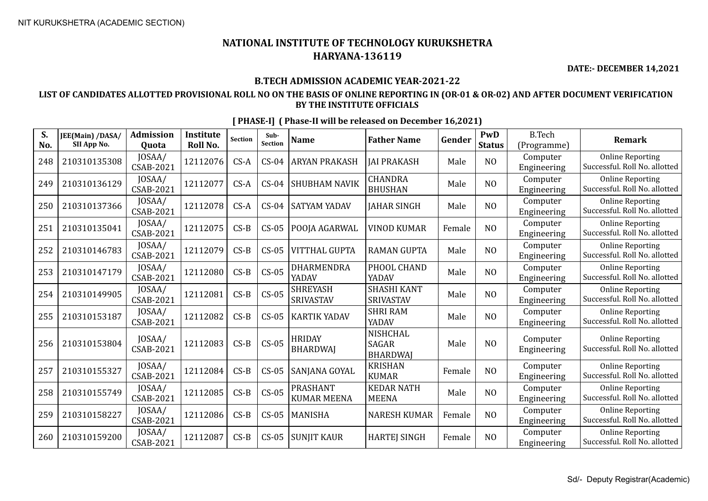**DATE:- DECEMBER 14,2021**

### **B.TECH ADMISSION ACADEMIC YEAR-2021-22**

### **LIST OF CANDIDATES ALLOTTED PROVISIONAL ROLL NO ON THE BASIS OF ONLINE REPORTING IN (OR-01 & OR-02) AND AFTER DOCUMENT VERIFICATION BY THE INSTITUTE OFFICIALS**

| S.<br>No. | JEE(Main) /DASA/<br>SII App No. | <b>Admission</b><br>Quota | <b>Institute</b><br>Roll No. | <b>Section</b> | Sub-<br>Section | <b>Name</b>                           | <b>Father Name</b>                                 | Gender | PwD<br><b>Status</b> | <b>B.Tech</b><br>(Programme) | <b>Remark</b>                                            |
|-----------|---------------------------------|---------------------------|------------------------------|----------------|-----------------|---------------------------------------|----------------------------------------------------|--------|----------------------|------------------------------|----------------------------------------------------------|
| 248       | 210310135308                    | JOSAA/<br>CSAB-2021       | 12112076                     | $CS-A$         | $CS-04$         | <b>ARYAN PRAKASH</b>                  | <b>JAI PRAKASH</b>                                 | Male   | N <sub>O</sub>       | Computer<br>Engineering      | <b>Online Reporting</b><br>Successful. Roll No. allotted |
| 249       | 210310136129                    | JOSAA/<br>CSAB-2021       | 12112077                     | $CS-A$         | $CS-04$         | <b>SHUBHAM NAVIK</b>                  | <b>CHANDRA</b><br><b>BHUSHAN</b>                   | Male   | N <sub>O</sub>       | Computer<br>Engineering      | <b>Online Reporting</b><br>Successful. Roll No. allotted |
| 250       | 210310137366                    | JOSAA/<br>CSAB-2021       | 12112078                     | $CS-A$         | $CS-04$         | <b>SATYAM YADAV</b>                   | <b>JAHAR SINGH</b>                                 | Male   | N <sub>O</sub>       | Computer<br>Engineering      | <b>Online Reporting</b><br>Successful. Roll No. allotted |
| 251       | 210310135041                    | JOSAA/<br>CSAB-2021       | 12112075                     | $CS-B$         | $CS-05$         | <b>POOJA AGARWAL</b>                  | VINOD KUMAR                                        | Female | N <sub>O</sub>       | Computer<br>Engineering      | <b>Online Reporting</b><br>Successful. Roll No. allotted |
| 252       | 210310146783                    | JOSAA/<br>CSAB-2021       | 12112079                     | $CS-B$         | $CS-05$         | <b>VITTHAL GUPTA</b>                  | <b>RAMAN GUPTA</b>                                 | Male   | N <sub>O</sub>       | Computer<br>Engineering      | <b>Online Reporting</b><br>Successful. Roll No. allotted |
| 253       | 210310147179                    | JOSAA/<br>CSAB-2021       | 12112080                     | $CS-B$         | $CS-05$         | DHARMENDRA<br>YADAV                   | PHOOL CHAND<br>YADAV                               | Male   | N <sub>O</sub>       | Computer<br>Engineering      | <b>Online Reporting</b><br>Successful. Roll No. allotted |
| 254       | 210310149905                    | JOSAA/<br>CSAB-2021       | 12112081                     | $CS-B$         | $CS-05$         | <b>SHREYASH</b><br><b>SRIVASTAV</b>   | <b>SHASHI KANT</b><br><b>SRIVASTAV</b>             | Male   | N <sub>O</sub>       | Computer<br>Engineering      | <b>Online Reporting</b><br>Successful. Roll No. allotted |
| 255       | 210310153187                    | JOSAA/<br>CSAB-2021       | 12112082                     | $CS-B$         | $CS-05$         | <b>KARTIK YADAV</b>                   | <b>SHRI RAM</b><br>YADAV                           | Male   | N <sub>O</sub>       | Computer<br>Engineering      | <b>Online Reporting</b><br>Successful. Roll No. allotted |
| 256       | 210310153804                    | JOSAA/<br>CSAB-2021       | 12112083                     | $CS-B$         | $CS-05$         | <b>HRIDAY</b><br><b>BHARDWAI</b>      | <b>NISHCHAL</b><br><b>SAGAR</b><br><b>BHARDWAI</b> | Male   | N <sub>O</sub>       | Computer<br>Engineering      | <b>Online Reporting</b><br>Successful. Roll No. allotted |
| 257       | 210310155327                    | JOSAA/<br>CSAB-2021       | 12112084                     | $CS-B$         | $CS-05$         | SANJANA GOYAL                         | <b>KRISHAN</b><br><b>KUMAR</b>                     | Female | N <sub>O</sub>       | Computer<br>Engineering      | <b>Online Reporting</b><br>Successful. Roll No. allotted |
| 258       | 210310155749                    | JOSAA/<br>CSAB-2021       | 12112085                     | $CS-B$         | $CS-05$         | <b>PRASHANT</b><br><b>KUMAR MEENA</b> | <b>KEDAR NATH</b><br><b>MEENA</b>                  | Male   | N <sub>O</sub>       | Computer<br>Engineering      | <b>Online Reporting</b><br>Successful. Roll No. allotted |
| 259       | 210310158227                    | JOSAA/<br>CSAB-2021       | 12112086                     | $CS-B$         | $CS-05$         | <b>MANISHA</b>                        | <b>NARESH KUMAR</b>                                | Female | N <sub>O</sub>       | Computer<br>Engineering      | <b>Online Reporting</b><br>Successful. Roll No. allotted |
| 260       | 210310159200                    | JOSAA/<br>CSAB-2021       | 12112087                     | $CS-B$         | $CS-05$         | <b>SUNJIT KAUR</b>                    | <b>HARTEJ SINGH</b>                                | Female | NO                   | Computer<br>Engineering      | <b>Online Reporting</b><br>Successful. Roll No. allotted |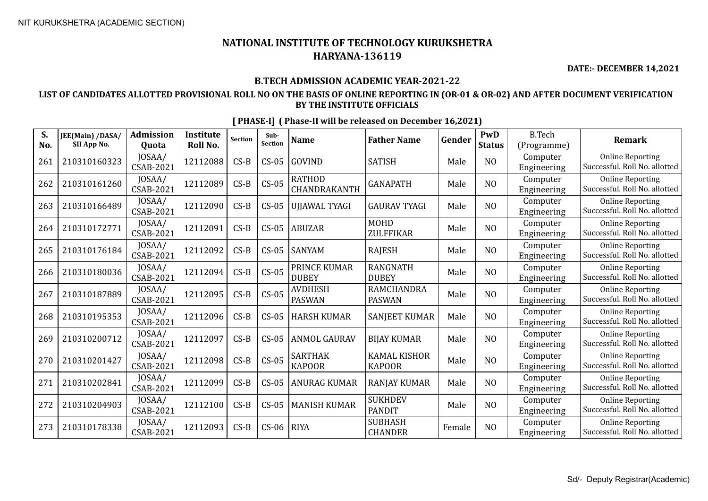**DATE:- DECEMBER 14,2021**

### **B.TECH ADMISSION ACADEMIC YEAR-2021-22**

### **LIST OF CANDIDATES ALLOTTED PROVISIONAL ROLL NO ON THE BASIS OF ONLINE REPORTING IN (OR-01 & OR-02) AND AFTER DOCUMENT VERIFICATION BY THE INSTITUTE OFFICIALS**

| S.<br>No. | JEE(Main) /DASA/<br>SII App No. | <b>Admission</b><br>Quota | <b>Institute</b><br>Roll No. | Section | Sub-<br>Section | <b>Name</b>                     | <b>Father Name</b>                   | Gender | PwD<br><b>Status</b> | <b>B.Tech</b><br>(Programme) | <b>Remark</b>                                            |
|-----------|---------------------------------|---------------------------|------------------------------|---------|-----------------|---------------------------------|--------------------------------------|--------|----------------------|------------------------------|----------------------------------------------------------|
| 261       | 210310160323                    | JOSAA/<br>CSAB-2021       | 12112088                     | $CS-B$  | $CS-05$         | <b>GOVIND</b>                   | <b>SATISH</b>                        | Male   | N <sub>O</sub>       | Computer<br>Engineering      | <b>Online Reporting</b><br>Successful. Roll No. allotted |
| 262       | 210310161260                    | JOSAA/<br>CSAB-2021       | 12112089                     | $CS-B$  | $CS-05$         | <b>RATHOD</b><br>CHANDRAKANTH   | <b>GANAPATH</b>                      | Male   | N <sub>O</sub>       | Computer<br>Engineering      | <b>Online Reporting</b><br>Successful. Roll No. allotted |
| 263       | 210310166489                    | JOSAA/<br>CSAB-2021       | 12112090                     | $CS-B$  | $CS-05$         | <b>UJJAWAL TYAGI</b>            | <b>GAURAV TYAGI</b>                  | Male   | N <sub>O</sub>       | Computer<br>Engineering      | <b>Online Reporting</b><br>Successful. Roll No. allotted |
| 264       | 210310172771                    | JOSAA/<br>CSAB-2021       | 12112091                     | $CS-B$  | $CS-05$         | <b>ABUZAR</b>                   | <b>MOHD</b><br>ZULFFIKAR             | Male   | N <sub>O</sub>       | Computer<br>Engineering      | <b>Online Reporting</b><br>Successful. Roll No. allotted |
| 265       | 210310176184                    | JOSAA/<br>CSAB-2021       | 12112092                     | $CS-B$  | $CS-05$         | SANYAM                          | <b>RAJESH</b>                        | Male   | N <sub>O</sub>       | Computer<br>Engineering      | <b>Online Reporting</b><br>Successful. Roll No. allotted |
| 266       | 210310180036                    | JOSAA/<br>CSAB-2021       | 12112094                     | $CS-B$  | $CS-05$         | PRINCE KUMAR<br><b>DUBEY</b>    | <b>RANGNATH</b><br><b>DUBEY</b>      | Male   | N <sub>O</sub>       | Computer<br>Engineering      | <b>Online Reporting</b><br>Successful. Roll No. allotted |
| 267       | 210310187889                    | JOSAA/<br>CSAB-2021       | 12112095                     | $CS-B$  | $CS-05$         | <b>AVDHESH</b><br><b>PASWAN</b> | <b>RAMCHANDRA</b><br><b>PASWAN</b>   | Male   | N <sub>O</sub>       | Computer<br>Engineering      | <b>Online Reporting</b><br>Successful. Roll No. allotted |
| 268       | 210310195353                    | JOSAA/<br>CSAB-2021       | 12112096                     | $CS-B$  | $CS-05$         | <b>HARSH KUMAR</b>              | <b>SANJEET KUMAR</b>                 | Male   | N <sub>O</sub>       | Computer<br>Engineering      | <b>Online Reporting</b><br>Successful. Roll No. allotted |
| 269       | 210310200712                    | JOSAA/<br>CSAB-2021       | 12112097                     | $CS-B$  | $CS-05$         | <b>ANMOL GAURAV</b>             | <b>BIJAY KUMAR</b>                   | Male   | NO                   | Computer<br>Engineering      | <b>Online Reporting</b><br>Successful. Roll No. allotted |
| 270       | 210310201427                    | JOSAA/<br>CSAB-2021       | 12112098                     | $CS-B$  | $CS-05$         | <b>SARTHAK</b><br><b>KAPOOR</b> | <b>KAMAL KISHOR</b><br><b>KAPOOR</b> | Male   | N <sub>O</sub>       | Computer<br>Engineering      | <b>Online Reporting</b><br>Successful. Roll No. allotted |
| 271       | 210310202841                    | JOSAA/<br>CSAB-2021       | 12112099                     | $CS-B$  | $CS-05$         | <b>ANURAG KUMAR</b>             | <b>RANJAY KUMAR</b>                  | Male   | N <sub>O</sub>       | Computer<br>Engineering      | <b>Online Reporting</b><br>Successful. Roll No. allotted |
| 272       | 210310204903                    | JOSAA/<br>CSAB-2021       | 12112100                     | $CS-B$  | $CS-05$         | <b>MANISH KUMAR</b>             | <b>SUKHDEV</b><br><b>PANDIT</b>      | Male   | N <sub>O</sub>       | Computer<br>Engineering      | <b>Online Reporting</b><br>Successful. Roll No. allotted |
| 273       | 210310178338                    | JOSAA/<br>CSAB-2021       | 12112093                     | $CS-B$  | $CS-06$         | <b>RIYA</b>                     | <b>SUBHASH</b><br><b>CHANDER</b>     | Female | NO                   | Computer<br>Engineering      | <b>Online Reporting</b><br>Successful. Roll No. allotted |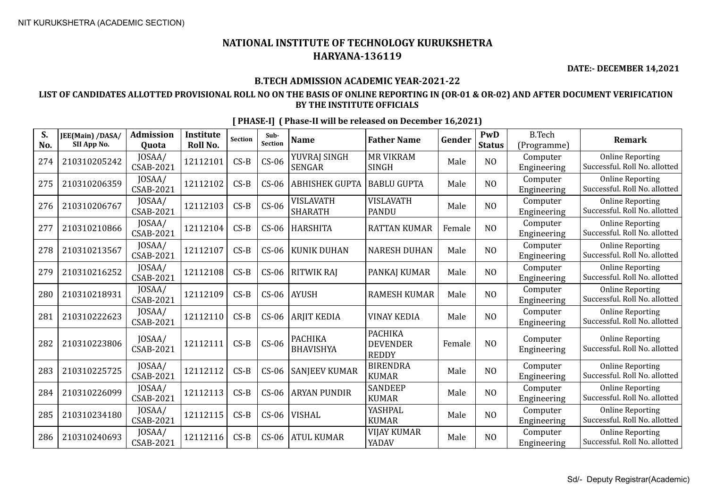**DATE:- DECEMBER 14,2021**

### **B.TECH ADMISSION ACADEMIC YEAR-2021-22**

### **LIST OF CANDIDATES ALLOTTED PROVISIONAL ROLL NO ON THE BASIS OF ONLINE REPORTING IN (OR-01 & OR-02) AND AFTER DOCUMENT VERIFICATION BY THE INSTITUTE OFFICIALS**

| S.<br>No. | JEE(Main) /DASA/<br>SII App No. | <b>Admission</b><br><b>Ouota</b> | <b>Institute</b><br>Roll No. | <b>Section</b> | Sub-<br>Section | <b>Name</b>                        | <b>Father Name</b>                                | Gender | PwD<br><b>Status</b> | <b>B.Tech</b><br>(Programme) | <b>Remark</b>                                            |
|-----------|---------------------------------|----------------------------------|------------------------------|----------------|-----------------|------------------------------------|---------------------------------------------------|--------|----------------------|------------------------------|----------------------------------------------------------|
| 274       | 210310205242                    | JOSAA/<br>CSAB-2021              | 12112101                     | $CS-B$         | $CS-06$         | YUVRAJ SINGH<br><b>SENGAR</b>      | <b>MR VIKRAM</b><br><b>SINGH</b>                  | Male   | N <sub>O</sub>       | Computer<br>Engineering      | <b>Online Reporting</b><br>Successful. Roll No. allotted |
| 275       | 210310206359                    | JOSAA/<br>CSAB-2021              | 12112102                     | $CS-B$         | $CS-06$         | <b>ABHISHEK GUPTA</b>              | <b>BABLU GUPTA</b>                                | Male   | N <sub>O</sub>       | Computer<br>Engineering      | <b>Online Reporting</b><br>Successful. Roll No. allotted |
| 276       | 210310206767                    | JOSAA/<br>CSAB-2021              | 12112103                     | $CS-B$         | $CS-06$         | <b>VISLAVATH</b><br><b>SHARATH</b> | VISLAVATH<br><b>PANDU</b>                         | Male   | N <sub>O</sub>       | Computer<br>Engineering      | <b>Online Reporting</b><br>Successful. Roll No. allotted |
| 277       | 210310210866                    | JOSAA/<br>CSAB-2021              | 12112104                     | $CS-B$         | $CS-06$         | <b>HARSHITA</b>                    | <b>RATTAN KUMAR</b>                               | Female | N <sub>O</sub>       | Computer<br>Engineering      | <b>Online Reporting</b><br>Successful. Roll No. allotted |
| 278       | 210310213567                    | JOSAA/<br>CSAB-2021              | 12112107                     | $CS-B$         | $CS-06$         | KUNIK DUHAN                        | <b>NARESH DUHAN</b>                               | Male   | N <sub>O</sub>       | Computer<br>Engineering      | <b>Online Reporting</b><br>Successful. Roll No. allotted |
| 279       | 210310216252                    | JOSAA/<br>CSAB-2021              | 12112108                     | $CS-B$         | $CS-06$         | RITWIK RAJ                         | PANKAJ KUMAR                                      | Male   | N <sub>O</sub>       | Computer<br>Engineering      | <b>Online Reporting</b><br>Successful. Roll No. allotted |
| 280       | 210310218931                    | JOSAA/<br>CSAB-2021              | 12112109                     | $CS-B$         | $CS-06$         | AYUSH                              | <b>RAMESH KUMAR</b>                               | Male   | N <sub>O</sub>       | Computer<br>Engineering      | <b>Online Reporting</b><br>Successful. Roll No. allotted |
| 281       | 210310222623                    | JOSAA/<br>CSAB-2021              | 12112110                     | $CS-B$         | $CS-06$         | <b>ARJIT KEDIA</b>                 | <b>VINAY KEDIA</b>                                | Male   | N <sub>O</sub>       | Computer<br>Engineering      | <b>Online Reporting</b><br>Successful. Roll No. allotted |
| 282       | 210310223806                    | JOSAA/<br>CSAB-2021              | 12112111                     | $CS-B$         | $CS-06$         | <b>PACHIKA</b><br><b>BHAVISHYA</b> | <b>PACHIKA</b><br><b>DEVENDER</b><br><b>REDDY</b> | Female | N <sub>O</sub>       | Computer<br>Engineering      | <b>Online Reporting</b><br>Successful. Roll No. allotted |
| 283       | 210310225725                    | JOSAA/<br>CSAB-2021              | 12112112                     | $CS-B$         | $CS-06$         | <b>SANJEEV KUMAR</b>               | <b>BIRENDRA</b><br><b>KUMAR</b>                   | Male   | N <sub>O</sub>       | Computer<br>Engineering      | <b>Online Reporting</b><br>Successful. Roll No. allotted |
| 284       | 210310226099                    | JOSAA/<br>CSAB-2021              | 12112113                     | $CS-B$         | $CS-06$         | <b>ARYAN PUNDIR</b>                | <b>SANDEEP</b><br><b>KUMAR</b>                    | Male   | N <sub>O</sub>       | Computer<br>Engineering      | <b>Online Reporting</b><br>Successful. Roll No. allotted |
| 285       | 210310234180                    | JOSAA/<br>CSAB-2021              | 12112115                     | $CS-B$         | $CS-06$         | <b>VISHAL</b>                      | YASHPAL<br><b>KUMAR</b>                           | Male   | N <sub>O</sub>       | Computer<br>Engineering      | <b>Online Reporting</b><br>Successful. Roll No. allotted |
| 286       | 210310240693                    | JOSAA/<br>CSAB-2021              | 12112116                     | $CS-B$         | $CS-06$         | <b>ATUL KUMAR</b>                  | <b>VIJAY KUMAR</b><br>YADAV                       | Male   | N <sub>O</sub>       | Computer<br>Engineering      | <b>Online Reporting</b><br>Successful. Roll No. allotted |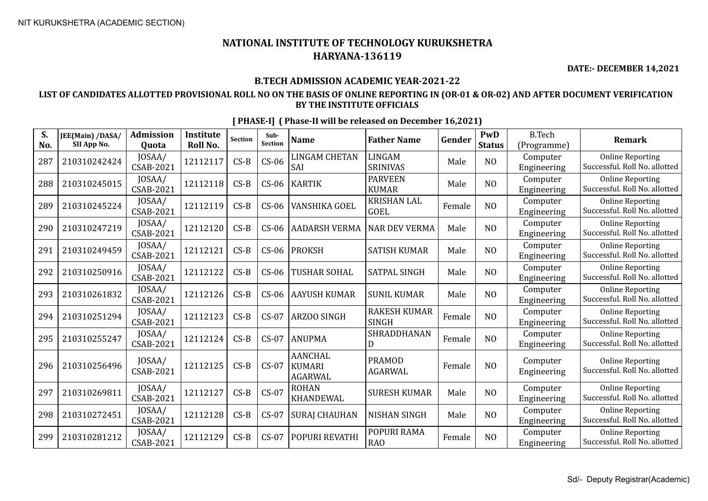**DATE:- DECEMBER 14,2021**

### **B.TECH ADMISSION ACADEMIC YEAR-2021-22**

### **LIST OF CANDIDATES ALLOTTED PROVISIONAL ROLL NO ON THE BASIS OF ONLINE REPORTING IN (OR-01 & OR-02) AND AFTER DOCUMENT VERIFICATION BY THE INSTITUTE OFFICIALS**

| S.<br>No. | JEE(Main) /DASA/<br>SII App No. | <b>Admission</b><br>Quota  | <b>Institute</b><br>Roll No. | <b>Section</b> | Sub-<br>Section | <b>Name</b>                                       | <b>Father Name</b>                  | Gender | PwD<br><b>Status</b> | <b>B.Tech</b><br>(Programme) | <b>Remark</b>                                            |
|-----------|---------------------------------|----------------------------|------------------------------|----------------|-----------------|---------------------------------------------------|-------------------------------------|--------|----------------------|------------------------------|----------------------------------------------------------|
| 287       | 210310242424                    | JOSAA/<br><b>CSAB-2021</b> | 12112117                     | $CS-B$         | $CS-06$         | <b>LINGAM CHETAN</b><br>SAI                       | <b>LINGAM</b><br><b>SRINIVAS</b>    | Male   | N <sub>O</sub>       | Computer<br>Engineering      | <b>Online Reporting</b><br>Successful. Roll No. allotted |
| 288       | 210310245015                    | JOSAA/<br><b>CSAB-2021</b> | 12112118                     | $CS-B$         | $CS-06$         | <b>KARTIK</b>                                     | <b>PARVEEN</b><br><b>KUMAR</b>      | Male   | N <sub>O</sub>       | Computer<br>Engineering      | <b>Online Reporting</b><br>Successful. Roll No. allotted |
| 289       | 210310245224                    | JOSAA/<br><b>CSAB-2021</b> | 12112119                     | $CS-B$         | $CS-06$         | VANSHIKA GOEL                                     | <b>KRISHAN LAL</b><br><b>GOEL</b>   | Female | N <sub>O</sub>       | Computer<br>Engineering      | <b>Online Reporting</b><br>Successful. Roll No. allotted |
| 290       | 210310247219                    | JOSAA/<br><b>CSAB-2021</b> | 12112120                     | $CS-B$         | $CS-06$         | <b>AADARSH VERMA</b>                              | <b>NAR DEV VERMA</b>                | Male   | N <sub>O</sub>       | Computer<br>Engineering      | <b>Online Reporting</b><br>Successful. Roll No. allotted |
| 291       | 210310249459                    | JOSAA/<br>CSAB-2021        | 12112121                     | $CS-B$         | $CS-06$         | <b>PROKSH</b>                                     | <b>SATISH KUMAR</b>                 | Male   | N <sub>O</sub>       | Computer<br>Engineering      | <b>Online Reporting</b><br>Successful. Roll No. allotted |
| 292       | 210310250916                    | JOSAA/<br><b>CSAB-2021</b> | 12112122                     | $CS-B$         | $CS-06$         | TUSHAR SOHAL                                      | SATPAL SINGH                        | Male   | NO                   | Computer<br>Engineering      | <b>Online Reporting</b><br>Successful. Roll No. allotted |
| 293       | 210310261832                    | JOSAA/<br><b>CSAB-2021</b> | 12112126                     | $CS-B$         | $CS-06$         | <b>AAYUSH KUMAR</b>                               | <b>SUNIL KUMAR</b>                  | Male   | NO                   | Computer<br>Engineering      | <b>Online Reporting</b><br>Successful. Roll No. allotted |
| 294       | 210310251294                    | JOSAA/<br><b>CSAB-2021</b> | 12112123                     | $CS-B$         | $CS-07$         | <b>ARZOO SINGH</b>                                | <b>RAKESH KUMAR</b><br><b>SINGH</b> | Female | N <sub>O</sub>       | Computer<br>Engineering      | <b>Online Reporting</b><br>Successful. Roll No. allotted |
| 295       | 210310255247                    | JOSAA/<br><b>CSAB-2021</b> | 12112124                     | $CS-B$         | $CS-07$         | <b>ANUPMA</b>                                     | SHRADDHANAN<br>D                    | Female | N <sub>O</sub>       | Computer<br>Engineering      | <b>Online Reporting</b><br>Successful. Roll No. allotted |
| 296       | 210310256496                    | JOSAA/<br><b>CSAB-2021</b> | 12112125                     | $CS-B$         | $CS-07$         | <b>AANCHAL</b><br><b>KUMARI</b><br><b>AGARWAL</b> | <b>PRAMOD</b><br><b>AGARWAL</b>     | Female | N <sub>O</sub>       | Computer<br>Engineering      | <b>Online Reporting</b><br>Successful. Roll No. allotted |
| 297       | 210310269811                    | JOSAA/<br><b>CSAB-2021</b> | 12112127                     | $CS-B$         | $CS-07$         | <b>ROHAN</b><br><b>KHANDEWAL</b>                  | <b>SURESH KUMAR</b>                 | Male   | N <sub>O</sub>       | Computer<br>Engineering      | <b>Online Reporting</b><br>Successful. Roll No. allotted |
| 298       | 210310272451                    | JOSAA/<br><b>CSAB-2021</b> | 12112128                     | $CS-B$         | $CS-07$         | <b>SURAI CHAUHAN</b>                              | <b>NISHAN SINGH</b>                 | Male   | N <sub>O</sub>       | Computer<br>Engineering      | <b>Online Reporting</b><br>Successful. Roll No. allotted |
| 299       | 210310281212                    | JOSAA/<br><b>CSAB-2021</b> | 12112129                     | $CS-B$         | $CS-07$         | POPURI REVATHI                                    | POPURI RAMA<br>RAO                  | Female | N <sub>O</sub>       | Computer<br>Engineering      | <b>Online Reporting</b><br>Successful. Roll No. allotted |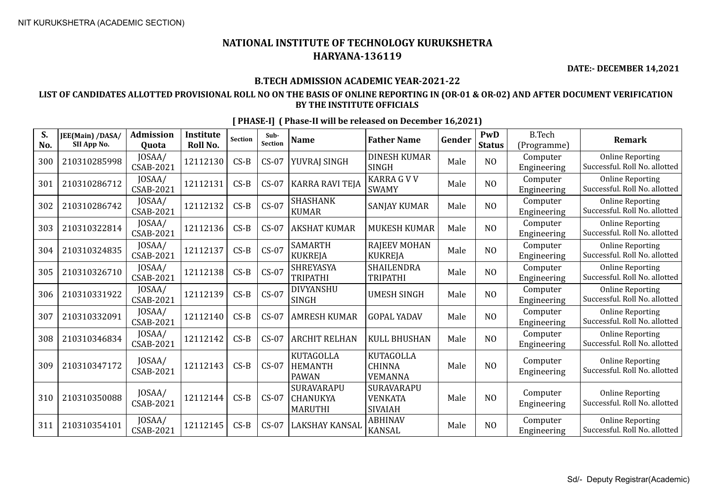**DATE:- DECEMBER 14,2021**

### **B.TECH ADMISSION ACADEMIC YEAR-2021-22**

### **LIST OF CANDIDATES ALLOTTED PROVISIONAL ROLL NO ON THE BASIS OF ONLINE REPORTING IN (OR-01 & OR-02) AND AFTER DOCUMENT VERIFICATION BY THE INSTITUTE OFFICIALS**

| S.<br>No. | JEE(Main) /DASA/<br>SII App No. | <b>Admission</b><br><b>Quota</b> | <b>Institute</b><br><b>Roll No.</b> | <b>Section</b> | Sub-<br><b>Section</b> | <b>Name</b>                                        | <b>Father Name</b>                                  | Gender | PwD<br><b>Status</b> | <b>B.Tech</b><br>(Programme) | <b>Remark</b>                                            |
|-----------|---------------------------------|----------------------------------|-------------------------------------|----------------|------------------------|----------------------------------------------------|-----------------------------------------------------|--------|----------------------|------------------------------|----------------------------------------------------------|
| 300       | 210310285998                    | JOSAA/<br>CSAB-2021              | 12112130                            | $CS-B$         | $CS-07$                | YUVRAJ SINGH                                       | <b>DINESH KUMAR</b><br><b>SINGH</b>                 | Male   | N <sub>O</sub>       | Computer<br>Engineering      | <b>Online Reporting</b><br>Successful. Roll No. allotted |
| 301       | 210310286712                    | JOSAA/<br><b>CSAB-2021</b>       | 12112131                            | $CS-B$         | $CS-07$                | <b>KARRA RAVI TEJA</b>                             | <b>KARRA G V V</b><br><b>SWAMY</b>                  | Male   | NO                   | Computer<br>Engineering      | <b>Online Reporting</b><br>Successful. Roll No. allotted |
| 302       | 210310286742                    | JOSAA/<br><b>CSAB-2021</b>       | 12112132                            | $CS-B$         | $CS-07$                | <b>SHASHANK</b><br><b>KUMAR</b>                    | <b>SANJAY KUMAR</b>                                 | Male   | N <sub>O</sub>       | Computer<br>Engineering      | <b>Online Reporting</b><br>Successful. Roll No. allotted |
| 303       | 210310322814                    | JOSAA/<br><b>CSAB-2021</b>       | 12112136                            | $CS-B$         | $CS-07$                | <b>AKSHAT KUMAR</b>                                | <b>MUKESH KUMAR</b>                                 | Male   | N <sub>O</sub>       | Computer<br>Engineering      | <b>Online Reporting</b><br>Successful. Roll No. allotted |
| 304       | 210310324835                    | JOSAA/<br><b>CSAB-2021</b>       | 12112137                            | $CS-B$         | $CS-07$                | <b>SAMARTH</b><br><b>KUKREJA</b>                   | <b>RAJEEV MOHAN</b><br><b>KUKREJA</b>               | Male   | NO                   | Computer<br>Engineering      | <b>Online Reporting</b><br>Successful. Roll No. allotted |
| 305       | 210310326710                    | JOSAA/<br><b>CSAB-2021</b>       | 12112138                            | $CS-B$         | $CS-07$                | <b>SHREYASYA</b><br><b>TRIPATHI</b>                | <b>SHAILENDRA</b><br><b>TRIPATHI</b>                | Male   | N <sub>O</sub>       | Computer<br>Engineering      | <b>Online Reporting</b><br>Successful. Roll No. allotted |
| 306       | 210310331922                    | JOSAA/<br><b>CSAB-2021</b>       | 12112139                            | $CS-B$         | $CS-07$                | DIVYANSHU<br><b>SINGH</b>                          | <b>UMESH SINGH</b>                                  | Male   | N <sub>O</sub>       | Computer<br>Engineering      | <b>Online Reporting</b><br>Successful. Roll No. allotted |
| 307       | 210310332091                    | JOSAA/<br><b>CSAB-2021</b>       | 12112140                            | $CS-B$         | $CS-07$                | <b>AMRESH KUMAR</b>                                | <b>GOPAL YADAV</b>                                  | Male   | NO                   | Computer<br>Engineering      | <b>Online Reporting</b><br>Successful. Roll No. allotted |
| 308       | 210310346834                    | JOSAA/<br><b>CSAB-2021</b>       | 12112142                            | $CS-B$         | $CS-07$                | <b>ARCHIT RELHAN</b>                               | <b>KULL BHUSHAN</b>                                 | Male   | N <sub>O</sub>       | Computer<br>Engineering      | <b>Online Reporting</b><br>Successful. Roll No. allotted |
| 309       | 210310347172                    | JOSAA/<br><b>CSAB-2021</b>       | 12112143                            | $CS-B$         | $CS-07$                | <b>KUTAGOLLA</b><br><b>HEMANTH</b><br><b>PAWAN</b> | <b>KUTAGOLLA</b><br><b>CHINNA</b><br><b>VEMANNA</b> | Male   | N <sub>O</sub>       | Computer<br>Engineering      | <b>Online Reporting</b><br>Successful. Roll No. allotted |
| 310       | 210310350088                    | JOSAA/<br><b>CSAB-2021</b>       | 12112144                            | $CS-B$         | $CS-07$                | SURAVARAPU<br>CHANUKYA<br><b>MARUTHI</b>           | SURAVARAPU<br><b>VENKATA</b><br><b>SIVAIAH</b>      | Male   | N <sub>0</sub>       | Computer<br>Engineering      | <b>Online Reporting</b><br>Successful. Roll No. allotted |
| 311       | 210310354101                    | JOSAA/<br><b>CSAB-2021</b>       | 12112145                            | $CS-B$         | $CS-07$                | LAKSHAY KANSAL                                     | <b>ABHINAV</b><br><b>KANSAL</b>                     | Male   | N <sub>O</sub>       | Computer<br>Engineering      | <b>Online Reporting</b><br>Successful. Roll No. allotted |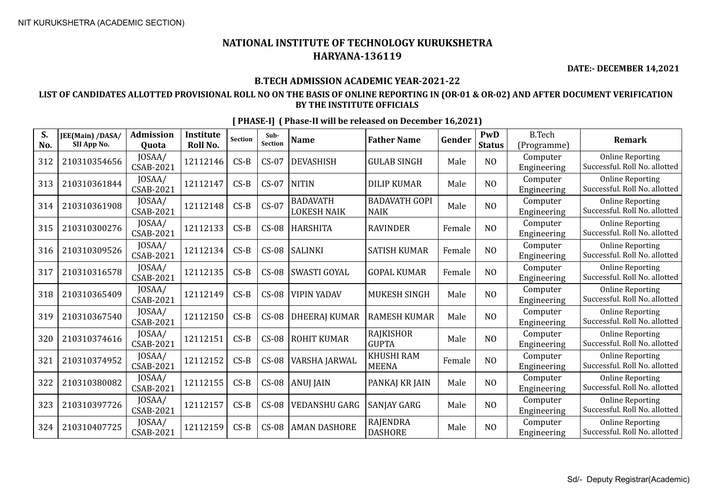**DATE:- DECEMBER 14,2021**

### **B.TECH ADMISSION ACADEMIC YEAR-2021-22**

### **LIST OF CANDIDATES ALLOTTED PROVISIONAL ROLL NO ON THE BASIS OF ONLINE REPORTING IN (OR-01 & OR-02) AND AFTER DOCUMENT VERIFICATION BY THE INSTITUTE OFFICIALS**

| S.<br>No. | JEE(Main) /DASA/<br>SII App No. | <b>Admission</b><br>Quota | <b>Institute</b><br>Roll No. | <b>Section</b> | Sub-<br>Section | <b>Name</b>                           | <b>Father Name</b>                  | Gender | PwD<br><b>Status</b> | <b>B.Tech</b><br>(Programme) | <b>Remark</b>                                            |
|-----------|---------------------------------|---------------------------|------------------------------|----------------|-----------------|---------------------------------------|-------------------------------------|--------|----------------------|------------------------------|----------------------------------------------------------|
| 312       | 210310354656                    | JOSAA/<br>CSAB-2021       | 12112146                     | $CS-B$         | $CS-07$         | <b>DEVASHISH</b>                      | <b>GULAB SINGH</b>                  | Male   | N <sub>O</sub>       | Computer<br>Engineering      | <b>Online Reporting</b><br>Successful. Roll No. allotted |
| 313       | 210310361844                    | JOSAA/<br>CSAB-2021       | 12112147                     | $CS-B$         | $CS-07$         | <b>NITIN</b>                          | <b>DILIP KUMAR</b>                  | Male   | NO                   | Computer<br>Engineering      | <b>Online Reporting</b><br>Successful. Roll No. allotted |
| 314       | 210310361908                    | JOSAA/<br>CSAB-2021       | 12112148                     | $CS-B$         | $CS-07$         | <b>BADAVATH</b><br><b>LOKESH NAIK</b> | <b>BADAVATH GOPI</b><br><b>NAIK</b> | Male   | NO                   | Computer<br>Engineering      | <b>Online Reporting</b><br>Successful. Roll No. allotted |
| 315       | 210310300276                    | JOSAA/<br>CSAB-2021       | 12112133                     | $CS-B$         | $CS-08$         | <b>HARSHITA</b>                       | <b>RAVINDER</b>                     | Female | NO                   | Computer<br>Engineering      | <b>Online Reporting</b><br>Successful. Roll No. allotted |
| 316       | 210310309526                    | JOSAA/<br>CSAB-2021       | 12112134                     | $CS-B$         | $CS-08$         | <b>SALINKI</b>                        | <b>SATISH KUMAR</b>                 | Female | NO                   | Computer<br>Engineering      | <b>Online Reporting</b><br>Successful. Roll No. allotted |
| 317       | 210310316578                    | JOSAA/<br>CSAB-2021       | 12112135                     | $CS-B$         | $CS-08$         | SWASTI GOYAL                          | <b>GOPAL KUMAR</b>                  | Female | NO                   | Computer<br>Engineering      | <b>Online Reporting</b><br>Successful. Roll No. allotted |
| 318       | 210310365409                    | JOSAA/<br>CSAB-2021       | 12112149                     | $CS-B$         | $CS-08$         | <b>VIPIN YADAV</b>                    | MUKESH SINGH                        | Male   | NO                   | Computer<br>Engineering      | <b>Online Reporting</b><br>Successful. Roll No. allotted |
| 319       | 210310367540                    | JOSAA/<br>CSAB-2021       | 12112150                     | $CS-B$         | $CS-08$         | <b>DHEERAJ KUMAR</b>                  | <b>RAMESH KUMAR</b>                 | Male   | NO                   | Computer<br>Engineering      | <b>Online Reporting</b><br>Successful. Roll No. allotted |
| 320       | 210310374616                    | JOSAA/<br>CSAB-2021       | 12112151                     | $CS-B$         | $CS-08$         | <b>ROHIT KUMAR</b>                    | RAJKISHOR<br><b>GUPTA</b>           | Male   | NO                   | Computer<br>Engineering      | <b>Online Reporting</b><br>Successful. Roll No. allotted |
| 321       | 210310374952                    | JOSAA/<br>CSAB-2021       | 12112152                     | $CS-B$         | $CS-08$         | VARSHA JARWAL                         | <b>KHUSHI RAM</b><br><b>MEENA</b>   | Female | NO                   | Computer<br>Engineering      | <b>Online Reporting</b><br>Successful. Roll No. allotted |
| 322       | 210310380082                    | JOSAA/<br>CSAB-2021       | 12112155                     | $CS-B$         | $CS-08$         | <b>ANUJ JAIN</b>                      | PANKAJ KR JAIN                      | Male   | N <sub>O</sub>       | Computer<br>Engineering      | <b>Online Reporting</b><br>Successful. Roll No. allotted |
| 323       | 210310397726                    | JOSAA/<br>CSAB-2021       | 12112157                     | $CS-B$         | $CS-08$         | <b>VEDANSHU GARG</b>                  | SANJAY GARG                         | Male   | NO                   | Computer<br>Engineering      | <b>Online Reporting</b><br>Successful. Roll No. allotted |
| 324       | 210310407725                    | JOSAA/<br>CSAB-2021       | 12112159                     | $CS-B$         | $CS-08$         | <b>AMAN DASHORE</b>                   | <b>RAJENDRA</b><br><b>DASHORE</b>   | Male   | N <sub>O</sub>       | Computer<br>Engineering      | <b>Online Reporting</b><br>Successful. Roll No. allotted |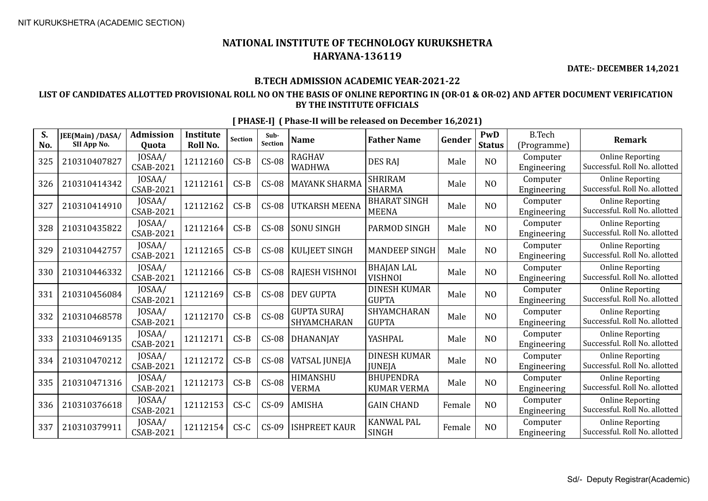**DATE:- DECEMBER 14,2021**

### **B.TECH ADMISSION ACADEMIC YEAR-2021-22**

### **LIST OF CANDIDATES ALLOTTED PROVISIONAL ROLL NO ON THE BASIS OF ONLINE REPORTING IN (OR-01 & OR-02) AND AFTER DOCUMENT VERIFICATION BY THE INSTITUTE OFFICIALS**

| S.<br>No. | JEE(Main) /DASA/<br>SII App No. | <b>Admission</b><br>Quota  | <b>Institute</b><br>Roll No. | <b>Section</b> | Sub-<br>Section | <b>Name</b>                       | <b>Father Name</b>                     | Gender | PwD<br><b>Status</b> | <b>B.Tech</b><br>(Programme) | <b>Remark</b>                                            |
|-----------|---------------------------------|----------------------------|------------------------------|----------------|-----------------|-----------------------------------|----------------------------------------|--------|----------------------|------------------------------|----------------------------------------------------------|
| 325       | 210310407827                    | JOSAA/<br>CSAB-2021        | 12112160                     | $CS-B$         | $CS-08$         | <b>RAGHAV</b><br><b>WADHWA</b>    | <b>DES RAI</b>                         | Male   | N <sub>O</sub>       | Computer<br>Engineering      | <b>Online Reporting</b><br>Successful. Roll No. allotted |
| 326       | 210310414342                    | JOSAA/<br>CSAB-2021        | 12112161                     | $CS-B$         | $CS-08$         | <b>MAYANK SHARMA</b>              | <b>SHRIRAM</b><br><b>SHARMA</b>        | Male   | NO                   | Computer<br>Engineering      | <b>Online Reporting</b><br>Successful. Roll No. allotted |
| 327       | 210310414910                    | JOSAA/<br><b>CSAB-2021</b> | 12112162                     | $CS-B$         | $CS-08$         | <b>UTKARSH MEENA</b>              | <b>BHARAT SINGH</b><br><b>MEENA</b>    | Male   | NO                   | Computer<br>Engineering      | <b>Online Reporting</b><br>Successful. Roll No. allotted |
| 328       | 210310435822                    | JOSAA/<br>CSAB-2021        | 12112164                     | $CS-B$         | $CS-08$         | <b>SONU SINGH</b>                 | PARMOD SINGH                           | Male   | NO                   | Computer<br>Engineering      | <b>Online Reporting</b><br>Successful. Roll No. allotted |
| 329       | 210310442757                    | JOSAA/<br>CSAB-2021        | 12112165                     | $CS-B$         | $CS-08$         | <b>KULJEET SINGH</b>              | <b>MANDEEP SINGH</b>                   | Male   | NO                   | Computer<br>Engineering      | <b>Online Reporting</b><br>Successful. Roll No. allotted |
| 330       | 210310446332                    | JOSAA/<br>CSAB-2021        | 12112166                     | $CS-B$         | $CS-08$         | RAJESH VISHNOI                    | <b>BHAJAN LAL</b><br><b>VISHNOI</b>    | Male   | NO                   | Computer<br>Engineering      | <b>Online Reporting</b><br>Successful. Roll No. allotted |
| 331       | 210310456084                    | JOSAA/<br>CSAB-2021        | 12112169                     | $CS-B$         | $CS-08$         | <b>DEV GUPTA</b>                  | <b>DINESH KUMAR</b><br><b>GUPTA</b>    | Male   | NO                   | Computer<br>Engineering      | <b>Online Reporting</b><br>Successful. Roll No. allotted |
| 332       | 210310468578                    | JOSAA/<br>CSAB-2021        | 12112170                     | $CS-B$         | $CS-08$         | <b>GUPTA SURAJ</b><br>SHYAMCHARAN | SHYAMCHARAN<br><b>GUPTA</b>            | Male   | NO                   | Computer<br>Engineering      | <b>Online Reporting</b><br>Successful. Roll No. allotted |
| 333       | 210310469135                    | JOSAA/<br>CSAB-2021        | 12112171                     | $CS-B$         | $CS-08$         | <b>DHANANJAY</b>                  | YASHPAL                                | Male   | NO                   | Computer<br>Engineering      | <b>Online Reporting</b><br>Successful. Roll No. allotted |
| 334       | 210310470212                    | JOSAA/<br>CSAB-2021        | 12112172                     | $CS-B$         | $CS-08$         | <b>VATSAL JUNEJA</b>              | <b>DINESH KUMAR</b><br><b>JUNEJA</b>   | Male   | N <sub>O</sub>       | Computer<br>Engineering      | <b>Online Reporting</b><br>Successful. Roll No. allotted |
| 335       | 210310471316                    | JOSAA/<br>CSAB-2021        | 12112173                     | $CS-B$         | $CS-08$         | HIMANSHU<br><b>VERMA</b>          | <b>BHUPENDRA</b><br><b>KUMAR VERMA</b> | Male   | N <sub>O</sub>       | Computer<br>Engineering      | <b>Online Reporting</b><br>Successful. Roll No. allotted |
| 336       | 210310376618                    | JOSAA/<br>CSAB-2021        | 12112153                     | $CS-C$         | $CS-09$         | <b>AMISHA</b>                     | <b>GAIN CHAND</b>                      | Female | N <sub>O</sub>       | Computer<br>Engineering      | <b>Online Reporting</b><br>Successful. Roll No. allotted |
| 337       | 210310379911                    | JOSAA/<br>CSAB-2021        | 12112154                     | $CS-C$         | $CS-09$         | <b>ISHPREET KAUR</b>              | <b>KANWAL PAL</b><br>SINGH             | Female | N <sub>O</sub>       | Computer<br>Engineering      | <b>Online Reporting</b><br>Successful. Roll No. allotted |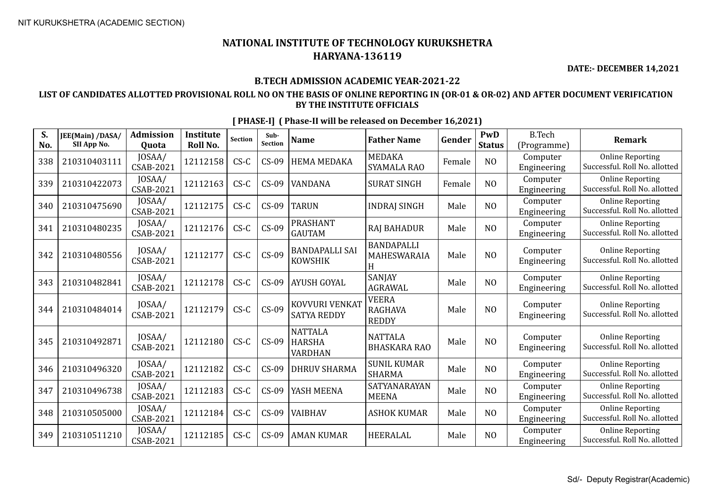**DATE:- DECEMBER 14,2021**

### **B.TECH ADMISSION ACADEMIC YEAR-2021-22**

### **LIST OF CANDIDATES ALLOTTED PROVISIONAL ROLL NO ON THE BASIS OF ONLINE REPORTING IN (OR-01 & OR-02) AND AFTER DOCUMENT VERIFICATION BY THE INSTITUTE OFFICIALS**

| S.<br>No. | JEE(Main) /DASA/<br>SII App No. | <b>Admission</b><br><b>Ouota</b> | <b>Institute</b><br>Roll No. | <b>Section</b> | Sub-<br><b>Section</b> | <b>Name</b>                                | <b>Father Name</b>                             | Gender | PwD<br><b>Status</b> | <b>B.Tech</b><br>(Programme) | <b>Remark</b>                                            |
|-----------|---------------------------------|----------------------------------|------------------------------|----------------|------------------------|--------------------------------------------|------------------------------------------------|--------|----------------------|------------------------------|----------------------------------------------------------|
| 338       | 210310403111                    | JOSAA/<br>CSAB-2021              | 12112158                     | $CS-C$         | $CS-09$                | <b>HEMA MEDAKA</b>                         | <b>MEDAKA</b><br><b>SYAMALA RAO</b>            | Female | N <sub>O</sub>       | Computer<br>Engineering      | <b>Online Reporting</b><br>Successful. Roll No. allotted |
| 339       | 210310422073                    | JOSAA/<br>CSAB-2021              | 12112163                     | $CS-C$         | $CS-09$                | VANDANA                                    | <b>SURAT SINGH</b>                             | Female | N <sub>O</sub>       | Computer<br>Engineering      | <b>Online Reporting</b><br>Successful. Roll No. allotted |
| 340       | 210310475690                    | JOSAA/<br>CSAB-2021              | 12112175                     | $CS-C$         | $CS-09$                | <b>TARUN</b>                               | <b>INDRAJ SINGH</b>                            | Male   | N <sub>O</sub>       | Computer<br>Engineering      | <b>Online Reporting</b><br>Successful. Roll No. allotted |
| 341       | 210310480235                    | JOSAA/<br>CSAB-2021              | 12112176                     | $CS-C$         | $CS-09$                | <b>PRASHANT</b><br><b>GAUTAM</b>           | <b>RAJ BAHADUR</b>                             | Male   | N <sub>O</sub>       | Computer<br>Engineering      | <b>Online Reporting</b><br>Successful. Roll No. allotted |
| 342       | 210310480556                    | JOSAA/<br>CSAB-2021              | 12112177                     | $CS-C$         | $CS-09$                | <b>BANDAPALLI SAI</b><br><b>KOWSHIK</b>    | <b>BANDAPALLI</b><br>MAHESWARAIA<br>H          | Male   | N <sub>O</sub>       | Computer<br>Engineering      | <b>Online Reporting</b><br>Successful. Roll No. allotted |
| 343       | 210310482841                    | JOSAA/<br>CSAB-2021              | 12112178                     | $CS-C$         | $CS-09$                | <b>AYUSH GOYAL</b>                         | SANJAY<br><b>AGRAWAL</b>                       | Male   | N <sub>O</sub>       | Computer<br>Engineering      | <b>Online Reporting</b><br>Successful. Roll No. allotted |
| 344       | 210310484014                    | JOSAA/<br>CSAB-2021              | 12112179                     | $CS-C$         | $CS-09$                | KOVVURI VENKAT<br><b>SATYA REDDY</b>       | <b>VEERA</b><br><b>RAGHAVA</b><br><b>REDDY</b> | Male   | NO                   | Computer<br>Engineering      | <b>Online Reporting</b><br>Successful. Roll No. allotted |
| 345       | 210310492871                    | JOSAA/<br>CSAB-2021              | 12112180                     | $CS-C$         | $CS-09$                | <b>NATTALA</b><br><b>HARSHA</b><br>VARDHAN | <b>NATTALA</b><br><b>BHASKARA RAO</b>          | Male   | N <sub>O</sub>       | Computer<br>Engineering      | <b>Online Reporting</b><br>Successful. Roll No. allotted |
| 346       | 210310496320                    | JOSAA/<br>CSAB-2021              | 12112182                     | $CS-C$         | $CS-09$                | <b>DHRUV SHARMA</b>                        | <b>SUNIL KUMAR</b><br><b>SHARMA</b>            | Male   | N <sub>O</sub>       | Computer<br>Engineering      | <b>Online Reporting</b><br>Successful. Roll No. allotted |
| 347       | 210310496738                    | JOSAA/<br>CSAB-2021              | 12112183                     | $CS-C$         | $CS-09$                | YASH MEENA                                 | SATYANARAYAN<br><b>MEENA</b>                   | Male   | N <sub>O</sub>       | Computer<br>Engineering      | <b>Online Reporting</b><br>Successful. Roll No. allotted |
| 348       | 210310505000                    | JOSAA/<br>CSAB-2021              | 12112184                     | $CS-C$         | $CS-09$                | <b>VAIBHAV</b>                             | <b>ASHOK KUMAR</b>                             | Male   | NO                   | Computer<br>Engineering      | <b>Online Reporting</b><br>Successful. Roll No. allotted |
| 349       | 210310511210                    | JOSAA/<br>CSAB-2021              | 12112185                     | $CS-C$         | $CS-09$                | <b>AMAN KUMAR</b>                          | <b>HEERALAL</b>                                | Male   | N <sub>O</sub>       | Computer<br>Engineering      | <b>Online Reporting</b><br>Successful. Roll No. allotted |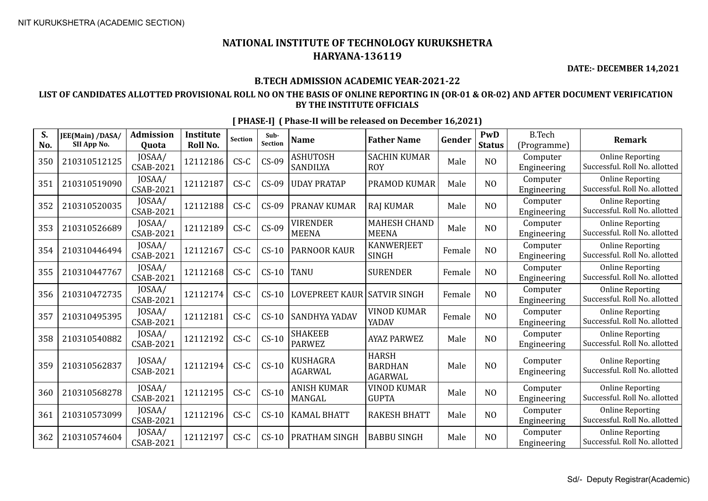**DATE:- DECEMBER 14,2021**

### **B.TECH ADMISSION ACADEMIC YEAR-2021-22**

### **LIST OF CANDIDATES ALLOTTED PROVISIONAL ROLL NO ON THE BASIS OF ONLINE REPORTING IN (OR-01 & OR-02) AND AFTER DOCUMENT VERIFICATION BY THE INSTITUTE OFFICIALS**

| S.<br>No. | JEE(Main) /DASA/<br>SII App No. | <b>Admission</b><br><b>Ouota</b> | <b>Institute</b><br>Roll No. | <b>Section</b> | Sub-<br>Section | <b>Name</b>                        | <b>Father Name</b>                               | Gender | PwD<br><b>Status</b> | <b>B.Tech</b><br>(Programme) | <b>Remark</b>                                            |
|-----------|---------------------------------|----------------------------------|------------------------------|----------------|-----------------|------------------------------------|--------------------------------------------------|--------|----------------------|------------------------------|----------------------------------------------------------|
| 350       | 210310512125                    | JOSAA/<br>CSAB-2021              | 12112186                     | $CS-C$         | $CS-09$         | <b>ASHUTOSH</b><br><b>SANDILYA</b> | <b>SACHIN KUMAR</b><br><b>ROY</b>                | Male   | N <sub>O</sub>       | Computer<br>Engineering      | <b>Online Reporting</b><br>Successful. Roll No. allotted |
| 351       | 210310519090                    | JOSAA/<br>CSAB-2021              | 12112187                     | $CS-C$         | $CS-09$         | <b>UDAY PRATAP</b>                 | PRAMOD KUMAR                                     | Male   | N <sub>O</sub>       | Computer<br>Engineering      | <b>Online Reporting</b><br>Successful. Roll No. allotted |
| 352       | 210310520035                    | JOSAA/<br>CSAB-2021              | 12112188                     | $CS-C$         | $CS-09$         | <b>PRANAV KUMAR</b>                | <b>RAJ KUMAR</b>                                 | Male   | N <sub>O</sub>       | Computer<br>Engineering      | <b>Online Reporting</b><br>Successful. Roll No. allotted |
| 353       | 210310526689                    | JOSAA/<br>CSAB-2021              | 12112189                     | $CS-C$         | $CS-09$         | <b>VIRENDER</b><br><b>MEENA</b>    | <b>MAHESH CHAND</b><br><b>MEENA</b>              | Male   | N <sub>O</sub>       | Computer<br>Engineering      | <b>Online Reporting</b><br>Successful. Roll No. allotted |
| 354       | 210310446494                    | JOSAA/<br>CSAB-2021              | 12112167                     | $CS-C$         | $CS-10$         | <b>PARNOOR KAUR</b>                | <b>KANWERJEET</b><br><b>SINGH</b>                | Female | N <sub>O</sub>       | Computer<br>Engineering      | <b>Online Reporting</b><br>Successful. Roll No. allotted |
| 355       | 210310447767                    | JOSAA/<br>CSAB-2021              | 12112168                     | $CS-C$         | $CS-10$         | <b>TANU</b>                        | <b>SURENDER</b>                                  | Female | N <sub>O</sub>       | Computer<br>Engineering      | <b>Online Reporting</b><br>Successful. Roll No. allotted |
| 356       | 210310472735                    | JOSAA/<br>CSAB-2021              | 12112174                     | $CS-C$         | $CS-10$         | <b>LOVEPREET KAUR</b>              | <b>SATVIR SINGH</b>                              | Female | N <sub>O</sub>       | Computer<br>Engineering      | <b>Online Reporting</b><br>Successful. Roll No. allotted |
| 357       | 210310495395                    | JOSAA/<br>CSAB-2021              | 12112181                     | $CS-C$         | $CS-10$         | <b>SANDHYA YADAV</b>               | <b>VINOD KUMAR</b><br>YADAV                      | Female | N <sub>O</sub>       | Computer<br>Engineering      | <b>Online Reporting</b><br>Successful. Roll No. allotted |
| 358       | 210310540882                    | JOSAA/<br><b>CSAB-2021</b>       | 12112192                     | $CS-C$         | $CS-10$         | <b>SHAKEEB</b><br><b>PARWEZ</b>    | <b>AYAZ PARWEZ</b>                               | Male   | N <sub>O</sub>       | Computer<br>Engineering      | <b>Online Reporting</b><br>Successful. Roll No. allotted |
| 359       | 210310562837                    | JOSAA/<br><b>CSAB-2021</b>       | 12112194                     | $CS-C$         | $CS-10$         | <b>KUSHAGRA</b><br><b>AGARWAL</b>  | <b>HARSH</b><br><b>BARDHAN</b><br><b>AGARWAL</b> | Male   | N <sub>O</sub>       | Computer<br>Engineering      | <b>Online Reporting</b><br>Successful. Roll No. allotted |
| 360       | 210310568278                    | JOSAA/<br><b>CSAB-2021</b>       | 12112195                     | $CS-C$         | $CS-10$         | <b>ANISH KUMAR</b><br>MANGAL       | <b>VINOD KUMAR</b><br><b>GUPTA</b>               | Male   | N <sub>O</sub>       | Computer<br>Engineering      | <b>Online Reporting</b><br>Successful. Roll No. allotted |
| 361       | 210310573099                    | JOSAA/<br>CSAB-2021              | 12112196                     | $CS-C$         | $CS-10$         | <b>KAMAL BHATT</b>                 | <b>RAKESH BHATT</b>                              | Male   | N <sub>O</sub>       | Computer<br>Engineering      | <b>Online Reporting</b><br>Successful. Roll No. allotted |
| 362       | 210310574604                    | JOSAA/<br>CSAB-2021              | 12112197                     | $CS-C$         | $CS-10$         | <b>PRATHAM SINGH</b>               | <b>BABBU SINGH</b>                               | Male   | N <sub>O</sub>       | Computer<br>Engineering      | <b>Online Reporting</b><br>Successful. Roll No. allotted |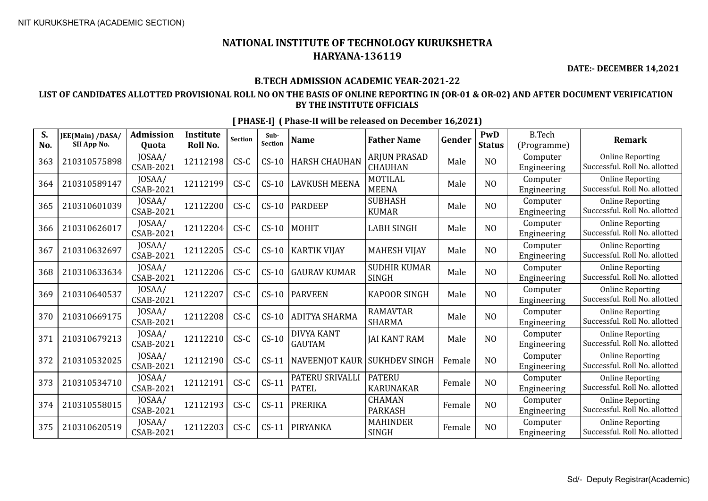**DATE:- DECEMBER 14,2021**

### **B.TECH ADMISSION ACADEMIC YEAR-2021-22**

### **LIST OF CANDIDATES ALLOTTED PROVISIONAL ROLL NO ON THE BASIS OF ONLINE REPORTING IN (OR-01 & OR-02) AND AFTER DOCUMENT VERIFICATION BY THE INSTITUTE OFFICIALS**

| S.<br>No. | JEE(Main) /DASA/<br>SII App No. | <b>Admission</b><br>Quota  | <b>Institute</b><br>Roll No. | <b>Section</b> | Sub-<br>Section | <b>Name</b>                        | <b>Father Name</b>                  | Gender | PwD<br><b>Status</b> | <b>B.Tech</b><br>(Programme) | <b>Remark</b>                                            |
|-----------|---------------------------------|----------------------------|------------------------------|----------------|-----------------|------------------------------------|-------------------------------------|--------|----------------------|------------------------------|----------------------------------------------------------|
| 363       | 210310575898                    | JOSAA/<br>CSAB-2021        | 12112198                     | $CS-C$         | $CS-10$         | <b>HARSH CHAUHAN</b>               | ARJUN PRASAD<br><b>CHAUHAN</b>      | Male   | N <sub>O</sub>       | Computer<br>Engineering      | <b>Online Reporting</b><br>Successful. Roll No. allotted |
| 364       | 210310589147                    | JOSAA/<br><b>CSAB-2021</b> | 12112199                     | $CS-C$         | $CS-10$         | <b>LAVKUSH MEENA</b>               | MOTILAL<br><b>MEENA</b>             | Male   | N <sub>O</sub>       | Computer<br>Engineering      | <b>Online Reporting</b><br>Successful. Roll No. allotted |
| 365       | 210310601039                    | JOSAA/<br>CSAB-2021        | 12112200                     | $CS-C$         | $CS-10$         | <b>PARDEEP</b>                     | <b>SUBHASH</b><br><b>KUMAR</b>      | Male   | N <sub>O</sub>       | Computer<br>Engineering      | <b>Online Reporting</b><br>Successful. Roll No. allotted |
| 366       | 210310626017                    | JOSAA/<br>CSAB-2021        | 12112204                     | $CS-C$         | $CS-10$         | MOHIT                              | <b>LABH SINGH</b>                   | Male   | NO                   | Computer<br>Engineering      | <b>Online Reporting</b><br>Successful. Roll No. allotted |
| 367       | 210310632697                    | JOSAA/<br>CSAB-2021        | 12112205                     | $CS-C$         | $CS-10$         | KARTIK VIJAY                       | <b>MAHESH VIJAY</b>                 | Male   | N <sub>O</sub>       | Computer<br>Engineering      | <b>Online Reporting</b><br>Successful. Roll No. allotted |
| 368       | 210310633634                    | JOSAA/<br>CSAB-2021        | 12112206                     | $CS-C$         | $CS-10$         | <b>GAURAV KUMAR</b>                | <b>SUDHIR KUMAR</b><br><b>SINGH</b> | Male   | N <sub>O</sub>       | Computer<br>Engineering      | <b>Online Reporting</b><br>Successful. Roll No. allotted |
| 369       | 210310640537                    | JOSAA/<br>CSAB-2021        | 12112207                     | $CS-C$         | $CS-10$         | <b>PARVEEN</b>                     | <b>KAPOOR SINGH</b>                 | Male   | N <sub>O</sub>       | Computer<br>Engineering      | <b>Online Reporting</b><br>Successful. Roll No. allotted |
| 370       | 210310669175                    | JOSAA/<br>CSAB-2021        | 12112208                     | $CS-C$         | $CS-10$         | <b>ADITYA SHARMA</b>               | <b>RAMAVTAR</b><br><b>SHARMA</b>    | Male   | NO                   | Computer<br>Engineering      | <b>Online Reporting</b><br>Successful. Roll No. allotted |
| 371       | 210310679213                    | JOSAA/<br>CSAB-2021        | 12112210                     | $CS-C$         | $CS-10$         | <b>DIVYA KANT</b><br><b>GAUTAM</b> | <b>JAI KANT RAM</b>                 | Male   | N <sub>O</sub>       | Computer<br>Engineering      | <b>Online Reporting</b><br>Successful. Roll No. allotted |
| 372       | 210310532025                    | JOSAA/<br>CSAB-2021        | 12112190                     | $CS-C$         | $CS-11$         | <b>NAVEENJOT KAUR</b>              | <b>SUKHDEV SINGH</b>                | Female | NO                   | Computer<br>Engineering      | <b>Online Reporting</b><br>Successful. Roll No. allotted |
| 373       | 210310534710                    | JOSAA/<br>CSAB-2021        | 12112191                     | $CS-C$         | $CS-11$         | PATERU SRIVALLI<br><b>PATEL</b>    | <b>PATERU</b><br><b>KARUNAKAR</b>   | Female | N <sub>O</sub>       | Computer<br>Engineering      | <b>Online Reporting</b><br>Successful. Roll No. allotted |
| 374       | 210310558015                    | JOSAA/<br>CSAB-2021        | 12112193                     | $CS-C$         | $CS-11$         | <b>PRERIKA</b>                     | <b>CHAMAN</b><br><b>PARKASH</b>     | Female | N <sub>O</sub>       | Computer<br>Engineering      | <b>Online Reporting</b><br>Successful. Roll No. allotted |
| 375       | 210310620519                    | JOSAA/<br>CSAB-2021        | 12112203                     | $CS-C$         | $CS-11$         | PIRYANKA                           | <b>MAHINDER</b><br><b>SINGH</b>     | Female | NO                   | Computer<br>Engineering      | <b>Online Reporting</b><br>Successful. Roll No. allotted |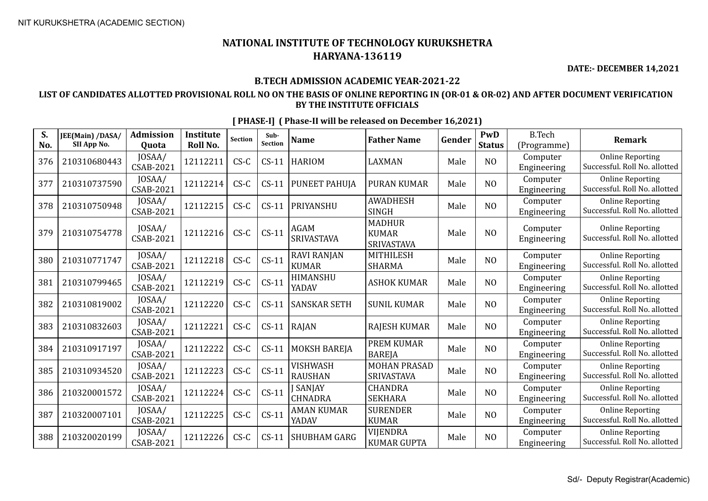**DATE:- DECEMBER 14,2021**

### **B.TECH ADMISSION ACADEMIC YEAR-2021-22**

### **LIST OF CANDIDATES ALLOTTED PROVISIONAL ROLL NO ON THE BASIS OF ONLINE REPORTING IN (OR-01 & OR-02) AND AFTER DOCUMENT VERIFICATION BY THE INSTITUTE OFFICIALS**

| S.<br>No. | JEE(Main) /DASA/<br>SII App No. | <b>Admission</b><br>Quota  | <b>Institute</b><br>Roll No. | <b>Section</b> | Sub-<br>Section | <b>Name</b>                        | <b>Father Name</b>                          | Gender | PwD<br><b>Status</b> | <b>B.Tech</b><br>(Programme) | Remark                                                   |
|-----------|---------------------------------|----------------------------|------------------------------|----------------|-----------------|------------------------------------|---------------------------------------------|--------|----------------------|------------------------------|----------------------------------------------------------|
| 376       | 210310680443                    | JOSAA/<br><b>CSAB-2021</b> | 12112211                     | $CS-C$         | $CS-11$         | <b>HARIOM</b>                      | <b>LAXMAN</b>                               | Male   | N <sub>O</sub>       | Computer<br>Engineering      | <b>Online Reporting</b><br>Successful. Roll No. allotted |
| 377       | 210310737590                    | JOSAA/<br><b>CSAB-2021</b> | 12112214                     | $CS-C$         | $CS-11$         | PUNEET PAHUJA                      | <b>PURAN KUMAR</b>                          | Male   | N <sub>O</sub>       | Computer<br>Engineering      | <b>Online Reporting</b><br>Successful. Roll No. allotted |
| 378       | 210310750948                    | JOSAA/<br><b>CSAB-2021</b> | 12112215                     | $CS-C$         | $CS-11$         | PRIYANSHU                          | <b>AWADHESH</b><br><b>SINGH</b>             | Male   | N <sub>O</sub>       | Computer<br>Engineering      | <b>Online Reporting</b><br>Successful. Roll No. allotted |
| 379       | 210310754778                    | JOSAA/<br><b>CSAB-2021</b> | 12112216                     | $CS-C$         | $CS-11$         | <b>AGAM</b><br>SRIVASTAVA          | <b>MADHUR</b><br><b>KUMAR</b><br>SRIVASTAVA | Male   | N <sub>O</sub>       | Computer<br>Engineering      | <b>Online Reporting</b><br>Successful. Roll No. allotted |
| 380       | 210310771747                    | JOSAA/<br>CSAB-2021        | 12112218                     | $CS-C$         | $CS-11$         | <b>RAVI RANJAN</b><br><b>KUMAR</b> | <b>MITHILESH</b><br><b>SHARMA</b>           | Male   | N <sub>O</sub>       | Computer<br>Engineering      | <b>Online Reporting</b><br>Successful. Roll No. allotted |
| 381       | 210310799465                    | JOSAA/<br><b>CSAB-2021</b> | 12112219                     | $CS-C$         | $CS-11$         | HIMANSHU<br>YADAV                  | <b>ASHOK KUMAR</b>                          | Male   | NO                   | Computer<br>Engineering      | <b>Online Reporting</b><br>Successful. Roll No. allotted |
| 382       | 210310819002                    | JOSAA/<br>CSAB-2021        | 12112220                     | $CS-C$         | $CS-11$         | <b>SANSKAR SETH</b>                | <b>SUNIL KUMAR</b>                          | Male   | N <sub>O</sub>       | Computer<br>Engineering      | <b>Online Reporting</b><br>Successful. Roll No. allotted |
| 383       | 210310832603                    | JOSAA/<br>CSAB-2021        | 12112221                     | $CS-C$         | $CS-11$         | RAJAN                              | <b>RAJESH KUMAR</b>                         | Male   | N <sub>O</sub>       | Computer<br>Engineering      | <b>Online Reporting</b><br>Successful. Roll No. allotted |
| 384       | 210310917197                    | JOSAA/<br><b>CSAB-2021</b> | 12112222                     | $CS-C$         | $CS-11$         | <b>MOKSH BAREJA</b>                | <b>PREM KUMAR</b><br><b>BAREJA</b>          | Male   | N <sub>O</sub>       | Computer<br>Engineering      | <b>Online Reporting</b><br>Successful. Roll No. allotted |
| 385       | 210310934520                    | JOSAA/<br><b>CSAB-2021</b> | 12112223                     | $CS-C$         | $CS-11$         | <b>VISHWASH</b><br><b>RAUSHAN</b>  | <b>MOHAN PRASAD</b><br><b>SRIVASTAVA</b>    | Male   | N <sub>O</sub>       | Computer<br>Engineering      | <b>Online Reporting</b><br>Successful. Roll No. allotted |
| 386       | 210320001572                    | JOSAA/<br>CSAB-2021        | 12112224                     | $CS-C$         | $CS-11$         | <b>J SANJAY</b><br><b>CHNADRA</b>  | <b>CHANDRA</b><br><b>SEKHARA</b>            | Male   | N <sub>O</sub>       | Computer<br>Engineering      | <b>Online Reporting</b><br>Successful. Roll No. allotted |
| 387       | 210320007101                    | JOSAA/<br><b>CSAB-2021</b> | 12112225                     | $CS-C$         | $CS-11$         | <b>AMAN KUMAR</b><br>YADAV         | <b>SURENDER</b><br><b>KUMAR</b>             | Male   | NO                   | Computer<br>Engineering      | <b>Online Reporting</b><br>Successful. Roll No. allotted |
| 388       | 210320020199                    | JOSAA/<br>CSAB-2021        | 12112226                     | $CS-C$         | $CS-11$         | <b>SHUBHAM GARG</b>                | <b>VIJENDRA</b><br><b>KUMAR GUPTA</b>       | Male   | N <sub>O</sub>       | Computer<br>Engineering      | <b>Online Reporting</b><br>Successful. Roll No. allotted |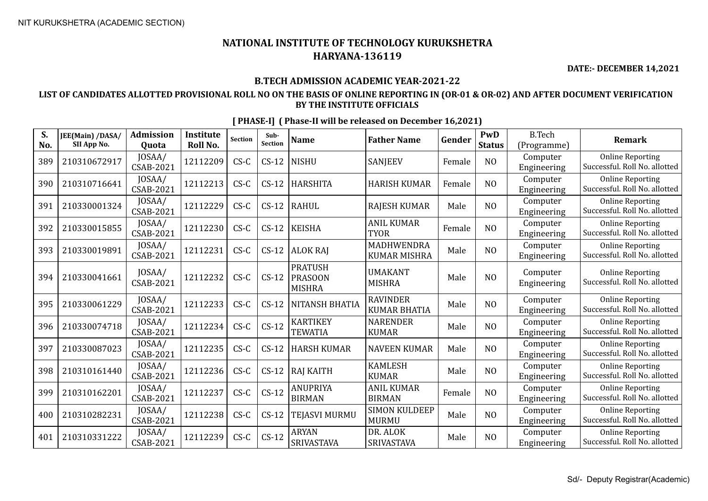**DATE:- DECEMBER 14,2021**

### **B.TECH ADMISSION ACADEMIC YEAR-2021-22**

### **LIST OF CANDIDATES ALLOTTED PROVISIONAL ROLL NO ON THE BASIS OF ONLINE REPORTING IN (OR-01 & OR-02) AND AFTER DOCUMENT VERIFICATION BY THE INSTITUTE OFFICIALS**

| S.<br>No. | JEE(Main) /DASA/<br>SII App No. | <b>Admission</b><br>Quota  | <b>Institute</b><br>Roll No. | <b>Section</b> | Sub-<br><b>Section</b> | <b>Name</b>                                       | <b>Father Name</b>                       | Gender | PwD<br><b>Status</b> | <b>B.Tech</b><br>(Programme) | <b>Remark</b>                                            |
|-----------|---------------------------------|----------------------------|------------------------------|----------------|------------------------|---------------------------------------------------|------------------------------------------|--------|----------------------|------------------------------|----------------------------------------------------------|
| 389       | 210310672917                    | JOSAA/<br>CSAB-2021        | 12112209                     | $CS-C$         | $CS-12$                | <b>NISHU</b>                                      | <b>SANJEEV</b>                           | Female | N <sub>O</sub>       | Computer<br>Engineering      | <b>Online Reporting</b><br>Successful. Roll No. allotted |
| 390       | 210310716641                    | JOSAA/<br>CSAB-2021        | 12112213                     | $CS-C$         | $CS-12$                | <b>HARSHITA</b>                                   | <b>HARISH KUMAR</b>                      | Female | N <sub>O</sub>       | Computer<br>Engineering      | <b>Online Reporting</b><br>Successful. Roll No. allotted |
| 391       | 210330001324                    | JOSAA/<br>CSAB-2021        | 12112229                     | $CS-C$         | $CS-12$                | <b>RAHUL</b>                                      | <b>RAJESH KUMAR</b>                      | Male   | N <sub>O</sub>       | Computer<br>Engineering      | <b>Online Reporting</b><br>Successful. Roll No. allotted |
| 392       | 210330015855                    | JOSAA/<br>CSAB-2021        | 12112230                     | $CS-C$         | $CS-12$                | <b>KEISHA</b>                                     | <b>ANIL KUMAR</b><br><b>TYOR</b>         | Female | N <sub>O</sub>       | Computer<br>Engineering      | <b>Online Reporting</b><br>Successful. Roll No. allotted |
| 393       | 210330019891                    | JOSAA/<br>CSAB-2021        | 12112231                     | $CS-C$         | $CS-12$                | <b>ALOK RAJ</b>                                   | <b>MADHWENDRA</b><br><b>KUMAR MISHRA</b> | Male   | NO                   | Computer<br>Engineering      | <b>Online Reporting</b><br>Successful. Roll No. allotted |
| 394       | 210330041661                    | JOSAA/<br>CSAB-2021        | 12112232                     | $CS-C$         | $CS-12$                | <b>PRATUSH</b><br><b>PRASOON</b><br><b>MISHRA</b> | <b>UMAKANT</b><br><b>MISHRA</b>          | Male   | NO                   | Computer<br>Engineering      | <b>Online Reporting</b><br>Successful. Roll No. allotted |
| 395       | 210330061229                    | JOSAA/<br>CSAB-2021        | 12112233                     | $CS-C$         | $CS-12$                | <b>NITANSH BHATIA</b>                             | <b>RAVINDER</b><br><b>KUMAR BHATIA</b>   | Male   | N <sub>O</sub>       | Computer<br>Engineering      | <b>Online Reporting</b><br>Successful. Roll No. allotted |
| 396       | 210330074718                    | JOSAA/<br>CSAB-2021        | 12112234                     | $CS-C$         | $CS-12$                | <b>KARTIKEY</b><br><b>TEWATIA</b>                 | <b>NARENDER</b><br><b>KUMAR</b>          | Male   | N <sub>O</sub>       | Computer<br>Engineering      | <b>Online Reporting</b><br>Successful. Roll No. allotted |
| 397       | 210330087023                    | JOSAA/<br>CSAB-2021        | 12112235                     | $CS-C$         | $CS-12$                | <b>HARSH KUMAR</b>                                | <b>NAVEEN KUMAR</b>                      | Male   | N <sub>O</sub>       | Computer<br>Engineering      | <b>Online Reporting</b><br>Successful. Roll No. allotted |
| 398       | 210310161440                    | JOSAA/<br>CSAB-2021        | 12112236                     | $CS-C$         | $CS-12$                | <b>RAJ KAITH</b>                                  | <b>KAMLESH</b><br><b>KUMAR</b>           | Male   | NO                   | Computer<br>Engineering      | <b>Online Reporting</b><br>Successful. Roll No. allotted |
| 399       | 210310162201                    | JOSAA/<br><b>CSAB-2021</b> | 12112237                     | $CS-C$         | $CS-12$                | ANUPRIYA<br><b>BIRMAN</b>                         | <b>ANIL KUMAR</b><br><b>BIRMAN</b>       | Female | N <sub>O</sub>       | Computer<br>Engineering      | <b>Online Reporting</b><br>Successful. Roll No. allotted |
| 400       | 210310282231                    | JOSAA/<br>CSAB-2021        | 12112238                     | $CS-C$         | $CS-12$                | <b>TEJASVI MURMU</b>                              | <b>SIMON KULDEEP</b><br><b>MURMU</b>     | Male   | N <sub>O</sub>       | Computer<br>Engineering      | <b>Online Reporting</b><br>Successful. Roll No. allotted |
| 401       | 210310331222                    | JOSAA/<br>CSAB-2021        | 12112239                     | $CS-C$         | $CS-12$                | <b>ARYAN</b><br>SRIVASTAVA                        | DR. ALOK<br>SRIVASTAVA                   | Male   | N <sub>O</sub>       | Computer<br>Engineering      | <b>Online Reporting</b><br>Successful. Roll No. allotted |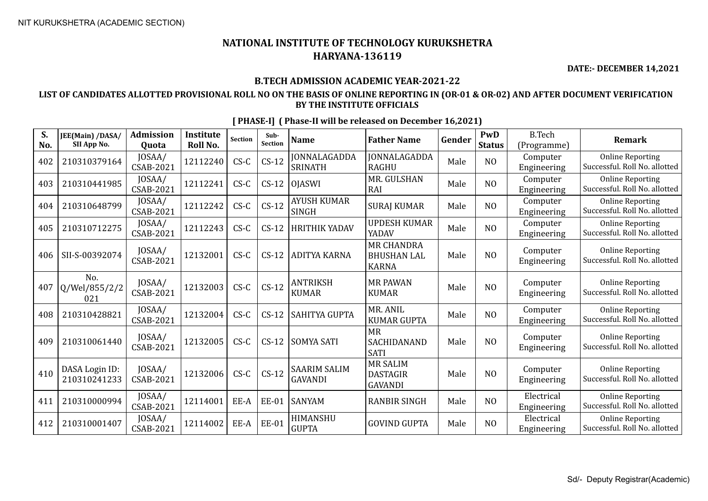**DATE:- DECEMBER 14,2021**

### **B.TECH ADMISSION ACADEMIC YEAR-2021-22**

### **LIST OF CANDIDATES ALLOTTED PROVISIONAL ROLL NO ON THE BASIS OF ONLINE REPORTING IN (OR-01 & OR-02) AND AFTER DOCUMENT VERIFICATION BY THE INSTITUTE OFFICIALS**

| S.<br>No. | JEE(Main) /DASA/<br>SII App No. | <b>Admission</b><br><b>Ouota</b> | <b>Institute</b><br><b>Roll No.</b> | Section | Sub-<br><b>Section</b> | <b>Name</b>                           | <b>Father Name</b>                                      | Gender | PwD<br><b>Status</b> | <b>B.Tech</b><br>(Programme) | <b>Remark</b>                                            |
|-----------|---------------------------------|----------------------------------|-------------------------------------|---------|------------------------|---------------------------------------|---------------------------------------------------------|--------|----------------------|------------------------------|----------------------------------------------------------|
| 402       | 210310379164                    | JOSAA/<br>CSAB-2021              | 12112240                            | $CS-C$  | $CS-12$                | JONNALAGADDA<br><b>SRINATH</b>        | JONNALAGADDA<br><b>RAGHU</b>                            | Male   | N <sub>O</sub>       | Computer<br>Engineering      | <b>Online Reporting</b><br>Successful. Roll No. allotted |
| 403       | 210310441985                    | JOSAA/<br>CSAB-2021              | 12112241                            | $CS-C$  | $CS-12$                | <b>OJASWI</b>                         | MR. GULSHAN<br>RAI                                      | Male   | N <sub>O</sub>       | Computer<br>Engineering      | <b>Online Reporting</b><br>Successful. Roll No. allotted |
| 404       | 210310648799                    | JOSAA/<br><b>CSAB-2021</b>       | 12112242                            | $CS-C$  | $CS-12$                | <b>AYUSH KUMAR</b><br>SINGH           | <b>SURAJ KUMAR</b>                                      | Male   | N <sub>O</sub>       | Computer<br>Engineering      | <b>Online Reporting</b><br>Successful. Roll No. allotted |
| 405       | 210310712275                    | JOSAA/<br>CSAB-2021              | 12112243                            | $CS-C$  | $CS-12$                | <b>HRITHIK YADAV</b>                  | <b>UPDESH KUMAR</b><br>YADAV                            | Male   | N <sub>O</sub>       | Computer<br>Engineering      | <b>Online Reporting</b><br>Successful. Roll No. allotted |
| 406       | SII-S-00392074                  | JOSAA/<br><b>CSAB-2021</b>       | 12132001                            | $CS-C$  | $CS-12$                | ADITYA KARNA                          | <b>MR CHANDRA</b><br><b>BHUSHAN LAL</b><br><b>KARNA</b> | Male   | N <sub>O</sub>       | Computer<br>Engineering      | <b>Online Reporting</b><br>Successful. Roll No. allotted |
| 407       | No.<br>Q/Wel/855/2/2<br>021     | JOSAA/<br>CSAB-2021              | 12132003                            | $CS-C$  | $CS-12$                | <b>ANTRIKSH</b><br><b>KUMAR</b>       | <b>MR PAWAN</b><br><b>KUMAR</b>                         | Male   | NO                   | Computer<br>Engineering      | <b>Online Reporting</b><br>Successful. Roll No. allotted |
| 408       | 210310428821                    | JOSAA/<br><b>CSAB-2021</b>       | 12132004                            | $CS-C$  | $CS-12$                | <b>SAHITYA GUPTA</b>                  | MR. ANIL<br><b>KUMAR GUPTA</b>                          | Male   | N <sub>O</sub>       | Computer<br>Engineering      | <b>Online Reporting</b><br>Successful. Roll No. allotted |
| 409       | 210310061440                    | JOSAA/<br><b>CSAB-2021</b>       | 12132005                            | $CS-C$  | $CS-12$                | <b>SOMYA SATI</b>                     | <b>MR</b><br>SACHIDANAND<br><b>SATI</b>                 | Male   | N <sub>O</sub>       | Computer<br>Engineering      | <b>Online Reporting</b><br>Successful. Roll No. allotted |
| 410       | DASA Login ID:<br>210310241233  | JOSAA/<br><b>CSAB-2021</b>       | 12132006                            | $CS-C$  | $CS-12$                | <b>SAARIM SALIM</b><br><b>GAVANDI</b> | <b>MR SALIM</b><br><b>DASTAGIR</b><br><b>GAVANDI</b>    | Male   | NO                   | Computer<br>Engineering      | <b>Online Reporting</b><br>Successful. Roll No. allotted |
| 411       | 210310000994                    | JOSAA/<br>CSAB-2021              | 12114001                            | EE-A    | <b>EE-01</b>           | <b>SANYAM</b>                         | <b>RANBIR SINGH</b>                                     | Male   | N <sub>O</sub>       | Electrical<br>Engineering    | <b>Online Reporting</b><br>Successful. Roll No. allotted |
| 412       | 210310001407                    | JOSAA/<br>CSAB-2021              | 12114002                            | EE-A    | <b>EE-01</b>           | <b>HIMANSHU</b><br><b>GUPTA</b>       | <b>GOVIND GUPTA</b>                                     | Male   | N <sub>O</sub>       | Electrical<br>Engineering    | <b>Online Reporting</b><br>Successful. Roll No. allotted |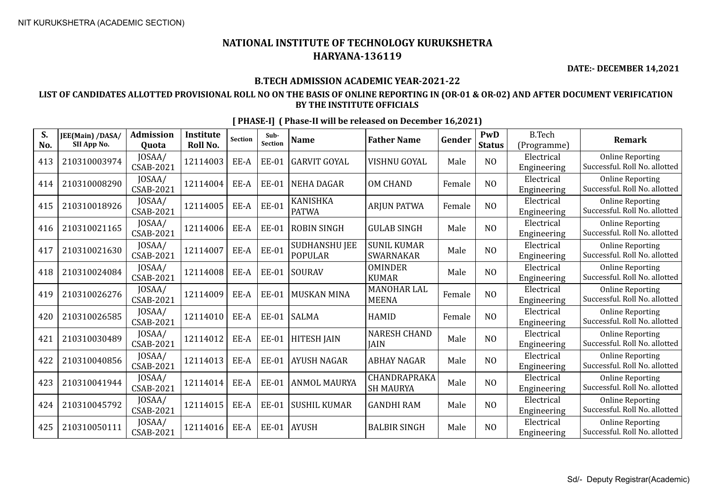**DATE:- DECEMBER 14,2021**

### **B.TECH ADMISSION ACADEMIC YEAR-2021-22**

### **LIST OF CANDIDATES ALLOTTED PROVISIONAL ROLL NO ON THE BASIS OF ONLINE REPORTING IN (OR-01 & OR-02) AND AFTER DOCUMENT VERIFICATION BY THE INSTITUTE OFFICIALS**

| S.<br>No. | JEE(Main) /DASA/<br>SII App No. | <b>Admission</b><br>Quota  | <b>Institute</b><br>Roll No. | <b>Section</b> | Sub-<br>Section | <b>Name</b>                            | <b>Father Name</b>                 | Gender | PwD<br><b>Status</b> | <b>B.Tech</b><br>(Programme) | <b>Remark</b>                                            |
|-----------|---------------------------------|----------------------------|------------------------------|----------------|-----------------|----------------------------------------|------------------------------------|--------|----------------------|------------------------------|----------------------------------------------------------|
| 413       | 210310003974                    | JOSAA/<br>CSAB-2021        | 12114003                     | EE-A           | <b>EE-01</b>    | <b>GARVIT GOYAL</b>                    | VISHNU GOYAL                       | Male   | N <sub>O</sub>       | Electrical<br>Engineering    | <b>Online Reporting</b><br>Successful. Roll No. allotted |
| 414       | 210310008290                    | JOSAA/<br>CSAB-2021        | 12114004                     | EE-A           | <b>EE-01</b>    | <b>NEHA DAGAR</b>                      | <b>OM CHAND</b>                    | Female | N <sub>O</sub>       | Electrical<br>Engineering    | <b>Online Reporting</b><br>Successful. Roll No. allotted |
| 415       | 210310018926                    | JOSAA/<br>CSAB-2021        | 12114005                     | EE-A           | <b>EE-01</b>    | <b>KANISHKA</b><br><b>PATWA</b>        | <b>ARJUN PATWA</b>                 | Female | N <sub>O</sub>       | Electrical<br>Engineering    | <b>Online Reporting</b><br>Successful. Roll No. allotted |
| 416       | 210310021165                    | JOSAA/<br>CSAB-2021        | 12114006                     | EE-A           | <b>EE-01</b>    | <b>ROBIN SINGH</b>                     | <b>GULAB SINGH</b>                 | Male   | N <sub>O</sub>       | Electrical<br>Engineering    | <b>Online Reporting</b><br>Successful. Roll No. allotted |
| 417       | 210310021630                    | JOSAA/<br>CSAB-2021        | 12114007                     | EE-A           | <b>EE-01</b>    | <b>SUDHANSHU JEE</b><br><b>POPULAR</b> | <b>SUNIL KUMAR</b><br>SWARNAKAR    | Male   | N <sub>O</sub>       | Electrical<br>Engineering    | <b>Online Reporting</b><br>Successful. Roll No. allotted |
| 418       | 210310024084                    | JOSAA/<br>CSAB-2021        | 12114008                     | EE-A           | EE-01           | SOURAV                                 | <b>OMINDER</b><br><b>KUMAR</b>     | Male   | NO                   | Electrical<br>Engineering    | <b>Online Reporting</b><br>Successful. Roll No. allotted |
| 419       | 210310026276                    | JOSAA/<br>CSAB-2021        | 12114009                     | EE-A           | <b>EE-01</b>    | <b>MUSKAN MINA</b>                     | MANOHAR LAL<br><b>MEENA</b>        | Female | N <sub>O</sub>       | Electrical<br>Engineering    | <b>Online Reporting</b><br>Successful. Roll No. allotted |
| 420       | 210310026585                    | JOSAA/<br>CSAB-2021        | 12114010                     | EE-A           | EE-01           | SALMA                                  | <b>HAMID</b>                       | Female | N <sub>O</sub>       | Electrical<br>Engineering    | <b>Online Reporting</b><br>Successful. Roll No. allotted |
| 421       | 210310030489                    | JOSAA/<br><b>CSAB-2021</b> | 12114012                     | EE-A           | <b>EE-01</b>    | <b>HITESH JAIN</b>                     | <b>NARESH CHAND</b><br><b>JAIN</b> | Male   | NO                   | Electrical<br>Engineering    | <b>Online Reporting</b><br>Successful. Roll No. allotted |
| 422       | 210310040856                    | JOSAA/<br>CSAB-2021        | 12114013                     | EE-A           | <b>EE-01</b>    | <b>AYUSH NAGAR</b>                     | <b>ABHAY NAGAR</b>                 | Male   | N <sub>O</sub>       | Electrical<br>Engineering    | <b>Online Reporting</b><br>Successful. Roll No. allotted |
| 423       | 210310041944                    | JOSAA/<br>CSAB-2021        | 12114014                     | EE-A           | <b>EE-01</b>    | <b>ANMOL MAURYA</b>                    | CHANDRAPRAKA<br><b>SH MAURYA</b>   | Male   | N <sub>O</sub>       | Electrical<br>Engineering    | <b>Online Reporting</b><br>Successful. Roll No. allotted |
| 424       | 210310045792                    | JOSAA/<br>CSAB-2021        | 12114015                     | EE-A           | <b>EE-01</b>    | <b>SUSHIL KUMAR</b>                    | <b>GANDHI RAM</b>                  | Male   | N <sub>O</sub>       | Electrical<br>Engineering    | <b>Online Reporting</b><br>Successful. Roll No. allotted |
| 425       | 210310050111                    | JOSAA/<br>CSAB-2021        | 12114016                     | EE-A           | EE-01           | <b>AYUSH</b>                           | <b>BALBIR SINGH</b>                | Male   | N <sub>O</sub>       | Electrical<br>Engineering    | <b>Online Reporting</b><br>Successful. Roll No. allotted |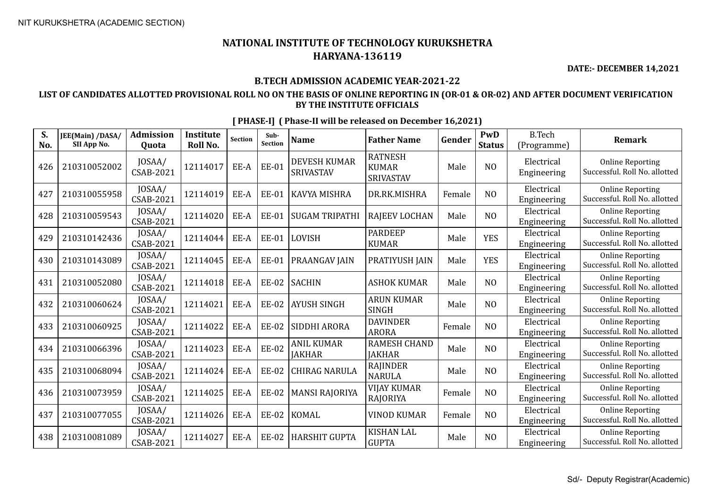**DATE:- DECEMBER 14,2021**

### **B.TECH ADMISSION ACADEMIC YEAR-2021-22**

### **LIST OF CANDIDATES ALLOTTED PROVISIONAL ROLL NO ON THE BASIS OF ONLINE REPORTING IN (OR-01 & OR-02) AND AFTER DOCUMENT VERIFICATION BY THE INSTITUTE OFFICIALS**

| S.<br>No. | JEE(Main) /DASA/<br>SII App No. | <b>Admission</b><br>Quota  | <b>Institute</b><br>Roll No. | <b>Section</b> | Sub-<br>Section | <b>Name</b>                             | <b>Father Name</b>                          | Gender | PwD<br><b>Status</b> | <b>B.Tech</b><br>(Programme) | <b>Remark</b>                                            |
|-----------|---------------------------------|----------------------------|------------------------------|----------------|-----------------|-----------------------------------------|---------------------------------------------|--------|----------------------|------------------------------|----------------------------------------------------------|
| 426       | 210310052002                    | JOSAA/<br>CSAB-2021        | 12114017                     | EE-A           | <b>EE-01</b>    | <b>DEVESH KUMAR</b><br><b>SRIVASTAV</b> | <b>RATNESH</b><br><b>KUMAR</b><br>SRIVASTAV | Male   | N <sub>O</sub>       | Electrical<br>Engineering    | <b>Online Reporting</b><br>Successful. Roll No. allotted |
| 427       | 210310055958                    | JOSAA/<br>CSAB-2021        | 12114019                     | EE-A           | <b>EE-01</b>    | KAVYA MISHRA                            | DR.RK.MISHRA                                | Female | N <sub>O</sub>       | Electrical<br>Engineering    | <b>Online Reporting</b><br>Successful. Roll No. allotted |
| 428       | 210310059543                    | JOSAA/<br><b>CSAB-2021</b> | 12114020                     | EE-A           | <b>EE-01</b>    | <b>SUGAM TRIPATHI</b>                   | <b>RAJEEV LOCHAN</b>                        | Male   | N <sub>O</sub>       | Electrical<br>Engineering    | <b>Online Reporting</b><br>Successful. Roll No. allotted |
| 429       | 210310142436                    | JOSAA/<br><b>CSAB-2021</b> | 12114044                     | EE-A           | <b>EE-01</b>    | LOVISH                                  | <b>PARDEEP</b><br><b>KUMAR</b>              | Male   | <b>YES</b>           | Electrical<br>Engineering    | <b>Online Reporting</b><br>Successful. Roll No. allotted |
| 430       | 210310143089                    | JOSAA/<br><b>CSAB-2021</b> | 12114045                     | EE-A           | <b>EE-01</b>    | PRAANGAV JAIN                           | PRATIYUSH JAIN                              | Male   | <b>YES</b>           | Electrical<br>Engineering    | <b>Online Reporting</b><br>Successful. Roll No. allotted |
| 431       | 210310052080                    | JOSAA/<br><b>CSAB-2021</b> | 12114018                     | EE-A           | <b>EE-02</b>    | <b>SACHIN</b>                           | <b>ASHOK KUMAR</b>                          | Male   | N <sub>O</sub>       | Electrical<br>Engineering    | <b>Online Reporting</b><br>Successful. Roll No. allotted |
| 432       | 210310060624                    | JOSAA/<br><b>CSAB-2021</b> | 12114021                     | EE-A           | <b>EE-02</b>    | <b>AYUSH SINGH</b>                      | <b>ARUN KUMAR</b><br><b>SINGH</b>           | Male   | N <sub>O</sub>       | Electrical<br>Engineering    | <b>Online Reporting</b><br>Successful. Roll No. allotted |
| 433       | 210310060925                    | JOSAA/<br><b>CSAB-2021</b> | 12114022                     | EE-A           | <b>EE-02</b>    | SIDDHI ARORA                            | <b>DAVINDER</b><br><b>ARORA</b>             | Female | N <sub>O</sub>       | Electrical<br>Engineering    | <b>Online Reporting</b><br>Successful. Roll No. allotted |
| 434       | 210310066396                    | JOSAA/<br><b>CSAB-2021</b> | 12114023                     | EE-A           | <b>EE-02</b>    | <b>ANIL KUMAR</b><br><b>JAKHAR</b>      | <b>RAMESH CHAND</b><br><b>JAKHAR</b>        | Male   | N <sub>O</sub>       | Electrical<br>Engineering    | <b>Online Reporting</b><br>Successful. Roll No. allotted |
| 435       | 210310068094                    | JOSAA/<br><b>CSAB-2021</b> | 12114024                     | EE-A           | <b>EE-02</b>    | <b>CHIRAG NARULA</b>                    | RAJINDER<br><b>NARULA</b>                   | Male   | N <sub>O</sub>       | Electrical<br>Engineering    | <b>Online Reporting</b><br>Successful. Roll No. allotted |
| 436       | 210310073959                    | JOSAA/<br><b>CSAB-2021</b> | 12114025                     | EE-A           | <b>EE-02</b>    | <b>MANSI RAJORIYA</b>                   | <b>VIJAY KUMAR</b><br>RAJORIYA              | Female | N <sub>O</sub>       | Electrical<br>Engineering    | <b>Online Reporting</b><br>Successful. Roll No. allotted |
| 437       | 210310077055                    | JOSAA/<br><b>CSAB-2021</b> | 12114026                     | EE-A           | <b>EE-02</b>    | <b>KOMAL</b>                            | <b>VINOD KUMAR</b>                          | Female | N <sub>O</sub>       | Electrical<br>Engineering    | <b>Online Reporting</b><br>Successful. Roll No. allotted |
| 438       | 210310081089                    | JOSAA/<br><b>CSAB-2021</b> | 12114027                     | EE-A           | <b>EE-02</b>    | <b>HARSHIT GUPTA</b>                    | <b>KISHAN LAL</b><br><b>GUPTA</b>           | Male   | N <sub>O</sub>       | Electrical<br>Engineering    | <b>Online Reporting</b><br>Successful. Roll No. allotted |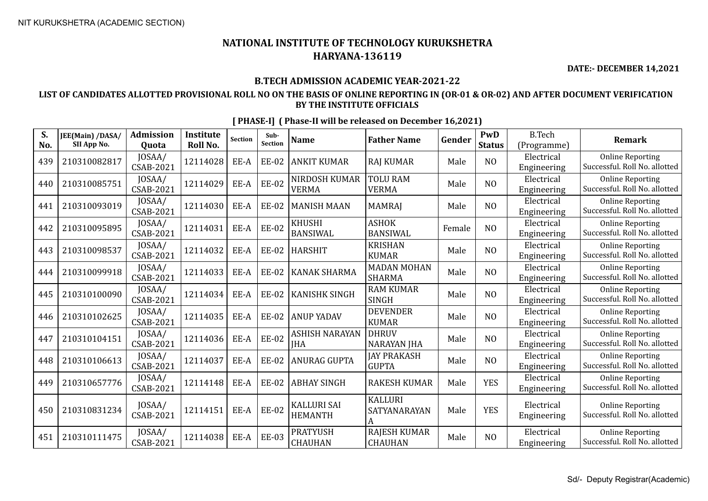**DATE:- DECEMBER 14,2021**

### **B.TECH ADMISSION ACADEMIC YEAR-2021-22**

### **LIST OF CANDIDATES ALLOTTED PROVISIONAL ROLL NO ON THE BASIS OF ONLINE REPORTING IN (OR-01 & OR-02) AND AFTER DOCUMENT VERIFICATION BY THE INSTITUTE OFFICIALS**

| S.<br>No. | JEE(Main) /DASA/<br>SII App No. | <b>Admission</b><br><b>Ouota</b> | <b>Institute</b><br>Roll No. | <b>Section</b> | Sub-<br>Section | <b>Name</b>                          | <b>Father Name</b>                    | Gender | PwD<br><b>Status</b> | <b>B.Tech</b><br>(Programme) | <b>Remark</b>                                            |
|-----------|---------------------------------|----------------------------------|------------------------------|----------------|-----------------|--------------------------------------|---------------------------------------|--------|----------------------|------------------------------|----------------------------------------------------------|
| 439       | 210310082817                    | JOSAA/<br>CSAB-2021              | 12114028                     | EE-A           | <b>EE-02</b>    | <b>ANKIT KUMAR</b>                   | <b>RAJ KUMAR</b>                      | Male   | N <sub>O</sub>       | Electrical<br>Engineering    | <b>Online Reporting</b><br>Successful. Roll No. allotted |
| 440       | 210310085751                    | JOSAA/<br>CSAB-2021              | 12114029                     | EE-A           | <b>EE-02</b>    | NIRDOSH KUMAR<br><b>VERMA</b>        | <b>TOLU RAM</b><br><b>VERMA</b>       | Male   | N <sub>O</sub>       | Electrical<br>Engineering    | <b>Online Reporting</b><br>Successful. Roll No. allotted |
| 441       | 210310093019                    | JOSAA/<br>CSAB-2021              | 12114030                     | EE-A           | <b>EE-02</b>    | <b>MANISH MAAN</b>                   | <b>MAMRAJ</b>                         | Male   | N <sub>O</sub>       | Electrical<br>Engineering    | <b>Online Reporting</b><br>Successful. Roll No. allotted |
| 442       | 210310095895                    | JOSAA/<br>CSAB-2021              | 12114031                     | EE-A           | <b>EE-02</b>    | <b>KHUSHI</b><br><b>BANSIWAL</b>     | <b>ASHOK</b><br><b>BANSIWAL</b>       | Female | N <sub>O</sub>       | Electrical<br>Engineering    | <b>Online Reporting</b><br>Successful. Roll No. allotted |
| 443       | 210310098537                    | JOSAA/<br>CSAB-2021              | 12114032                     | EE-A           | <b>EE-02</b>    | <b>HARSHIT</b>                       | <b>KRISHAN</b><br><b>KUMAR</b>        | Male   | NO                   | Electrical<br>Engineering    | <b>Online Reporting</b><br>Successful. Roll No. allotted |
| 444       | 210310099918                    | JOSAA/<br>CSAB-2021              | 12114033                     | EE-A           | <b>EE-02</b>    | <b>KANAK SHARMA</b>                  | <b>MADAN MOHAN</b><br><b>SHARMA</b>   | Male   | N <sub>O</sub>       | Electrical<br>Engineering    | <b>Online Reporting</b><br>Successful. Roll No. allotted |
| 445       | 210310100090                    | JOSAA/<br>CSAB-2021              | 12114034                     | EE-A           | <b>EE-02</b>    | <b>KANISHK SINGH</b>                 | <b>RAM KUMAR</b><br><b>SINGH</b>      | Male   | N <sub>O</sub>       | Electrical<br>Engineering    | <b>Online Reporting</b><br>Successful. Roll No. allotted |
| 446       | 210310102625                    | JOSAA/<br>CSAB-2021              | 12114035                     | EE-A           | <b>EE-02</b>    | <b>ANUP YADAV</b>                    | <b>DEVENDER</b><br><b>KUMAR</b>       | Male   | N <sub>O</sub>       | Electrical<br>Engineering    | <b>Online Reporting</b><br>Successful. Roll No. allotted |
| 447       | 210310104151                    | JOSAA/<br>CSAB-2021              | 12114036                     | EE-A           | <b>EE-02</b>    | ASHISH NARAYAN<br><b>IHA</b>         | <b>DHRUV</b><br><b>NARAYAN JHA</b>    | Male   | N <sub>O</sub>       | Electrical<br>Engineering    | <b>Online Reporting</b><br>Successful. Roll No. allotted |
| 448       | 210310106613                    | JOSAA/<br>CSAB-2021              | 12114037                     | EE-A           | <b>EE-02</b>    | <b>ANURAG GUPTA</b>                  | <b>JAY PRAKASH</b><br><b>GUPTA</b>    | Male   | N <sub>O</sub>       | Electrical<br>Engineering    | <b>Online Reporting</b><br>Successful. Roll No. allotted |
| 449       | 210310657776                    | JOSAA/<br>CSAB-2021              | 12114148                     | EE-A           | <b>EE-02</b>    | <b>ABHAY SINGH</b>                   | <b>RAKESH KUMAR</b>                   | Male   | <b>YES</b>           | Electrical<br>Engineering    | <b>Online Reporting</b><br>Successful. Roll No. allotted |
| 450       | 210310831234                    | JOSAA/<br>CSAB-2021              | 12114151                     | EE-A           | <b>EE-02</b>    | <b>KALLURI SAI</b><br><b>HEMANTH</b> | <b>KALLURI</b><br>SATYANARAYAN        | Male   | <b>YES</b>           | Electrical<br>Engineering    | <b>Online Reporting</b><br>Successful. Roll No. allotted |
| 451       | 210310111475                    | JOSAA/<br>CSAB-2021              | 12114038                     | EE-A           | <b>EE-03</b>    | <b>PRATYUSH</b><br><b>CHAUHAN</b>    | <b>RAJESH KUMAR</b><br><b>CHAUHAN</b> | Male   | NO                   | Electrical<br>Engineering    | <b>Online Reporting</b><br>Successful. Roll No. allotted |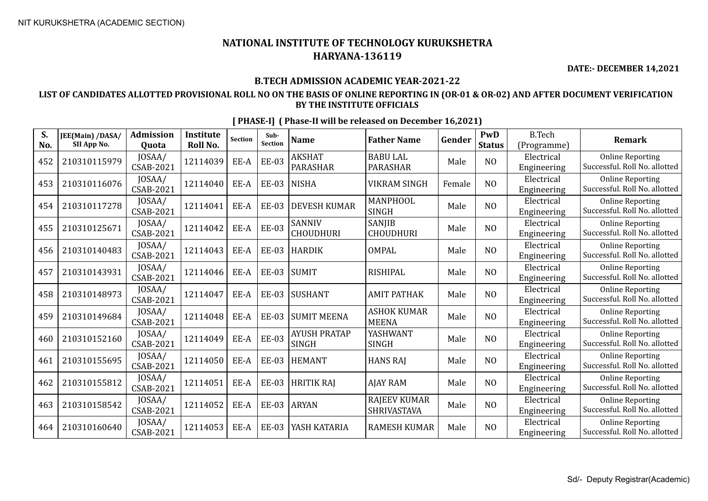**DATE:- DECEMBER 14,2021**

### **B.TECH ADMISSION ACADEMIC YEAR-2021-22**

### **LIST OF CANDIDATES ALLOTTED PROVISIONAL ROLL NO ON THE BASIS OF ONLINE REPORTING IN (OR-01 & OR-02) AND AFTER DOCUMENT VERIFICATION BY THE INSTITUTE OFFICIALS**

| S.<br>No. | JEE(Main) /DASA/<br>SII App No. | <b>Admission</b><br>Quota | <b>Institute</b><br>Roll No. | <b>Section</b> | Sub-<br>Section | <b>Name</b>                         | <b>Father Name</b>                 | Gender | PwD<br><b>Status</b> | <b>B.Tech</b><br>(Programme) | <b>Remark</b>                                            |
|-----------|---------------------------------|---------------------------|------------------------------|----------------|-----------------|-------------------------------------|------------------------------------|--------|----------------------|------------------------------|----------------------------------------------------------|
| 452       | 210310115979                    | JOSAA/<br>CSAB-2021       | 12114039                     | EE-A           | <b>EE-03</b>    | <b>AKSHAT</b><br><b>PARASHAR</b>    | <b>BABU LAL</b><br><b>PARASHAR</b> | Male   | N <sub>O</sub>       | Electrical<br>Engineering    | <b>Online Reporting</b><br>Successful. Roll No. allotted |
| 453       | 210310116076                    | JOSAA/<br>CSAB-2021       | 12114040                     | EE-A           | <b>EE-03</b>    | <b>NISHA</b>                        | <b>VIKRAM SINGH</b>                | Female | N <sub>O</sub>       | Electrical<br>Engineering    | <b>Online Reporting</b><br>Successful. Roll No. allotted |
| 454       | 210310117278                    | JOSAA/<br>CSAB-2021       | 12114041                     | EE-A           | <b>EE-03</b>    | <b>DEVESH KUMAR</b>                 | MANPHOOL<br><b>SINGH</b>           | Male   | N <sub>O</sub>       | Electrical<br>Engineering    | <b>Online Reporting</b><br>Successful. Roll No. allotted |
| 455       | 210310125671                    | JOSAA/<br>CSAB-2021       | 12114042                     | EE-A           | <b>EE-03</b>    | SANNIV<br>CHOUDHURI                 | <b>SANJIB</b><br><b>CHOUDHURI</b>  | Male   | N <sub>O</sub>       | Electrical<br>Engineering    | <b>Online Reporting</b><br>Successful. Roll No. allotted |
| 456       | 210310140483                    | JOSAA/<br>CSAB-2021       | 12114043                     | EE-A           | <b>EE-03</b>    | <b>HARDIK</b>                       | <b>OMPAL</b>                       | Male   | N <sub>O</sub>       | Electrical<br>Engineering    | <b>Online Reporting</b><br>Successful. Roll No. allotted |
| 457       | 210310143931                    | JOSAA/<br>CSAB-2021       | 12114046                     | EE-A           | <b>EE-03</b>    | SUMIT                               | <b>RISHIPAL</b>                    | Male   | N <sub>O</sub>       | Electrical<br>Engineering    | <b>Online Reporting</b><br>Successful. Roll No. allotted |
| 458       | 210310148973                    | JOSAA/<br>CSAB-2021       | 12114047                     | EE-A           | <b>EE-03</b>    | <b>SUSHANT</b>                      | <b>AMIT PATHAK</b>                 | Male   | N <sub>O</sub>       | Electrical<br>Engineering    | <b>Online Reporting</b><br>Successful. Roll No. allotted |
| 459       | 210310149684                    | JOSAA/<br>CSAB-2021       | 12114048                     | EE-A           | <b>EE-03</b>    | <b>SUMIT MEENA</b>                  | <b>ASHOK KUMAR</b><br><b>MEENA</b> | Male   | N <sub>O</sub>       | Electrical<br>Engineering    | <b>Online Reporting</b><br>Successful. Roll No. allotted |
| 460       | 210310152160                    | JOSAA/<br>CSAB-2021       | 12114049                     | EE-A           | <b>EE-03</b>    | <b>AYUSH PRATAP</b><br><b>SINGH</b> | YASHWANT<br><b>SINGH</b>           | Male   | NO                   | Electrical<br>Engineering    | <b>Online Reporting</b><br>Successful. Roll No. allotted |
| 461       | 210310155695                    | JOSAA/<br>CSAB-2021       | 12114050                     | EE-A           | <b>EE-03</b>    | <b>HEMANT</b>                       | <b>HANS RAJ</b>                    | Male   | N <sub>O</sub>       | Electrical<br>Engineering    | <b>Online Reporting</b><br>Successful. Roll No. allotted |
| 462       | 210310155812                    | JOSAA/<br>CSAB-2021       | 12114051                     | EE-A           | <b>EE-03</b>    | <b>HRITIK RAJ</b>                   | <b>AJAY RAM</b>                    | Male   | N <sub>O</sub>       | Electrical<br>Engineering    | <b>Online Reporting</b><br>Successful. Roll No. allotted |
| 463       | 210310158542                    | JOSAA/<br>CSAB-2021       | 12114052                     | EE-A           | <b>EE-03</b>    | <b>ARYAN</b>                        | <b>RAJEEV KUMAR</b><br>SHRIVASTAVA | Male   | N <sub>O</sub>       | Electrical<br>Engineering    | <b>Online Reporting</b><br>Successful. Roll No. allotted |
| 464       | 210310160640                    | JOSAA/<br>CSAB-2021       | 12114053                     | EE-A           | <b>EE-03</b>    | YASH KATARIA                        | <b>RAMESH KUMAR</b>                | Male   | N <sub>O</sub>       | Electrical<br>Engineering    | <b>Online Reporting</b><br>Successful. Roll No. allotted |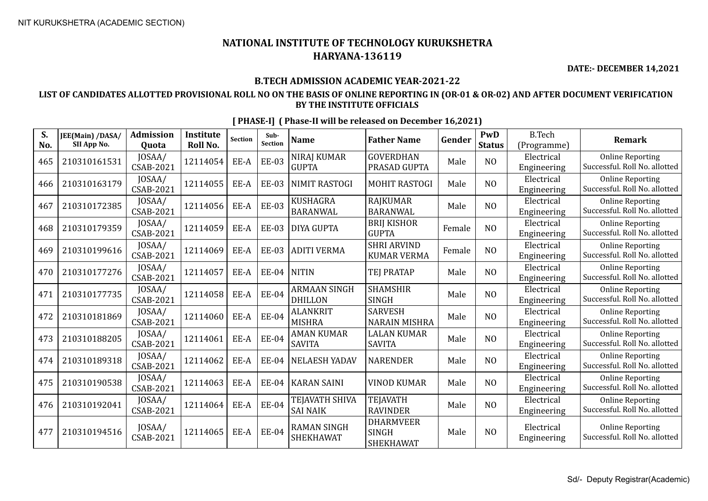**DATE:- DECEMBER 14,2021**

## **B.TECH ADMISSION ACADEMIC YEAR-2021-22**

## **LIST OF CANDIDATES ALLOTTED PROVISIONAL ROLL NO ON THE BASIS OF ONLINE REPORTING IN (OR-01 & OR-02) AND AFTER DOCUMENT VERIFICATION BY THE INSTITUTE OFFICIALS**

| S.<br>No. | JEE(Main) /DASA/<br>SII App No. | <b>Admission</b><br>Quota | <b>Institute</b><br>Roll No. | <b>Section</b> | Sub-<br>Section | <b>Name</b>                            | <b>Father Name</b>                            | Gender | PwD<br><b>Status</b> | <b>B.Tech</b><br>(Programme) | <b>Remark</b>                                            |
|-----------|---------------------------------|---------------------------|------------------------------|----------------|-----------------|----------------------------------------|-----------------------------------------------|--------|----------------------|------------------------------|----------------------------------------------------------|
| 465       | 210310161531                    | JOSAA/<br>CSAB-2021       | 12114054                     | EE-A           | <b>EE-03</b>    | NIRAJ KUMAR<br><b>GUPTA</b>            | <b>GOVERDHAN</b><br>PRASAD GUPTA              | Male   | N <sub>O</sub>       | Electrical<br>Engineering    | <b>Online Reporting</b><br>Successful. Roll No. allotted |
| 466       | 210310163179                    | JOSAA/<br>CSAB-2021       | 12114055                     | EE-A           | <b>EE-03</b>    | <b>NIMIT RASTOGI</b>                   | <b>MOHIT RASTOGI</b>                          | Male   | N <sub>O</sub>       | Electrical<br>Engineering    | <b>Online Reporting</b><br>Successful. Roll No. allotted |
| 467       | 210310172385                    | JOSAA/<br>CSAB-2021       | 12114056                     | EE-A           | <b>EE-03</b>    | <b>KUSHAGRA</b><br><b>BARANWAL</b>     | <b>RAJKUMAR</b><br><b>BARANWAL</b>            | Male   | N <sub>O</sub>       | Electrical<br>Engineering    | <b>Online Reporting</b><br>Successful. Roll No. allotted |
| 468       | 210310179359                    | JOSAA/<br>CSAB-2021       | 12114059                     | EE-A           | <b>EE-03</b>    | <b>DIYA GUPTA</b>                      | <b>BRIJ KISHOR</b><br><b>GUPTA</b>            | Female | NO                   | Electrical<br>Engineering    | <b>Online Reporting</b><br>Successful. Roll No. allotted |
| 469       | 210310199616                    | JOSAA/<br>CSAB-2021       | 12114069                     | EE-A           | <b>EE-03</b>    | <b>ADITI VERMA</b>                     | <b>SHRI ARVIND</b><br><b>KUMAR VERMA</b>      | Female | NO                   | Electrical<br>Engineering    | <b>Online Reporting</b><br>Successful. Roll No. allotted |
| 470       | 210310177276                    | JOSAA/<br>CSAB-2021       | 12114057                     | EE-A           | <b>EE-04</b>    | <b>NITIN</b>                           | TEJ PRATAP                                    | Male   | N <sub>O</sub>       | Electrical<br>Engineering    | <b>Online Reporting</b><br>Successful. Roll No. allotted |
| 471       | 210310177735                    | JOSAA/<br>CSAB-2021       | 12114058                     | EE-A           | <b>EE-04</b>    | <b>ARMAAN SINGH</b><br><b>DHILLON</b>  | <b>SHAMSHIR</b><br><b>SINGH</b>               | Male   | N <sub>O</sub>       | Electrical<br>Engineering    | <b>Online Reporting</b><br>Successful. Roll No. allotted |
| 472       | 210310181869                    | JOSAA/<br>CSAB-2021       | 12114060                     | EE-A           | <b>EE-04</b>    | <b>ALANKRIT</b><br><b>MISHRA</b>       | <b>SARVESH</b><br><b>NARAIN MISHRA</b>        | Male   | N <sub>O</sub>       | Electrical<br>Engineering    | <b>Online Reporting</b><br>Successful. Roll No. allotted |
| 473       | 210310188205                    | JOSAA/<br>CSAB-2021       | 12114061                     | EE-A           | <b>EE-04</b>    | <b>AMAN KUMAR</b><br><b>SAVITA</b>     | <b>LALAN KUMAR</b><br><b>SAVITA</b>           | Male   | N <sub>O</sub>       | Electrical<br>Engineering    | <b>Online Reporting</b><br>Successful. Roll No. allotted |
| 474       | 210310189318                    | JOSAA/<br>CSAB-2021       | 12114062                     | EE-A           | <b>EE-04</b>    | <b>NELAESH YADAV</b>                   | <b>NARENDER</b>                               | Male   | N <sub>O</sub>       | Electrical<br>Engineering    | <b>Online Reporting</b><br>Successful. Roll No. allotted |
| 475       | 210310190538                    | JOSAA/<br>CSAB-2021       | 12114063                     | EE-A           | EE-04           | KARAN SAINI                            | <b>VINOD KUMAR</b>                            | Male   | NO                   | Electrical<br>Engineering    | <b>Online Reporting</b><br>Successful. Roll No. allotted |
| 476       | 210310192041                    | JOSAA/<br>CSAB-2021       | 12114064                     | EE-A           | <b>EE-04</b>    | TEJAVATH SHIVA<br>SAI NAIK             | <b>TEJAVATH</b><br><b>RAVINDER</b>            | Male   | N <sub>O</sub>       | Electrical<br>Engineering    | <b>Online Reporting</b><br>Successful. Roll No. allotted |
| 477       | 210310194516                    | JOSAA/<br>CSAB-2021       | 12114065                     | EE-A           | <b>EE-04</b>    | <b>RAMAN SINGH</b><br><b>SHEKHAWAT</b> | <b>DHARMVEER</b><br><b>SINGH</b><br>SHEKHAWAT | Male   | NO                   | Electrical<br>Engineering    | <b>Online Reporting</b><br>Successful. Roll No. allotted |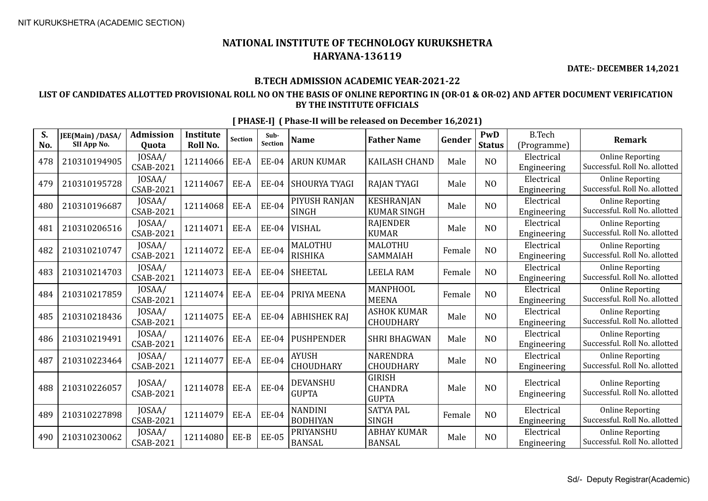**DATE:- DECEMBER 14,2021**

## **B.TECH ADMISSION ACADEMIC YEAR-2021-22**

## **LIST OF CANDIDATES ALLOTTED PROVISIONAL ROLL NO ON THE BASIS OF ONLINE REPORTING IN (OR-01 & OR-02) AND AFTER DOCUMENT VERIFICATION BY THE INSTITUTE OFFICIALS**

| S.<br>No. | JEE(Main) /DASA/<br>SII App No. | <b>Admission</b><br>Quota  | Institute<br>Roll No. | <b>Section</b> | Sub-<br>Section | <b>Name</b>                       | <b>Father Name</b>                              | Gender | PwD<br><b>Status</b> | <b>B.Tech</b><br>(Programme) | <b>Remark</b>                                            |
|-----------|---------------------------------|----------------------------|-----------------------|----------------|-----------------|-----------------------------------|-------------------------------------------------|--------|----------------------|------------------------------|----------------------------------------------------------|
| 478       | 210310194905                    | JOSAA/<br><b>CSAB-2021</b> | 12114066              | EE-A           | <b>EE-04</b>    | <b>ARUN KUMAR</b>                 | <b>KAILASH CHAND</b>                            | Male   | N <sub>O</sub>       | Electrical<br>Engineering    | <b>Online Reporting</b><br>Successful. Roll No. allotted |
| 479       | 210310195728                    | JOSAA/<br><b>CSAB-2021</b> | 12114067              | EE-A           | <b>EE-04</b>    | <b>SHOURYA TYAGI</b>              | <b>RAJAN TYAGI</b>                              | Male   | NO                   | Electrical<br>Engineering    | <b>Online Reporting</b><br>Successful. Roll No. allotted |
| 480       | 210310196687                    | JOSAA/<br><b>CSAB-2021</b> | 12114068              | EE-A           | <b>EE-04</b>    | PIYUSH RANJAN<br><b>SINGH</b>     | <b>KESHRANJAN</b><br><b>KUMAR SINGH</b>         | Male   | N <sub>O</sub>       | Electrical<br>Engineering    | <b>Online Reporting</b><br>Successful. Roll No. allotted |
| 481       | 210310206516                    | JOSAA/<br><b>CSAB-2021</b> | 12114071              | EE-A           | <b>EE-04</b>    | VISHAL                            | <b>RAJENDER</b><br><b>KUMAR</b>                 | Male   | N <sub>O</sub>       | Electrical<br>Engineering    | <b>Online Reporting</b><br>Successful. Roll No. allotted |
| 482       | 210310210747                    | JOSAA/<br><b>CSAB-2021</b> | 12114072              | EE-A           | <b>EE-04</b>    | <b>MALOTHU</b><br><b>RISHIKA</b>  | <b>MALOTHU</b><br>SAMMAIAH                      | Female | NO                   | Electrical<br>Engineering    | <b>Online Reporting</b><br>Successful. Roll No. allotted |
| 483       | 210310214703                    | JOSAA/<br><b>CSAB-2021</b> | 12114073              | EE-A           | <b>EE-04</b>    | <b>SHEETAL</b>                    | <b>LEELA RAM</b>                                | Female | N <sub>O</sub>       | Electrical<br>Engineering    | <b>Online Reporting</b><br>Successful. Roll No. allotted |
| 484       | 210310217859                    | JOSAA/<br><b>CSAB-2021</b> | 12114074              | EE-A           | EE-04           | PRIYA MEENA                       | MANPHOOL<br><b>MEENA</b>                        | Female | N <sub>O</sub>       | Electrical<br>Engineering    | <b>Online Reporting</b><br>Successful. Roll No. allotted |
| 485       | 210310218436                    | JOSAA/<br><b>CSAB-2021</b> | 12114075              | EE-A           | <b>EE-04</b>    | <b>ABHISHEK RAJ</b>               | <b>ASHOK KUMAR</b><br><b>CHOUDHARY</b>          | Male   | N <sub>O</sub>       | Electrical<br>Engineering    | <b>Online Reporting</b><br>Successful. Roll No. allotted |
| 486       | 210310219491                    | JOSAA/<br><b>CSAB-2021</b> | 12114076              | EE-A           | <b>EE-04</b>    | <b>PUSHPENDER</b>                 | <b>SHRI BHAGWAN</b>                             | Male   | N <sub>O</sub>       | Electrical<br>Engineering    | <b>Online Reporting</b><br>Successful. Roll No. allotted |
| 487       | 210310223464                    | JOSAA/<br><b>CSAB-2021</b> | 12114077              | EE-A           | <b>EE-04</b>    | <b>AYUSH</b><br>CHOUDHARY         | <b>NARENDRA</b><br><b>CHOUDHARY</b>             | Male   | N <sub>O</sub>       | Electrical<br>Engineering    | <b>Online Reporting</b><br>Successful. Roll No. allotted |
| 488       | 210310226057                    | JOSAA/<br><b>CSAB-2021</b> | 12114078              | EE-A           | <b>EE-04</b>    | DEVANSHU<br><b>GUPTA</b>          | <b>GIRISH</b><br><b>CHANDRA</b><br><b>GUPTA</b> | Male   | N <sub>O</sub>       | Electrical<br>Engineering    | <b>Online Reporting</b><br>Successful. Roll No. allotted |
| 489       | 210310227898                    | JOSAA/<br><b>CSAB-2021</b> | 12114079              | EE-A           | <b>EE-04</b>    | <b>NANDINI</b><br><b>BODHIYAN</b> | <b>SATYA PAL</b><br><b>SINGH</b>                | Female | N <sub>O</sub>       | Electrical<br>Engineering    | <b>Online Reporting</b><br>Successful. Roll No. allotted |
| 490       | 210310230062                    | JOSAA/<br><b>CSAB-2021</b> | 12114080              | EE-B           | <b>EE-05</b>    | PRIYANSHU<br><b>BANSAL</b>        | <b>ABHAY KUMAR</b><br><b>BANSAL</b>             | Male   | N <sub>O</sub>       | Electrical<br>Engineering    | <b>Online Reporting</b><br>Successful. Roll No. allotted |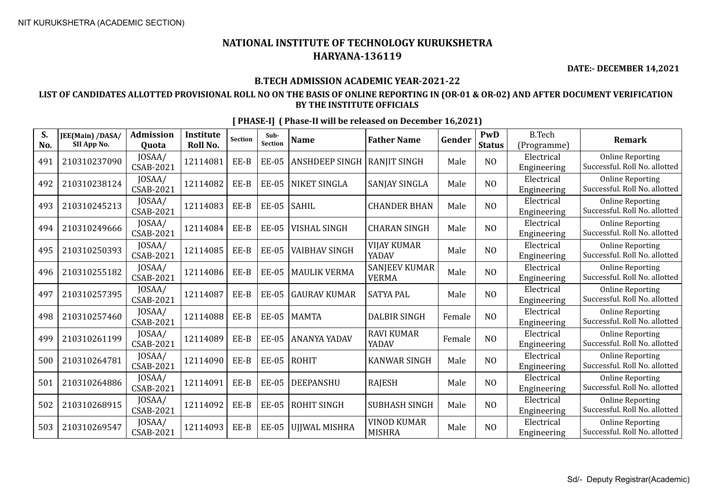**DATE:- DECEMBER 14,2021**

## **B.TECH ADMISSION ACADEMIC YEAR-2021-22**

## **LIST OF CANDIDATES ALLOTTED PROVISIONAL ROLL NO ON THE BASIS OF ONLINE REPORTING IN (OR-01 & OR-02) AND AFTER DOCUMENT VERIFICATION BY THE INSTITUTE OFFICIALS**

| S.<br>No. | JEE(Main) /DASA/<br>SII App No. | <b>Admission</b><br>Quota  | <b>Institute</b><br>Roll No. | <b>Section</b> | Sub-<br>Section | <b>Name</b>                   | <b>Father Name</b>                   | Gender | PwD<br><b>Status</b> | <b>B.Tech</b><br>(Programme) | <b>Remark</b>                                            |
|-----------|---------------------------------|----------------------------|------------------------------|----------------|-----------------|-------------------------------|--------------------------------------|--------|----------------------|------------------------------|----------------------------------------------------------|
| 491       | 210310237090                    | JOSAA/<br>CSAB-2021        | 12114081                     | EE-B           | <b>EE-05</b>    | ANSHDEEP SINGH   RANJIT SINGH |                                      | Male   | N <sub>O</sub>       | Electrical<br>Engineering    | <b>Online Reporting</b><br>Successful. Roll No. allotted |
| 492       | 210310238124                    | JOSAA/<br>CSAB-2021        | 12114082                     | EE-B           | <b>EE-05</b>    | <b>NIKET SINGLA</b>           | SANJAY SINGLA                        | Male   | N <sub>O</sub>       | Electrical<br>Engineering    | <b>Online Reporting</b><br>Successful. Roll No. allotted |
| 493       | 210310245213                    | JOSAA/<br>CSAB-2021        | 12114083                     | EE-B           | <b>EE-05</b>    | <b>SAHIL</b>                  | <b>CHANDER BHAN</b>                  | Male   | N <sub>O</sub>       | Electrical<br>Engineering    | <b>Online Reporting</b><br>Successful. Roll No. allotted |
| 494       | 210310249666                    | JOSAA/<br>CSAB-2021        | 12114084                     | EE-B           | <b>EE-05</b>    | <b>VISHAL SINGH</b>           | <b>CHARAN SINGH</b>                  | Male   | N <sub>O</sub>       | Electrical<br>Engineering    | <b>Online Reporting</b><br>Successful. Roll No. allotted |
| 495       | 210310250393                    | JOSAA/<br>CSAB-2021        | 12114085                     | EE-B           | <b>EE-05</b>    | <b>VAIBHAV SINGH</b>          | <b>VIJAY KUMAR</b><br>YADAV          | Male   | NO                   | Electrical<br>Engineering    | <b>Online Reporting</b><br>Successful. Roll No. allotted |
| 496       | 210310255182                    | JOSAA/<br>CSAB-2021        | 12114086                     | EE-B           | <b>EE-05</b>    | <b>MAULIK VERMA</b>           | <b>SANJEEV KUMAR</b><br><b>VERMA</b> | Male   | NO                   | Electrical<br>Engineering    | <b>Online Reporting</b><br>Successful. Roll No. allotted |
| 497       | 210310257395                    | JOSAA/<br>CSAB-2021        | 12114087                     | EE-B           | <b>EE-05</b>    | <b>GAURAV KUMAR</b>           | <b>SATYA PAL</b>                     | Male   | N <sub>O</sub>       | Electrical<br>Engineering    | <b>Online Reporting</b><br>Successful. Roll No. allotted |
| 498       | 210310257460                    | JOSAA/<br>CSAB-2021        | 12114088                     | EE-B           | <b>EE-05</b>    | <b>MAMTA</b>                  | <b>DALBIR SINGH</b>                  | Female | NO                   | Electrical<br>Engineering    | <b>Online Reporting</b><br>Successful. Roll No. allotted |
| 499       | 210310261199                    | JOSAA/<br><b>CSAB-2021</b> | 12114089                     | EE-B           | <b>EE-05</b>    | <b>ANANYA YADAV</b>           | <b>RAVI KUMAR</b><br>YADAV           | Female | NO                   | Electrical<br>Engineering    | <b>Online Reporting</b><br>Successful. Roll No. allotted |
| 500       | 210310264781                    | JOSAA/<br>CSAB-2021        | 12114090                     | EE-B           | <b>EE-05</b>    | <b>ROHIT</b>                  | <b>KANWAR SINGH</b>                  | Male   | NO                   | Electrical<br>Engineering    | <b>Online Reporting</b><br>Successful. Roll No. allotted |
| 501       | 210310264886                    | JOSAA/<br>CSAB-2021        | 12114091                     | EE-B           | <b>EE-05</b>    | DEEPANSHU                     | <b>RAJESH</b>                        | Male   | N <sub>O</sub>       | Electrical<br>Engineering    | <b>Online Reporting</b><br>Successful. Roll No. allotted |
| 502       | 210310268915                    | JOSAA/<br>CSAB-2021        | 12114092                     | EE-B           | <b>EE-05</b>    | ROHIT SINGH                   | <b>SUBHASH SINGH</b>                 | Male   | N <sub>O</sub>       | Electrical<br>Engineering    | <b>Online Reporting</b><br>Successful. Roll No. allotted |
| 503       | 210310269547                    | JOSAA/<br>CSAB-2021        | 12114093                     | EE-B           | <b>EE-05</b>    | <b>UJJWAL MISHRA</b>          | <b>VINOD KUMAR</b><br><b>MISHRA</b>  | Male   | N <sub>O</sub>       | Electrical<br>Engineering    | <b>Online Reporting</b><br>Successful. Roll No. allotted |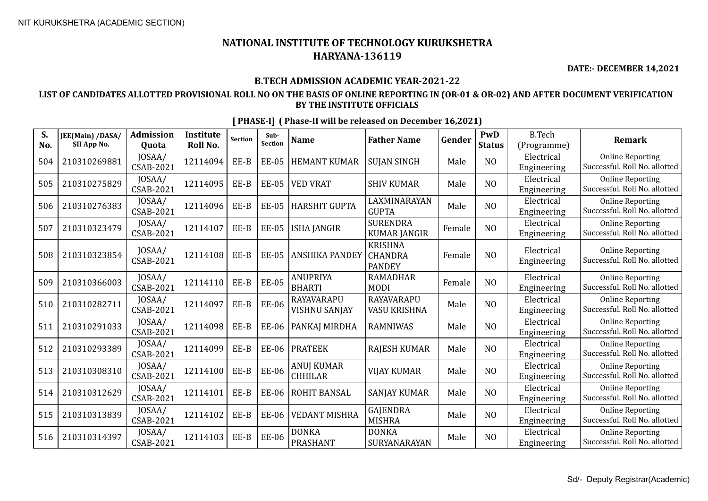**DATE:- DECEMBER 14,2021**

## **B.TECH ADMISSION ACADEMIC YEAR-2021-22**

## **LIST OF CANDIDATES ALLOTTED PROVISIONAL ROLL NO ON THE BASIS OF ONLINE REPORTING IN (OR-01 & OR-02) AND AFTER DOCUMENT VERIFICATION BY THE INSTITUTE OFFICIALS**

| S.<br>No. | JEE(Main) /DASA/<br>SII App No. | <b>Admission</b><br>Quota  | <b>Institute</b><br><b>Roll No.</b> | <b>Section</b> | Sub-<br><b>Section</b> | <b>Name</b>                         | <b>Father Name</b>                                | Gender | PwD<br><b>Status</b> | <b>B.Tech</b><br>(Programme) | <b>Remark</b>                                            |
|-----------|---------------------------------|----------------------------|-------------------------------------|----------------|------------------------|-------------------------------------|---------------------------------------------------|--------|----------------------|------------------------------|----------------------------------------------------------|
| 504       | 210310269881                    | JOSAA/<br>CSAB-2021        | 12114094                            | EE-B           | <b>EE-05</b>           | <b>HEMANT KUMAR</b>                 | <b>SUJAN SINGH</b>                                | Male   | N <sub>O</sub>       | Electrical<br>Engineering    | <b>Online Reporting</b><br>Successful. Roll No. allotted |
| 505       | 210310275829                    | JOSAA/<br>CSAB-2021        | 12114095                            | EE-B           | <b>EE-05</b>           | <b>VED VRAT</b>                     | <b>SHIV KUMAR</b>                                 | Male   | NO                   | Electrical<br>Engineering    | <b>Online Reporting</b><br>Successful. Roll No. allotted |
| 506       | 210310276383                    | JOSAA/<br><b>CSAB-2021</b> | 12114096                            | EE-B           | <b>EE-05</b>           | <b>HARSHIT GUPTA</b>                | LAXMINARAYAN<br><b>GUPTA</b>                      | Male   | N <sub>O</sub>       | Electrical<br>Engineering    | <b>Online Reporting</b><br>Successful. Roll No. allotted |
| 507       | 210310323479                    | JOSAA/<br><b>CSAB-2021</b> | 12114107                            | EE-B           | <b>EE-05</b>           | <b>ISHA JANGIR</b>                  | <b>SURENDRA</b><br><b>KUMAR JANGIR</b>            | Female | N <sub>O</sub>       | Electrical<br>Engineering    | <b>Online Reporting</b><br>Successful. Roll No. allotted |
| 508       | 210310323854                    | JOSAA/<br><b>CSAB-2021</b> | 12114108                            | EE-B           | <b>EE-05</b>           | <b>ANSHIKA PANDEY</b>               | <b>KRISHNA</b><br><b>CHANDRA</b><br><b>PANDEY</b> | Female | N <sub>0</sub>       | Electrical<br>Engineering    | <b>Online Reporting</b><br>Successful. Roll No. allotted |
| 509       | 210310366003                    | JOSAA/<br><b>CSAB-2021</b> | 12114110                            | EE-B           | <b>EE-05</b>           | <b>ANUPRIYA</b><br><b>BHARTI</b>    | <b>RAMADHAR</b><br><b>MODI</b>                    | Female | N <sub>O</sub>       | Electrical<br>Engineering    | <b>Online Reporting</b><br>Successful. Roll No. allotted |
| 510       | 210310282711                    | JOSAA/<br><b>CSAB-2021</b> | 12114097                            | EE-B           | <b>EE-06</b>           | RAYAVARAPU<br>VISHNU SANJAY         | RAYAVARAPU<br>VASU KRISHNA                        | Male   | NO                   | Electrical<br>Engineering    | <b>Online Reporting</b><br>Successful. Roll No. allotted |
| 511       | 210310291033                    | JOSAA/<br>CSAB-2021        | 12114098                            | EE-B           | <b>EE-06</b>           | PANKAJ MIRDHA                       | <b>RAMNIWAS</b>                                   | Male   | NO                   | Electrical<br>Engineering    | <b>Online Reporting</b><br>Successful. Roll No. allotted |
| 512       | 210310293389                    | JOSAA/<br>CSAB-2021        | 12114099                            | EE-B           | EE-06                  | <b>PRATEEK</b>                      | <b>RAJESH KUMAR</b>                               | Male   | N <sub>0</sub>       | Electrical<br>Engineering    | <b>Online Reporting</b><br>Successful. Roll No. allotted |
| 513       | 210310308310                    | JOSAA/<br><b>CSAB-2021</b> | 12114100                            | EE-B           | <b>EE-06</b>           | <b>ANUJ KUMAR</b><br><b>CHHILAR</b> | <b>VIJAY KUMAR</b>                                | Male   | N <sub>O</sub>       | Electrical<br>Engineering    | <b>Online Reporting</b><br>Successful. Roll No. allotted |
| 514       | 210310312629                    | JOSAA/<br><b>CSAB-2021</b> | 12114101                            | EE-B           | <b>EE-06</b>           | <b>ROHIT BANSAL</b>                 | <b>SANJAY KUMAR</b>                               | Male   | N <sub>O</sub>       | Electrical<br>Engineering    | <b>Online Reporting</b><br>Successful. Roll No. allotted |
| 515       | 210310313839                    | JOSAA/<br>CSAB-2021        | 12114102                            | $EE-B$         | <b>EE-06</b>           | <b>VEDANT MISHRA</b>                | GAJENDRA<br><b>MISHRA</b>                         | Male   | N <sub>O</sub>       | Electrical<br>Engineering    | <b>Online Reporting</b><br>Successful. Roll No. allotted |
| 516       | 210310314397                    | JOSAA/<br><b>CSAB-2021</b> | 12114103                            | EE-B           | <b>EE-06</b>           | <b>DONKA</b><br><b>PRASHANT</b>     | <b>DONKA</b><br>SURYANARAYAN                      | Male   | N <sub>O</sub>       | Electrical<br>Engineering    | <b>Online Reporting</b><br>Successful. Roll No. allotted |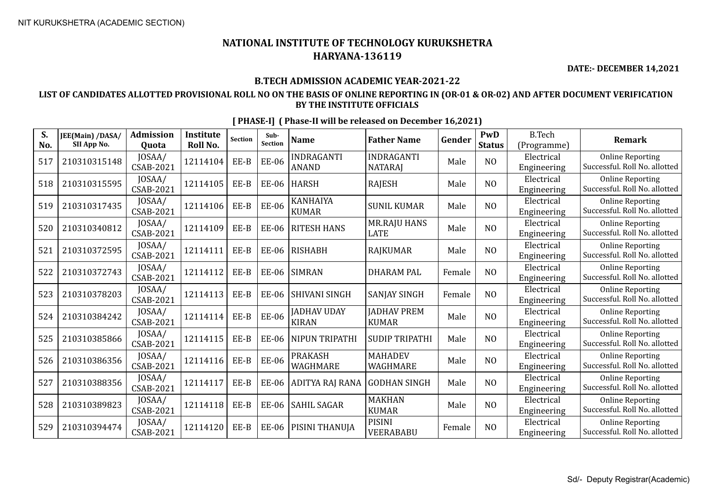**DATE:- DECEMBER 14,2021**

## **B.TECH ADMISSION ACADEMIC YEAR-2021-22**

## **LIST OF CANDIDATES ALLOTTED PROVISIONAL ROLL NO ON THE BASIS OF ONLINE REPORTING IN (OR-01 & OR-02) AND AFTER DOCUMENT VERIFICATION BY THE INSTITUTE OFFICIALS**

| S.<br>No. | JEE(Main) /DASA/<br>SII App No. | <b>Admission</b><br>Quota  | <b>Institute</b><br>Roll No. | <b>Section</b> | Sub-<br><b>Section</b> | <b>Name</b>                        | <b>Father Name</b>                 | Gender | PwD<br><b>Status</b> | <b>B.Tech</b><br>(Programme) | <b>Remark</b>                                            |
|-----------|---------------------------------|----------------------------|------------------------------|----------------|------------------------|------------------------------------|------------------------------------|--------|----------------------|------------------------------|----------------------------------------------------------|
| 517       | 210310315148                    | JOSAA/<br>CSAB-2021        | 12114104                     | EE-B           | <b>EE-06</b>           | <b>INDRAGANTI</b><br><b>ANAND</b>  | INDRAGANTI<br><b>NATARAJ</b>       | Male   | N <sub>O</sub>       | Electrical<br>Engineering    | <b>Online Reporting</b><br>Successful. Roll No. allotted |
| 518       | 210310315595                    | JOSAA/<br><b>CSAB-2021</b> | 12114105                     | EE-B           | <b>EE-06</b>           | <b>HARSH</b>                       | <b>RAJESH</b>                      | Male   | N <sub>O</sub>       | Electrical<br>Engineering    | <b>Online Reporting</b><br>Successful. Roll No. allotted |
| 519       | 210310317435                    | JOSAA/<br>CSAB-2021        | 12114106                     | $EE-B$         | <b>EE-06</b>           | KANHAIYA<br><b>KUMAR</b>           | <b>SUNIL KUMAR</b>                 | Male   | N <sub>O</sub>       | Electrical<br>Engineering    | <b>Online Reporting</b><br>Successful. Roll No. allotted |
| 520       | 210310340812                    | JOSAA/<br>CSAB-2021        | 12114109                     | EE-B           | <b>EE-06</b>           | <b>RITESH HANS</b>                 | <b>MR.RAJU HANS</b><br><b>LATE</b> | Male   | N <sub>O</sub>       | Electrical<br>Engineering    | <b>Online Reporting</b><br>Successful. Roll No. allotted |
| 521       | 210310372595                    | JOSAA/<br>CSAB-2021        | 12114111                     | EE-B           | <b>EE-06</b>           | <b>RISHABH</b>                     | <b>RAJKUMAR</b>                    | Male   | N <sub>O</sub>       | Electrical<br>Engineering    | <b>Online Reporting</b><br>Successful. Roll No. allotted |
| 522       | 210310372743                    | JOSAA/<br>CSAB-2021        | 12114112                     | EE-B           | EE-06                  | <b>SIMRAN</b>                      | <b>DHARAM PAL</b>                  | Female | N <sub>O</sub>       | Electrical<br>Engineering    | <b>Online Reporting</b><br>Successful. Roll No. allotted |
| 523       | 210310378203                    | JOSAA/<br>CSAB-2021        | 12114113                     | EE-B           | <b>EE-06</b>           | SHIVANI SINGH                      | <b>SANJAY SINGH</b>                | Female | N <sub>O</sub>       | Electrical<br>Engineering    | <b>Online Reporting</b><br>Successful. Roll No. allotted |
| 524       | 210310384242                    | JOSAA/<br><b>CSAB-2021</b> | 12114114                     | $EE-B$         | <b>EE-06</b>           | <b>JADHAV UDAY</b><br><b>KIRAN</b> | <b>JADHAV PREM</b><br><b>KUMAR</b> | Male   | N <sub>O</sub>       | Electrical<br>Engineering    | <b>Online Reporting</b><br>Successful. Roll No. allotted |
| 525       | 210310385866                    | JOSAA/<br>CSAB-2021        | 12114115                     | $EE-B$         | <b>EE-06</b>           | NIPUN TRIPATHI                     | <b>SUDIP TRIPATHI</b>              | Male   | N <sub>O</sub>       | Electrical<br>Engineering    | <b>Online Reporting</b><br>Successful. Roll No. allotted |
| 526       | 210310386356                    | JOSAA/<br><b>CSAB-2021</b> | 12114116                     | EE-B           | <b>EE-06</b>           | <b>PRAKASH</b><br>WAGHMARE         | <b>MAHADEV</b><br>WAGHMARE         | Male   | N <sub>O</sub>       | Electrical<br>Engineering    | <b>Online Reporting</b><br>Successful. Roll No. allotted |
| 527       | 210310388356                    | JOSAA/<br>CSAB-2021        | 12114117                     | EE-B           | <b>EE-06</b>           | ADITYA RAJ RANA                    | <b>GODHAN SINGH</b>                | Male   | N <sub>O</sub>       | Electrical<br>Engineering    | <b>Online Reporting</b><br>Successful. Roll No. allotted |
| 528       | 210310389823                    | JOSAA/<br>CSAB-2021        | 12114118                     | $EE-B$         | <b>EE-06</b>           | <b>SAHIL SAGAR</b>                 | <b>MAKHAN</b><br><b>KUMAR</b>      | Male   | N <sub>O</sub>       | Electrical<br>Engineering    | <b>Online Reporting</b><br>Successful. Roll No. allotted |
| 529       | 210310394474                    | JOSAA/<br>CSAB-2021        | 12114120                     | EE-B           | <b>EE-06</b>           | PISINI THANUJA                     | <b>PISINI</b><br>VEERABABU         | Female | N <sub>O</sub>       | Electrical<br>Engineering    | <b>Online Reporting</b><br>Successful. Roll No. allotted |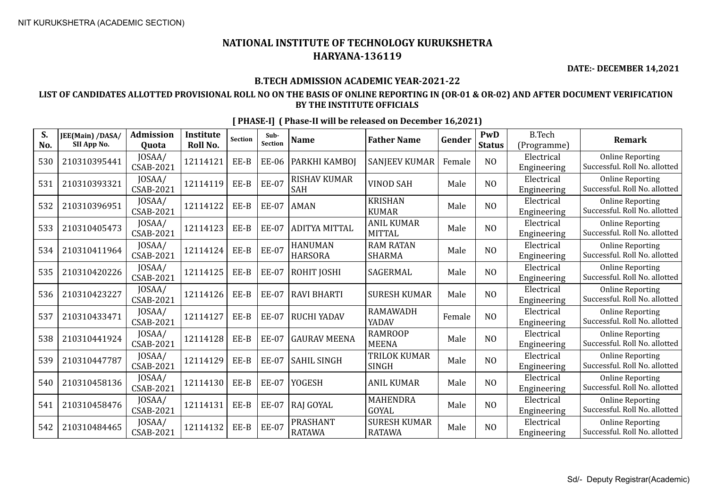**DATE:- DECEMBER 14,2021**

## **B.TECH ADMISSION ACADEMIC YEAR-2021-22**

## **LIST OF CANDIDATES ALLOTTED PROVISIONAL ROLL NO ON THE BASIS OF ONLINE REPORTING IN (OR-01 & OR-02) AND AFTER DOCUMENT VERIFICATION BY THE INSTITUTE OFFICIALS**

| S.<br>No. | JEE(Main) /DASA/<br>SII App No. | <b>Admission</b><br>Quota  | <b>Institute</b><br>Roll No. | <b>Section</b> | Sub-<br>Section | <b>Name</b>                      | <b>Father Name</b>                   | Gender | PwD<br><b>Status</b> | <b>B.Tech</b><br>(Programme) | <b>Remark</b>                                            |
|-----------|---------------------------------|----------------------------|------------------------------|----------------|-----------------|----------------------------------|--------------------------------------|--------|----------------------|------------------------------|----------------------------------------------------------|
| 530       | 210310395441                    | JOSAA/<br>CSAB-2021        | 12114121                     | EE-B           | <b>EE-06</b>    | PARKHI KAMBOJ                    | <b>SANJEEV KUMAR</b>                 | Female | N <sub>O</sub>       | Electrical<br>Engineering    | <b>Online Reporting</b><br>Successful. Roll No. allotted |
| 531       | 210310393321                    | JOSAA/<br>CSAB-2021        | 12114119                     | EE-B           | <b>EE-07</b>    | <b>RISHAV KUMAR</b><br>SAH       | <b>VINOD SAH</b>                     | Male   | NO                   | Electrical<br>Engineering    | <b>Online Reporting</b><br>Successful. Roll No. allotted |
| 532       | 210310396951                    | JOSAA/<br><b>CSAB-2021</b> | 12114122                     | EE-B           | <b>EE-07</b>    | <b>AMAN</b>                      | <b>KRISHAN</b><br><b>KUMAR</b>       | Male   | NO                   | Electrical<br>Engineering    | <b>Online Reporting</b><br>Successful. Roll No. allotted |
| 533       | 210310405473                    | JOSAA/<br>CSAB-2021        | 12114123                     | EE-B           | <b>EE-07</b>    | <b>ADITYA MITTAL</b>             | <b>ANIL KUMAR</b><br><b>MITTAL</b>   | Male   | N <sub>O</sub>       | Electrical<br>Engineering    | <b>Online Reporting</b><br>Successful. Roll No. allotted |
| 534       | 210310411964                    | JOSAA/<br>CSAB-2021        | 12114124                     | EE-B           | <b>EE-07</b>    | <b>HANUMAN</b><br><b>HARSORA</b> | <b>RAM RATAN</b><br><b>SHARMA</b>    | Male   | NO                   | Electrical<br>Engineering    | <b>Online Reporting</b><br>Successful. Roll No. allotted |
| 535       | 210310420226                    | JOSAA/<br>CSAB-2021        | 12114125                     | EE-B           | <b>EE-07</b>    | ROHIT JOSHI                      | SAGERMAL                             | Male   | NO                   | Electrical<br>Engineering    | <b>Online Reporting</b><br>Successful. Roll No. allotted |
| 536       | 210310423227                    | JOSAA/<br>CSAB-2021        | 12114126                     | EE-B           | <b>EE-07</b>    | <b>RAVI BHARTI</b>               | <b>SURESH KUMAR</b>                  | Male   | N <sub>O</sub>       | Electrical<br>Engineering    | <b>Online Reporting</b><br>Successful. Roll No. allotted |
| 537       | 210310433471                    | JOSAA/<br>CSAB-2021        | 12114127                     | EE-B           | <b>EE-07</b>    | <b>RUCHI YADAV</b>               | <b>RAMAWADH</b><br>YADAV             | Female | N <sub>O</sub>       | Electrical<br>Engineering    | <b>Online Reporting</b><br>Successful. Roll No. allotted |
| 538       | 210310441924                    | JOSAA/<br>CSAB-2021        | 12114128                     | EE-B           | <b>EE-07</b>    | <b>GAURAV MEENA</b>              | <b>RAMROOP</b><br><b>MEENA</b>       | Male   | NO                   | Electrical<br>Engineering    | <b>Online Reporting</b><br>Successful. Roll No. allotted |
| 539       | 210310447787                    | JOSAA/<br>CSAB-2021        | 12114129                     | EE-B           | <b>EE-07</b>    | <b>SAHIL SINGH</b>               | TRILOK KUMAR<br><b>SINGH</b>         | Male   | N <sub>O</sub>       | Electrical<br>Engineering    | <b>Online Reporting</b><br>Successful. Roll No. allotted |
| 540       | 210310458136                    | JOSAA/<br>CSAB-2021        | 12114130                     | EE-B           | <b>EE-07</b>    | <b>YOGESH</b>                    | <b>ANIL KUMAR</b>                    | Male   | N <sub>O</sub>       | Electrical<br>Engineering    | <b>Online Reporting</b><br>Successful. Roll No. allotted |
| 541       | 210310458476                    | JOSAA/<br>CSAB-2021        | 12114131                     | EE-B           | <b>EE-07</b>    | <b>RAJ GOYAL</b>                 | <b>MAHENDRA</b><br>GOYAL             | Male   | NO                   | Electrical<br>Engineering    | <b>Online Reporting</b><br>Successful. Roll No. allotted |
| 542       | 210310484465                    | JOSAA/<br>CSAB-2021        | 12114132                     | EE-B           | <b>EE-07</b>    | PRASHANT<br><b>RATAWA</b>        | <b>SURESH KUMAR</b><br><b>RATAWA</b> | Male   | N <sub>O</sub>       | Electrical<br>Engineering    | <b>Online Reporting</b><br>Successful. Roll No. allotted |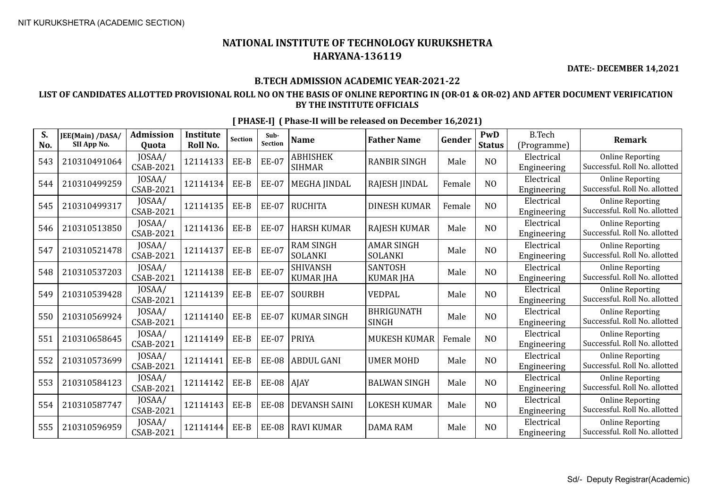**DATE:- DECEMBER 14,2021**

## **B.TECH ADMISSION ACADEMIC YEAR-2021-22**

## **LIST OF CANDIDATES ALLOTTED PROVISIONAL ROLL NO ON THE BASIS OF ONLINE REPORTING IN (OR-01 & OR-02) AND AFTER DOCUMENT VERIFICATION BY THE INSTITUTE OFFICIALS**

| S.<br>No. | JEE(Main) /DASA/<br>SII App No. | <b>Admission</b><br><b>Ouota</b> | <b>Institute</b><br><b>Roll No.</b> | <b>Section</b> | Sub-<br>Section | <b>Name</b>                         | <b>Father Name</b>                  | Gender | PwD<br><b>Status</b> | <b>B.Tech</b><br>(Programme) | <b>Remark</b>                                            |
|-----------|---------------------------------|----------------------------------|-------------------------------------|----------------|-----------------|-------------------------------------|-------------------------------------|--------|----------------------|------------------------------|----------------------------------------------------------|
| 543       | 210310491064                    | JOSAA/<br>CSAB-2021              | 12114133                            | EE-B           | <b>EE-07</b>    | <b>ABHISHEK</b><br><b>SIHMAR</b>    | <b>RANBIR SINGH</b>                 | Male   | N <sub>O</sub>       | Electrical<br>Engineering    | <b>Online Reporting</b><br>Successful. Roll No. allotted |
| 544       | 210310499259                    | JOSAA/<br>CSAB-2021              | 12114134                            | EE-B           | <b>EE-07</b>    | <b>MEGHA JINDAL</b>                 | RAJESH JINDAL                       | Female | N <sub>O</sub>       | Electrical<br>Engineering    | <b>Online Reporting</b><br>Successful. Roll No. allotted |
| 545       | 210310499317                    | JOSAA/<br><b>CSAB-2021</b>       | 12114135                            | EE-B           | <b>EE-07</b>    | RUCHITA                             | <b>DINESH KUMAR</b>                 | Female | N <sub>O</sub>       | Electrical<br>Engineering    | <b>Online Reporting</b><br>Successful. Roll No. allotted |
| 546       | 210310513850                    | JOSAA/<br>CSAB-2021              | 12114136                            | EE-B           | <b>EE-07</b>    | <b>HARSH KUMAR</b>                  | <b>RAJESH KUMAR</b>                 | Male   | N <sub>O</sub>       | Electrical<br>Engineering    | <b>Online Reporting</b><br>Successful. Roll No. allotted |
| 547       | 210310521478                    | JOSAA/<br>CSAB-2021              | 12114137                            | EE-B           | <b>EE-07</b>    | <b>RAM SINGH</b><br><b>SOLANKI</b>  | <b>AMAR SINGH</b><br><b>SOLANKI</b> | Male   | N <sub>O</sub>       | Electrical<br>Engineering    | <b>Online Reporting</b><br>Successful. Roll No. allotted |
| 548       | 210310537203                    | JOSAA/<br><b>CSAB-2021</b>       | 12114138                            | EE-B           | <b>EE-07</b>    | <b>SHIVANSH</b><br><b>KUMAR JHA</b> | <b>SANTOSH</b><br><b>KUMAR JHA</b>  | Male   | N <sub>O</sub>       | Electrical<br>Engineering    | <b>Online Reporting</b><br>Successful. Roll No. allotted |
| 549       | 210310539428                    | JOSAA/<br>CSAB-2021              | 12114139                            | EE-B           | <b>EE-07</b>    | <b>SOURBH</b>                       | <b>VEDPAL</b>                       | Male   | N <sub>O</sub>       | Electrical<br>Engineering    | <b>Online Reporting</b><br>Successful. Roll No. allotted |
| 550       | 210310569924                    | JOSAA/<br><b>CSAB-2021</b>       | 12114140                            | EE-B           | <b>EE-07</b>    | KUMAR SINGH                         | <b>BHRIGUNATH</b><br><b>SINGH</b>   | Male   | N <sub>O</sub>       | Electrical<br>Engineering    | <b>Online Reporting</b><br>Successful. Roll No. allotted |
| 551       | 210310658645                    | JOSAA/<br><b>CSAB-2021</b>       | 12114149                            | EE-B           | <b>EE-07</b>    | PRIYA                               | <b>MUKESH KUMAR</b>                 | Female | N <sub>O</sub>       | Electrical<br>Engineering    | <b>Online Reporting</b><br>Successful. Roll No. allotted |
| 552       | 210310573699                    | JOSAA/<br>CSAB-2021              | 12114141                            | EE-B           | <b>EE-08</b>    | <b>ABDUL GANI</b>                   | <b>UMER MOHD</b>                    | Male   | N <sub>O</sub>       | Electrical<br>Engineering    | <b>Online Reporting</b><br>Successful. Roll No. allotted |
| 553       | 210310584123                    | JOSAA/<br>CSAB-2021              | 12114142                            | EE-B           | $EE-08$   AJAY  |                                     | <b>BALWAN SINGH</b>                 | Male   | N <sub>O</sub>       | Electrical<br>Engineering    | <b>Online Reporting</b><br>Successful. Roll No. allotted |
| 554       | 210310587747                    | JOSAA/<br><b>CSAB-2021</b>       | 12114143                            | EE-B           | <b>EE-08</b>    | <b>DEVANSH SAINI</b>                | <b>LOKESH KUMAR</b>                 | Male   | N <sub>O</sub>       | Electrical<br>Engineering    | <b>Online Reporting</b><br>Successful. Roll No. allotted |
| 555       | 210310596959                    | JOSAA/<br>CSAB-2021              | 12114144                            | EE-B           | <b>EE-08</b>    | RAVI KUMAR                          | <b>DAMA RAM</b>                     | Male   | N <sub>O</sub>       | Electrical<br>Engineering    | <b>Online Reporting</b><br>Successful. Roll No. allotted |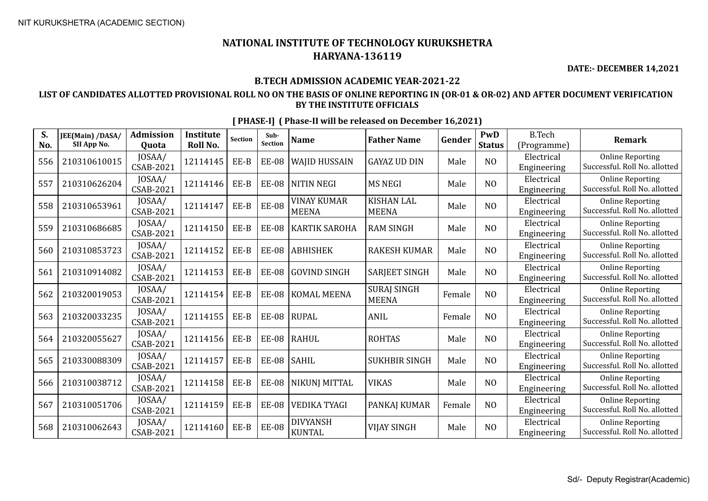**DATE:- DECEMBER 14,2021**

## **B.TECH ADMISSION ACADEMIC YEAR-2021-22**

## **LIST OF CANDIDATES ALLOTTED PROVISIONAL ROLL NO ON THE BASIS OF ONLINE REPORTING IN (OR-01 & OR-02) AND AFTER DOCUMENT VERIFICATION BY THE INSTITUTE OFFICIALS**

| S.<br>No. | JEE(Main) /DASA/<br>SII App No. | <b>Admission</b><br>Quota | <b>Institute</b><br>Roll No. | Section | Sub-<br>Section | <b>Name</b>                        | <b>Father Name</b>                 | Gender | PwD<br><b>Status</b> | <b>B.Tech</b><br>(Programme) | <b>Remark</b>                                            |
|-----------|---------------------------------|---------------------------|------------------------------|---------|-----------------|------------------------------------|------------------------------------|--------|----------------------|------------------------------|----------------------------------------------------------|
| 556       | 210310610015                    | JOSAA/<br>CSAB-2021       | 12114145                     | EE-B    | <b>EE-08</b>    | <b>WAJID HUSSAIN</b>               | <b>GAYAZ UD DIN</b>                | Male   | N <sub>O</sub>       | Electrical<br>Engineering    | <b>Online Reporting</b><br>Successful. Roll No. allotted |
| 557       | 210310626204                    | JOSAA/<br>CSAB-2021       | 12114146                     | EE-B    | <b>EE-08</b>    | NITIN NEGI                         | <b>MS NEGI</b>                     | Male   | NO                   | Electrical<br>Engineering    | <b>Online Reporting</b><br>Successful. Roll No. allotted |
| 558       | 210310653961                    | JOSAA/<br>CSAB-2021       | 12114147                     | EE-B    | <b>EE-08</b>    | <b>VINAY KUMAR</b><br><b>MEENA</b> | <b>KISHAN LAL</b><br><b>MEENA</b>  | Male   | NO                   | Electrical<br>Engineering    | <b>Online Reporting</b><br>Successful. Roll No. allotted |
| 559       | 210310686685                    | JOSAA/<br>CSAB-2021       | 12114150                     | EE-B    | <b>EE-08</b>    | <b>KARTIK SAROHA</b>               | <b>RAM SINGH</b>                   | Male   | N <sub>O</sub>       | Electrical<br>Engineering    | <b>Online Reporting</b><br>Successful. Roll No. allotted |
| 560       | 210310853723                    | JOSAA/<br>CSAB-2021       | 12114152                     | EE-B    | <b>EE-08</b>    | <b>ABHISHEK</b>                    | <b>RAKESH KUMAR</b>                | Male   | NO                   | Electrical<br>Engineering    | <b>Online Reporting</b><br>Successful. Roll No. allotted |
| 561       | 210310914082                    | JOSAA/<br>CSAB-2021       | 12114153                     | EE-B    | <b>EE-08</b>    | <b>GOVIND SINGH</b>                | <b>SARJEET SINGH</b>               | Male   | NO                   | Electrical<br>Engineering    | <b>Online Reporting</b><br>Successful. Roll No. allotted |
| 562       | 210320019053                    | JOSAA/<br>CSAB-2021       | 12114154                     | EE-B    | <b>EE-08</b>    | <b>KOMAL MEENA</b>                 | <b>SURAJ SINGH</b><br><b>MEENA</b> | Female | N <sub>O</sub>       | Electrical<br>Engineering    | <b>Online Reporting</b><br>Successful. Roll No. allotted |
| 563       | 210320033235                    | JOSAA/<br>CSAB-2021       | 12114155                     | EE-B    | <b>EE-08</b>    | <b>RUPAL</b>                       | ANIL                               | Female | N <sub>O</sub>       | Electrical<br>Engineering    | <b>Online Reporting</b><br>Successful. Roll No. allotted |
| 564       | 210320055627                    | JOSAA/<br>CSAB-2021       | 12114156                     | EE-B    | <b>EE-08</b>    | <b>RAHUL</b>                       | <b>ROHTAS</b>                      | Male   | NO                   | Electrical<br>Engineering    | <b>Online Reporting</b><br>Successful. Roll No. allotted |
| 565       | 210330088309                    | JOSAA/<br>CSAB-2021       | 12114157                     | EE-B    | <b>EE-08</b>    | <b>SAHIL</b>                       | <b>SUKHBIR SINGH</b>               | Male   | N <sub>O</sub>       | Electrical<br>Engineering    | <b>Online Reporting</b><br>Successful. Roll No. allotted |
| 566       | 210310038712                    | JOSAA/<br>CSAB-2021       | 12114158                     | EE-B    | <b>EE-08</b>    | <b>NIKUNI MITTAL</b>               | <b>VIKAS</b>                       | Male   | N <sub>O</sub>       | Electrical<br>Engineering    | <b>Online Reporting</b><br>Successful. Roll No. allotted |
| 567       | 210310051706                    | JOSAA/<br>CSAB-2021       | 12114159                     | EE-B    | <b>EE-08</b>    | <b>VEDIKA TYAGI</b>                | PANKAJ KUMAR                       | Female | N <sub>O</sub>       | Electrical<br>Engineering    | <b>Online Reporting</b><br>Successful. Roll No. allotted |
| 568       | 210310062643                    | JOSAA/<br>CSAB-2021       | 12114160                     | EE-B    | <b>EE-08</b>    | <b>DIVYANSH</b><br><b>KUNTAL</b>   | <b>VIJAY SINGH</b>                 | Male   | N <sub>O</sub>       | Electrical<br>Engineering    | <b>Online Reporting</b><br>Successful. Roll No. allotted |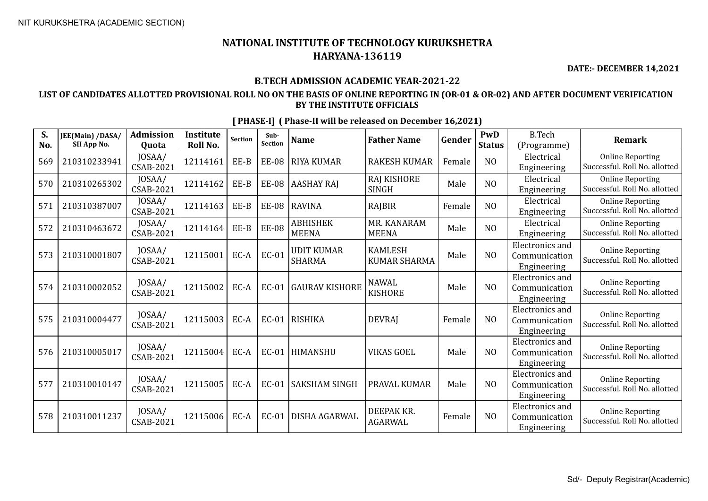**DATE:- DECEMBER 14,2021**

## **B.TECH ADMISSION ACADEMIC YEAR-2021-22**

## **LIST OF CANDIDATES ALLOTTED PROVISIONAL ROLL NO ON THE BASIS OF ONLINE REPORTING IN (OR-01 & OR-02) AND AFTER DOCUMENT VERIFICATION BY THE INSTITUTE OFFICIALS**

| S.<br>No. | JEE(Main) /DASA/<br>SII App No. | <b>Admission</b><br>Ouota  | <b>Institute</b><br><b>Roll No.</b> | Section | Sub-<br><b>Section</b> | <b>Name</b>                        | <b>Father Name</b>                    | Gender | PwD<br><b>Status</b> | <b>B.Tech</b><br>(Programme)                           | <b>Remark</b>                                            |
|-----------|---------------------------------|----------------------------|-------------------------------------|---------|------------------------|------------------------------------|---------------------------------------|--------|----------------------|--------------------------------------------------------|----------------------------------------------------------|
| 569       | 210310233941                    | JOSAA/<br>CSAB-2021        | 12114161                            | EE-B    | <b>EE-08</b>           | <b>RIYA KUMAR</b>                  | <b>RAKESH KUMAR</b>                   | Female | N <sub>O</sub>       | Electrical<br>Engineering                              | <b>Online Reporting</b><br>Successful. Roll No. allotted |
| 570       | 210310265302                    | JOSAA/<br>CSAB-2021        | 12114162                            | EE-B    | <b>EE-08</b>           | <b>AASHAY RAJ</b>                  | <b>RAJ KISHORE</b><br><b>SINGH</b>    | Male   | N <sub>O</sub>       | Electrical<br>Engineering                              | <b>Online Reporting</b><br>Successful. Roll No. allotted |
| 571       | 210310387007                    | JOSAA/<br>CSAB-2021        | 12114163                            | $EE-B$  | <b>EE-08</b>           | <b>RAVINA</b>                      | RAJBIR                                | Female | N <sub>O</sub>       | Electrical<br>Engineering                              | <b>Online Reporting</b><br>Successful. Roll No. allotted |
| 572       | 210310463672                    | JOSAA/<br>CSAB-2021        | 12114164                            | EE-B    | <b>EE-08</b>           | <b>ABHISHEK</b><br><b>MEENA</b>    | MR. KANARAM<br><b>MEENA</b>           | Male   | N <sub>0</sub>       | Electrical<br>Engineering                              | <b>Online Reporting</b><br>Successful. Roll No. allotted |
| 573       | 210310001807                    | JOSAA/<br>CSAB-2021        | 12115001                            | EC-A    | <b>EC-01</b>           | <b>UDIT KUMAR</b><br><b>SHARMA</b> | <b>KAMLESH</b><br><b>KUMAR SHARMA</b> | Male   | N <sub>O</sub>       | <b>Electronics</b> and<br>Communication<br>Engineering | <b>Online Reporting</b><br>Successful. Roll No. allotted |
| 574       | 210310002052                    | JOSAA/<br>CSAB-2021        | 12115002                            | EC-A    | <b>EC-01</b>           | <b>GAURAV KISHORE</b>              | <b>NAWAL</b><br><b>KISHORE</b>        | Male   | N <sub>O</sub>       | Electronics and<br>Communication<br>Engineering        | <b>Online Reporting</b><br>Successful. Roll No. allotted |
| 575       | 210310004477                    | JOSAA/<br>CSAB-2021        | 12115003                            | EC-A    | <b>EC-01</b>           | <b>RISHIKA</b>                     | <b>DEVRAJ</b>                         | Female | NO                   | Electronics and<br>Communication<br>Engineering        | <b>Online Reporting</b><br>Successful. Roll No. allotted |
| 576       | 210310005017                    | JOSAA/<br><b>CSAB-2021</b> | 12115004                            | EC-A    | EC-01                  | <b>HIMANSHU</b>                    | <b>VIKAS GOEL</b>                     | Male   | N <sub>0</sub>       | Electronics and<br>Communication<br>Engineering        | <b>Online Reporting</b><br>Successful. Roll No. allotted |
| 577       | 210310010147                    | JOSAA/<br>CSAB-2021        | 12115005                            | EC-A    | <b>EC-01</b>           | <b>SAKSHAM SINGH</b>               | PRAVAL KUMAR                          | Male   | N <sub>O</sub>       | Electronics and<br>Communication<br>Engineering        | <b>Online Reporting</b><br>Successful. Roll No. allotted |
| 578       | 210310011237                    | JOSAA/<br><b>CSAB-2021</b> | 12115006                            | EC-A    | <b>EC-01</b>           | DISHA AGARWAL                      | DEEPAK KR.<br><b>AGARWAL</b>          | Female | N <sub>O</sub>       | Electronics and<br>Communication<br>Engineering        | <b>Online Reporting</b><br>Successful. Roll No. allotted |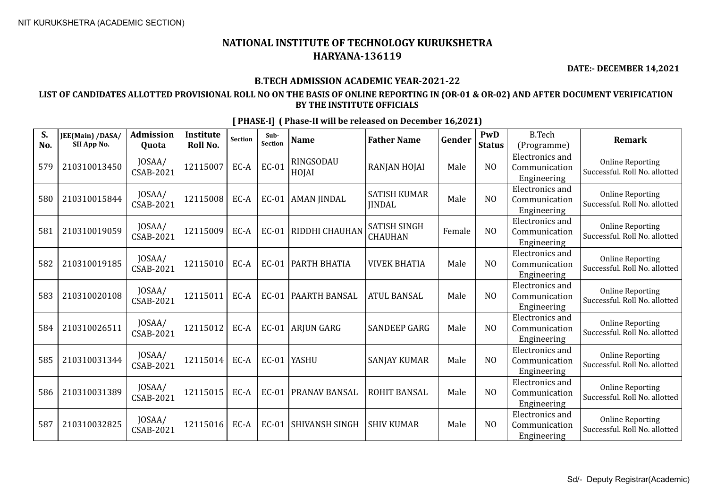**DATE:- DECEMBER 14,2021**

## **B.TECH ADMISSION ACADEMIC YEAR-2021-22**

## **LIST OF CANDIDATES ALLOTTED PROVISIONAL ROLL NO ON THE BASIS OF ONLINE REPORTING IN (OR-01 & OR-02) AND AFTER DOCUMENT VERIFICATION BY THE INSTITUTE OFFICIALS**

| S.<br>No. | JEE(Main) /DASA/<br>SII App No. | <b>Admission</b><br>Quota  | <b>Institute</b><br>Roll No. | Section | Sub-<br>Section | <b>Name</b>               | <b>Father Name</b>                   | Gender | PwD<br><b>Status</b> | <b>B.Tech</b><br>(Programme)                           | Remark                                                   |
|-----------|---------------------------------|----------------------------|------------------------------|---------|-----------------|---------------------------|--------------------------------------|--------|----------------------|--------------------------------------------------------|----------------------------------------------------------|
| 579       | 210310013450                    | JOSAA/<br><b>CSAB-2021</b> | 12115007                     | EC-A    | EC-01           | <b>RINGSODAU</b><br>HOJAI | RANJAN HOJAI                         | Male   | NO                   | Electronics and<br>Communication<br>Engineering        | <b>Online Reporting</b><br>Successful. Roll No. allotted |
| 580       | 210310015844                    | JOSAA/<br>CSAB-2021        | 12115008                     | EC-A    | EC-01           | <b>AMAN JINDAL</b>        | <b>SATISH KUMAR</b><br><b>IINDAL</b> | Male   | N <sub>0</sub>       | Electronics and<br>Communication<br>Engineering        | <b>Online Reporting</b><br>Successful, Roll No. allotted |
| 581       | 210310019059                    | JOSAA/<br><b>CSAB-2021</b> | 12115009                     | EC-A    | EC-01           | RIDDHI CHAUHAN            | <b>SATISH SINGH</b><br>CHAUHAN       | Female | N <sub>0</sub>       | Electronics and<br>Communication<br>Engineering        | <b>Online Reporting</b><br>Successful. Roll No. allotted |
| 582       | 210310019185                    | JOSAA/<br>CSAB-2021        | 12115010                     | EC-A    | <b>EC-01</b>    | PARTH BHATIA              | <b>VIVEK BHATIA</b>                  | Male   | N <sub>0</sub>       | <b>Electronics</b> and<br>Communication<br>Engineering | <b>Online Reporting</b><br>Successful. Roll No. allotted |
| 583       | 210310020108                    | JOSAA/<br>CSAB-2021        | 12115011                     | EC-A    | <b>EC-01</b>    | PAARTH BANSAL             | <b>ATUL BANSAL</b>                   | Male   | N <sub>O</sub>       | Electronics and<br>Communication<br>Engineering        | <b>Online Reporting</b><br>Successful, Roll No. allotted |
| 584       | 210310026511                    | JOSAA/<br><b>CSAB-2021</b> | 12115012                     | EC-A    | $EC-01$         | <b>ARJUN GARG</b>         | <b>SANDEEP GARG</b>                  | Male   | N <sub>0</sub>       | <b>Electronics</b> and<br>Communication<br>Engineering | <b>Online Reporting</b><br>Successful. Roll No. allotted |
| 585       | 210310031344                    | JOSAA/<br><b>CSAB-2021</b> | 12115014                     | EC-A    | EC-01           | <b>YASHU</b>              | <b>SANJAY KUMAR</b>                  | Male   | N <sub>0</sub>       | Electronics and<br>Communication<br>Engineering        | <b>Online Reporting</b><br>Successful. Roll No. allotted |
| 586       | 210310031389                    | JOSAA/<br><b>CSAB-2021</b> | 12115015                     | EC-A    | <b>EC-01</b>    | PRANAV BANSAL             | ROHIT BANSAL                         | Male   | N <sub>0</sub>       | Electronics and<br>Communication<br>Engineering        | <b>Online Reporting</b><br>Successful. Roll No. allotted |
| 587       | 210310032825                    | JOSAA/<br>CSAB-2021        | 12115016                     | EC-A    | EC-01           | SHIVANSH SINGH            | <b>SHIV KUMAR</b>                    | Male   | N <sub>0</sub>       | Electronics and<br>Communication<br>Engineering        | <b>Online Reporting</b><br>Successful. Roll No. allotted |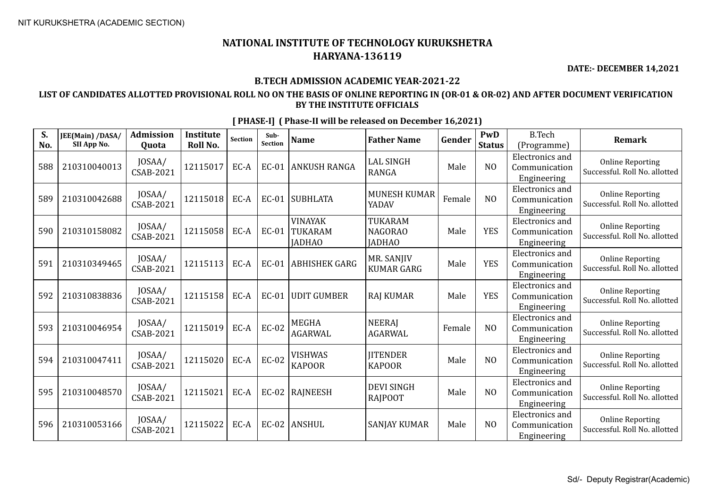**DATE:- DECEMBER 14,2021**

## **B.TECH ADMISSION ACADEMIC YEAR-2021-22**

## **LIST OF CANDIDATES ALLOTTED PROVISIONAL ROLL NO ON THE BASIS OF ONLINE REPORTING IN (OR-01 & OR-02) AND AFTER DOCUMENT VERIFICATION BY THE INSTITUTE OFFICIALS**

| S.<br>No. | JEE(Main) /DASA/<br>SII App No. | <b>Admission</b><br>Quota  | <b>Institute</b><br>Roll No. | <b>Section</b> | Sub-<br><b>Section</b> | <b>Name</b>                                | <b>Father Name</b>                         | Gender | PwD<br><b>Status</b> | <b>B.Tech</b><br>(Programme)                           | <b>Remark</b>                                            |
|-----------|---------------------------------|----------------------------|------------------------------|----------------|------------------------|--------------------------------------------|--------------------------------------------|--------|----------------------|--------------------------------------------------------|----------------------------------------------------------|
| 588       | 210310040013                    | JOSAA/<br><b>CSAB-2021</b> | 12115017                     | EC-A           | <b>EC-01</b>           | <b>ANKUSH RANGA</b>                        | <b>LAL SINGH</b><br><b>RANGA</b>           | Male   | N <sub>O</sub>       | <b>Electronics</b> and<br>Communication<br>Engineering | <b>Online Reporting</b><br>Successful. Roll No. allotted |
| 589       | 210310042688                    | JOSAA/<br>CSAB-2021        | 12115018                     | EC-A           | EC-01                  | <b>SUBHLATA</b>                            | <b>MUNESH KUMAR</b><br>YADAV               | Female | N <sub>O</sub>       | <b>Electronics</b> and<br>Communication<br>Engineering | <b>Online Reporting</b><br>Successful. Roll No. allotted |
| 590       | 210310158082                    | JOSAA/<br>CSAB-2021        | 12115058                     | EC-A           | <b>EC-01</b>           | <b>VINAYAK</b><br>TUKARAM<br><b>IADHAO</b> | TUKARAM<br><b>NAGORAO</b><br><b>JADHAO</b> | Male   | <b>YES</b>           | Electronics and<br>Communication<br>Engineering        | <b>Online Reporting</b><br>Successful. Roll No. allotted |
| 591       | 210310349465                    | JOSAA/<br>CSAB-2021        | 12115113                     | EC-A           | EC-01                  | <b>ABHISHEK GARG</b>                       | MR. SANJIV<br><b>KUMAR GARG</b>            | Male   | <b>YES</b>           | <b>Electronics</b> and<br>Communication<br>Engineering | <b>Online Reporting</b><br>Successful. Roll No. allotted |
| 592       | 210310838836                    | JOSAA/<br><b>CSAB-2021</b> | 12115158                     | EC-A           | <b>EC-01</b>           | UDIT GUMBER                                | <b>RAJ KUMAR</b>                           | Male   | <b>YES</b>           | <b>Electronics</b> and<br>Communication<br>Engineering | <b>Online Reporting</b><br>Successful. Roll No. allotted |
| 593       | 210310046954                    | JOSAA/<br>CSAB-2021        | 12115019                     | EC-A           | <b>EC-02</b>           | <b>MEGHA</b><br><b>AGARWAL</b>             | <b>NEERAI</b><br><b>AGARWAL</b>            | Female | N <sub>O</sub>       | <b>Electronics</b> and<br>Communication<br>Engineering | <b>Online Reporting</b><br>Successful. Roll No. allotted |
| 594       | 210310047411                    | JOSAA/<br><b>CSAB-2021</b> | 12115020                     | EC-A           | <b>EC-02</b>           | <b>VISHWAS</b><br><b>KAPOOR</b>            | <b>IITENDER</b><br><b>KAPOOR</b>           | Male   | N <sub>O</sub>       | <b>Electronics</b> and<br>Communication<br>Engineering | <b>Online Reporting</b><br>Successful. Roll No. allotted |
| 595       | 210310048570                    | JOSAA/<br><b>CSAB-2021</b> | 12115021                     | EC-A           |                        | EC-02   RAJNEESH                           | <b>DEVI SINGH</b><br><b>RAIPOOT</b>        | Male   | N <sub>O</sub>       | <b>Electronics and</b><br>Communication<br>Engineering | <b>Online Reporting</b><br>Successful. Roll No. allotted |
| 596       | 210310053166                    | JOSAA/<br>CSAB-2021        | 12115022                     | EC-A           | $EC-02$                | ANSHUL                                     | <b>SANJAY KUMAR</b>                        | Male   | N <sub>0</sub>       | <b>Electronics</b> and<br>Communication<br>Engineering | <b>Online Reporting</b><br>Successful. Roll No. allotted |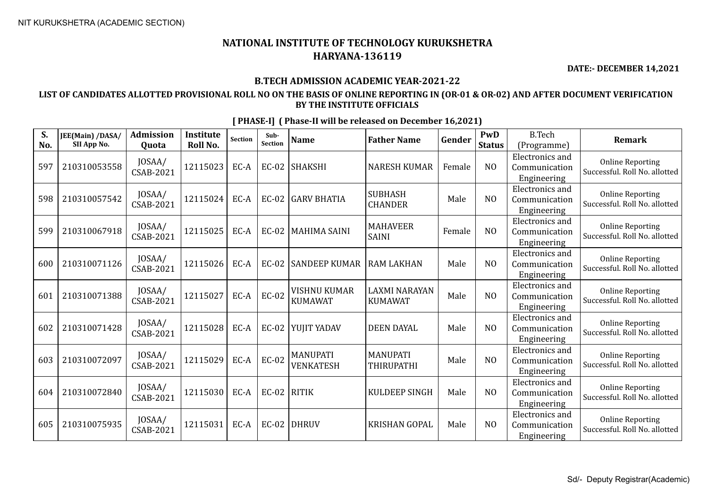**DATE:- DECEMBER 14,2021**

## **B.TECH ADMISSION ACADEMIC YEAR-2021-22**

## **LIST OF CANDIDATES ALLOTTED PROVISIONAL ROLL NO ON THE BASIS OF ONLINE REPORTING IN (OR-01 & OR-02) AND AFTER DOCUMENT VERIFICATION BY THE INSTITUTE OFFICIALS**

| S.<br>No. | JEE(Main) /DASA/<br>SII App No. | <b>Admission</b><br>Quota  | Institute<br><b>Roll No.</b> | <b>Section</b> | Sub-<br>Section | <b>Name</b>                           | <b>Father Name</b>                     | Gender | PwD<br><b>Status</b> | <b>B.Tech</b><br>(Programme)                           | <b>Remark</b>                                            |
|-----------|---------------------------------|----------------------------|------------------------------|----------------|-----------------|---------------------------------------|----------------------------------------|--------|----------------------|--------------------------------------------------------|----------------------------------------------------------|
| 597       | 210310053558                    | JOSAA/<br><b>CSAB-2021</b> | 12115023                     | EC-A           | $EC-02$         | <b>SHAKSHI</b>                        | <b>NARESH KUMAR</b>                    | Female | N <sub>O</sub>       | <b>Electronics</b> and<br>Communication<br>Engineering | <b>Online Reporting</b><br>Successful. Roll No. allotted |
| 598       | 210310057542                    | JOSAA/<br>CSAB-2021        | 12115024                     | EC-A           | <b>EC-02</b>    | <b>GARV BHATIA</b>                    | <b>SUBHASH</b><br><b>CHANDER</b>       | Male   | N <sub>O</sub>       | <b>Electronics</b> and<br>Communication<br>Engineering | <b>Online Reporting</b><br>Successful. Roll No. allotted |
| 599       | 210310067918                    | JOSAA/<br>CSAB-2021        | 12115025                     | EC-A           | <b>EC-02</b>    | <b>MAHIMA SAINI</b>                   | <b>MAHAVEER</b><br><b>SAINI</b>        | Female | N <sub>O</sub>       | Electronics and<br>Communication<br>Engineering        | <b>Online Reporting</b><br>Successful. Roll No. allotted |
| 600       | 210310071126                    | JOSAA/<br><b>CSAB-2021</b> | 12115026                     | EC-A           | <b>EC-02</b>    | <b>SANDEEP KUMAR</b>                  | <b>RAM LAKHAN</b>                      | Male   | N <sub>O</sub>       | <b>Electronics</b> and<br>Communication<br>Engineering | <b>Online Reporting</b><br>Successful. Roll No. allotted |
| 601       | 210310071388                    | JOSAA/<br><b>CSAB-2021</b> | 12115027                     | EC-A           | <b>EC-02</b>    | <b>VISHNU KUMAR</b><br><b>KUMAWAT</b> | <b>LAXMI NARAYAN</b><br><b>KUMAWAT</b> | Male   | N <sub>O</sub>       | <b>Electronics</b> and<br>Communication<br>Engineering | <b>Online Reporting</b><br>Successful. Roll No. allotted |
| 602       | 210310071428                    | JOSAA/<br><b>CSAB-2021</b> | 12115028                     | EC-A           | $EC-02$         | YUJIT YADAV                           | <b>DEEN DAYAL</b>                      | Male   | N <sub>O</sub>       | Electronics and<br>Communication<br>Engineering        | <b>Online Reporting</b><br>Successful. Roll No. allotted |
| 603       | 210310072097                    | JOSAA/<br><b>CSAB-2021</b> | 12115029                     | EC-A           | <b>EC-02</b>    | <b>MANUPATI</b><br><b>VENKATESH</b>   | <b>MANUPATI</b><br><b>THIRUPATHI</b>   | Male   | N <sub>O</sub>       | <b>Electronics</b> and<br>Communication<br>Engineering | <b>Online Reporting</b><br>Successful. Roll No. allotted |
| 604       | 210310072840                    | JOSAA/<br><b>CSAB-2021</b> | 12115030                     | EC-A           | $EC-02$         | RITIK                                 | <b>KULDEEP SINGH</b>                   | Male   | N <sub>O</sub>       | <b>Electronics</b> and<br>Communication<br>Engineering | <b>Online Reporting</b><br>Successful. Roll No. allotted |
| 605       | 210310075935                    | JOSAA/<br>CSAB-2021        | 12115031                     | EC-A           | <b>EC-02</b>    | DHRUV                                 | <b>KRISHAN GOPAL</b>                   | Male   | N <sub>O</sub>       | <b>Electronics</b> and<br>Communication<br>Engineering | <b>Online Reporting</b><br>Successful. Roll No. allotted |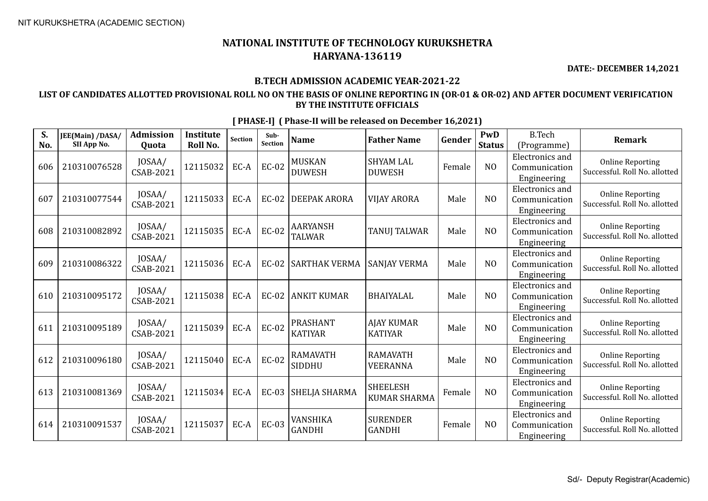**DATE:- DECEMBER 14,2021**

#### **B.TECH ADMISSION ACADEMIC YEAR-2021-22**

### **LIST OF CANDIDATES ALLOTTED PROVISIONAL ROLL NO ON THE BASIS OF ONLINE REPORTING IN (OR-01 & OR-02) AND AFTER DOCUMENT VERIFICATION BY THE INSTITUTE OFFICIALS**

**S. No. JEE(Main) /DASA/ SII App No. Admission Quota Institute Roll No.** Section **Sub-**<br>Section **Sub- Name Father Name Gender PWD Status** B.Tech (Programme) **Remark** 606 210310076528 JOSAA/  $\begin{array}{c|c}$  JOSAA/ 12115032 EC-A EC-02 MUSKAN<br>CSAB-2021 12115032 EC-A EC-02 DUWESH DUWESH SHYAM LAL DIJUNESH Female NO Electronics and Communication Engineering Online Reporting Successful. Roll No. allotted 607 210310077544 JOSAA/  $\begin{array}{c|c|c|c|c|c} \text{CSAB-2021} & \text{12115033} & \text{EC-A} & \text{EC-02} & \text{DEEPAK ARORA} & \text{VIJAY ARORA} & \text{Male} & \text{N0} \end{array}$ Electronics and Communication Engineering Online Reporting Successful. Roll No. allotted 608 210310082892  $\Big| \begin{array}{c} 10SAA/ \\ CSAB-2021 \end{array}$  $\begin{array}{c|c|c|c} \text{JOSAA/} & \text{12115035} & \text{EC-A} & \text{EC-02} & \text{AARYANSH} \\ \text{CSAB-2021} & & & \text{TLWAR} & \text{TLWAR} \end{array}$ AARYANSH |<br>TALWAR | TANUJ TALWAR | Male | NO Electronics and Communication Engineering Online Reporting Successful. Roll No. allotted 609 210310086322  $\big| \frac{10}{10}$   $\big| \frac{10}{10}$  $\begin{bmatrix} 0.03 \text{AA} \\ \text{CSAB-2021} \end{bmatrix}$  12115036 EC-A EC-02 SARTHAK VERMA SANJAY VERMA  $\begin{bmatrix} 0.03 \text{AA} \\ \text{B} \end{bmatrix}$  Male  $\begin{bmatrix} 0.03 \text{AA} \\ \text{B} \end{bmatrix}$ Electronics and Communication Engineering Online Reporting Successful. Roll No. allotted 610 210310095172  $\Big| \frac{JOSAA}{CSAB-2021}$  $\begin{bmatrix} 0.03 \text{A} \\ \text{CSAB-2021} \end{bmatrix}$  12115038 EC-A EC-02 ANKIT KUMAR BHAIYALAL  $\begin{bmatrix} 0.03 \text{A} \\ \text{B} \end{bmatrix}$  Male  $\begin{bmatrix} 0.03 \text{A} \\ \text{A} \end{bmatrix}$ Electronics and Communication Engineering Online Reporting Successful. Roll No. allotted 611 210310095189  $\bigg| \begin{array}{c} 10SAA/ \\ CSAB-2021 \end{array}$  $\begin{array}{c|c|c|c} \text{JOSAA/} & \text{12115039} & \text{EC-A} & \text{EC-02} & \text{PRASHANT} \\ \text{CSAB-2021} & & & & \text{KATIYAR} \end{array}$ KATIYAR AJAY KUMAR KATIYAR Male NO Electronics and Communication Engineering Online Reporting Successful. Roll No. allotted 612 210310096180 JOSAA/  $\begin{array}{c|c|c|c} \text{JOSAA/} & \text{12115040} & \text{EC-A} & \text{EC-02} & \text{RAMAVATH} \\ \text{CSAB-2021} & & & & \text{SIDDHU} \end{array}$ SIDDHU RAMAVATH VEERANNA Male NO Electronics and Communication Engineering Online Reporting Successful. Roll No. allotted 613 210310081369 JOSAA/  $\left| \begin{array}{c} 2115034 \end{array} \right|$  EC-A  $\left| \begin{array}{c} 203 \end{array} \right|$  SHELJA SHARMA  $\left| \begin{array}{c} 3 \end{array} \right|$  SHEELESH SILELLESII<br>KUMAR SHARMA Female NO Electronics and Communication Engineering Online Reporting Successful. Roll No. allotted 614 210310091537  $\Big|\n \begin{array}{c} 10SAA/ \\ CSAB-2021 \end{array}\n \Big|$  $\begin{array}{c|c|c|c} \text{JOSAA/} & \text{12115037} & \text{EC-A} & \text{EC-03} & \text{VANSHIKA} \\ \text{CSAB-2021} & \text{12115037} & \text{EC-A} & \text{EC-03} & \text{GANDHI} \end{array}$ GANDHI SURENDER GANDHI Female NO Electronics and Communication Engineering Online Reporting Successful. Roll No. allotted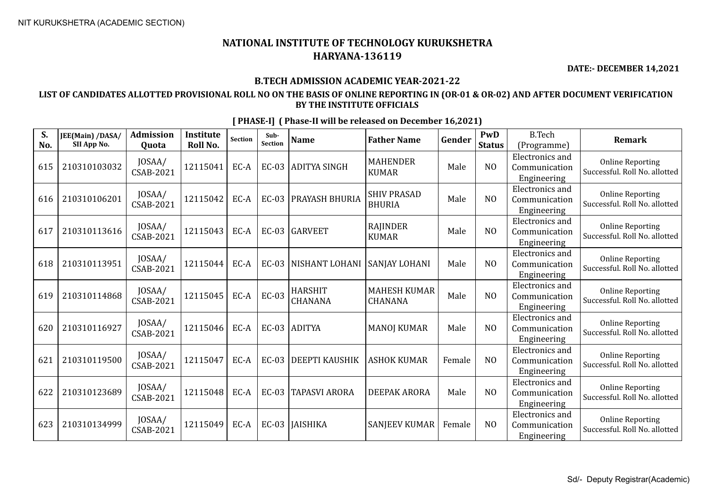**DATE:- DECEMBER 14,2021**

## **B.TECH ADMISSION ACADEMIC YEAR-2021-22**

## **LIST OF CANDIDATES ALLOTTED PROVISIONAL ROLL NO ON THE BASIS OF ONLINE REPORTING IN (OR-01 & OR-02) AND AFTER DOCUMENT VERIFICATION BY THE INSTITUTE OFFICIALS**

| S.<br>No. | JEE(Main) /DASA/<br>SII App No. | <b>Admission</b><br>Quota  | Institute<br>Roll No. | <b>Section</b> | Sub-<br>Section | <b>Name</b>               | <b>Father Name</b>                    | Gender | PwD<br><b>Status</b> | <b>B.Tech</b><br>(Programme)                           | <b>Remark</b>                                            |
|-----------|---------------------------------|----------------------------|-----------------------|----------------|-----------------|---------------------------|---------------------------------------|--------|----------------------|--------------------------------------------------------|----------------------------------------------------------|
| 615       | 210310103032                    | JOSAA/<br><b>CSAB-2021</b> | 12115041              | EC-A           | $EC-03$         | ADITYA SINGH              | <b>MAHENDER</b><br><b>KUMAR</b>       | Male   | N <sub>O</sub>       | <b>Electronics</b> and<br>Communication<br>Engineering | <b>Online Reporting</b><br>Successful. Roll No. allotted |
| 616       | 210310106201                    | JOSAA/<br><b>CSAB-2021</b> | 12115042              | EC-A           | <b>EC-03</b>    | <b>PRAYASH BHURIA</b>     | <b>SHIV PRASAD</b><br><b>BHURIA</b>   | Male   | N <sub>O</sub>       | <b>Electronics</b> and<br>Communication<br>Engineering | <b>Online Reporting</b><br>Successful. Roll No. allotted |
| 617       | 210310113616                    | JOSAA/<br>CSAB-2021        | 12115043              | EC-A           | $EC-03$         | <b>GARVEET</b>            | <b>RAJINDER</b><br><b>KUMAR</b>       | Male   | N <sub>O</sub>       | <b>Electronics</b> and<br>Communication<br>Engineering | <b>Online Reporting</b><br>Successful. Roll No. allotted |
| 618       | 210310113951                    | JOSAA/<br>CSAB-2021        | 12115044              | EC-A           | <b>EC-03</b>    | <b>NISHANT LOHANI</b>     | <b>SANJAY LOHANI</b>                  | Male   | N <sub>O</sub>       | <b>Electronics</b> and<br>Communication<br>Engineering | <b>Online Reporting</b><br>Successful. Roll No. allotted |
| 619       | 210310114868                    | JOSAA/<br><b>CSAB-2021</b> | 12115045              | EC-A           | <b>EC-03</b>    | <b>HARSHIT</b><br>CHANANA | <b>MAHESH KUMAR</b><br><b>CHANANA</b> | Male   | N <sub>O</sub>       | <b>Electronics</b> and<br>Communication<br>Engineering | <b>Online Reporting</b><br>Successful. Roll No. allotted |
| 620       | 210310116927                    | JOSAA/<br>CSAB-2021        | 12115046              | EC-A           |                 | EC-03 ADITYA              | <b>MANOJ KUMAR</b>                    | Male   | N <sub>O</sub>       | Electronics and<br>Communication<br>Engineering        | <b>Online Reporting</b><br>Successful. Roll No. allotted |
| 621       | 210310119500                    | JOSAA/<br><b>CSAB-2021</b> | 12115047              | EC-A           | $EC-03$         | DEEPTI KAUSHIK            | <b>ASHOK KUMAR</b>                    | Female | N <sub>O</sub>       | Electronics and<br>Communication<br>Engineering        | <b>Online Reporting</b><br>Successful. Roll No. allotted |
| 622       | 210310123689                    | JOSAA/<br>CSAB-2021        | 12115048              | EC-A           | $EC-03$         | <b>TAPASVI ARORA</b>      | <b>DEEPAK ARORA</b>                   | Male   | N <sub>O</sub>       | <b>Electronics</b> and<br>Communication<br>Engineering | <b>Online Reporting</b><br>Successful. Roll No. allotted |
| 623       | 210310134999                    | JOSAA/<br><b>CSAB-2021</b> | 12115049              | EC-A           |                 | EC-03   JAISHIKA          | <b>SANJEEV KUMAR</b>                  | Female | N <sub>O</sub>       | Electronics and<br>Communication<br>Engineering        | <b>Online Reporting</b><br>Successful. Roll No. allotted |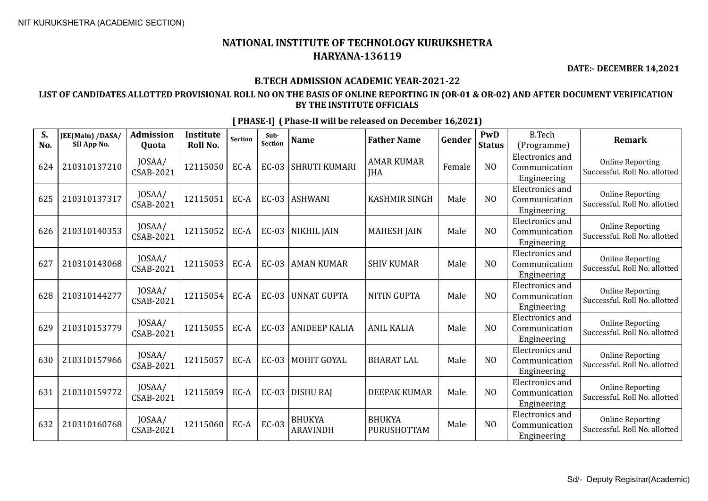**DATE:- DECEMBER 14,2021**

## **B.TECH ADMISSION ACADEMIC YEAR-2021-22**

## **LIST OF CANDIDATES ALLOTTED PROVISIONAL ROLL NO ON THE BASIS OF ONLINE REPORTING IN (OR-01 & OR-02) AND AFTER DOCUMENT VERIFICATION BY THE INSTITUTE OFFICIALS**

| S.<br>No. | JEE(Main) /DASA/<br>SII App No. | <b>Admission</b><br>Quota  | <b>Institute</b><br>Roll No. | <b>Section</b> | Sub-<br>Section | <b>Name</b>                      | <b>Father Name</b>              | Gender | PwD<br><b>Status</b> | <b>B.Tech</b><br>(Programme)                           | <b>Remark</b>                                            |
|-----------|---------------------------------|----------------------------|------------------------------|----------------|-----------------|----------------------------------|---------------------------------|--------|----------------------|--------------------------------------------------------|----------------------------------------------------------|
| 624       | 210310137210                    | JOSAA/<br><b>CSAB-2021</b> | 12115050                     | EC-A           | <b>EC-03</b>    | <b>SHRUTI KUMARI</b>             | <b>AMAR KUMAR</b><br><b>IHA</b> | Female | N <sub>O</sub>       | <b>Electronics</b> and<br>Communication<br>Engineering | <b>Online Reporting</b><br>Successful. Roll No. allotted |
| 625       | 210310137317                    | JOSAA/<br>CSAB-2021        | 12115051                     | EC-A           | EC-03           | <b>ASHWANI</b>                   | <b>KASHMIR SINGH</b>            | Male   | N <sub>O</sub>       | <b>Electronics</b> and<br>Communication<br>Engineering | <b>Online Reporting</b><br>Successful. Roll No. allotted |
| 626       | 210310140353                    | JOSAA/<br>CSAB-2021        | 12115052                     | EC-A           |                 | EC-03   NIKHIL JAIN              | <b>MAHESH JAIN</b>              | Male   | N <sub>0</sub>       | <b>Electronics</b> and<br>Communication<br>Engineering | <b>Online Reporting</b><br>Successful. Roll No. allotted |
| 627       | 210310143068                    | JOSAA/<br>CSAB-2021        | 12115053                     | EC-A           | <b>EC-03</b>    | AMAN KUMAR                       | <b>SHIV KUMAR</b>               | Male   | N <sub>O</sub>       | <b>Electronics</b> and<br>Communication<br>Engineering | <b>Online Reporting</b><br>Successful. Roll No. allotted |
| 628       | 210310144277                    | JOSAA/<br>CSAB-2021        | 12115054                     | EC-A           | $EC-03$         | <b>UNNAT GUPTA</b>               | <b>NITIN GUPTA</b>              | Male   | N <sub>0</sub>       | <b>Electronics</b> and<br>Communication<br>Engineering | <b>Online Reporting</b><br>Successful. Roll No. allotted |
| 629       | 210310153779                    | JOSAA/<br><b>CSAB-2021</b> | 12115055                     | EC-A           | $EC-03$         | <b>ANIDEEP KALIA</b>             | <b>ANIL KALIA</b>               | Male   | N <sub>O</sub>       | <b>Electronics and</b><br>Communication<br>Engineering | <b>Online Reporting</b><br>Successful. Roll No. allotted |
| 630       | 210310157966                    | JOSAA/<br><b>CSAB-2021</b> | 12115057                     | EC-A           | $EC-03$         | MOHIT GOYAL                      | <b>BHARAT LAL</b>               | Male   | N <sub>O</sub>       | <b>Electronics</b> and<br>Communication<br>Engineering | <b>Online Reporting</b><br>Successful. Roll No. allotted |
| 631       | 210310159772                    | JOSAA/<br><b>CSAB-2021</b> | 12115059                     | EC-A           | $EC-03$         | DISHU RAJ                        | <b>DEEPAK KUMAR</b>             | Male   | N <sub>O</sub>       | <b>Electronics</b> and<br>Communication<br>Engineering | <b>Online Reporting</b><br>Successful. Roll No. allotted |
| 632       | 210310160768                    | JOSAA/<br>CSAB-2021        | 12115060                     | EC-A           | <b>EC-03</b>    | <b>BHUKYA</b><br><b>ARAVINDH</b> | <b>BHUKYA</b><br>PURUSHOTTAM    | Male   | N <sub>O</sub>       | <b>Electronics</b> and<br>Communication<br>Engineering | <b>Online Reporting</b><br>Successful. Roll No. allotted |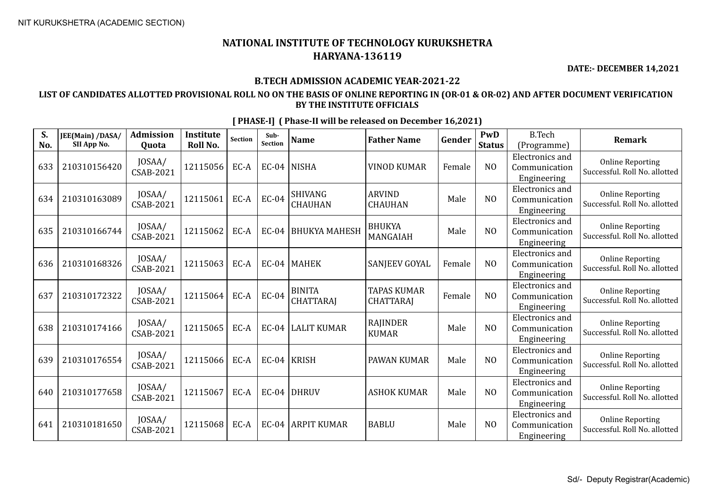**DATE:- DECEMBER 14,2021**

## **B.TECH ADMISSION ACADEMIC YEAR-2021-22**

## **LIST OF CANDIDATES ALLOTTED PROVISIONAL ROLL NO ON THE BASIS OF ONLINE REPORTING IN (OR-01 & OR-02) AND AFTER DOCUMENT VERIFICATION BY THE INSTITUTE OFFICIALS**

| S.<br>No. | JEE(Main) /DASA/<br>SII App No. | <b>Admission</b><br>Quota  | Institute<br>Roll No. | <b>Section</b> | Sub-<br>Section | <b>Name</b>                       | <b>Father Name</b>                     | Gender | PwD<br><b>Status</b> | <b>B.Tech</b><br>(Programme)                           | <b>Remark</b>                                            |
|-----------|---------------------------------|----------------------------|-----------------------|----------------|-----------------|-----------------------------------|----------------------------------------|--------|----------------------|--------------------------------------------------------|----------------------------------------------------------|
| 633       | 210310156420                    | JOSAA/<br><b>CSAB-2021</b> | 12115056              | EC-A           |                 | $EC-04$ NISHA                     | <b>VINOD KUMAR</b>                     | Female | N <sub>O</sub>       | <b>Electronics</b> and<br>Communication<br>Engineering | <b>Online Reporting</b><br>Successful. Roll No. allotted |
| 634       | 210310163089                    | JOSAA/<br>CSAB-2021        | 12115061              | EC-A           | <b>EC-04</b>    | <b>SHIVANG</b><br><b>CHAUHAN</b>  | <b>ARVIND</b><br><b>CHAUHAN</b>        | Male   | N <sub>O</sub>       | <b>Electronics</b> and<br>Communication<br>Engineering | <b>Online Reporting</b><br>Successful. Roll No. allotted |
| 635       | 210310166744                    | JOSAA/<br>CSAB-2021        | 12115062              | EC-A           | <b>EC-04</b>    | BHUKYA MAHESH                     | <b>BHUKYA</b><br>MANGAIAH              | Male   | N <sub>O</sub>       | <b>Electronics</b> and<br>Communication<br>Engineering | <b>Online Reporting</b><br>Successful. Roll No. allotted |
| 636       | 210310168326                    | JOSAA/<br><b>CSAB-2021</b> | 12115063              | EC-A           | $EC-04$         | MAHEK                             | SANJEEV GOYAL                          | Female | N <sub>O</sub>       | <b>Electronics and</b><br>Communication<br>Engineering | <b>Online Reporting</b><br>Successful. Roll No. allotted |
| 637       | 210310172322                    | JOSAA/<br><b>CSAB-2021</b> | 12115064              | EC-A           | <b>EC-04</b>    | <b>BINITA</b><br><b>CHATTARAJ</b> | <b>TAPAS KUMAR</b><br><b>CHATTARAJ</b> | Female | N <sub>O</sub>       | <b>Electronics</b> and<br>Communication<br>Engineering | <b>Online Reporting</b><br>Successful. Roll No. allotted |
| 638       | 210310174166                    | JOSAA/<br>CSAB-2021        | 12115065              | EC-A           | $EC-04$         | <b>LALIT KUMAR</b>                | <b>RAJINDER</b><br><b>KUMAR</b>        | Male   | N <sub>O</sub>       | <b>Electronics and</b><br>Communication<br>Engineering | <b>Online Reporting</b><br>Successful. Roll No. allotted |
| 639       | 210310176554                    | JOSAA/<br><b>CSAB-2021</b> | 12115066              | EC-A           |                 | EC-04   KRISH                     | PAWAN KUMAR                            | Male   | N <sub>O</sub>       | <b>Electronics</b> and<br>Communication<br>Engineering | <b>Online Reporting</b><br>Successful. Roll No. allotted |
| 640       | 210310177658                    | JOSAA/<br><b>CSAB-2021</b> | 12115067              | EC-A           |                 | $EC-04$ DHRUV                     | <b>ASHOK KUMAR</b>                     | Male   | N <sub>O</sub>       | <b>Electronics</b> and<br>Communication<br>Engineering | <b>Online Reporting</b><br>Successful. Roll No. allotted |
| 641       | 210310181650                    | JOSAA/<br>CSAB-2021        | 12115068              | EC-A           |                 | EC-04 ARPIT KUMAR                 | <b>BABLU</b>                           | Male   | N <sub>O</sub>       | Electronics and<br>Communication<br>Engineering        | <b>Online Reporting</b><br>Successful. Roll No. allotted |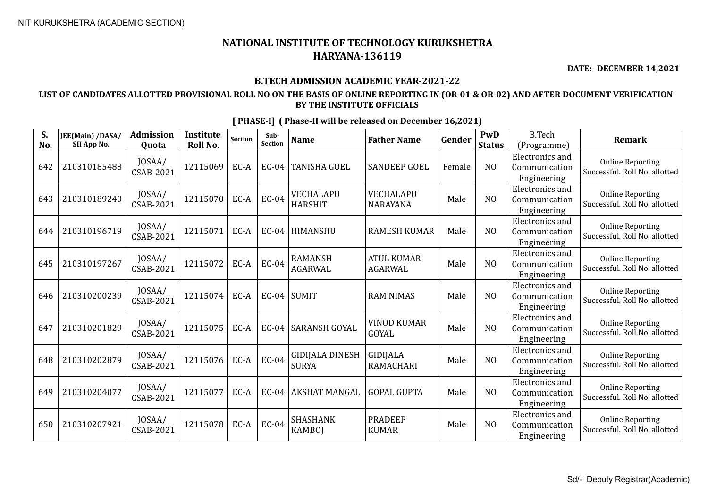**DATE:- DECEMBER 14,2021**

## **B.TECH ADMISSION ACADEMIC YEAR-2021-22**

## **LIST OF CANDIDATES ALLOTTED PROVISIONAL ROLL NO ON THE BASIS OF ONLINE REPORTING IN (OR-01 & OR-02) AND AFTER DOCUMENT VERIFICATION BY THE INSTITUTE OFFICIALS**

| S.<br>No. | JEE(Main) /DASA/<br>SII App No. | <b>Admission</b><br>Quota  | <b>Institute</b><br><b>Roll No.</b> | <b>Section</b> | Sub-<br>Section | <b>Name</b>                            | <b>Father Name</b>                  | Gender | PwD<br><b>Status</b> | <b>B.Tech</b><br>(Programme)                           | <b>Remark</b>                                            |
|-----------|---------------------------------|----------------------------|-------------------------------------|----------------|-----------------|----------------------------------------|-------------------------------------|--------|----------------------|--------------------------------------------------------|----------------------------------------------------------|
| 642       | 210310185488                    | JOSAA/<br><b>CSAB-2021</b> | 12115069                            | EC-A           | <b>EC-04</b>    | <b>TANISHA GOEL</b>                    | <b>SANDEEP GOEL</b>                 | Female | N <sub>O</sub>       | <b>Electronics</b> and<br>Communication<br>Engineering | <b>Online Reporting</b><br>Successful. Roll No. allotted |
| 643       | 210310189240                    | JOSAA/<br>CSAB-2021        | 12115070                            | EC-A           | <b>EC-04</b>    | VECHALAPU<br><b>HARSHIT</b>            | VECHALAPU<br><b>NARAYANA</b>        | Male   | N <sub>O</sub>       | <b>Electronics</b> and<br>Communication<br>Engineering | <b>Online Reporting</b><br>Successful. Roll No. allotted |
| 644       | 210310196719                    | JOSAA/<br>CSAB-2021        | 12115071                            | EC-A           | $EC-04$         | <b>HIMANSHU</b>                        | <b>RAMESH KUMAR</b>                 | Male   | NO                   | <b>Electronics</b> and<br>Communication<br>Engineering | <b>Online Reporting</b><br>Successful. Roll No. allotted |
| 645       | 210310197267                    | JOSAA/<br>CSAB-2021        | 12115072                            | EC-A           | <b>EC-04</b>    | <b>RAMANSH</b><br><b>AGARWAL</b>       | <b>ATUL KUMAR</b><br><b>AGARWAL</b> | Male   | N <sub>O</sub>       | <b>Electronics</b> and<br>Communication<br>Engineering | <b>Online Reporting</b><br>Successful. Roll No. allotted |
| 646       | 210310200239                    | JOSAA/<br>CSAB-2021        | 12115074                            | EC-A           |                 | $EC-04$ SUMIT                          | <b>RAM NIMAS</b>                    | Male   | N <sub>O</sub>       | <b>Electronics</b> and<br>Communication<br>Engineering | <b>Online Reporting</b><br>Successful. Roll No. allotted |
| 647       | 210310201829                    | JOSAA/<br><b>CSAB-2021</b> | 12115075                            | EC-A           | <b>EC-04</b>    | <b>SARANSH GOYAL</b>                   | <b>VINOD KUMAR</b><br>GOYAL         | Male   | N <sub>O</sub>       | Electronics and<br>Communication<br>Engineering        | <b>Online Reporting</b><br>Successful. Roll No. allotted |
| 648       | 210310202879                    | JOSAA/<br><b>CSAB-2021</b> | 12115076                            | EC-A           | <b>EC-04</b>    | <b>GIDIJALA DINESH</b><br><b>SURYA</b> | <b>GIDIJALA</b><br>RAMACHARI        | Male   | N <sub>O</sub>       | <b>Electronics</b> and<br>Communication<br>Engineering | <b>Online Reporting</b><br>Successful. Roll No. allotted |
| 649       | 210310204077                    | JOSAA/<br><b>CSAB-2021</b> | 12115077                            | EC-A           | $EC-04$         | <b>AKSHAT MANGAL</b>                   | <b>GOPAL GUPTA</b>                  | Male   | NO                   | <b>Electronics</b> and<br>Communication<br>Engineering | <b>Online Reporting</b><br>Successful. Roll No. allotted |
| 650       | 210310207921                    | JOSAA/<br>CSAB-2021        | 12115078                            | EC-A           | <b>EC-04</b>    | <b>SHASHANK</b><br><b>KAMBOI</b>       | <b>PRADEEP</b><br><b>KUMAR</b>      | Male   | N <sub>O</sub>       | <b>Electronics</b> and<br>Communication<br>Engineering | <b>Online Reporting</b><br>Successful. Roll No. allotted |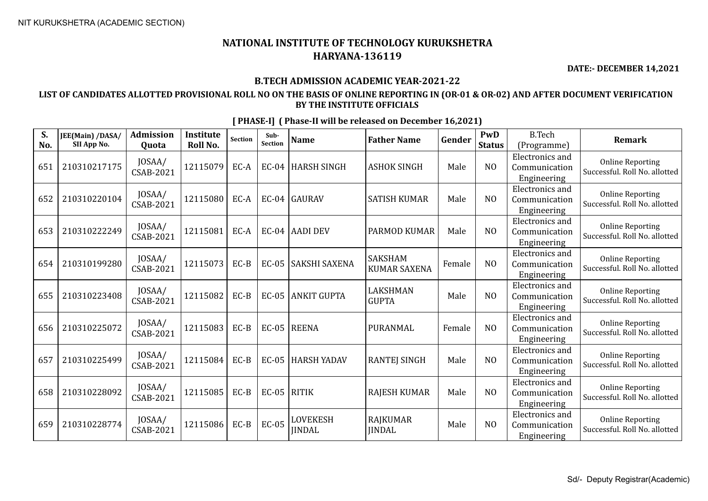**DATE:- DECEMBER 14,2021**

## **B.TECH ADMISSION ACADEMIC YEAR-2021-22**

## **LIST OF CANDIDATES ALLOTTED PROVISIONAL ROLL NO ON THE BASIS OF ONLINE REPORTING IN (OR-01 & OR-02) AND AFTER DOCUMENT VERIFICATION BY THE INSTITUTE OFFICIALS**

| S.<br>No. | JEE(Main) /DASA/<br>SII App No. | <b>Admission</b><br>Quota  | Institute<br>Roll No. | <b>Section</b> | Sub-<br>Section | <b>Name</b>                      | <b>Father Name</b>                    | Gender | PwD<br><b>Status</b> | <b>B.Tech</b><br>(Programme)                           | <b>Remark</b>                                            |
|-----------|---------------------------------|----------------------------|-----------------------|----------------|-----------------|----------------------------------|---------------------------------------|--------|----------------------|--------------------------------------------------------|----------------------------------------------------------|
| 651       | 210310217175                    | JOSAA/<br><b>CSAB-2021</b> | 12115079              | EC-A           |                 | EC-04   HARSH SINGH              | <b>ASHOK SINGH</b>                    | Male   | N <sub>O</sub>       | <b>Electronics</b> and<br>Communication<br>Engineering | <b>Online Reporting</b><br>Successful. Roll No. allotted |
| 652       | 210310220104                    | JOSAA/<br>CSAB-2021        | 12115080              | EC-A           | $EC-04$         | GAURAV                           | <b>SATISH KUMAR</b>                   | Male   | N <sub>O</sub>       | <b>Electronics</b> and<br>Communication<br>Engineering | <b>Online Reporting</b><br>Successful. Roll No. allotted |
| 653       | 210310222249                    | JOSAA/<br>CSAB-2021        | 12115081              | EC-A           |                 | EC-04 AADI DEV                   | PARMOD KUMAR                          | Male   | NO                   | <b>Electronics</b> and<br>Communication<br>Engineering | <b>Online Reporting</b><br>Successful. Roll No. allotted |
| 654       | 210310199280                    | JOSAA/<br><b>CSAB-2021</b> | 12115073              | EC-B           | <b>EC-05</b>    | SAKSHI SAXENA                    | <b>SAKSHAM</b><br><b>KUMAR SAXENA</b> | Female | N <sub>O</sub>       | <b>Electronics</b> and<br>Communication<br>Engineering | <b>Online Reporting</b><br>Successful. Roll No. allotted |
| 655       | 210310223408                    | JOSAA/<br>CSAB-2021        | 12115082              | EC-B           | <b>EC-05</b>    | ANKIT GUPTA                      | LAKSHMAN<br><b>GUPTA</b>              | Male   | N <sub>O</sub>       | <b>Electronics</b> and<br>Communication<br>Engineering | <b>Online Reporting</b><br>Successful. Roll No. allotted |
| 656       | 210310225072                    | JOSAA/<br>CSAB-2021        | 12115083              | EC-B           |                 | EC-05   REENA                    | PURANMAL                              | Female | NO                   | <b>Electronics</b> and<br>Communication<br>Engineering | <b>Online Reporting</b><br>Successful. Roll No. allotted |
| 657       | 210310225499                    | JOSAA/<br><b>CSAB-2021</b> | 12115084              | EC-B           | $EC-05$         | HARSH YADAV                      | <b>RANTEJ SINGH</b>                   | Male   | N <sub>O</sub>       | <b>Electronics</b> and<br>Communication<br>Engineering | <b>Online Reporting</b><br>Successful. Roll No. allotted |
| 658       | 210310228092                    | JOSAA/<br><b>CSAB-2021</b> | 12115085              | EC-B           | $EC-05$ RITIK   |                                  | <b>RAJESH KUMAR</b>                   | Male   | N <sub>O</sub>       | <b>Electronics</b> and<br>Communication<br>Engineering | <b>Online Reporting</b><br>Successful. Roll No. allotted |
| 659       | 210310228774                    | JOSAA/<br>CSAB-2021        | 12115086              | EC-B           | <b>EC-05</b>    | <b>LOVEKESH</b><br><b>IINDAL</b> | RAJKUMAR<br><b>IINDAL</b>             | Male   | N <sub>O</sub>       | <b>Electronics</b> and<br>Communication<br>Engineering | <b>Online Reporting</b><br>Successful. Roll No. allotted |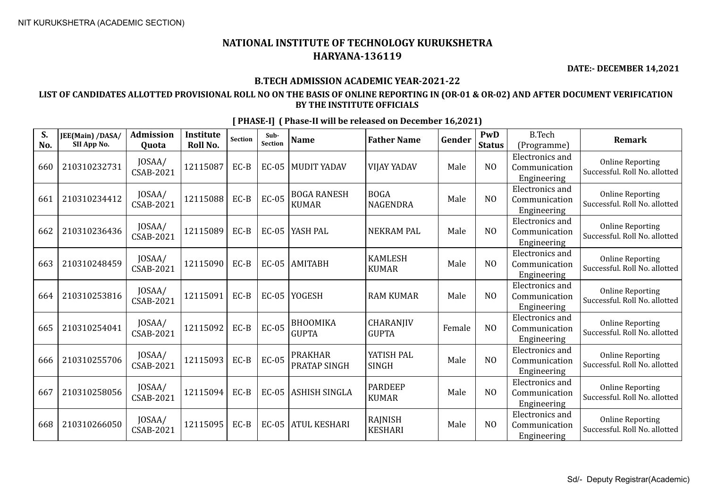**DATE:- DECEMBER 14,2021**

## **B.TECH ADMISSION ACADEMIC YEAR-2021-22**

## **LIST OF CANDIDATES ALLOTTED PROVISIONAL ROLL NO ON THE BASIS OF ONLINE REPORTING IN (OR-01 & OR-02) AND AFTER DOCUMENT VERIFICATION BY THE INSTITUTE OFFICIALS**

| S.<br>No. | JEE(Main) /DASA/<br>SII App No. | <b>Admission</b><br>Quota  | Institute<br>Roll No. | <b>Section</b> | Sub-<br>Section | <b>Name</b>                        | <b>Father Name</b>             | Gender | PwD<br><b>Status</b> | <b>B.Tech</b><br>(Programme)                           | <b>Remark</b>                                            |
|-----------|---------------------------------|----------------------------|-----------------------|----------------|-----------------|------------------------------------|--------------------------------|--------|----------------------|--------------------------------------------------------|----------------------------------------------------------|
| 660       | 210310232731                    | JOSAA/<br><b>CSAB-2021</b> | 12115087              | EC-B           | $EC-05$         | <b>MUDIT YADAV</b>                 | <b>VIJAY YADAV</b>             | Male   | N <sub>O</sub>       | <b>Electronics</b> and<br>Communication<br>Engineering | <b>Online Reporting</b><br>Successful. Roll No. allotted |
| 661       | 210310234412                    | JOSAA/<br>CSAB-2021        | 12115088              | EC-B           | <b>EC-05</b>    | <b>BOGA RANESH</b><br><b>KUMAR</b> | <b>BOGA</b><br><b>NAGENDRA</b> | Male   | N <sub>O</sub>       | <b>Electronics</b> and<br>Communication<br>Engineering | <b>Online Reporting</b><br>Successful. Roll No. allotted |
| 662       | 210310236436                    | JOSAA/<br>CSAB-2021        | 12115089              | EC-B           | <b>EC-05</b>    | YASH PAL                           | <b>NEKRAM PAL</b>              | Male   | NO                   | <b>Electronics</b> and<br>Communication<br>Engineering | <b>Online Reporting</b><br>Successful. Roll No. allotted |
| 663       | 210310248459                    | JOSAA/<br><b>CSAB-2021</b> | 12115090              | EC-B           | <b>EC-05</b>    | <b>AMITABH</b>                     | <b>KAMLESH</b><br><b>KUMAR</b> | Male   | N <sub>O</sub>       | <b>Electronics</b> and<br>Communication<br>Engineering | <b>Online Reporting</b><br>Successful. Roll No. allotted |
| 664       | 210310253816                    | JOSAA/<br>CSAB-2021        | 12115091              | EC-B           | $EC-05$         | <b>YOGESH</b>                      | <b>RAM KUMAR</b>               | Male   | N <sub>O</sub>       | Electronics and<br>Communication<br>Engineering        | <b>Online Reporting</b><br>Successful. Roll No. allotted |
| 665       | 210310254041                    | JOSAA/<br>CSAB-2021        | 12115092              | EC-B           | <b>EC-05</b>    | <b>BHOOMIKA</b><br><b>GUPTA</b>    | CHARANJIV<br><b>GUPTA</b>      | Female | N <sub>O</sub>       | <b>Electronics</b> and<br>Communication<br>Engineering | <b>Online Reporting</b><br>Successful. Roll No. allotted |
| 666       | 210310255706                    | JOSAA/<br>CSAB-2021        | 12115093              | EC-B           | <b>EC-05</b>    | <b>PRAKHAR</b><br>PRATAP SINGH     | YATISH PAL<br><b>SINGH</b>     | Male   | N <sub>O</sub>       | <b>Electronics</b> and<br>Communication<br>Engineering | <b>Online Reporting</b><br>Successful. Roll No. allotted |
| 667       | 210310258056                    | JOSAA/<br><b>CSAB-2021</b> | 12115094              | EC-B           | <b>EC-05</b>    | <b>ASHISH SINGLA</b>               | <b>PARDEEP</b><br><b>KUMAR</b> | Male   | N <sub>O</sub>       | <b>Electronics</b> and<br>Communication<br>Engineering | <b>Online Reporting</b><br>Successful. Roll No. allotted |
| 668       | 210310266050                    | JOSAA/<br>CSAB-2021        | 12115095              | EC-B           | <b>EC-05</b>    | <b>ATUL KESHARI</b>                | RAJNISH<br><b>KESHARI</b>      | Male   | N <sub>O</sub>       | <b>Electronics</b> and<br>Communication<br>Engineering | <b>Online Reporting</b><br>Successful. Roll No. allotted |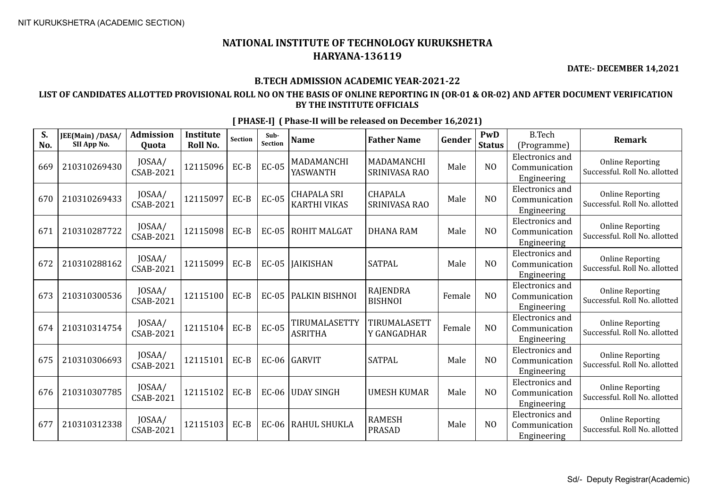**DATE:- DECEMBER 14,2021**

#### **B.TECH ADMISSION ACADEMIC YEAR-2021-22**

### **LIST OF CANDIDATES ALLOTTED PROVISIONAL ROLL NO ON THE BASIS OF ONLINE REPORTING IN (OR-01 & OR-02) AND AFTER DOCUMENT VERIFICATION BY THE INSTITUTE OFFICIALS**

**S. No. JEE(Main) /DASA/ SII App No. Admission Quota Institute Roll No.** Section **Sub-**<br>Section **Section Name Father Name Gender PwD Status** B.Tech (Programme) **Remark** 669 210310269430 JOSAA/  $\begin{array}{c|c|c|c} \text{JOSAA/} & \text{12115096} & \text{EC-B} & \text{EC-05} & \text{MADAMANCHI} \\ \text{CSAB-2021} & & & & \text{YASWANTH} \end{array}$ YASWANTH MADAMANCHI MADAMANGIH Male NO Electronics and Communication Engineering Online Reporting Successful. Roll No. allotted  $670$  210310269433  $\Big|$  JOSAA/<br>CSAB-2021 CSAB-2021 <sup>12115097</sup> EC-B EC-05 CHAPALA SRI KARTHI VIKAS CHAPALA SRINIVASA RAO Male NO Electronics and Communication Engineering Online Reporting Successful. Roll No. allotted 671 210310287722  $\Big|$  JOSAA/<br>CSAB-2021 CSAB-2021 <sup>12115098</sup> EC-B EC-05 ROHIT MALGAT DHANA RAM Male NO Electronics and Communication Engineering Online Reporting Successful. Roll No. allotted 672 210310288162 JOSAA/  $\begin{array}{|c|c|c|c|c|c|c|c|c|} \hline \text{CSAB-2021} & \text{12115099} & \text{EC-B} & \text{EC-05} & \text{JAIKISHAN} \ \hline \end{array}$  SATPAL Male MO Electronics and Communication Engineering Online Reporting Successful. Roll No. allotted  $673 \begin{array}{|c|c|c|c|c|} \hline 210310300536 & JOSAA/ \\ \hline & & & CSAB-2021 \hline \end{array}$  $\begin{array}{c|c|c|c} \text{JOSAA/} & \text{12115100} & \text{EC-B} & \text{EC-05} & \text{PALKIN BISHNOI} & \text{RAJENDRA} \\ \text{CSAB-2021} & & & & & \text{BISHNOI} \end{array}$ RAJENDRA Female NO Electronics and Communication Engineering Online Reporting Successful. Roll No. allotted  $674 \begin{bmatrix} 210310314754 \end{bmatrix}$   $\begin{bmatrix}$  JOSAA/<br>CSAB-2021  $\lceil 12115104 \rceil$  EC-B  $\lceil$  EC-05  $\lceil$  TIRUMALASETTY ASRITHA TIRUMALASETT Y GANGADHAR | Female | NO Electronics and Communication Engineering Online Reporting Successful. Roll No. allotted  $675$  210310306693  $\bigg|$  JOSAA/<br>CSAB-2021 CSAB-2021 <sup>12115101</sup> EC-B EC-06 GARVIT SATPAL Male NO Electronics and Communication Engineering Online Reporting Successful. Roll No. allotted  $676$  210310307785  $\Big|$  JOSAA/<br>CSAB-2021  $\begin{array}{c|c|c|c|c} \text{JOSAA/} & 12115102 & \text{EC-B} & \text{EC-06} & \text{UDAY SINGH} & \text{UMESH KUMAR} & \text{Male} & \text{NO} \end{array}$ Electronics and Communication Engineering Online Reporting Successful. Roll No. allotted  $677 \mid 210310312338 \mid \frac{30}{10}$   $\frac{10}{5}$  (SAB-2021)  $\left| \begin{array}{c} 2115103 \end{array} \right|$  EC-B  $\left| \begin{array}{c} 266 \end{array} \right|$  RAHUL SHUKLA RAMESTI Male NO Electronics and Communication Engineering Online Reporting Successful. Roll No. allotted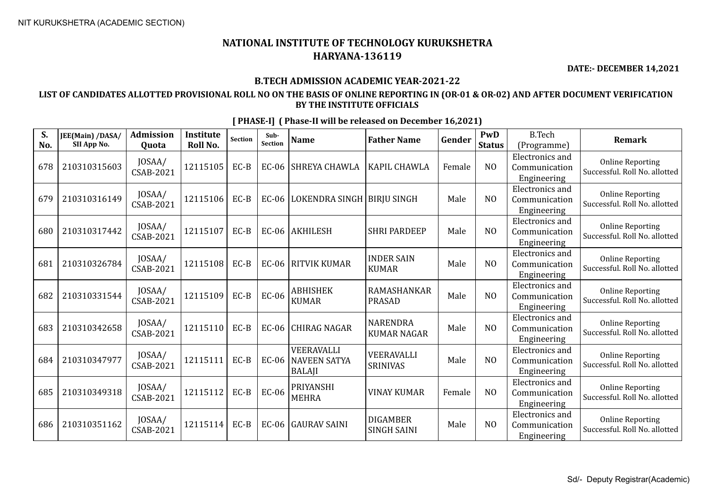**DATE:- DECEMBER 14,2021**

## **B.TECH ADMISSION ACADEMIC YEAR-2021-22**

## **LIST OF CANDIDATES ALLOTTED PROVISIONAL ROLL NO ON THE BASIS OF ONLINE REPORTING IN (OR-01 & OR-02) AND AFTER DOCUMENT VERIFICATION BY THE INSTITUTE OFFICIALS**

| S.<br>No. | JEE(Main) /DASA/<br>SII App No. | <b>Admission</b><br>Quota  | <b>Institute</b><br><b>Roll No.</b> | Section | Sub-<br><b>Section</b> | <b>Name</b>                                        | <b>Father Name</b>                    | Gender | PwD<br><b>Status</b> | <b>B.Tech</b><br>(Programme)                           | <b>Remark</b>                                            |
|-----------|---------------------------------|----------------------------|-------------------------------------|---------|------------------------|----------------------------------------------------|---------------------------------------|--------|----------------------|--------------------------------------------------------|----------------------------------------------------------|
| 678       | 210310315603                    | JOSAA/<br><b>CSAB-2021</b> | 12115105                            | EC-B    | $EC-06$                | SHREYA CHAWLA                                      | KAPIL CHAWLA                          | Female | N <sub>O</sub>       | Electronics and<br>Communication<br>Engineering        | <b>Online Reporting</b><br>Successful. Roll No. allotted |
| 679       | 210310316149                    | JOSAA/<br>CSAB-2021        | 12115106                            | $EC-B$  | EC-06                  | LOKENDRA SINGH   BIRJU SINGH                       |                                       | Male   | N <sub>O</sub>       | Electronics and<br>Communication<br>Engineering        | <b>Online Reporting</b><br>Successful. Roll No. allotted |
| 680       | 210310317442                    | JOSAA/<br>CSAB-2021        | 12115107                            | EC-B    | $EC-06$                | <b>AKHILESH</b>                                    | <b>SHRI PARDEEP</b>                   | Male   | N <sub>O</sub>       | <b>Electronics</b> and<br>Communication<br>Engineering | <b>Online Reporting</b><br>Successful. Roll No. allotted |
| 681       | 210310326784                    | JOSAA/<br>CSAB-2021        | 12115108                            | EC-B    | <b>EC-06</b>           | <b>RITVIK KUMAR</b>                                | <b>INDER SAIN</b><br><b>KUMAR</b>     | Male   | N <sub>0</sub>       | <b>Electronics</b> and<br>Communication<br>Engineering | <b>Online Reporting</b><br>Successful. Roll No. allotted |
| 682       | 210310331544                    | JOSAA/<br><b>CSAB-2021</b> | 12115109                            | $EC-B$  | <b>EC-06</b>           | <b>ABHISHEK</b><br><b>KUMAR</b>                    | RAMASHANKAR<br><b>PRASAD</b>          | Male   | NO                   | Electronics and<br>Communication<br>Engineering        | <b>Online Reporting</b><br>Successful. Roll No. allotted |
| 683       | 210310342658                    | JOSAA/<br>CSAB-2021        | 12115110                            | EC-B    | EC-06                  | <b>CHIRAG NAGAR</b>                                | <b>NARENDRA</b><br><b>KUMAR NAGAR</b> | Male   | NO                   | Electronics and<br>Communication<br>Engineering        | <b>Online Reporting</b><br>Successful. Roll No. allotted |
| 684       | 210310347977                    | JOSAA/<br><b>CSAB-2021</b> | 12115111                            | EC-B    | <b>EC-06</b>           | VEERAVALLI<br><b>NAVEEN SATYA</b><br><b>BALAJI</b> | VEERAVALLI<br><b>SRINIVAS</b>         | Male   | NO                   | Electronics and<br>Communication<br>Engineering        | <b>Online Reporting</b><br>Successful. Roll No. allotted |
| 685       | 210310349318                    | JOSAA/<br>CSAB-2021        | 12115112                            | EC-B    | <b>EC-06</b>           | <b>PRIYANSHI</b><br><b>MEHRA</b>                   | <b>VINAY KUMAR</b>                    | Female | N <sub>O</sub>       | Electronics and<br>Communication<br>Engineering        | <b>Online Reporting</b><br>Successful. Roll No. allotted |
| 686       | 210310351162                    | JOSAA/<br>CSAB-2021        | 12115114                            | EC-B    | EC-06                  | <b>GAURAV SAINI</b>                                | <b>DIGAMBER</b><br><b>SINGH SAINI</b> | Male   | N <sub>0</sub>       | Electronics and<br>Communication<br>Engineering        | <b>Online Reporting</b><br>Successful. Roll No. allotted |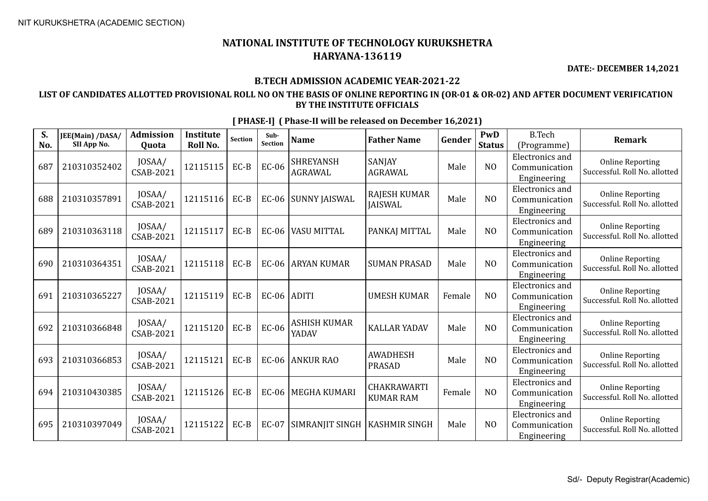**DATE:- DECEMBER 14,2021**

## **B.TECH ADMISSION ACADEMIC YEAR-2021-22**

## **LIST OF CANDIDATES ALLOTTED PROVISIONAL ROLL NO ON THE BASIS OF ONLINE REPORTING IN (OR-01 & OR-02) AND AFTER DOCUMENT VERIFICATION BY THE INSTITUTE OFFICIALS**

| S.<br>No. | JEE(Main) /DASA/<br>SII App No. | <b>Admission</b><br>Quota  | <b>Institute</b><br>Roll No. | <b>Section</b> | Sub-<br>Section | <b>Name</b>                        | <b>Father Name</b>                    | Gender | PwD<br><b>Status</b> | <b>B.Tech</b><br>(Programme)                           | <b>Remark</b>                                            |
|-----------|---------------------------------|----------------------------|------------------------------|----------------|-----------------|------------------------------------|---------------------------------------|--------|----------------------|--------------------------------------------------------|----------------------------------------------------------|
| 687       | 210310352402                    | JOSAA/<br>CSAB-2021        | 12115115                     | $EC-B$         | EC-06           | <b>SHREYANSH</b><br><b>AGRAWAL</b> | <b>SANJAY</b><br><b>AGRAWAL</b>       | Male   | N <sub>O</sub>       | <b>Electronics</b> and<br>Communication<br>Engineering | <b>Online Reporting</b><br>Successful. Roll No. allotted |
| 688       | 210310357891                    | JOSAA/<br>CSAB-2021        | 12115116                     | $EC-B$         |                 | EC-06 SUNNY JAISWAL                | <b>RAJESH KUMAR</b><br><b>JAISWAL</b> | Male   | N <sub>O</sub>       | Electronics and<br>Communication<br>Engineering        | <b>Online Reporting</b><br>Successful. Roll No. allotted |
| 689       | 210310363118                    | JOSAA/<br>CSAB-2021        | 12115117                     | $EC-B$         | $EC-06$         | <b>VASU MITTAL</b>                 | PANKAJ MITTAL                         | Male   | N <sub>0</sub>       | Electronics and<br>Communication<br>Engineering        | <b>Online Reporting</b><br>Successful. Roll No. allotted |
| 690       | 210310364351                    | JOSAA/<br>CSAB-2021        | 12115118                     | $EC-B$         | $EC-06$         | <b>ARYAN KUMAR</b>                 | <b>SUMAN PRASAD</b>                   | Male   | N <sub>O</sub>       | <b>Electronics</b> and<br>Communication<br>Engineering | <b>Online Reporting</b><br>Successful. Roll No. allotted |
| 691       | 210310365227                    | JOSAA/<br><b>CSAB-2021</b> | 12115119                     | $EC-B$         | $EC-06$ ADITI   |                                    | <b>UMESH KUMAR</b>                    | Female | N <sub>O</sub>       | Electronics and<br>Communication<br>Engineering        | <b>Online Reporting</b><br>Successful. Roll No. allotted |
| 692       | 210310366848                    | JOSAA/<br>CSAB-2021        | 12115120                     | $EC-B$         | <b>EC-06</b>    | <b>ASHISH KUMAR</b><br>YADAV       | <b>KALLAR YADAV</b>                   | Male   | N <sub>0</sub>       | Electronics and<br>Communication<br>Engineering        | <b>Online Reporting</b><br>Successful. Roll No. allotted |
| 693       | 210310366853                    | JOSAA/<br><b>CSAB-2021</b> | 12115121                     | $EC-B$         |                 | EC-06 ANKUR RAO                    | <b>AWADHESH</b><br><b>PRASAD</b>      | Male   | N <sub>O</sub>       | Electronics and<br>Communication<br>Engineering        | <b>Online Reporting</b><br>Successful. Roll No. allotted |
| 694       | 210310430385                    | JOSAA/<br>CSAB-2021        | 12115126                     | $EC-B$         | $EC-06$         | <b>MEGHA KUMARI</b>                | CHAKRAWARTI<br><b>KUMAR RAM</b>       | Female | N <sub>O</sub>       | Electronics and<br>Communication<br>Engineering        | <b>Online Reporting</b><br>Successful. Roll No. allotted |
| 695       | 210310397049                    | JOSAA/<br>CSAB-2021        | 12115122                     | $EC-B$         | EC-07           | SIMRANJIT SINGH   KASHMIR SINGH    |                                       | Male   | N <sub>0</sub>       | Electronics and<br>Communication<br>Engineering        | <b>Online Reporting</b><br>Successful. Roll No. allotted |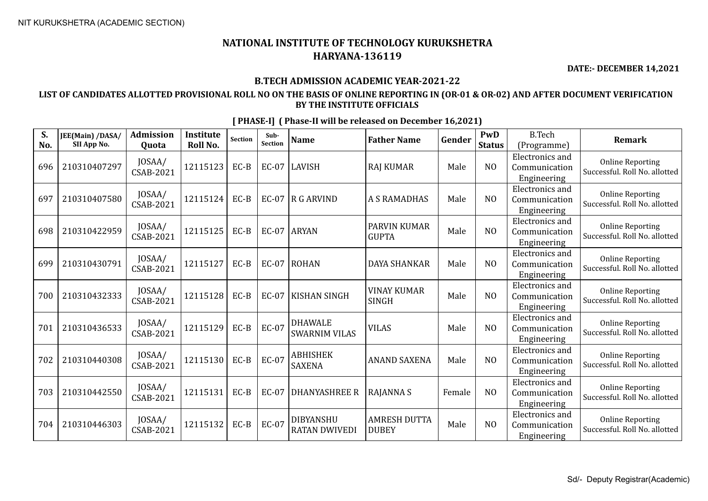**DATE:- DECEMBER 14,2021**

## **B.TECH ADMISSION ACADEMIC YEAR-2021-22**

## **LIST OF CANDIDATES ALLOTTED PROVISIONAL ROLL NO ON THE BASIS OF ONLINE REPORTING IN (OR-01 & OR-02) AND AFTER DOCUMENT VERIFICATION BY THE INSTITUTE OFFICIALS**

| S.<br>No. | JEE(Main) /DASA/<br>SII App No. | <b>Admission</b><br>Quota  | Institute<br>Roll No. | <b>Section</b> | Sub-<br>Section | <b>Name</b>                              | <b>Father Name</b>                  | Gender | PwD<br><b>Status</b> | <b>B.Tech</b><br>(Programme)                           | Remark                                                   |
|-----------|---------------------------------|----------------------------|-----------------------|----------------|-----------------|------------------------------------------|-------------------------------------|--------|----------------------|--------------------------------------------------------|----------------------------------------------------------|
| 696       | 210310407297                    | JOSAA/<br><b>CSAB-2021</b> | 12115123              | EC-B           | <b>EC-07</b>    | LAVISH                                   | <b>RAJ KUMAR</b>                    | Male   | N <sub>O</sub>       | <b>Electronics</b> and<br>Communication<br>Engineering | <b>Online Reporting</b><br>Successful. Roll No. allotted |
| 697       | 210310407580                    | JOSAA/<br><b>CSAB-2021</b> | 12115124              | EC-B           | <b>EC-07</b>    | $R$ G ARVIND                             | <b>A S RAMADHAS</b>                 | Male   | N <sub>O</sub>       | Electronics and<br>Communication<br>Engineering        | <b>Online Reporting</b><br>Successful. Roll No. allotted |
| 698       | 210310422959                    | JOSAA/<br>CSAB-2021        | 12115125              | EC-B           | EC-07           | <b>ARYAN</b>                             | PARVIN KUMAR<br><b>GUPTA</b>        | Male   | N <sub>O</sub>       | <b>Electronics</b> and<br>Communication<br>Engineering | <b>Online Reporting</b><br>Successful. Roll No. allotted |
| 699       | 210310430791                    | JOSAA/<br><b>CSAB-2021</b> | 12115127              | EC-B           | <b>EC-07</b>    | ROHAN                                    | <b>DAYA SHANKAR</b>                 | Male   | N <sub>O</sub>       | <b>Electronics</b> and<br>Communication<br>Engineering | <b>Online Reporting</b><br>Successful. Roll No. allotted |
| 700       | 210310432333                    | JOSAA/<br><b>CSAB-2021</b> | 12115128              | EC-B           | <b>EC-07</b>    | <b>KISHAN SINGH</b>                      | <b>VINAY KUMAR</b><br><b>SINGH</b>  | Male   | N <sub>O</sub>       | Electronics and<br>Communication<br>Engineering        | <b>Online Reporting</b><br>Successful. Roll No. allotted |
| 701       | 210310436533                    | JOSAA/<br><b>CSAB-2021</b> | 12115129              | EC-B           | <b>EC-07</b>    | <b>DHAWALE</b><br><b>SWARNIM VILAS</b>   | <b>VILAS</b>                        | Male   | NO                   | Electronics and<br>Communication<br>Engineering        | <b>Online Reporting</b><br>Successful. Roll No. allotted |
| 702       | 210310440308                    | JOSAA/<br><b>CSAB-2021</b> | 12115130              | EC-B           | <b>EC-07</b>    | <b>ABHISHEK</b><br><b>SAXENA</b>         | <b>ANAND SAXENA</b>                 | Male   | N <sub>O</sub>       | <b>Electronics</b> and<br>Communication<br>Engineering | <b>Online Reporting</b><br>Successful. Roll No. allotted |
| 703       | 210310442550                    | JOSAA/<br><b>CSAB-2021</b> | 12115131              | EC-B           | <b>EC-07</b>    | DHANYASHREE R                            | <b>RAJANNAS</b>                     | Female | N <sub>O</sub>       | <b>Electronics</b> and<br>Communication<br>Engineering | <b>Online Reporting</b><br>Successful. Roll No. allotted |
| 704       | 210310446303                    | JOSAA/<br><b>CSAB-2021</b> | 12115132              | $EC-B$         | EC-07           | <b>DIBYANSHU</b><br><b>RATAN DWIVEDI</b> | <b>AMRESH DUTTA</b><br><b>DUBEY</b> | Male   | N <sub>O</sub>       | <b>Electronics</b> and<br>Communication<br>Engineering | <b>Online Reporting</b><br>Successful. Roll No. allotted |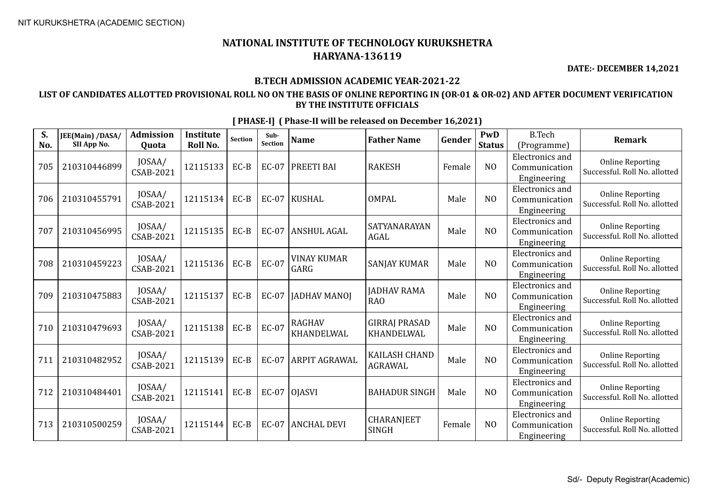**DATE:- DECEMBER 14,2021**

## **B.TECH ADMISSION ACADEMIC YEAR-2021-22**

## **LIST OF CANDIDATES ALLOTTED PROVISIONAL ROLL NO ON THE BASIS OF ONLINE REPORTING IN (OR-01 & OR-02) AND AFTER DOCUMENT VERIFICATION BY THE INSTITUTE OFFICIALS**

| S.<br>No. | JEE(Main) /DASA/<br>SII App No. | Admission<br>Quota         | Institute<br>Roll No. | <b>Section</b> | Sub-<br>Section | <b>Name</b>                 | <b>Father Name</b>                     | Gender | PwD<br><b>Status</b> | <b>B.Tech</b><br>(Programme)                           | Remark                                                   |
|-----------|---------------------------------|----------------------------|-----------------------|----------------|-----------------|-----------------------------|----------------------------------------|--------|----------------------|--------------------------------------------------------|----------------------------------------------------------|
| 705       | 210310446899                    | JOSAA/<br><b>CSAB-2021</b> | 12115133              | EC-B           | <b>EC-07</b>    | PREETI BAI                  | <b>RAKESH</b>                          | Female | N <sub>O</sub>       | <b>Electronics</b> and<br>Communication<br>Engineering | <b>Online Reporting</b><br>Successful. Roll No. allotted |
| 706       | 210310455791                    | JOSAA/<br><b>CSAB-2021</b> | 12115134              | EC-B           | <b>EC-07</b>    | KUSHAL                      | <b>OMPAL</b>                           | Male   | N <sub>O</sub>       | Electronics and<br>Communication<br>Engineering        | <b>Online Reporting</b><br>Successful. Roll No. allotted |
| 707       | 210310456995                    | JOSAA/<br>CSAB-2021        | 12115135              | EC-B           | <b>EC-07</b>    | <b>ANSHUL AGAL</b>          | SATYANARAYAN<br><b>AGAL</b>            | Male   | N <sub>O</sub>       | <b>Electronics</b> and<br>Communication<br>Engineering | <b>Online Reporting</b><br>Successful. Roll No. allotted |
| 708       | 210310459223                    | JOSAA/<br><b>CSAB-2021</b> | 12115136              | EC-B           | <b>EC-07</b>    | <b>VINAY KUMAR</b><br>GARG  | <b>SANJAY KUMAR</b>                    | Male   | N <sub>O</sub>       | <b>Electronics</b> and<br>Communication<br>Engineering | <b>Online Reporting</b><br>Successful. Roll No. allotted |
| 709       | 210310475883                    | JOSAA/<br><b>CSAB-2021</b> | 12115137              | EC-B           | <b>EC-07</b>    | <b>JADHAV MANOJ</b>         | <b>JADHAV RAMA</b><br><b>RAO</b>       | Male   | N <sub>O</sub>       | Electronics and<br>Communication<br>Engineering        | <b>Online Reporting</b><br>Successful. Roll No. allotted |
| 710       | 210310479693                    | JOSAA/<br><b>CSAB-2021</b> | 12115138              | EC-B           | <b>EC-07</b>    | <b>RAGHAV</b><br>KHANDELWAL | <b>GIRRAJ PRASAD</b><br>KHANDELWAL     | Male   | N <sub>O</sub>       | Electronics and<br>Communication<br>Engineering        | <b>Online Reporting</b><br>Successful. Roll No. allotted |
| 711       | 210310482952                    | JOSAA/<br><b>CSAB-2021</b> | 12115139              | EC-B           | <b>EC-07</b>    | ARPIT AGRAWAL               | <b>KAILASH CHAND</b><br><b>AGRAWAL</b> | Male   | N <sub>O</sub>       | <b>Electronics</b> and<br>Communication<br>Engineering | <b>Online Reporting</b><br>Successful. Roll No. allotted |
| 712       | 210310484401                    | JOSAA/<br><b>CSAB-2021</b> | 12115141              | EC-B           | EC-07           | OJASVI                      | <b>BAHADUR SINGH</b>                   | Male   | NO                   | <b>Electronics</b> and<br>Communication<br>Engineering | <b>Online Reporting</b><br>Successful. Roll No. allotted |
| 713       | 210310500259                    | JOSAA/<br>CSAB-2021        | 12115144              | EC-B           | <b>EC-07</b>    | <b>ANCHAL DEVI</b>          | <b>CHARANJEET</b><br><b>SINGH</b>      | Female | N <sub>O</sub>       | <b>Electronics</b> and<br>Communication<br>Engineering | <b>Online Reporting</b><br>Successful. Roll No. allotted |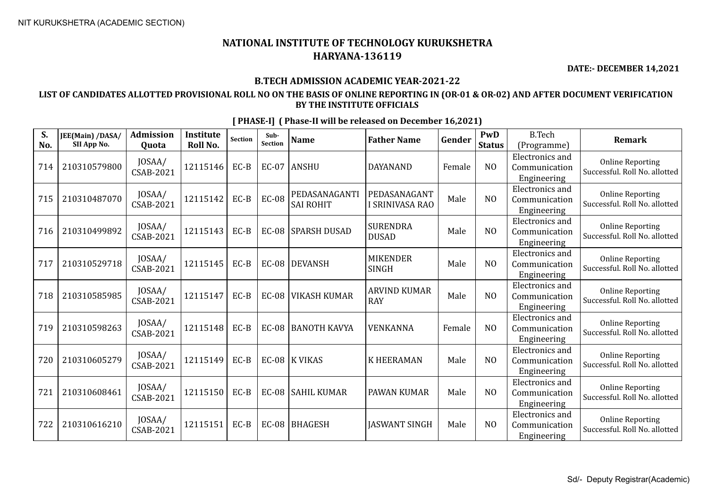**DATE:- DECEMBER 14,2021**

## **B.TECH ADMISSION ACADEMIC YEAR-2021-22**

## **LIST OF CANDIDATES ALLOTTED PROVISIONAL ROLL NO ON THE BASIS OF ONLINE REPORTING IN (OR-01 & OR-02) AND AFTER DOCUMENT VERIFICATION BY THE INSTITUTE OFFICIALS**

| S.<br>No. | JEE(Main) /DASA/<br>SII App No. | Admission<br>Quota         | Institute<br>Roll No. | <b>Section</b> | Sub-<br>Section | <b>Name</b>                       | <b>Father Name</b>                | Gender | PwD<br><b>Status</b> | <b>B.Tech</b><br>(Programme)                           | <b>Remark</b>                                            |
|-----------|---------------------------------|----------------------------|-----------------------|----------------|-----------------|-----------------------------------|-----------------------------------|--------|----------------------|--------------------------------------------------------|----------------------------------------------------------|
| 714       | 210310579800                    | JOSAA/<br>CSAB-2021        | 12115146              | EC-B           | $EC-07$         | <b>ANSHU</b>                      | <b>DAYANAND</b>                   | Female | N <sub>O</sub>       | <b>Electronics</b> and<br>Communication<br>Engineering | <b>Online Reporting</b><br>Successful. Roll No. allotted |
| 715       | 210310487070                    | JOSAA/<br>CSAB-2021        | 12115142              | EC-B           | <b>EC-08</b>    | PEDASANAGANTI<br><b>SAI ROHIT</b> | PEDASANAGANT<br>I SRINIVASA RAO   | Male   | N <sub>O</sub>       | Electronics and<br>Communication<br>Engineering        | <b>Online Reporting</b><br>Successful. Roll No. allotted |
| 716       | 210310499892                    | JOSAA/<br>CSAB-2021        | 12115143              | EC-B           | <b>EC-08</b>    | <b>SPARSH DUSAD</b>               | <b>SURENDRA</b><br><b>DUSAD</b>   | Male   | NO                   | <b>Electronics</b> and<br>Communication<br>Engineering | <b>Online Reporting</b><br>Successful. Roll No. allotted |
| 717       | 210310529718                    | JOSAA/<br><b>CSAB-2021</b> | 12115145              | EC-B           | <b>EC-08</b>    | DEVANSH                           | <b>MIKENDER</b><br><b>SINGH</b>   | Male   | N <sub>O</sub>       | <b>Electronics</b> and<br>Communication<br>Engineering | <b>Online Reporting</b><br>Successful. Roll No. allotted |
| 718       | 210310585985                    | JOSAA/<br>CSAB-2021        | 12115147              | EC-B           | <b>EC-08</b>    | <b>VIKASH KUMAR</b>               | <b>ARVIND KUMAR</b><br><b>RAY</b> | Male   | N <sub>O</sub>       | Electronics and<br>Communication<br>Engineering        | <b>Online Reporting</b><br>Successful. Roll No. allotted |
| 719       | 210310598263                    | JOSAA/<br>CSAB-2021        | 12115148              | EC-B           | <b>EC-08</b>    | BANOTH KAVYA                      | VENKANNA                          | Female | N <sub>O</sub>       | <b>Electronics</b> and<br>Communication<br>Engineering | <b>Online Reporting</b><br>Successful. Roll No. allotted |
| 720       | 210310605279                    | JOSAA/<br>CSAB-2021        | 12115149              | EC-B           |                 | EC-08 K VIKAS                     | <b>K HEERAMAN</b>                 | Male   | N <sub>O</sub>       | <b>Electronics</b> and<br>Communication<br>Engineering | <b>Online Reporting</b><br>Successful. Roll No. allotted |
| 721       | 210310608461                    | JOSAA/<br><b>CSAB-2021</b> | 12115150              | EC-B           | <b>EC-08</b>    | SAHIL KUMAR                       | PAWAN KUMAR                       | Male   | N <sub>O</sub>       | <b>Electronics</b> and<br>Communication<br>Engineering | <b>Online Reporting</b><br>Successful. Roll No. allotted |
| 722       | 210310616210                    | JOSAA/<br>CSAB-2021        | 12115151              | EC-B           | <b>EC-08</b>    | BHAGESH                           | <b>JASWANT SINGH</b>              | Male   | N <sub>O</sub>       | <b>Electronics</b> and<br>Communication<br>Engineering | <b>Online Reporting</b><br>Successful. Roll No. allotted |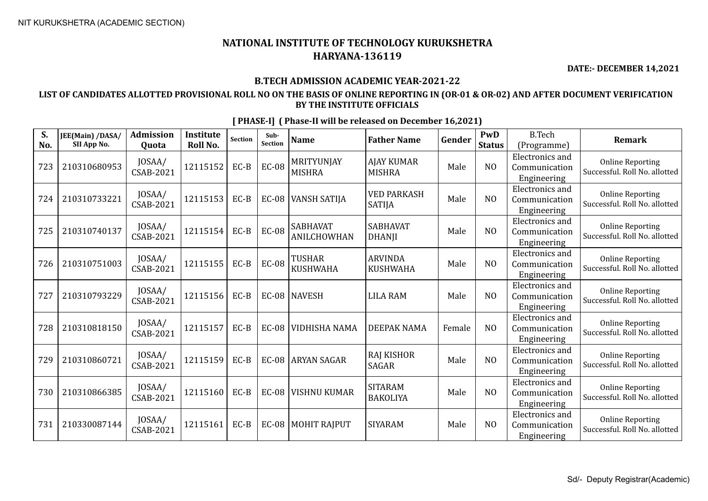**DATE:- DECEMBER 14,2021**

## **B.TECH ADMISSION ACADEMIC YEAR-2021-22**

## **LIST OF CANDIDATES ALLOTTED PROVISIONAL ROLL NO ON THE BASIS OF ONLINE REPORTING IN (OR-01 & OR-02) AND AFTER DOCUMENT VERIFICATION BY THE INSTITUTE OFFICIALS**

| S.<br>No. | JEE(Main) /DASA/<br>SII App No. | <b>Admission</b><br>Quota  | <b>Institute</b><br>Roll No. | <b>Section</b> | Sub-<br>Section | <b>Name</b>                           | <b>Father Name</b>                  | Gender | PwD<br><b>Status</b> | <b>B.Tech</b><br>(Programme)                           | <b>Remark</b>                                            |
|-----------|---------------------------------|----------------------------|------------------------------|----------------|-----------------|---------------------------------------|-------------------------------------|--------|----------------------|--------------------------------------------------------|----------------------------------------------------------|
| 723       | 210310680953                    | JOSAA/<br>CSAB-2021        | 12115152                     | $EC-B$         | <b>EC-08</b>    | MRITYUNJAY<br><b>MISHRA</b>           | <b>AJAY KUMAR</b><br><b>MISHRA</b>  | Male   | N <sub>O</sub>       | <b>Electronics</b> and<br>Communication<br>Engineering | <b>Online Reporting</b><br>Successful. Roll No. allotted |
| 724       | 210310733221                    | JOSAA/<br><b>CSAB-2021</b> | 12115153                     | $EC-B$         | $EC-08$         | <b>VANSH SATIJA</b>                   | <b>VED PARKASH</b><br><b>SATIJA</b> | Male   | N <sub>O</sub>       | Electronics and<br>Communication<br>Engineering        | <b>Online Reporting</b><br>Successful. Roll No. allotted |
| 725       | 210310740137                    | JOSAA/<br>CSAB-2021        | 12115154                     | $EC-B$         | <b>EC-08</b>    | <b>SABHAVAT</b><br><b>ANILCHOWHAN</b> | <b>SABHAVAT</b><br><b>DHANJI</b>    | Male   | N <sub>O</sub>       | <b>Electronics</b> and<br>Communication<br>Engineering | <b>Online Reporting</b><br>Successful. Roll No. allotted |
| 726       | 210310751003                    | JOSAA/<br><b>CSAB-2021</b> | 12115155                     | $EC-B$         | <b>EC-08</b>    | <b>TUSHAR</b><br><b>KUSHWAHA</b>      | <b>ARVINDA</b><br><b>KUSHWAHA</b>   | Male   | N <sub>O</sub>       | Electronics and<br>Communication<br>Engineering        | <b>Online Reporting</b><br>Successful. Roll No. allotted |
| 727       | 210310793229                    | JOSAA/<br>CSAB-2021        | 12115156                     | $EC-B$         |                 | EC-08   NAVESH                        | <b>LILA RAM</b>                     | Male   | N <sub>O</sub>       | Electronics and<br>Communication<br>Engineering        | <b>Online Reporting</b><br>Successful. Roll No. allotted |
| 728       | 210310818150                    | JOSAA/<br>CSAB-2021        | 12115157                     | EC-B           | <b>EC-08</b>    | <b>VIDHISHA NAMA</b>                  | <b>DEEPAK NAMA</b>                  | Female | N <sub>0</sub>       | Electronics and<br>Communication<br>Engineering        | <b>Online Reporting</b><br>Successful. Roll No. allotted |
| 729       | 210310860721                    | JOSAA/<br>CSAB-2021        | 12115159                     | $EC-B$         | $EC-08$         | LARYAN SAGAR                          | <b>RAJ KISHOR</b><br>SAGAR          | Male   | N <sub>0</sub>       | Electronics and<br>Communication<br>Engineering        | <b>Online Reporting</b><br>Successful. Roll No. allotted |
| 730       | 210310866385                    | JOSAA/<br>CSAB-2021        | 12115160                     | $EC-B$         | $EC-08$         | <b>VISHNU KUMAR</b>                   | <b>SITARAM</b><br><b>BAKOLIYA</b>   | Male   | N <sub>O</sub>       | Electronics and<br>Communication<br>Engineering        | <b>Online Reporting</b><br>Successful. Roll No. allotted |
| 731       | 210330087144                    | JOSAA/<br>CSAB-2021        | 12115161                     | EC-B           | $EC-08$         | <b>MOHIT RAJPUT</b>                   | <b>SIYARAM</b>                      | Male   | N <sub>0</sub>       | <b>Electronics</b> and<br>Communication<br>Engineering | <b>Online Reporting</b><br>Successful. Roll No. allotted |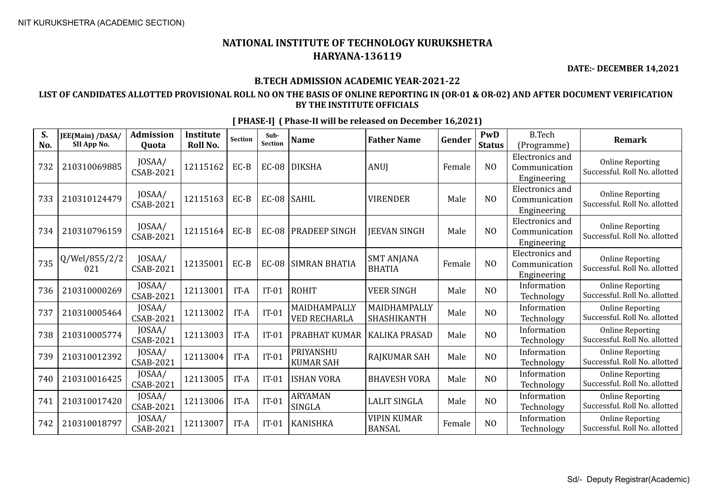**DATE:- DECEMBER 14,2021**

## **B.TECH ADMISSION ACADEMIC YEAR-2021-22**

## **LIST OF CANDIDATES ALLOTTED PROVISIONAL ROLL NO ON THE BASIS OF ONLINE REPORTING IN (OR-01 & OR-02) AND AFTER DOCUMENT VERIFICATION BY THE INSTITUTE OFFICIALS**

| S.<br>No. | JEE(Main) /DASA/<br>SII App No. | <b>Admission</b><br><b>Ouota</b> | <b>Institute</b><br>Roll No. | <b>Section</b> | Sub-<br>Section | <b>Name</b>                         | <b>Father Name</b>                  | Gender | PwD<br><b>Status</b> | <b>B.Tech</b><br>(Programme)                           | <b>Remark</b>                                            |
|-----------|---------------------------------|----------------------------------|------------------------------|----------------|-----------------|-------------------------------------|-------------------------------------|--------|----------------------|--------------------------------------------------------|----------------------------------------------------------|
| 732       | 210310069885                    | JOSAA/<br><b>CSAB-2021</b>       | 12115162                     | EC-B           | <b>EC-08</b>    | <b>DIKSHA</b>                       | <b>ANUI</b>                         | Female | N <sub>O</sub>       | <b>Electronics</b> and<br>Communication<br>Engineering | <b>Online Reporting</b><br>Successful. Roll No. allotted |
| 733       | 210310124479                    | JOSAA/<br>CSAB-2021              | 12115163                     | EC-B           | EC-08 SAHIL     |                                     | <b>VIRENDER</b>                     | Male   | NO                   | <b>Electronics</b> and<br>Communication<br>Engineering | <b>Online Reporting</b><br>Successful. Roll No. allotted |
| 734       | 210310796159                    | JOSAA/<br>CSAB-2021              | 12115164                     | EC-B           | <b>EC-08</b>    | PRADEEP SINGH                       | <b>IEEVAN SINGH</b>                 | Male   | NO                   | <b>Electronics and</b><br>Communication<br>Engineering | <b>Online Reporting</b><br>Successful. Roll No. allotted |
| 735       | Q/Wel/855/2/2<br>021            | JOSAA/<br>CSAB-2021              | 12135001                     | $EC-B$         | <b>EC-08</b>    | SIMRAN BHATIA                       | <b>SMT ANJANA</b><br><b>BHATIA</b>  | Female | N <sub>O</sub>       | Electronics and<br>Communication<br>Engineering        | <b>Online Reporting</b><br>Successful. Roll No. allotted |
| 736       | 210310000269                    | JOSAA/<br>CSAB-2021              | 12113001                     | IT-A           | $IT-01$         | <b>ROHIT</b>                        | <b>VEER SINGH</b>                   | Male   | N <sub>O</sub>       | Information<br>Technology                              | <b>Online Reporting</b><br>Successful. Roll No. allotted |
| 737       | 210310005464                    | JOSAA/<br><b>CSAB-2021</b>       | 12113002                     | IT-A           | $IT-01$         | MAIDHAMPALLY<br><b>VED RECHARLA</b> | MAIDHAMPALLY<br>SHASHIKANTH         | Male   | N <sub>O</sub>       | Information<br>Technology                              | <b>Online Reporting</b><br>Successful. Roll No. allotted |
| 738       | 210310005774                    | JOSAA/<br><b>CSAB-2021</b>       | 12113003                     | IT-A           | $IT-01$         | PRABHAT KUMAR                       | <b>KALIKA PRASAD</b>                | Male   | N <sub>O</sub>       | Information<br>Technology                              | <b>Online Reporting</b><br>Successful. Roll No. allotted |
| 739       | 210310012392                    | JOSAA/<br>CSAB-2021              | 12113004                     | IT-A           | $IT-01$         | PRIYANSHU<br><b>KUMAR SAH</b>       | RAJKUMAR SAH                        | Male   | N <sub>O</sub>       | Information<br>Technology                              | <b>Online Reporting</b><br>Successful. Roll No. allotted |
| 740       | 210310016425                    | JOSAA/<br>CSAB-2021              | 12113005                     | IT-A           | $IT-01$         | <b>ISHAN VORA</b>                   | <b>BHAVESH VORA</b>                 | Male   | N <sub>O</sub>       | Information<br>Technology                              | <b>Online Reporting</b><br>Successful. Roll No. allotted |
| 741       | 210310017420                    | JOSAA/<br>CSAB-2021              | 12113006                     | IT-A           | $IT-01$         | <b>ARYAMAN</b><br><b>SINGLA</b>     | <b>LALIT SINGLA</b>                 | Male   | N <sub>O</sub>       | Information<br>Technology                              | <b>Online Reporting</b><br>Successful. Roll No. allotted |
| 742       | 210310018797                    | JOSAA/<br>CSAB-2021              | 12113007                     | IT-A           | $IT-01$         | <b>KANISHKA</b>                     | <b>VIPIN KUMAR</b><br><b>BANSAL</b> | Female | N <sub>O</sub>       | Information<br>Technology                              | <b>Online Reporting</b><br>Successful. Roll No. allotted |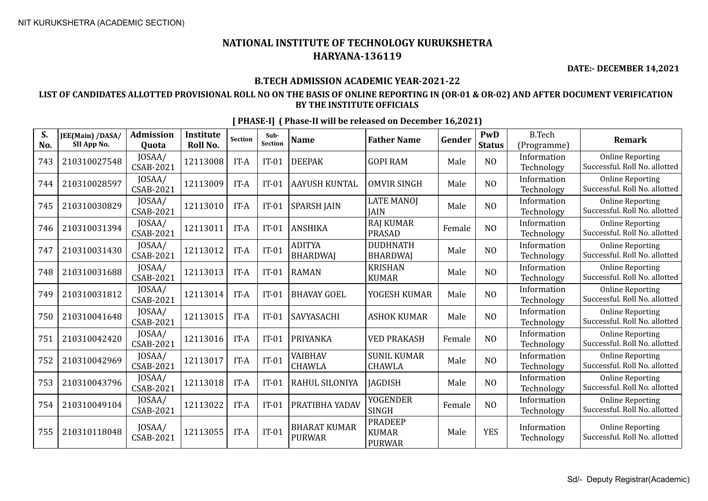**DATE:- DECEMBER 14,2021**

## **B.TECH ADMISSION ACADEMIC YEAR-2021-22**

## **LIST OF CANDIDATES ALLOTTED PROVISIONAL ROLL NO ON THE BASIS OF ONLINE REPORTING IN (OR-01 & OR-02) AND AFTER DOCUMENT VERIFICATION BY THE INSTITUTE OFFICIALS**

| S.<br>No. | JEE(Main) /DASA/<br>SII App No. | <b>Admission</b><br><b>Ouota</b> | <b>Institute</b><br>Roll No. | <b>Section</b> | Sub-<br>Section | <b>Name</b>                          | <b>Father Name</b>                              | Gender | <b>PwD</b><br><b>Status</b> | <b>B.Tech</b><br>(Programme) | <b>Remark</b>                                            |
|-----------|---------------------------------|----------------------------------|------------------------------|----------------|-----------------|--------------------------------------|-------------------------------------------------|--------|-----------------------------|------------------------------|----------------------------------------------------------|
| 743       | 210310027548                    | JOSAA/<br>CSAB-2021              | 12113008                     | IT-A           | $IT-01$         | <b>DEEPAK</b>                        | <b>GOPI RAM</b>                                 | Male   | NO                          | Information<br>Technology    | <b>Online Reporting</b><br>Successful. Roll No. allotted |
| 744       | 210310028597                    | JOSAA/<br><b>CSAB-2021</b>       | 12113009                     | IT-A           | $IT-01$         | AAYUSH KUNTAL                        | <b>OMVIR SINGH</b>                              | Male   | N <sub>O</sub>              | Information<br>Technology    | <b>Online Reporting</b><br>Successful. Roll No. allotted |
| 745       | 210310030829                    | JOSAA/<br><b>CSAB-2021</b>       | 12113010                     | IT-A           | $IT-01$         | <b>SPARSH JAIN</b>                   | <b>LATE MANOJ</b><br><b>JAIN</b>                | Male   | N <sub>O</sub>              | Information<br>Technology    | <b>Online Reporting</b><br>Successful. Roll No. allotted |
| 746       | 210310031394                    | JOSAA/<br><b>CSAB-2021</b>       | 12113011                     | IT-A           | $IT-01$         | <b>ANSHIKA</b>                       | <b>RAJ KUMAR</b><br><b>PRASAD</b>               | Female | N <sub>O</sub>              | Information<br>Technology    | <b>Online Reporting</b><br>Successful. Roll No. allotted |
| 747       | 210310031430                    | JOSAA/<br>CSAB-2021              | 12113012                     | IT-A           | $IT-01$         | <b>ADITYA</b><br><b>BHARDWAJ</b>     | <b>DUDHNATH</b><br><b>BHARDWAI</b>              | Male   | NO                          | Information<br>Technology    | <b>Online Reporting</b><br>Successful. Roll No. allotted |
| 748       | 210310031688                    | JOSAA/<br><b>CSAB-2021</b>       | 12113013                     | IT-A           | $IT-01$         | <b>RAMAN</b>                         | <b>KRISHAN</b><br><b>KUMAR</b>                  | Male   | NO                          | Information<br>Technology    | <b>Online Reporting</b><br>Successful. Roll No. allotted |
| 749       | 210310031812                    | JOSAA/<br><b>CSAB-2021</b>       | 12113014                     | IT-A           | $IT-01$         | <b>BHAVAY GOEL</b>                   | YOGESH KUMAR                                    | Male   | NO                          | Information<br>Technology    | <b>Online Reporting</b><br>Successful. Roll No. allotted |
| 750       | 210310041648                    | JOSAA/<br><b>CSAB-2021</b>       | 12113015                     | IT-A           | $IT-01$         | <b>SAVYASACHI</b>                    | <b>ASHOK KUMAR</b>                              | Male   | NO                          | Information<br>Technology    | <b>Online Reporting</b><br>Successful. Roll No. allotted |
| 751       | 210310042420                    | JOSAA/<br><b>CSAB-2021</b>       | 12113016                     | IT-A           | $IT-01$         | PRIYANKA                             | <b>VED PRAKASH</b>                              | Female | N <sub>O</sub>              | Information<br>Technology    | <b>Online Reporting</b><br>Successful. Roll No. allotted |
| 752       | 210310042969                    | JOSAA/<br><b>CSAB-2021</b>       | 12113017                     | IT-A           | $IT-01$         | VAIBHAV<br>CHAWLA                    | <b>SUNIL KUMAR</b><br><b>CHAWLA</b>             | Male   | N <sub>O</sub>              | Information<br>Technology    | <b>Online Reporting</b><br>Successful. Roll No. allotted |
| 753       | 210310043796                    | JOSAA/<br><b>CSAB-2021</b>       | 12113018                     | IT-A           | $IT-01$         | RAHUL SILONIYA                       | <b>IAGDISH</b>                                  | Male   | NO                          | Information<br>Technology    | <b>Online Reporting</b><br>Successful. Roll No. allotted |
| 754       | 210310049104                    | JOSAA/<br><b>CSAB-2021</b>       | 12113022                     | IT-A           | $IT-01$         | PRATIBHA YADAV                       | <b>YOGENDER</b><br>SINGH                        | Female | N <sub>O</sub>              | Information<br>Technology    | <b>Online Reporting</b><br>Successful. Roll No. allotted |
| 755       | 210310118048                    | JOSAA/<br><b>CSAB-2021</b>       | 12113055                     | IT-A           | $IT-01$         | <b>BHARAT KUMAR</b><br><b>PURWAR</b> | <b>PRADEEP</b><br><b>KUMAR</b><br><b>PURWAR</b> | Male   | <b>YES</b>                  | Information<br>Technology    | <b>Online Reporting</b><br>Successful. Roll No. allotted |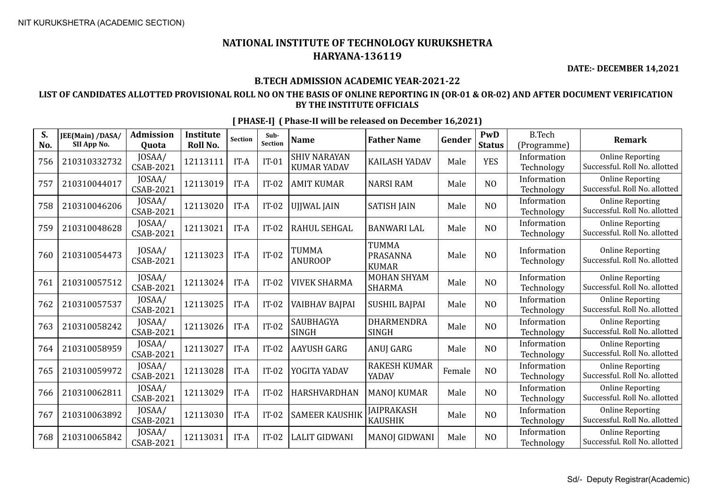**DATE:- DECEMBER 14,2021**

## **B.TECH ADMISSION ACADEMIC YEAR-2021-22**

## **LIST OF CANDIDATES ALLOTTED PROVISIONAL ROLL NO ON THE BASIS OF ONLINE REPORTING IN (OR-01 & OR-02) AND AFTER DOCUMENT VERIFICATION BY THE INSTITUTE OFFICIALS**

| S.<br>No. | JEE(Main) /DASA/<br>SII App No. | <b>Admission</b><br><b>Quota</b> | <b>Institute</b><br>Roll No. | <b>Section</b> | Sub-<br><b>Section</b> | <b>Name</b>                               | <b>Father Name</b>                       | Gender | PwD<br><b>Status</b> | <b>B.Tech</b><br>(Programme) | <b>Remark</b>                                            |
|-----------|---------------------------------|----------------------------------|------------------------------|----------------|------------------------|-------------------------------------------|------------------------------------------|--------|----------------------|------------------------------|----------------------------------------------------------|
| 756       | 210310332732                    | JOSAA/<br>CSAB-2021              | 12113111                     | IT-A           | $IT-01$                | <b>SHIV NARAYAN</b><br><b>KUMAR YADAV</b> | <b>KAILASH YADAV</b>                     | Male   | <b>YES</b>           | Information<br>Technology    | <b>Online Reporting</b><br>Successful. Roll No. allotted |
| 757       | 210310044017                    | JOSAA/<br><b>CSAB-2021</b>       | 12113019                     | IT-A           | $IT-02$                | <b>AMIT KUMAR</b>                         | <b>NARSI RAM</b>                         | Male   | N <sub>O</sub>       | Information<br>Technology    | <b>Online Reporting</b><br>Successful. Roll No. allotted |
| 758       | 210310046206                    | JOSAA/<br><b>CSAB-2021</b>       | 12113020                     | IT-A           | $IT-02$                | UJJWAL JAIN                               | <b>SATISH JAIN</b>                       | Male   | N <sub>O</sub>       | Information<br>Technology    | <b>Online Reporting</b><br>Successful. Roll No. allotted |
| 759       | 210310048628                    | JOSAA/<br><b>CSAB-2021</b>       | 12113021                     | IT-A           | $IT-02$                | RAHUL SEHGAL                              | <b>BANWARI LAL</b>                       | Male   | N <sub>O</sub>       | Information<br>Technology    | <b>Online Reporting</b><br>Successful. Roll No. allotted |
| 760       | 210310054473                    | JOSAA/<br><b>CSAB-2021</b>       | 12113023                     | IT-A           | $IT-02$                | TUMMA<br><b>ANUROOP</b>                   | <b>TUMMA</b><br>PRASANNA<br><b>KUMAR</b> | Male   | N <sub>O</sub>       | Information<br>Technology    | <b>Online Reporting</b><br>Successful. Roll No. allotted |
| 761       | 210310057512                    | JOSAA/<br><b>CSAB-2021</b>       | 12113024                     | IT-A           | $IT-02$                | <b>VIVEK SHARMA</b>                       | <b>MOHAN SHYAM</b><br><b>SHARMA</b>      | Male   | N <sub>O</sub>       | Information<br>Technology    | <b>Online Reporting</b><br>Successful. Roll No. allotted |
| 762       | 210310057537                    | JOSAA/<br><b>CSAB-2021</b>       | 12113025                     | IT-A           | $IT-02$                | VAIBHAV BAJPAI                            | <b>SUSHIL BAJPAI</b>                     | Male   | N <sub>O</sub>       | Information<br>Technology    | <b>Online Reporting</b><br>Successful. Roll No. allotted |
| 763       | 210310058242                    | JOSAA/<br><b>CSAB-2021</b>       | 12113026                     | IT-A           | $IT-02$                | SAUBHAGYA<br><b>SINGH</b>                 | <b>DHARMENDRA</b><br><b>SINGH</b>        | Male   | N <sub>O</sub>       | Information<br>Technology    | <b>Online Reporting</b><br>Successful. Roll No. allotted |
| 764       | 210310058959                    | JOSAA/<br><b>CSAB-2021</b>       | 12113027                     | IT-A           | $IT-02$                | AAYUSH GARG                               | ANUJ GARG                                | Male   | N <sub>O</sub>       | Information<br>Technology    | <b>Online Reporting</b><br>Successful. Roll No. allotted |
| 765       | 210310059972                    | JOSAA/<br><b>CSAB-2021</b>       | 12113028                     | IT-A           | $IT-02$                | YOGITA YADAV                              | <b>RAKESH KUMAR</b><br>YADAV             | Female | N <sub>O</sub>       | Information<br>Technology    | <b>Online Reporting</b><br>Successful. Roll No. allotted |
| 766       | 210310062811                    | JOSAA/<br><b>CSAB-2021</b>       | 12113029                     | IT-A           | $IT-02$                | HARSHVARDHAN                              | <b>MANOJ KUMAR</b>                       | Male   | N <sub>O</sub>       | Information<br>Technology    | <b>Online Reporting</b><br>Successful. Roll No. allotted |
| 767       | 210310063892                    | JOSAA/<br><b>CSAB-2021</b>       | 12113030                     | IT-A           | $IT-02$                | <b>SAMEER KAUSHIK</b>                     | <b>JAIPRAKASH</b><br><b>KAUSHIK</b>      | Male   | NO                   | Information<br>Technology    | <b>Online Reporting</b><br>Successful. Roll No. allotted |
| 768       | 210310065842                    | JOSAA/<br><b>CSAB-2021</b>       | 12113031                     | IT-A           | $IT-02$                | <b>LALIT GIDWANI</b>                      | <b>MANOJ GIDWANI</b>                     | Male   | N <sub>O</sub>       | Information<br>Technology    | <b>Online Reporting</b><br>Successful. Roll No. allotted |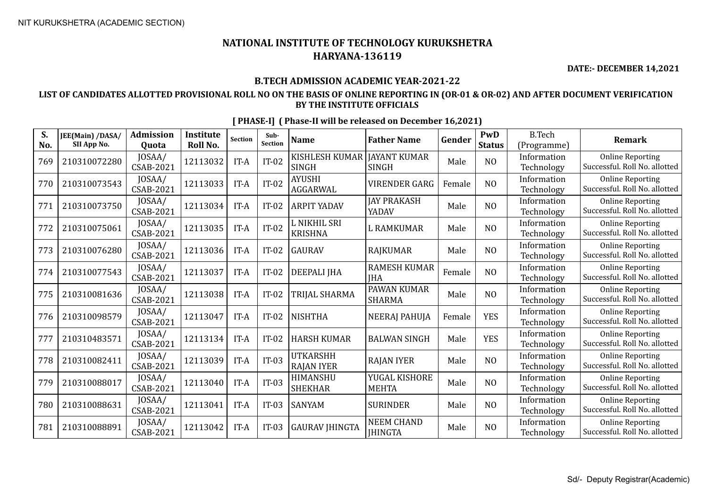**DATE:- DECEMBER 14,2021**

## **B.TECH ADMISSION ACADEMIC YEAR-2021-22**

## **LIST OF CANDIDATES ALLOTTED PROVISIONAL ROLL NO ON THE BASIS OF ONLINE REPORTING IN (OR-01 & OR-02) AND AFTER DOCUMENT VERIFICATION BY THE INSTITUTE OFFICIALS**

| S.<br>No. | JEE(Main) /DASA/<br>SII App No. | <b>Admission</b><br><b>Ouota</b> | Institute<br>Roll No. | <b>Section</b> | Sub-<br><b>Section</b> | <b>Name</b>                          | <b>Father Name</b>                  | Gender | PwD<br><b>Status</b> | <b>B.Tech</b><br>(Programme) | <b>Remark</b>                                            |
|-----------|---------------------------------|----------------------------------|-----------------------|----------------|------------------------|--------------------------------------|-------------------------------------|--------|----------------------|------------------------------|----------------------------------------------------------|
| 769       | 210310072280                    | JOSAA/<br>CSAB-2021              | 12113032              | IT-A           | $IT-02$                | KISHLESH KUMAR<br><b>SINGH</b>       | <b>JAYANT KUMAR</b><br><b>SINGH</b> | Male   | N <sub>O</sub>       | Information<br>Technology    | <b>Online Reporting</b><br>Successful. Roll No. allotted |
| 770       | 210310073543                    | JOSAA/<br>CSAB-2021              | 12113033              | IT-A           | $IT-02$                | <b>AYUSHI</b><br><b>AGGARWAL</b>     | <b>VIRENDER GARG</b>                | Female | N <sub>O</sub>       | Information<br>Technology    | <b>Online Reporting</b><br>Successful. Roll No. allotted |
| 771       | 210310073750                    | JOSAA/<br>CSAB-2021              | 12113034              | IT-A           | $IT-02$                | <b>ARPIT YADAV</b>                   | <b>JAY PRAKASH</b><br>YADAV         | Male   | N <sub>O</sub>       | Information<br>Technology    | <b>Online Reporting</b><br>Successful. Roll No. allotted |
| 772       | 210310075061                    | JOSAA/<br><b>CSAB-2021</b>       | 12113035              | IT-A           | $IT-02$                | L NIKHIL SRI<br><b>KRISHNA</b>       | <b>L RAMKUMAR</b>                   | Male   | N <sub>O</sub>       | Information<br>Technology    | <b>Online Reporting</b><br>Successful. Roll No. allotted |
| 773       | 210310076280                    | JOSAA/<br>CSAB-2021              | 12113036              | IT-A           | $IT-02$                | <b>GAURAV</b>                        | <b>RAJKUMAR</b>                     | Male   | N <sub>O</sub>       | Information<br>Technology    | <b>Online Reporting</b><br>Successful. Roll No. allotted |
| 774       | 210310077543                    | JOSAA/<br><b>CSAB-2021</b>       | 12113037              | IT-A           | $IT-02$                | DEEPALI JHA                          | <b>RAMESH KUMAR</b><br><b>IHA</b>   | Female | N <sub>O</sub>       | Information<br>Technology    | <b>Online Reporting</b><br>Successful. Roll No. allotted |
| 775       | 210310081636                    | JOSAA/<br><b>CSAB-2021</b>       | 12113038              | IT-A           | $IT-02$                | TRIJAL SHARMA                        | PAWAN KUMAR<br><b>SHARMA</b>        | Male   | N <sub>O</sub>       | Information<br>Technology    | <b>Online Reporting</b><br>Successful. Roll No. allotted |
| 776       | 210310098579                    | JOSAA/<br>CSAB-2021              | 12113047              | IT-A           | $IT-02$                | <b>NISHTHA</b>                       | <b>NEERAJ PAHUJA</b>                | Female | <b>YES</b>           | Information<br>Technology    | <b>Online Reporting</b><br>Successful. Roll No. allotted |
| 777       | 210310483571                    | JOSAA/<br><b>CSAB-2021</b>       | 12113134              | IT-A           | $IT-02$                | <b>HARSH KUMAR</b>                   | <b>BALWAN SINGH</b>                 | Male   | <b>YES</b>           | Information<br>Technology    | <b>Online Reporting</b><br>Successful. Roll No. allotted |
| 778       | 210310082411                    | JOSAA/<br><b>CSAB-2021</b>       | 12113039              | IT-A           | $IT-03$                | <b>UTKARSHH</b><br><b>RAJAN IYER</b> | <b>RAJAN IYER</b>                   | Male   | N <sub>O</sub>       | Information<br>Technology    | <b>Online Reporting</b><br>Successful. Roll No. allotted |
| 779       | 210310088017                    | JOSAA/<br>CSAB-2021              | 12113040              | IT-A           | $IT-03$                | HIMANSHU<br><b>SHEKHAR</b>           | YUGAL KISHORE<br><b>MEHTA</b>       | Male   | N <sub>O</sub>       | Information<br>Technology    | <b>Online Reporting</b><br>Successful. Roll No. allotted |
| 780       | 210310088631                    | JOSAA/<br>CSAB-2021              | 12113041              | IT-A           | $IT-03$                | <b>SANYAM</b>                        | <b>SURINDER</b>                     | Male   | N <sub>O</sub>       | Information<br>Technology    | <b>Online Reporting</b><br>Successful. Roll No. allotted |
| 781       | 210310088891                    | JOSAA/<br>CSAB-2021              | 12113042              | IT-A           | $IT-03$                | <b>GAURAV JHINGTA</b>                | <b>NEEM CHAND</b><br><b>IHINGTA</b> | Male   | N <sub>O</sub>       | Information<br>Technology    | <b>Online Reporting</b><br>Successful. Roll No. allotted |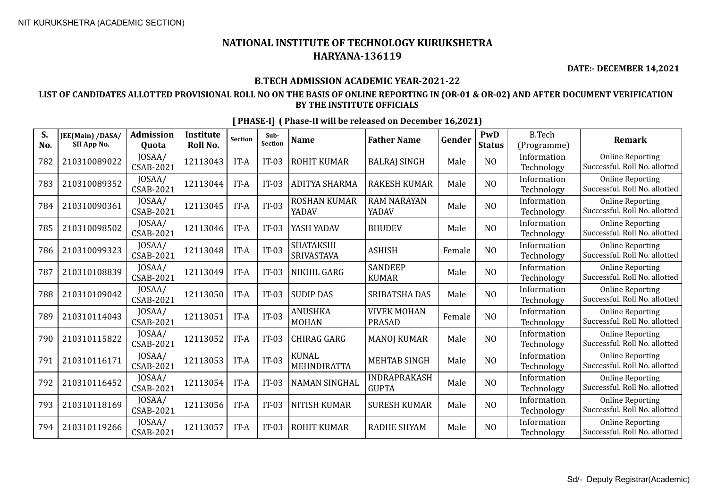**DATE:- DECEMBER 14,2021**

## **B.TECH ADMISSION ACADEMIC YEAR-2021-22**

## **LIST OF CANDIDATES ALLOTTED PROVISIONAL ROLL NO ON THE BASIS OF ONLINE REPORTING IN (OR-01 & OR-02) AND AFTER DOCUMENT VERIFICATION BY THE INSTITUTE OFFICIALS**

| S.<br>No. | JEE(Main) /DASA/<br>SII App No. | <b>Admission</b><br>Quota  | <b>Institute</b><br>Roll No. | <b>Section</b> | Sub-<br><b>Section</b> | <b>Name</b>                    | <b>Father Name</b>                  | Gender | PwD<br><b>Status</b> | <b>B.Tech</b><br>(Programme) | <b>Remark</b>                                            |
|-----------|---------------------------------|----------------------------|------------------------------|----------------|------------------------|--------------------------------|-------------------------------------|--------|----------------------|------------------------------|----------------------------------------------------------|
| 782       | 210310089022                    | JOSAA/<br><b>CSAB-2021</b> | 12113043                     | IT-A           | $IT-03$                | <b>ROHIT KUMAR</b>             | <b>BALRAJ SINGH</b>                 | Male   | N <sub>O</sub>       | Information<br>Technology    | <b>Online Reporting</b><br>Successful. Roll No. allotted |
| 783       | 210310089352                    | JOSAA/<br>CSAB-2021        | 12113044                     | IT-A           | $IT-03$                | <b>ADITYA SHARMA</b>           | <b>RAKESH KUMAR</b>                 | Male   | N <sub>O</sub>       | Information<br>Technology    | <b>Online Reporting</b><br>Successful. Roll No. allotted |
| 784       | 210310090361                    | JOSAA/<br>CSAB-2021        | 12113045                     | IT-A           | $IT-03$                | <b>ROSHAN KUMAR</b><br>YADAV   | <b>RAM NARAYAN</b><br>YADAV         | Male   | N <sub>O</sub>       | Information<br>Technology    | <b>Online Reporting</b><br>Successful. Roll No. allotted |
| 785       | 210310098502                    | JOSAA/<br><b>CSAB-2021</b> | 12113046                     | IT-A           | $IT-03$                | YASH YADAV                     | <b>BHUDEV</b>                       | Male   | N <sub>O</sub>       | Information<br>Technology    | <b>Online Reporting</b><br>Successful. Roll No. allotted |
| 786       | 210310099323                    | JOSAA/<br>CSAB-2021        | 12113048                     | IT-A           | $IT-03$                | <b>SHATAKSHI</b><br>SRIVASTAVA | <b>ASHISH</b>                       | Female | N <sub>O</sub>       | Information<br>Technology    | <b>Online Reporting</b><br>Successful. Roll No. allotted |
| 787       | 210310108839                    | JOSAA/<br><b>CSAB-2021</b> | 12113049                     | IT-A           | $IT-03$                | NIKHIL GARG                    | <b>SANDEEP</b><br><b>KUMAR</b>      | Male   | N <sub>O</sub>       | Information<br>Technology    | <b>Online Reporting</b><br>Successful. Roll No. allotted |
| 788       | 210310109042                    | JOSAA/<br>CSAB-2021        | 12113050                     | IT-A           | $IT-03$                | <b>SUDIP DAS</b>               | SRIBATSHA DAS                       | Male   | N <sub>O</sub>       | Information<br>Technology    | <b>Online Reporting</b><br>Successful. Roll No. allotted |
| 789       | 210310114043                    | JOSAA/<br><b>CSAB-2021</b> | 12113051                     | IT-A           | $IT-03$                | ANUSHKA<br><b>MOHAN</b>        | <b>VIVEK MOHAN</b><br><b>PRASAD</b> | Female | N <sub>O</sub>       | Information<br>Technology    | <b>Online Reporting</b><br>Successful. Roll No. allotted |
| 790       | 210310115822                    | JOSAA/<br><b>CSAB-2021</b> | 12113052                     | IT-A           | $IT-03$                | CHIRAG GARG                    | <b>MANOJ KUMAR</b>                  | Male   | N <sub>O</sub>       | Information<br>Technology    | <b>Online Reporting</b><br>Successful. Roll No. allotted |
| 791       | 210310116171                    | JOSAA/<br>CSAB-2021        | 12113053                     | IT-A           | $IT-03$                | <b>KUNAL</b><br>MEHNDIRATTA    | <b>MEHTAB SINGH</b>                 | Male   | N <sub>O</sub>       | Information<br>Technology    | <b>Online Reporting</b><br>Successful. Roll No. allotted |
| 792       | 210310116452                    | JOSAA/<br>CSAB-2021        | 12113054                     | IT-A           | $IT-03$                | NAMAN SINGHAL                  | INDRAPRAKASH<br><b>GUPTA</b>        | Male   | N <sub>O</sub>       | Information<br>Technology    | <b>Online Reporting</b><br>Successful. Roll No. allotted |
| 793       | 210310118169                    | JOSAA/<br>CSAB-2021        | 12113056                     | IT-A           | $IT-03$                | <b>NITISH KUMAR</b>            | <b>SURESH KUMAR</b>                 | Male   | N <sub>O</sub>       | Information<br>Technology    | <b>Online Reporting</b><br>Successful. Roll No. allotted |
| 794       | 210310119266                    | JOSAA/<br>CSAB-2021        | 12113057                     | IT-A           | $IT-03$                | <b>ROHIT KUMAR</b>             | <b>RADHE SHYAM</b>                  | Male   | NO                   | Information<br>Technology    | <b>Online Reporting</b><br>Successful. Roll No. allotted |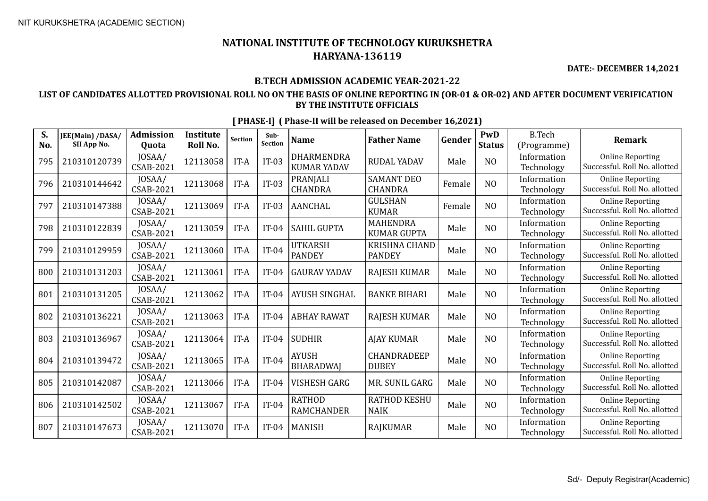**DATE:- DECEMBER 14,2021**

## **B.TECH ADMISSION ACADEMIC YEAR-2021-22**

## **LIST OF CANDIDATES ALLOTTED PROVISIONAL ROLL NO ON THE BASIS OF ONLINE REPORTING IN (OR-01 & OR-02) AND AFTER DOCUMENT VERIFICATION BY THE INSTITUTE OFFICIALS**

| S.<br>No. | JEE(Main) /DASA/<br>SII App No. | <b>Admission</b><br><b>Ouota</b> | <b>Institute</b><br>Roll No. | <b>Section</b> | Sub-<br><b>Section</b> | <b>Name</b>                        | <b>Father Name</b>                    | Gender | PwD<br><b>Status</b> | <b>B.Tech</b><br>(Programme) | <b>Remark</b>                                            |
|-----------|---------------------------------|----------------------------------|------------------------------|----------------|------------------------|------------------------------------|---------------------------------------|--------|----------------------|------------------------------|----------------------------------------------------------|
| 795       | 210310120739                    | JOSAA/<br><b>CSAB-2021</b>       | 12113058                     | IT-A           | $IT-03$                | DHARMENDRA<br><b>KUMAR YADAV</b>   | <b>RUDAL YADAV</b>                    | Male   | N <sub>O</sub>       | Information<br>Technology    | <b>Online Reporting</b><br>Successful. Roll No. allotted |
| 796       | 210310144642                    | JOSAA/<br><b>CSAB-2021</b>       | 12113068                     | IT-A           | $IT-03$                | PRANJALI<br><b>CHANDRA</b>         | <b>SAMANT DEO</b><br><b>CHANDRA</b>   | Female | N <sub>O</sub>       | Information<br>Technology    | <b>Online Reporting</b><br>Successful. Roll No. allotted |
| 797       | 210310147388                    | JOSAA/<br><b>CSAB-2021</b>       | 12113069                     | IT-A           | $IT-03$                | <b>AANCHAL</b>                     | <b>GULSHAN</b><br><b>KUMAR</b>        | Female | N <sub>O</sub>       | Information<br>Technology    | <b>Online Reporting</b><br>Successful. Roll No. allotted |
| 798       | 210310122839                    | JOSAA/<br><b>CSAB-2021</b>       | 12113059                     | IT-A           | $IT-04$                | <b>SAHIL GUPTA</b>                 | <b>MAHENDRA</b><br><b>KUMAR GUPTA</b> | Male   | N <sub>O</sub>       | Information<br>Technology    | <b>Online Reporting</b><br>Successful. Roll No. allotted |
| 799       | 210310129959                    | JOSAA/<br><b>CSAB-2021</b>       | 12113060                     | IT-A           | $IT-04$                | <b>UTKARSH</b><br><b>PANDEY</b>    | KRISHNA CHAND<br><b>PANDEY</b>        | Male   | N <sub>O</sub>       | Information<br>Technology    | <b>Online Reporting</b><br>Successful. Roll No. allotted |
| 800       | 210310131203                    | JOSAA/<br><b>CSAB-2021</b>       | 12113061                     | IT-A           | $IT-04$                | <b>GAURAV YADAV</b>                | <b>RAJESH KUMAR</b>                   | Male   | N <sub>O</sub>       | Information<br>Technology    | <b>Online Reporting</b><br>Successful. Roll No. allotted |
| 801       | 210310131205                    | JOSAA/<br><b>CSAB-2021</b>       | 12113062                     | IT-A           | $IT-04$                | <b>AYUSH SINGHAL</b>               | <b>BANKE BIHARI</b>                   | Male   | N <sub>O</sub>       | Information<br>Technology    | <b>Online Reporting</b><br>Successful. Roll No. allotted |
| 802       | 210310136221                    | JOSAA/<br><b>CSAB-2021</b>       | 12113063                     | IT-A           | $IT-04$                | <b>ABHAY RAWAT</b>                 | <b>RAJESH KUMAR</b>                   | Male   | N <sub>O</sub>       | Information<br>Technology    | <b>Online Reporting</b><br>Successful. Roll No. allotted |
| 803       | 210310136967                    | JOSAA/<br><b>CSAB-2021</b>       | 12113064                     | IT-A           | $IT-04$                | <b>SUDHIR</b>                      | <b>AJAY KUMAR</b>                     | Male   | N <sub>O</sub>       | Information<br>Technology    | <b>Online Reporting</b><br>Successful. Roll No. allotted |
| 804       | 210310139472                    | JOSAA/<br><b>CSAB-2021</b>       | 12113065                     | IT-A           | $IT-04$                | <b>AYUSH</b><br><b>BHARADWAJ</b>   | CHANDRADEEP<br><b>DUBEY</b>           | Male   | N <sub>O</sub>       | Information<br>Technology    | <b>Online Reporting</b><br>Successful. Roll No. allotted |
| 805       | 210310142087                    | JOSAA/<br><b>CSAB-2021</b>       | 12113066                     | IT-A           | $IT-04$                | VISHESH GARG                       | MR. SUNIL GARG                        | Male   | N <sub>O</sub>       | Information<br>Technology    | <b>Online Reporting</b><br>Successful. Roll No. allotted |
| 806       | 210310142502                    | JOSAA/<br>CSAB-2021              | 12113067                     | IT-A           | $IT-04$                | <b>RATHOD</b><br><b>RAMCHANDER</b> | <b>RATHOD KESHU</b><br><b>NAIK</b>    | Male   | N <sub>O</sub>       | Information<br>Technology    | <b>Online Reporting</b><br>Successful. Roll No. allotted |
| 807       | 210310147673                    | JOSAA/<br><b>CSAB-2021</b>       | 12113070                     | IT-A           | $IT-04$                | <b>MANISH</b>                      | <b>RAJKUMAR</b>                       | Male   | N <sub>O</sub>       | Information<br>Technology    | <b>Online Reporting</b><br>Successful. Roll No. allotted |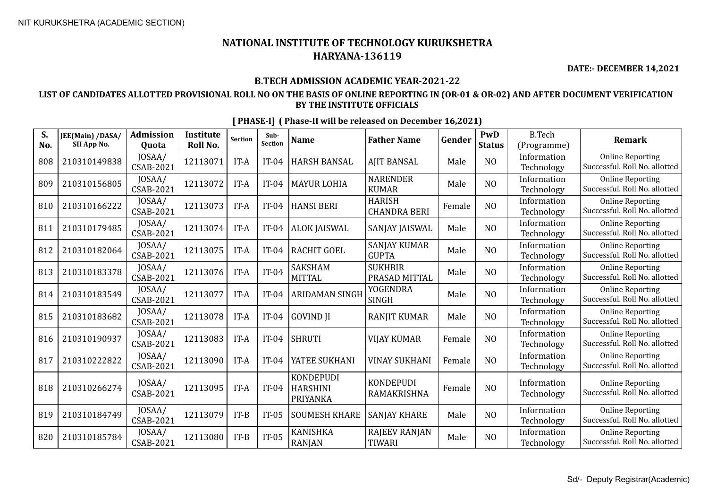**DATE:- DECEMBER 14,2021**

## **B.TECH ADMISSION ACADEMIC YEAR-2021-22**

## **LIST OF CANDIDATES ALLOTTED PROVISIONAL ROLL NO ON THE BASIS OF ONLINE REPORTING IN (OR-01 & OR-02) AND AFTER DOCUMENT VERIFICATION BY THE INSTITUTE OFFICIALS**

| S.<br>No. | JEE(Main) /DASA/<br>SII App No. | <b>Admission</b><br>Quota  | Institute<br>Roll No. | <b>Section</b> | Sub-<br>Section | <b>Name</b>                                     | <b>Father Name</b>                    | Gender | PwD<br><b>Status</b> | <b>B.Tech</b><br>(Programme) | <b>Remark</b>                                            |
|-----------|---------------------------------|----------------------------|-----------------------|----------------|-----------------|-------------------------------------------------|---------------------------------------|--------|----------------------|------------------------------|----------------------------------------------------------|
| 808       | 210310149838                    | JOSAA/<br>CSAB-2021        | 12113071              | IT-A           | $IT-04$         | <b>HARSH BANSAL</b>                             | <b>AJIT BANSAL</b>                    | Male   | N <sub>O</sub>       | Information<br>Technology    | <b>Online Reporting</b><br>Successful. Roll No. allotted |
| 809       | 210310156805                    | JOSAA/<br>CSAB-2021        | 12113072              | IT-A           | $IT-04$         | <b>MAYUR LOHIA</b>                              | <b>NARENDER</b><br><b>KUMAR</b>       | Male   | N <sub>O</sub>       | Information<br>Technology    | <b>Online Reporting</b><br>Successful. Roll No. allotted |
| 810       | 210310166222                    | JOSAA/<br>CSAB-2021        | 12113073              | IT-A           | $IT-04$         | <b>HANSI BERI</b>                               | <b>HARISH</b><br><b>CHANDRA BERI</b>  | Female | N <sub>O</sub>       | Information<br>Technology    | <b>Online Reporting</b><br>Successful. Roll No. allotted |
| 811       | 210310179485                    | JOSAA/<br><b>CSAB-2021</b> | 12113074              | IT-A           | $IT-04$         | <b>ALOK JAISWAL</b>                             | SANJAY JAISWAL                        | Male   | N <sub>O</sub>       | Information<br>Technology    | <b>Online Reporting</b><br>Successful. Roll No. allotted |
| 812       | 210310182064                    | JOSAA/<br>CSAB-2021        | 12113075              | IT-A           | $IT-04$         | <b>RACHIT GOEL</b>                              | <b>SANJAY KUMAR</b><br><b>GUPTA</b>   | Male   | N <sub>O</sub>       | Information<br>Technology    | <b>Online Reporting</b><br>Successful. Roll No. allotted |
| 813       | 210310183378                    | JOSAA/<br><b>CSAB-2021</b> | 12113076              | IT-A           | $IT-04$         | <b>SAKSHAM</b><br><b>MITTAL</b>                 | <b>SUKHBIR</b><br>PRASAD MITTAL       | Male   | N <sub>O</sub>       | Information<br>Technology    | <b>Online Reporting</b><br>Successful. Roll No. allotted |
| 814       | 210310183549                    | JOSAA/<br><b>CSAB-2021</b> | 12113077              | IT-A           | $IT-04$         | <b>ARIDAMAN SINGH</b>                           | <b>YOGENDRA</b><br><b>SINGH</b>       | Male   | N <sub>O</sub>       | Information<br>Technology    | <b>Online Reporting</b><br>Successful. Roll No. allotted |
| 815       | 210310183682                    | JOSAA/<br><b>CSAB-2021</b> | 12113078              | IT-A           | $IT-04$         | <b>GOVIND JI</b>                                | <b>RANJIT KUMAR</b>                   | Male   | N <sub>O</sub>       | Information<br>Technology    | <b>Online Reporting</b><br>Successful. Roll No. allotted |
| 816       | 210310190937                    | JOSAA/<br>CSAB-2021        | 12113083              | IT-A           | $IT-04$         | <b>SHRUTI</b>                                   | <b>VIJAY KUMAR</b>                    | Female | N <sub>O</sub>       | Information<br>Technology    | <b>Online Reporting</b><br>Successful. Roll No. allotted |
| 817       | 210310222822                    | JOSAA/<br><b>CSAB-2021</b> | 12113090              | IT-A           | $IT-04$         | YATEE SUKHANI                                   | <b>VINAY SUKHANI</b>                  | Female | N <sub>O</sub>       | Information<br>Technology    | <b>Online Reporting</b><br>Successful. Roll No. allotted |
| 818       | 210310266274                    | JOSAA/<br><b>CSAB-2021</b> | 12113095              | IT-A           | $IT-04$         | <b>KONDEPUDI</b><br><b>HARSHINI</b><br>PRIYANKA | <b>KONDEPUDI</b><br>RAMAKRISHNA       | Female | N <sub>O</sub>       | Information<br>Technology    | <b>Online Reporting</b><br>Successful. Roll No. allotted |
| 819       | 210310184749                    | JOSAA/<br><b>CSAB-2021</b> | 12113079              | $IT-B$         | $IT-05$         | <b>SOUMESH KHARE</b>                            | <b>SANJAY KHARE</b>                   | Male   | N <sub>O</sub>       | Information<br>Technology    | <b>Online Reporting</b><br>Successful. Roll No. allotted |
| 820       | 210310185784                    | JOSAA/<br><b>CSAB-2021</b> | 12113080              | $IT-B$         | $IT-05$         | <b>KANISHKA</b><br><b>RANJAN</b>                | <b>RAJEEV RANJAN</b><br><b>TIWARI</b> | Male   | N <sub>O</sub>       | Information<br>Technology    | <b>Online Reporting</b><br>Successful. Roll No. allotted |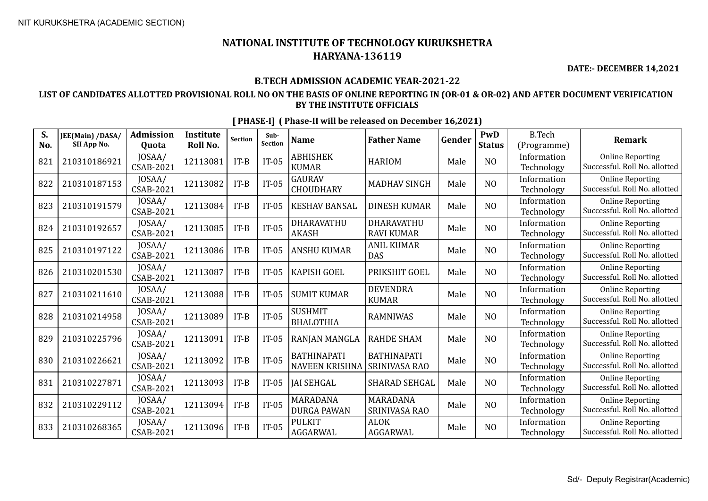**DATE:- DECEMBER 14,2021**

## **B.TECH ADMISSION ACADEMIC YEAR-2021-22**

## **LIST OF CANDIDATES ALLOTTED PROVISIONAL ROLL NO ON THE BASIS OF ONLINE REPORTING IN (OR-01 & OR-02) AND AFTER DOCUMENT VERIFICATION BY THE INSTITUTE OFFICIALS**

| S.<br>No. | JEE(Main) /DASA/<br>SII App No. | <b>Admission</b><br><b>Ouota</b> | <b>Institute</b><br>Roll No. | <b>Section</b> | Sub-<br>Section | <b>Name</b>                                 | <b>Father Name</b>                  | Gender | PwD<br><b>Status</b> | <b>B.Tech</b><br>(Programme) | <b>Remark</b>                                            |
|-----------|---------------------------------|----------------------------------|------------------------------|----------------|-----------------|---------------------------------------------|-------------------------------------|--------|----------------------|------------------------------|----------------------------------------------------------|
| 821       | 210310186921                    | JOSAA/<br>CSAB-2021              | 12113081                     | $IT-B$         | $IT-05$         | <b>ABHISHEK</b><br><b>KUMAR</b>             | <b>HARIOM</b>                       | Male   | N <sub>O</sub>       | Information<br>Technology    | <b>Online Reporting</b><br>Successful. Roll No. allotted |
| 822       | 210310187153                    | JOSAA/<br>CSAB-2021              | 12113082                     | $IT-B$         | $IT-05$         | <b>GAURAV</b><br><b>CHOUDHARY</b>           | <b>MADHAV SINGH</b>                 | Male   | N <sub>O</sub>       | Information<br>Technology    | <b>Online Reporting</b><br>Successful. Roll No. allotted |
| 823       | 210310191579                    | JOSAA/<br><b>CSAB-2021</b>       | 12113084                     | $IT-B$         | $IT-05$         | <b>KESHAV BANSAL</b>                        | <b>DINESH KUMAR</b>                 | Male   | N <sub>O</sub>       | Information<br>Technology    | <b>Online Reporting</b><br>Successful. Roll No. allotted |
| 824       | 210310192657                    | JOSAA/<br>CSAB-2021              | 12113085                     | $IT-B$         | $IT-05$         | DHARAVATHU<br><b>AKASH</b>                  | DHARAVATHU<br><b>RAVI KUMAR</b>     | Male   | N <sub>O</sub>       | Information<br>Technology    | <b>Online Reporting</b><br>Successful. Roll No. allotted |
| 825       | 210310197122                    | JOSAA/<br>CSAB-2021              | 12113086                     | $IT-B$         | $IT-05$         | <b>ANSHU KUMAR</b>                          | <b>ANIL KUMAR</b><br><b>DAS</b>     | Male   | N <sub>O</sub>       | Information<br>Technology    | <b>Online Reporting</b><br>Successful. Roll No. allotted |
| 826       | 210310201530                    | JOSAA/<br><b>CSAB-2021</b>       | 12113087                     | $IT-B$         | $IT-05$         | <b>KAPISH GOEL</b>                          | PRIKSHIT GOEL                       | Male   | N <sub>O</sub>       | Information<br>Technology    | <b>Online Reporting</b><br>Successful. Roll No. allotted |
| 827       | 210310211610                    | JOSAA/<br>CSAB-2021              | 12113088                     | $IT-B$         | $IT-05$         | <b>SUMIT KUMAR</b>                          | <b>DEVENDRA</b><br><b>KUMAR</b>     | Male   | N <sub>O</sub>       | Information<br>Technology    | <b>Online Reporting</b><br>Successful. Roll No. allotted |
| 828       | 210310214958                    | JOSAA/<br><b>CSAB-2021</b>       | 12113089                     | $IT-B$         | $IT-05$         | <b>SUSHMIT</b><br><b>BHALOTHIA</b>          | <b>RAMNIWAS</b>                     | Male   | N <sub>O</sub>       | Information<br>Technology    | <b>Online Reporting</b><br>Successful. Roll No. allotted |
| 829       | 210310225796                    | JOSAA/<br><b>CSAB-2021</b>       | 12113091                     | $IT-B$         | $IT-05$         | <b>RANJAN MANGLA</b>                        | <b>RAHDE SHAM</b>                   | Male   | N <sub>O</sub>       | Information<br>Technology    | <b>Online Reporting</b><br>Successful. Roll No. allotted |
| 830       | 210310226621                    | JOSAA/<br>CSAB-2021              | 12113092                     | $IT-B$         | $IT-05$         | <b>BATHINAPATI</b><br><b>NAVEEN KRISHNA</b> | <b>BATHINAPATI</b><br>SRINIVASA RAO | Male   | N <sub>O</sub>       | Information<br>Technology    | <b>Online Reporting</b><br>Successful. Roll No. allotted |
| 831       | 210310227871                    | JOSAA/<br><b>CSAB-2021</b>       | 12113093                     | $IT-B$         | $IT-05$         | <b>JAI SEHGAL</b>                           | SHARAD SEHGAL                       | Male   | N <sub>O</sub>       | Information<br>Technology    | <b>Online Reporting</b><br>Successful. Roll No. allotted |
| 832       | 210310229112                    | JOSAA/<br>CSAB-2021              | 12113094                     | $IT-B$         | $IT-05$         | MARADANA<br><b>DURGA PAWAN</b>              | <b>MARADANA</b><br>SRINIVASA RAO    | Male   | N <sub>O</sub>       | Information<br>Technology    | <b>Online Reporting</b><br>Successful. Roll No. allotted |
| 833       | 210310268365                    | JOSAA/<br>CSAB-2021              | 12113096                     | $IT-B$         | $IT-05$         | <b>PULKIT</b><br>AGGARWAL                   | <b>ALOK</b><br>AGGARWAL             | Male   | N <sub>O</sub>       | Information<br>Technology    | <b>Online Reporting</b><br>Successful. Roll No. allotted |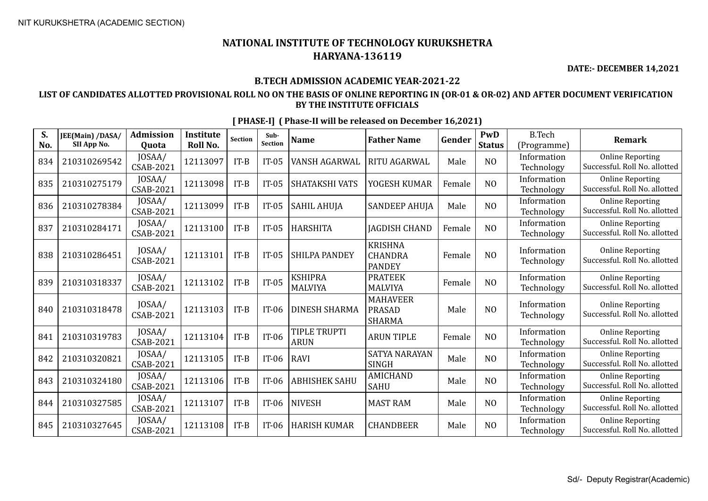**DATE:- DECEMBER 14,2021**

## **B.TECH ADMISSION ACADEMIC YEAR-2021-22**

## **LIST OF CANDIDATES ALLOTTED PROVISIONAL ROLL NO ON THE BASIS OF ONLINE REPORTING IN (OR-01 & OR-02) AND AFTER DOCUMENT VERIFICATION BY THE INSTITUTE OFFICIALS**

| S.<br>No. | JEE(Main) /DASA/<br>SII App No. | <b>Admission</b><br>Quota | <b>Institute</b><br>Roll No. | <b>Section</b> | Sub-<br><b>Section</b> | <b>Name</b>                      | <b>Father Name</b>                                | Gender | PwD<br><b>Status</b> | <b>B.Tech</b><br>(Programme) | <b>Remark</b>                                            |
|-----------|---------------------------------|---------------------------|------------------------------|----------------|------------------------|----------------------------------|---------------------------------------------------|--------|----------------------|------------------------------|----------------------------------------------------------|
| 834       | 210310269542                    | JOSAA/<br>CSAB-2021       | 12113097                     | $IT-B$         | $IT-05$                | VANSH AGARWAL                    | RITU AGARWAL                                      | Male   | N <sub>O</sub>       | Information<br>Technology    | <b>Online Reporting</b><br>Successful. Roll No. allotted |
| 835       | 210310275179                    | JOSAA/<br>CSAB-2021       | 12113098                     | $IT-B$         | $IT-05$                | SHATAKSHI VATS                   | YOGESH KUMAR                                      | Female | N <sub>O</sub>       | Information<br>Technology    | <b>Online Reporting</b><br>Successful. Roll No. allotted |
| 836       | 210310278384                    | JOSAA/<br>CSAB-2021       | 12113099                     | $IT-B$         | $IT-05$                | <b>SAHIL AHUJA</b>               | <b>SANDEEP AHUJA</b>                              | Male   | N <sub>O</sub>       | Information<br>Technology    | <b>Online Reporting</b><br>Successful. Roll No. allotted |
| 837       | 210310284171                    | JOSAA/<br>CSAB-2021       | 12113100                     | $IT-B$         | $IT-05$                | <b>HARSHITA</b>                  | <b>JAGDISH CHAND</b>                              | Female | N <sub>O</sub>       | Information<br>Technology    | <b>Online Reporting</b><br>Successful. Roll No. allotted |
| 838       | 210310286451                    | JOSAA/<br>CSAB-2021       | 12113101                     | $IT-B$         | $IT-05$                | SHILPA PANDEY                    | <b>KRISHNA</b><br><b>CHANDRA</b><br><b>PANDEY</b> | Female | N <sub>O</sub>       | Information<br>Technology    | <b>Online Reporting</b><br>Successful. Roll No. allotted |
| 839       | 210310318337                    | JOSAA/<br>CSAB-2021       | 12113102                     | $IT-B$         | $IT-05$                | <b>KSHIPRA</b><br><b>MALVIYA</b> | <b>PRATEEK</b><br><b>MALVIYA</b>                  | Female | N <sub>O</sub>       | Information<br>Technology    | <b>Online Reporting</b><br>Successful. Roll No. allotted |
| 840       | 210310318478                    | JOSAA/<br>CSAB-2021       | 12113103                     | $IT-B$         | $IT-06$                | <b>DINESH SHARMA</b>             | <b>MAHAVEER</b><br><b>PRASAD</b><br><b>SHARMA</b> | Male   | N <sub>O</sub>       | Information<br>Technology    | <b>Online Reporting</b><br>Successful. Roll No. allotted |
| 841       | 210310319783                    | JOSAA/<br>CSAB-2021       | 12113104                     | $IT-B$         | $IT-06$                | TIPLE TRUPTI<br><b>ARUN</b>      | <b>ARUN TIPLE</b>                                 | Female | N <sub>O</sub>       | Information<br>Technology    | <b>Online Reporting</b><br>Successful. Roll No. allotted |
| 842       | 210310320821                    | JOSAA/<br>CSAB-2021       | 12113105                     | $IT-B$         | $IT-06$                | <b>RAVI</b>                      | <b>SATYA NARAYAN</b><br><b>SINGH</b>              | Male   | N <sub>O</sub>       | Information<br>Technology    | <b>Online Reporting</b><br>Successful. Roll No. allotted |
| 843       | 210310324180                    | JOSAA/<br>CSAB-2021       | 12113106                     | $IT-B$         | $IT-06$                | <b>ABHISHEK SAHU</b>             | AMICHAND<br><b>SAHU</b>                           | Male   | N <sub>O</sub>       | Information<br>Technology    | <b>Online Reporting</b><br>Successful. Roll No. allotted |
| 844       | 210310327585                    | JOSAA/<br>CSAB-2021       | 12113107                     | $IT-B$         | $IT-06$                | <b>NIVESH</b>                    | <b>MAST RAM</b>                                   | Male   | N <sub>O</sub>       | Information<br>Technology    | <b>Online Reporting</b><br>Successful. Roll No. allotted |
| 845       | 210310327645                    | JOSAA/<br>CSAB-2021       | 12113108                     | $IT-B$         | $IT-06$                | <b>HARISH KUMAR</b>              | <b>CHANDBEER</b>                                  | Male   | N <sub>O</sub>       | Information<br>Technology    | <b>Online Reporting</b><br>Successful. Roll No. allotted |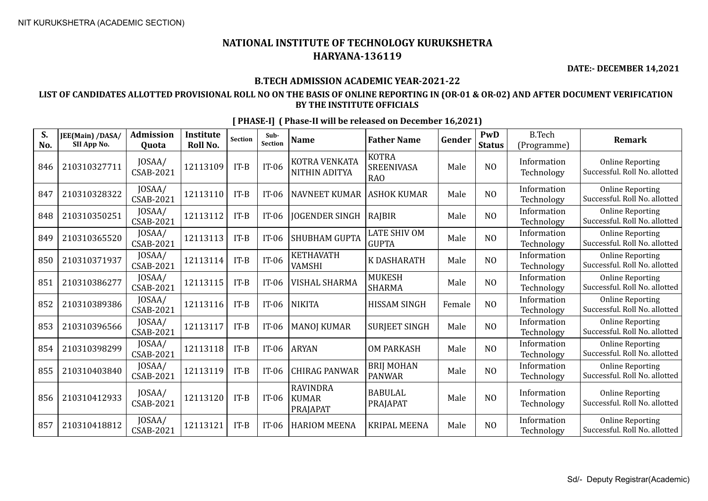**DATE:- DECEMBER 14,2021**

## **B.TECH ADMISSION ACADEMIC YEAR-2021-22**

## **LIST OF CANDIDATES ALLOTTED PROVISIONAL ROLL NO ON THE BASIS OF ONLINE REPORTING IN (OR-01 & OR-02) AND AFTER DOCUMENT VERIFICATION BY THE INSTITUTE OFFICIALS**

| S.<br>No. | JEE(Main) /DASA/<br>SII App No. | <b>Admission</b><br>Quota  | <b>Institute</b><br>Roll No. | <b>Section</b> | Sub-<br>Section | <b>Name</b>                                 | <b>Father Name</b>                              | Gender | PwD<br><b>Status</b> | <b>B.Tech</b><br>(Programme) | <b>Remark</b>                                            |
|-----------|---------------------------------|----------------------------|------------------------------|----------------|-----------------|---------------------------------------------|-------------------------------------------------|--------|----------------------|------------------------------|----------------------------------------------------------|
| 846       | 210310327711                    | JOSAA/<br>CSAB-2021        | 12113109                     | $IT-B$         | $IT-06$         | KOTRA VENKATA<br>NITHIN ADITYA              | <b>KOTRA</b><br><b>SREENIVASA</b><br><b>RAO</b> | Male   | N <sub>O</sub>       | Information<br>Technology    | <b>Online Reporting</b><br>Successful. Roll No. allotted |
| 847       | 210310328322                    | JOSAA/<br>CSAB-2021        | 12113110                     | $IT-B$         | $IT-06$         | <b>NAVNEET KUMAR</b>                        | <b>ASHOK KUMAR</b>                              | Male   | N <sub>O</sub>       | Information<br>Technology    | <b>Online Reporting</b><br>Successful. Roll No. allotted |
| 848       | 210310350251                    | JOSAA/<br>CSAB-2021        | 12113112                     | $IT-B$         | $IT-06$         | <b>JOGENDER SINGH</b>                       | RAJBIR                                          | Male   | N <sub>O</sub>       | Information<br>Technology    | <b>Online Reporting</b><br>Successful. Roll No. allotted |
| 849       | 210310365520                    | JOSAA/<br>CSAB-2021        | 12113113                     | $IT-B$         | $IT-06$         | SHUBHAM GUPTA                               | <b>LATE SHIV OM</b><br><b>GUPTA</b>             | Male   | N <sub>O</sub>       | Information<br>Technology    | <b>Online Reporting</b><br>Successful. Roll No. allotted |
| 850       | 210310371937                    | JOSAA/<br>CSAB-2021        | 12113114                     | $IT-B$         | $IT-06$         | <b>KETHAVATH</b><br><b>VAMSHI</b>           | K DASHARATH                                     | Male   | N <sub>O</sub>       | Information<br>Technology    | <b>Online Reporting</b><br>Successful. Roll No. allotted |
| 851       | 210310386277                    | JOSAA/<br>CSAB-2021        | 12113115                     | $IT-B$         | $IT-06$         | VISHAL SHARMA                               | <b>MUKESH</b><br><b>SHARMA</b>                  | Male   | N <sub>O</sub>       | Information<br>Technology    | <b>Online Reporting</b><br>Successful. Roll No. allotted |
| 852       | 210310389386                    | JOSAA/<br>CSAB-2021        | 12113116                     | $IT-B$         | $IT-06$         | <b>NIKITA</b>                               | <b>HISSAM SINGH</b>                             | Female | N <sub>O</sub>       | Information<br>Technology    | <b>Online Reporting</b><br>Successful. Roll No. allotted |
| 853       | 210310396566                    | JOSAA/<br>CSAB-2021        | 12113117                     | $IT-B$         | $IT-06$         | <b>MANOJ KUMAR</b>                          | <b>SURJEET SINGH</b>                            | Male   | N <sub>O</sub>       | Information<br>Technology    | <b>Online Reporting</b><br>Successful. Roll No. allotted |
| 854       | 210310398299                    | JOSAA/<br>CSAB-2021        | 12113118                     | $IT-B$         | $IT-06$         | <b>ARYAN</b>                                | <b>OM PARKASH</b>                               | Male   | N <sub>O</sub>       | Information<br>Technology    | <b>Online Reporting</b><br>Successful. Roll No. allotted |
| 855       | 210310403840                    | JOSAA/<br>CSAB-2021        | 12113119                     | $IT-B$         | $IT-06$         | <b>CHIRAG PANWAR</b>                        | <b>BRIJ MOHAN</b><br><b>PANWAR</b>              | Male   | N <sub>O</sub>       | Information<br>Technology    | <b>Online Reporting</b><br>Successful. Roll No. allotted |
| 856       | 210310412933                    | JOSAA/<br><b>CSAB-2021</b> | 12113120                     | $IT-B$         | $IT-06$         | <b>RAVINDRA</b><br><b>KUMAR</b><br>PRAJAPAT | <b>BABULAL</b><br>PRAJAPAT                      | Male   | N <sub>O</sub>       | Information<br>Technology    | <b>Online Reporting</b><br>Successful. Roll No. allotted |
| 857       | 210310418812                    | JOSAA/<br>CSAB-2021        | 12113121                     | $IT-B$         | $IT-06$         | <b>HARIOM MEENA</b>                         | <b>KRIPAL MEENA</b>                             | Male   | N <sub>O</sub>       | Information<br>Technology    | <b>Online Reporting</b><br>Successful. Roll No. allotted |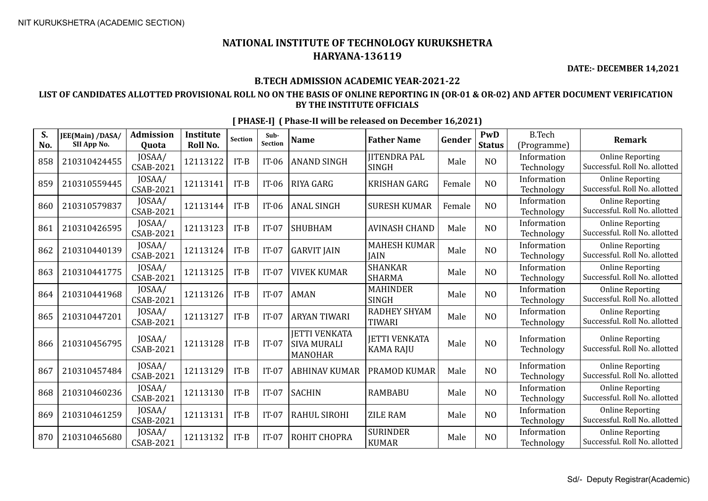**DATE:- DECEMBER 14,2021**

### **B.TECH ADMISSION ACADEMIC YEAR-2021-22**

### **LIST OF CANDIDATES ALLOTTED PROVISIONAL ROLL NO ON THE BASIS OF ONLINE REPORTING IN (OR-01 & OR-02) AND AFTER DOCUMENT VERIFICATION BY THE INSTITUTE OFFICIALS**

| S.<br>No. | JEE(Main) /DASA/<br>SII App No. | <b>Admission</b><br>Quota  | <b>Institute</b><br>Roll No. | <b>Section</b> | Sub-<br>Section | <b>Name</b>                                                  | <b>Father Name</b>                       | Gender | PwD<br><b>Status</b> | <b>B.Tech</b><br>(Programme) | <b>Remark</b>                                            |
|-----------|---------------------------------|----------------------------|------------------------------|----------------|-----------------|--------------------------------------------------------------|------------------------------------------|--------|----------------------|------------------------------|----------------------------------------------------------|
| 858       | 210310424455                    | JOSAA/<br><b>CSAB-2021</b> | 12113122                     | $IT-B$         | $IT-06$         | <b>ANAND SINGH</b>                                           | <b>JITENDRA PAL</b><br><b>SINGH</b>      | Male   | N <sub>O</sub>       | Information<br>Technology    | <b>Online Reporting</b><br>Successful. Roll No. allotted |
| 859       | 210310559445                    | JOSAA/<br>CSAB-2021        | 12113141                     | $IT-B$         | $IT-06$         | <b>RIYA GARG</b>                                             | <b>KRISHAN GARG</b>                      | Female | N <sub>O</sub>       | Information<br>Technology    | <b>Online Reporting</b><br>Successful. Roll No. allotted |
| 860       | 210310579837                    | JOSAA/<br>CSAB-2021        | 12113144                     | $IT-B$         | $IT-06$         | <b>ANAL SINGH</b>                                            | <b>SURESH KUMAR</b>                      | Female | N <sub>O</sub>       | Information<br>Technology    | <b>Online Reporting</b><br>Successful. Roll No. allotted |
| 861       | 210310426595                    | JOSAA/<br><b>CSAB-2021</b> | 12113123                     | $IT-B$         | $IT-07$         | <b>SHUBHAM</b>                                               | <b>AVINASH CHAND</b>                     | Male   | N <sub>O</sub>       | Information<br>Technology    | <b>Online Reporting</b><br>Successful. Roll No. allotted |
| 862       | 210310440139                    | JOSAA/<br>CSAB-2021        | 12113124                     | $IT-B$         | $IT-07$         | <b>GARVIT JAIN</b>                                           | <b>MAHESH KUMAR</b><br><b>JAIN</b>       | Male   | N <sub>O</sub>       | Information<br>Technology    | <b>Online Reporting</b><br>Successful. Roll No. allotted |
| 863       | 210310441775                    | JOSAA/<br><b>CSAB-2021</b> | 12113125                     | $IT-B$         | $IT-07$         | <b>VIVEK KUMAR</b>                                           | <b>SHANKAR</b><br><b>SHARMA</b>          | Male   | N <sub>O</sub>       | Information<br>Technology    | <b>Online Reporting</b><br>Successful. Roll No. allotted |
| 864       | 210310441968                    | JOSAA/<br><b>CSAB-2021</b> | 12113126                     | $IT-B$         | $IT-07$         | <b>AMAN</b>                                                  | <b>MAHINDER</b><br><b>SINGH</b>          | Male   | N <sub>O</sub>       | Information<br>Technology    | <b>Online Reporting</b><br>Successful. Roll No. allotted |
| 865       | 210310447201                    | JOSAA/<br><b>CSAB-2021</b> | 12113127                     | $IT-B$         | $IT-07$         | <b>ARYAN TIWARI</b>                                          | RADHEY SHYAM<br><b>TIWARI</b>            | Male   | N <sub>O</sub>       | Information<br>Technology    | <b>Online Reporting</b><br>Successful. Roll No. allotted |
| 866       | 210310456795                    | JOSAA/<br><b>CSAB-2021</b> | 12113128                     | $IT-B$         | $IT-07$         | <b>JETTI VENKATA</b><br><b>SIVA MURALI</b><br><b>MANOHAR</b> | <b>JETTI VENKATA</b><br><b>KAMA RAJU</b> | Male   | N <sub>O</sub>       | Information<br>Technology    | <b>Online Reporting</b><br>Successful. Roll No. allotted |
| 867       | 210310457484                    | JOSAA/<br>CSAB-2021        | 12113129                     | $IT-B$         | $IT-07$         | <b>ABHINAV KUMAR</b>                                         | PRAMOD KUMAR                             | Male   | N <sub>O</sub>       | Information<br>Technology    | <b>Online Reporting</b><br>Successful. Roll No. allotted |
| 868       | 210310460236                    | JOSAA/<br><b>CSAB-2021</b> | 12113130                     | $IT-B$         | $IT-07$         | <b>SACHIN</b>                                                | <b>RAMBABU</b>                           | Male   | N <sub>O</sub>       | Information<br>Technology    | <b>Online Reporting</b><br>Successful. Roll No. allotted |
| 869       | 210310461259                    | JOSAA/<br>CSAB-2021        | 12113131                     | $IT-B$         | $IT-07$         | <b>RAHUL SIROHI</b>                                          | <b>ZILE RAM</b>                          | Male   | N <sub>O</sub>       | Information<br>Technology    | <b>Online Reporting</b><br>Successful. Roll No. allotted |
| 870       | 210310465680                    | JOSAA/<br><b>CSAB-2021</b> | 12113132                     | $IT-B$         | $IT-07$         | ROHIT CHOPRA                                                 | <b>SURINDER</b><br><b>KUMAR</b>          | Male   | N <sub>O</sub>       | Information<br>Technology    | <b>Online Reporting</b><br>Successful. Roll No. allotted |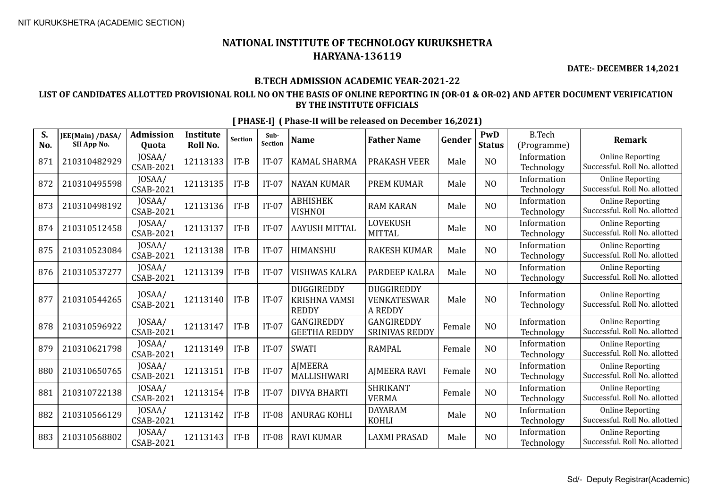**DATE:- DECEMBER 14,2021**

#### **B.TECH ADMISSION ACADEMIC YEAR-2021-22**

### **LIST OF CANDIDATES ALLOTTED PROVISIONAL ROLL NO ON THE BASIS OF ONLINE REPORTING IN (OR-01 & OR-02) AND AFTER DOCUMENT VERIFICATION BY THE INSTITUTE OFFICIALS**

| S.<br>No. | JEE(Main) /DASA/<br>SII App No. | <b>Admission</b><br>Quota | <b>Institute</b><br>Roll No. | <b>Section</b> | Sub-<br><b>Section</b> | <b>Name</b>                                        | <b>Father Name</b>                          | Gender | PwD<br><b>Status</b> | <b>B.Tech</b><br>(Programme) | <b>Remark</b>                                            |
|-----------|---------------------------------|---------------------------|------------------------------|----------------|------------------------|----------------------------------------------------|---------------------------------------------|--------|----------------------|------------------------------|----------------------------------------------------------|
| 871       | 210310482929                    | JOSAA/<br>CSAB-2021       | 12113133                     | $IT-B$         | $IT-07$                | <b>KAMAL SHARMA</b>                                | <b>PRAKASH VEER</b>                         | Male   | N <sub>O</sub>       | Information<br>Technology    | <b>Online Reporting</b><br>Successful. Roll No. allotted |
| 872       | 210310495598                    | JOSAA/<br>CSAB-2021       | 12113135                     | $IT-B$         | $IT-07$                | <b>NAYAN KUMAR</b>                                 | <b>PREM KUMAR</b>                           | Male   | N <sub>O</sub>       | Information<br>Technology    | <b>Online Reporting</b><br>Successful. Roll No. allotted |
| 873       | 210310498192                    | JOSAA/<br>CSAB-2021       | 12113136                     | $IT-B$         | $IT-07$                | <b>ABHISHEK</b><br><b>VISHNOI</b>                  | <b>RAM KARAN</b>                            | Male   | N <sub>O</sub>       | Information<br>Technology    | <b>Online Reporting</b><br>Successful. Roll No. allotted |
| 874       | 210310512458                    | JOSAA/<br>CSAB-2021       | 12113137                     | $IT-B$         | $IT-07$                | <b>AAYUSH MITTAL</b>                               | <b>LOVEKUSH</b><br><b>MITTAL</b>            | Male   | N <sub>O</sub>       | Information<br>Technology    | <b>Online Reporting</b><br>Successful. Roll No. allotted |
| 875       | 210310523084                    | JOSAA/<br>CSAB-2021       | 12113138                     | $IT-B$         | $IT-07$                | HIMANSHU                                           | <b>RAKESH KUMAR</b>                         | Male   | NO                   | Information<br>Technology    | <b>Online Reporting</b><br>Successful. Roll No. allotted |
| 876       | 210310537277                    | JOSAA/<br>CSAB-2021       | 12113139                     | $IT-B$         | $IT-07$                | VISHWAS KALRA                                      | PARDEEP KALRA                               | Male   | N <sub>O</sub>       | Information<br>Technology    | <b>Online Reporting</b><br>Successful. Roll No. allotted |
| 877       | 210310544265                    | JOSAA/<br>CSAB-2021       | 12113140                     | $IT-B$         | $IT-07$                | DUGGIREDDY<br><b>KRISHNA VAMSI</b><br><b>REDDY</b> | DUGGIREDDY<br>VENKATESWAR<br><b>A REDDY</b> | Male   | NO                   | Information<br>Technology    | <b>Online Reporting</b><br>Successful. Roll No. allotted |
| 878       | 210310596922                    | JOSAA/<br>CSAB-2021       | 12113147                     | $IT-B$         | $IT-07$                | GANGIREDDY<br><b>GEETHA REDDY</b>                  | <b>GANGIREDDY</b><br><b>SRINIVAS REDDY</b>  | Female | N <sub>O</sub>       | Information<br>Technology    | <b>Online Reporting</b><br>Successful. Roll No. allotted |
| 879       | 210310621798                    | JOSAA/<br>CSAB-2021       | 12113149                     | $IT-B$         | $IT-07$                | <b>SWATI</b>                                       | <b>RAMPAL</b>                               | Female | N <sub>O</sub>       | Information<br>Technology    | <b>Online Reporting</b><br>Successful. Roll No. allotted |
| 880       | 210310650765                    | JOSAA/<br>CSAB-2021       | 12113151                     | $IT-B$         | $IT-07$                | AJMEERA<br>MALLISHWARI                             | <b>AJMEERA RAVI</b>                         | Female | N <sub>O</sub>       | Information<br>Technology    | <b>Online Reporting</b><br>Successful. Roll No. allotted |
| 881       | 210310722138                    | JOSAA/<br>CSAB-2021       | 12113154                     | $IT-B$         | $IT-07$                | <b>DIVYA BHARTI</b>                                | <b>SHRIKANT</b><br><b>VERMA</b>             | Female | N <sub>O</sub>       | Information<br>Technology    | <b>Online Reporting</b><br>Successful. Roll No. allotted |
| 882       | 210310566129                    | JOSAA/<br>CSAB-2021       | 12113142                     | $IT-B$         | <b>IT-08</b>           | <b>ANURAG KOHLI</b>                                | <b>DAYARAM</b><br>KOHLI                     | Male   | N <sub>O</sub>       | Information<br>Technology    | <b>Online Reporting</b><br>Successful. Roll No. allotted |
| 883       | 210310568802                    | JOSAA/<br>CSAB-2021       | 12113143                     | $IT-B$         | <b>IT-08</b>           | <b>RAVI KUMAR</b>                                  | <b>LAXMI PRASAD</b>                         | Male   | N <sub>O</sub>       | Information<br>Technology    | <b>Online Reporting</b><br>Successful. Roll No. allotted |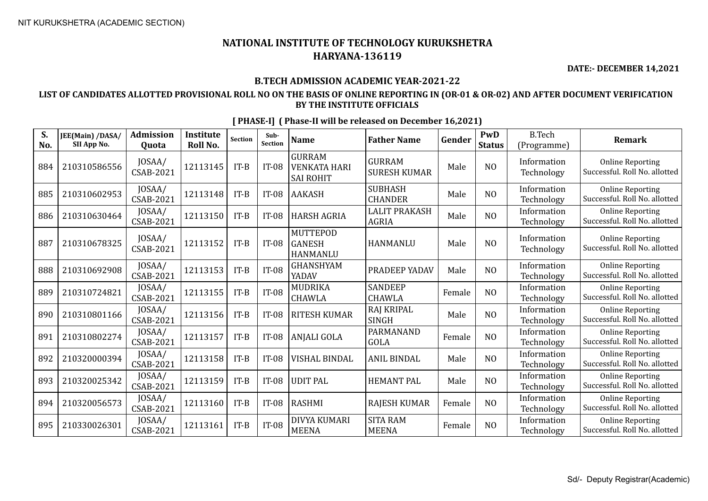**DATE:- DECEMBER 14,2021**

### **B.TECH ADMISSION ACADEMIC YEAR-2021-22**

### **LIST OF CANDIDATES ALLOTTED PROVISIONAL ROLL NO ON THE BASIS OF ONLINE REPORTING IN (OR-01 & OR-02) AND AFTER DOCUMENT VERIFICATION BY THE INSTITUTE OFFICIALS**

| S.<br>No. | JEE(Main) /DASA/<br>SII App No. | <b>Admission</b><br>Quota  | <b>Institute</b><br>Roll No. | <b>Section</b> | Sub-<br>Section | <b>Name</b>                                              | <b>Father Name</b>                   | Gender | PwD<br><b>Status</b> | <b>B.Tech</b><br>(Programme) | Remark                                                   |
|-----------|---------------------------------|----------------------------|------------------------------|----------------|-----------------|----------------------------------------------------------|--------------------------------------|--------|----------------------|------------------------------|----------------------------------------------------------|
| 884       | 210310586556                    | JOSAA/<br><b>CSAB-2021</b> | 12113145                     | $IT-B$         | $IT-08$         | <b>GURRAM</b><br><b>VENKATA HARI</b><br><b>SAI ROHIT</b> | <b>GURRAM</b><br><b>SURESH KUMAR</b> | Male   | N <sub>O</sub>       | Information<br>Technology    | <b>Online Reporting</b><br>Successful. Roll No. allotted |
| 885       | 210310602953                    | JOSAA/<br>CSAB-2021        | 12113148                     | $IT-B$         | $IT-08$         | AAKASH                                                   | <b>SUBHASH</b><br><b>CHANDER</b>     | Male   | N <sub>O</sub>       | Information<br>Technology    | <b>Online Reporting</b><br>Successful. Roll No. allotted |
| 886       | 210310630464                    | JOSAA/<br><b>CSAB-2021</b> | 12113150                     | $IT-B$         | $IT-08$         | <b>HARSH AGRIA</b>                                       | <b>LALIT PRAKASH</b><br><b>AGRIA</b> | Male   | N <sub>O</sub>       | Information<br>Technology    | <b>Online Reporting</b><br>Successful. Roll No. allotted |
| 887       | 210310678325                    | JOSAA/<br><b>CSAB-2021</b> | 12113152                     | $IT-B$         | $IT-08$         | <b>MUTTEPOD</b><br><b>GANESH</b><br>HANMANLU             | <b>HANMANLU</b>                      | Male   | N <sub>O</sub>       | Information<br>Technology    | <b>Online Reporting</b><br>Successful. Roll No. allotted |
| 888       | 210310692908                    | JOSAA/<br>CSAB-2021        | 12113153                     | $IT-B$         | <b>IT-08</b>    | <b>GHANSHYAM</b><br>YADAV                                | PRADEEP YADAV                        | Male   | N <sub>O</sub>       | Information<br>Technology    | <b>Online Reporting</b><br>Successful. Roll No. allotted |
| 889       | 210310724821                    | JOSAA/<br><b>CSAB-2021</b> | 12113155                     | $IT-B$         | <b>IT-08</b>    | MUDRIKA<br><b>CHAWLA</b>                                 | <b>SANDEEP</b><br><b>CHAWLA</b>      | Female | N <sub>O</sub>       | Information<br>Technology    | <b>Online Reporting</b><br>Successful. Roll No. allotted |
| 890       | 210310801166                    | JOSAA/<br>CSAB-2021        | 12113156                     | $IT-B$         | <b>IT-08</b>    | <b>RITESH KUMAR</b>                                      | RAJ KRIPAL<br><b>SINGH</b>           | Male   | N <sub>O</sub>       | Information<br>Technology    | <b>Online Reporting</b><br>Successful. Roll No. allotted |
| 891       | 210310802274                    | JOSAA/<br>CSAB-2021        | 12113157                     | $IT-B$         | $IT-08$         | <b>ANJALI GOLA</b>                                       | PARMANAND<br><b>GOLA</b>             | Female | N <sub>O</sub>       | Information<br>Technology    | <b>Online Reporting</b><br>Successful. Roll No. allotted |
| 892       | 210320000394                    | JOSAA/<br><b>CSAB-2021</b> | 12113158                     | $IT-B$         | $IT-08$         | <b>VISHAL BINDAL</b>                                     | <b>ANIL BINDAL</b>                   | Male   | N <sub>O</sub>       | Information<br>Technology    | <b>Online Reporting</b><br>Successful. Roll No. allotted |
| 893       | 210320025342                    | JOSAA/<br>CSAB-2021        | 12113159                     | $IT-B$         | $IT-08$         | <b>UDIT PAL</b>                                          | <b>HEMANT PAL</b>                    | Male   | NO                   | Information<br>Technology    | <b>Online Reporting</b><br>Successful. Roll No. allotted |
| 894       | 210320056573                    | JOSAA/<br>CSAB-2021        | 12113160                     | $IT-B$         | $IT-08$         | RASHMI                                                   | <b>RAJESH KUMAR</b>                  | Female | N <sub>O</sub>       | Information<br>Technology    | <b>Online Reporting</b><br>Successful. Roll No. allotted |
| 895       | 210330026301                    | JOSAA/<br><b>CSAB-2021</b> | 12113161                     | $IT-B$         | <b>IT-08</b>    | DIVYA KUMARI<br><b>MEENA</b>                             | <b>SITA RAM</b><br><b>MEENA</b>      | Female | N <sub>O</sub>       | Information<br>Technology    | <b>Online Reporting</b><br>Successful. Roll No. allotted |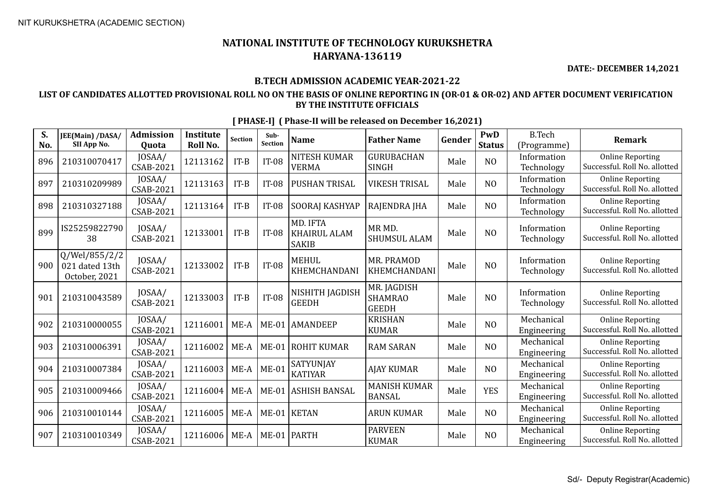**DATE:- DECEMBER 14,2021**

### **B.TECH ADMISSION ACADEMIC YEAR-2021-22**

### **LIST OF CANDIDATES ALLOTTED PROVISIONAL ROLL NO ON THE BASIS OF ONLINE REPORTING IN (OR-01 & OR-02) AND AFTER DOCUMENT VERIFICATION BY THE INSTITUTE OFFICIALS**

| S.<br>No. | JEE(Main) /DASA/<br>SII App No.                  | <b>Admission</b><br><b>Ouota</b> | <b>Institute</b><br>Roll No. | <b>Section</b> | Sub-<br>Section | <b>Name</b>                                     | <b>Father Name</b>                            | Gender | PwD<br><b>Status</b> | <b>B.Tech</b><br>(Programme) | Remark                                                   |
|-----------|--------------------------------------------------|----------------------------------|------------------------------|----------------|-----------------|-------------------------------------------------|-----------------------------------------------|--------|----------------------|------------------------------|----------------------------------------------------------|
| 896       | 210310070417                                     | JOSAA/<br>CSAB-2021              | 12113162                     | $IT-B$         | <b>IT-08</b>    | <b>NITESH KUMAR</b><br><b>VERMA</b>             | GURUBACHAN<br><b>SINGH</b>                    | Male   | N <sub>O</sub>       | Information<br>Technology    | <b>Online Reporting</b><br>Successful. Roll No. allotted |
| 897       | 210310209989                                     | JOSAA/<br>CSAB-2021              | 12113163                     | $IT-B$         | $IT-08$         | <b>PUSHAN TRISAL</b>                            | <b>VIKESH TRISAL</b>                          | Male   | N <sub>O</sub>       | Information<br>Technology    | <b>Online Reporting</b><br>Successful. Roll No. allotted |
| 898       | 210310327188                                     | JOSAA/<br>CSAB-2021              | 12113164                     | $IT-B$         | <b>IT-08</b>    | SOORAJ KASHYAP                                  | RAJENDRA JHA                                  | Male   | N <sub>O</sub>       | Information<br>Technology    | <b>Online Reporting</b><br>Successful. Roll No. allotted |
| 899       | IS25259822790<br>38                              | JOSAA/<br>CSAB-2021              | 12133001                     | $IT-B$         | $IT-08$         | MD. IFTA<br><b>KHAIRUL ALAM</b><br><b>SAKIB</b> | MR MD.<br>SHUMSUL ALAM                        | Male   | NO                   | Information<br>Technology    | <b>Online Reporting</b><br>Successful. Roll No. allotted |
| 900       | Q/Wel/855/2/2<br>021 dated 13th<br>October, 2021 | JOSAA/<br>CSAB-2021              | 12133002                     | $IT-B$         | <b>IT-08</b>    | <b>MEHUL</b><br>KHEMCHANDANI                    | MR. PRAMOD<br>KHEMCHANDANI                    | Male   | N <sub>O</sub>       | Information<br>Technology    | <b>Online Reporting</b><br>Successful. Roll No. allotted |
| 901       | 210310043589                                     | JOSAA/<br>CSAB-2021              | 12133003                     | $IT-B$         | <b>IT-08</b>    | NISHITH JAGDISH<br><b>GEEDH</b>                 | MR. JAGDISH<br><b>SHAMRAO</b><br><b>GEEDH</b> | Male   | N <sub>O</sub>       | Information<br>Technology    | <b>Online Reporting</b><br>Successful. Roll No. allotted |
| 902       | 210310000055                                     | JOSAA/<br>CSAB-2021              | 12116001                     | $ME-A$         |                 | ME-01 AMANDEEP                                  | <b>KRISHAN</b><br><b>KUMAR</b>                | Male   | N <sub>O</sub>       | Mechanical<br>Engineering    | <b>Online Reporting</b><br>Successful. Roll No. allotted |
| 903       | 210310006391                                     | JOSAA/<br>CSAB-2021              | 12116002                     | $ME-A$         | $ME-01$         | ROHIT KUMAR                                     | <b>RAM SARAN</b>                              | Male   | N <sub>O</sub>       | Mechanical<br>Engineering    | <b>Online Reporting</b><br>Successful. Roll No. allotted |
| 904       | 210310007384                                     | JOSAA/<br>CSAB-2021              | 12116003                     | $ME-A$         | $ME-01$         | <b>SATYUNJAY</b><br><b>KATIYAR</b>              | <b>AJAY KUMAR</b>                             | Male   | N <sub>O</sub>       | Mechanical<br>Engineering    | <b>Online Reporting</b><br>Successful. Roll No. allotted |
| 905       | 210310009466                                     | JOSAA/<br>CSAB-2021              | 12116004                     | $ME-A$         | $ME-01$         | ASHISH BANSAL                                   | <b>MANISH KUMAR</b><br><b>BANSAL</b>          | Male   | <b>YES</b>           | Mechanical<br>Engineering    | <b>Online Reporting</b><br>Successful. Roll No. allotted |
| 906       | 210310010144                                     | JOSAA/<br>CSAB-2021              | 12116005                     | ME-A           |                 | ME-01 KETAN                                     | <b>ARUN KUMAR</b>                             | Male   | N <sub>O</sub>       | Mechanical<br>Engineering    | <b>Online Reporting</b><br>Successful. Roll No. allotted |
| 907       | 210310010349                                     | JOSAA/<br>CSAB-2021              | 12116006                     | $ME-A$         |                 | ME-01   PARTH                                   | <b>PARVEEN</b><br><b>KUMAR</b>                | Male   | NO                   | Mechanical<br>Engineering    | <b>Online Reporting</b><br>Successful. Roll No. allotted |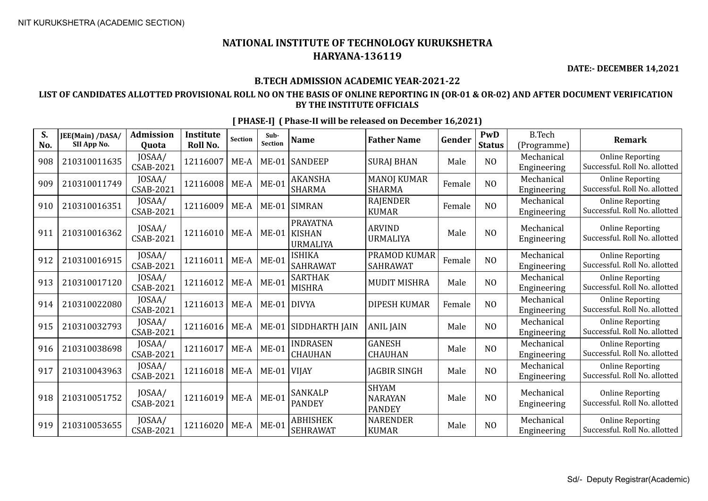**DATE:- DECEMBER 14,2021**

### **B.TECH ADMISSION ACADEMIC YEAR-2021-22**

### **LIST OF CANDIDATES ALLOTTED PROVISIONAL ROLL NO ON THE BASIS OF ONLINE REPORTING IN (OR-01 & OR-02) AND AFTER DOCUMENT VERIFICATION BY THE INSTITUTE OFFICIALS**

| S.<br>No. | JEE(Main) /DASA/<br>SII App No. | <b>Admission</b><br><b>Ouota</b> | <b>Institute</b><br>Roll No. | <b>Section</b> | Sub-<br>Section | <b>Name</b>                                         | <b>Father Name</b>                              | Gender | PwD<br><b>Status</b> | <b>B.Tech</b><br>(Programme) | <b>Remark</b>                                            |
|-----------|---------------------------------|----------------------------------|------------------------------|----------------|-----------------|-----------------------------------------------------|-------------------------------------------------|--------|----------------------|------------------------------|----------------------------------------------------------|
| 908       | 210310011635                    | JOSAA/<br><b>CSAB-2021</b>       | 12116007                     | $ME-A$         |                 | ME-01 SANDEEP                                       | <b>SURAJ BHAN</b>                               | Male   | N <sub>O</sub>       | Mechanical<br>Engineering    | <b>Online Reporting</b><br>Successful. Roll No. allotted |
| 909       | 210310011749                    | JOSAA/<br><b>CSAB-2021</b>       | 12116008                     | $ME-A$         | $ME-01$         | <b>AKANSHA</b><br><b>SHARMA</b>                     | <b>MANOJ KUMAR</b><br><b>SHARMA</b>             | Female | NO                   | Mechanical<br>Engineering    | <b>Online Reporting</b><br>Successful. Roll No. allotted |
| 910       | 210310016351                    | JOSAA/<br>CSAB-2021              | 12116009                     | $ME-A$         |                 | ME-01 SIMRAN                                        | <b>RAJENDER</b><br><b>KUMAR</b>                 | Female | N <sub>O</sub>       | Mechanical<br>Engineering    | <b>Online Reporting</b><br>Successful. Roll No. allotted |
| 911       | 210310016362                    | JOSAA/<br><b>CSAB-2021</b>       | 12116010                     | $ME-A$         | $ME-01$         | <b>PRAYATNA</b><br><b>KISHAN</b><br><b>URMALIYA</b> | <b>ARVIND</b><br><b>URMALIYA</b>                | Male   | NO                   | Mechanical<br>Engineering    | <b>Online Reporting</b><br>Successful. Roll No. allotted |
| 912       | 210310016915                    | JOSAA/<br>CSAB-2021              | 12116011                     | $ME-A$         | $ME-01$         | <b>ISHIKA</b><br><b>SAHRAWAT</b>                    | PRAMOD KUMAR<br><b>SAHRAWAT</b>                 | Female | N <sub>O</sub>       | Mechanical<br>Engineering    | <b>Online Reporting</b><br>Successful. Roll No. allotted |
| 913       | 210310017120                    | JOSAA/<br>CSAB-2021              | 12116012                     | $ME-A$         | $ME-01$         | <b>SARTHAK</b><br><b>MISHRA</b>                     | <b>MUDIT MISHRA</b>                             | Male   | N <sub>O</sub>       | Mechanical<br>Engineering    | <b>Online Reporting</b><br>Successful. Roll No. allotted |
| 914       | 210310022080                    | JOSAA/<br><b>CSAB-2021</b>       | 12116013                     | $ME-A$         | $ME-01$         | <b>DIVYA</b>                                        | <b>DIPESH KUMAR</b>                             | Female | N <sub>O</sub>       | Mechanical<br>Engineering    | <b>Online Reporting</b><br>Successful. Roll No. allotted |
| 915       | 210310032793                    | JOSAA/<br>CSAB-2021              | 12116016                     | $ME-A$         |                 | ME-01 SIDDHARTH JAIN                                | <b>ANIL JAIN</b>                                | Male   | N <sub>O</sub>       | Mechanical<br>Engineering    | <b>Online Reporting</b><br>Successful. Roll No. allotted |
| 916       | 210310038698                    | JOSAA/<br>CSAB-2021              | 12116017                     | $ME-A$         | $ME-01$         | <b>INDRASEN</b><br><b>CHAUHAN</b>                   | <b>GANESH</b><br><b>CHAUHAN</b>                 | Male   | N <sub>O</sub>       | Mechanical<br>Engineering    | <b>Online Reporting</b><br>Successful. Roll No. allotted |
| 917       | 210310043963                    | JOSAA/<br>CSAB-2021              | 12116018                     | $ME-A$         | ME-01 VIJAY     |                                                     | <b>JAGBIR SINGH</b>                             | Male   | N <sub>O</sub>       | Mechanical<br>Engineering    | <b>Online Reporting</b><br>Successful. Roll No. allotted |
| 918       | 210310051752                    | JOSAA/<br><b>CSAB-2021</b>       | 12116019                     | $ME-A$         | $ME-01$         | SANKALP<br><b>PANDEY</b>                            | <b>SHYAM</b><br><b>NARAYAN</b><br><b>PANDEY</b> | Male   | NO                   | Mechanical<br>Engineering    | <b>Online Reporting</b><br>Successful. Roll No. allotted |
| 919       | 210310053655                    | JOSAA/<br>CSAB-2021              | 12116020                     | $ME-A$         | $ME-01$         | <b>ABHISHEK</b><br><b>SEHRAWAT</b>                  | <b>NARENDER</b><br><b>KUMAR</b>                 | Male   | N <sub>O</sub>       | Mechanical<br>Engineering    | <b>Online Reporting</b><br>Successful. Roll No. allotted |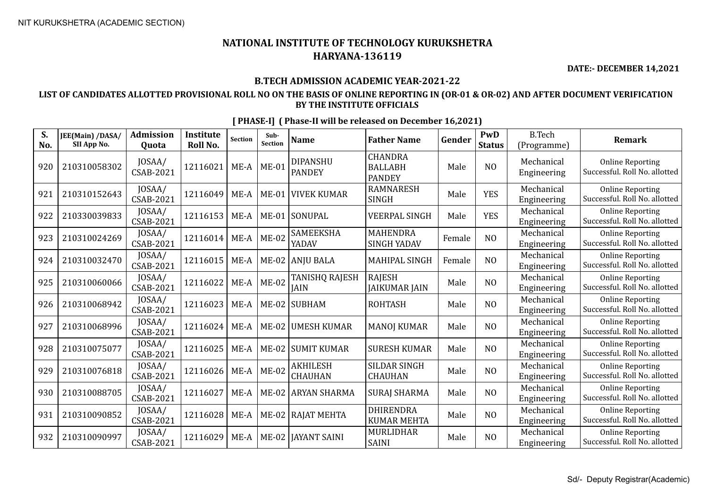**DATE:- DECEMBER 14,2021**

### **B.TECH ADMISSION ACADEMIC YEAR-2021-22**

### **LIST OF CANDIDATES ALLOTTED PROVISIONAL ROLL NO ON THE BASIS OF ONLINE REPORTING IN (OR-01 & OR-02) AND AFTER DOCUMENT VERIFICATION BY THE INSTITUTE OFFICIALS**

| S.<br>No. | JEE(Main) /DASA/<br>SII App No. | <b>Admission</b><br>Quota  | <b>Institute</b><br>Roll No. | <b>Section</b> | Sub-<br>Section | <b>Name</b>                       | <b>Father Name</b>                                | Gender | PwD<br><b>Status</b> | <b>B.Tech</b><br>(Programme) | <b>Remark</b>                                            |
|-----------|---------------------------------|----------------------------|------------------------------|----------------|-----------------|-----------------------------------|---------------------------------------------------|--------|----------------------|------------------------------|----------------------------------------------------------|
| 920       | 210310058302                    | JOSAA/<br>CSAB-2021        | 12116021                     | $ME-A$         | $ME-01$         | <b>DIPANSHU</b><br><b>PANDEY</b>  | <b>CHANDRA</b><br><b>BALLABH</b><br><b>PANDEY</b> | Male   | N <sub>O</sub>       | Mechanical<br>Engineering    | <b>Online Reporting</b><br>Successful. Roll No. allotted |
| 921       | 210310152643                    | JOSAA/<br>CSAB-2021        | 12116049                     | ME-A           | $ME-01$         | VIVEK KUMAR                       | <b>RAMNARESH</b><br><b>SINGH</b>                  | Male   | <b>YES</b>           | Mechanical<br>Engineering    | <b>Online Reporting</b><br>Successful. Roll No. allotted |
| 922       | 210330039833                    | JOSAA/<br>CSAB-2021        | 12116153                     | $ME-A$         | $ME-01$         | SONUPAL                           | <b>VEERPAL SINGH</b>                              | Male   | <b>YES</b>           | Mechanical<br>Engineering    | <b>Online Reporting</b><br>Successful. Roll No. allotted |
| 923       | 210310024269                    | JOSAA/<br>CSAB-2021        | 12116014                     | $ME-A$         | $ME-02$         | <b>SAMEEKSHA</b><br>YADAV         | <b>MAHENDRA</b><br><b>SINGH YADAV</b>             | Female | N <sub>O</sub>       | Mechanical<br>Engineering    | <b>Online Reporting</b><br>Successful. Roll No. allotted |
| 924       | 210310032470                    | JOSAA/<br>CSAB-2021        | 12116015                     | $ME-A$         |                 | ME-02 ANJU BALA                   | <b>MAHIPAL SINGH</b>                              | Female | N <sub>O</sub>       | Mechanical<br>Engineering    | <b>Online Reporting</b><br>Successful. Roll No. allotted |
| 925       | 210310060066                    | JOSAA/<br><b>CSAB-2021</b> | 12116022                     | $ME-A$         | $ME-02$         | TANISHQ RAJESH<br><b>JAIN</b>     | <b>RAJESH</b><br><b>JAIKUMAR JAIN</b>             | Male   | N <sub>O</sub>       | Mechanical<br>Engineering    | <b>Online Reporting</b><br>Successful. Roll No. allotted |
| 926       | 210310068942                    | JOSAA/<br>CSAB-2021        | 12116023                     | $ME-A$         | $ME-02$         | <b>SUBHAM</b>                     | <b>ROHTASH</b>                                    | Male   | N <sub>O</sub>       | Mechanical<br>Engineering    | <b>Online Reporting</b><br>Successful. Roll No. allotted |
| 927       | 210310068996                    | JOSAA/<br>CSAB-2021        | 12116024                     | $ME-A$         | $ME-02$         | <b>UMESH KUMAR</b>                | <b>MANOJ KUMAR</b>                                | Male   | N <sub>O</sub>       | Mechanical<br>Engineering    | <b>Online Reporting</b><br>Successful. Roll No. allotted |
| 928       | 210310075077                    | JOSAA/<br>CSAB-2021        | 12116025                     | $ME-A$         |                 | ME-02 SUMIT KUMAR                 | <b>SURESH KUMAR</b>                               | Male   | N <sub>O</sub>       | Mechanical<br>Engineering    | <b>Online Reporting</b><br>Successful. Roll No. allotted |
| 929       | 210310076818                    | JOSAA/<br>CSAB-2021        | 12116026                     | $ME-A$         | $ME-02$         | <b>AKHILESH</b><br><b>CHAUHAN</b> | SILDAR SINGH<br><b>CHAUHAN</b>                    | Male   | N <sub>O</sub>       | Mechanical<br>Engineering    | <b>Online Reporting</b><br>Successful. Roll No. allotted |
| 930       | 210310088705                    | JOSAA/<br><b>CSAB-2021</b> | 12116027                     | $ME-A$         | $ME-02$         | <b>ARYAN SHARMA</b>               | <b>SURAJ SHARMA</b>                               | Male   | N <sub>O</sub>       | Mechanical<br>Engineering    | <b>Online Reporting</b><br>Successful. Roll No. allotted |
| 931       | 210310090852                    | JOSAA/<br>CSAB-2021        | 12116028                     | $ME-A$         |                 | ME-02 RAJAT MEHTA                 | <b>DHIRENDRA</b><br><b>KUMAR MEHTA</b>            | Male   | N <sub>O</sub>       | Mechanical<br>Engineering    | <b>Online Reporting</b><br>Successful. Roll No. allotted |
| 932       | 210310090997                    | JOSAA/<br>CSAB-2021        | 12116029                     | $ME-A$         | $ME-02$         | <b>JAYANT SAINI</b>               | MURLIDHAR<br><b>SAINI</b>                         | Male   | N <sub>O</sub>       | Mechanical<br>Engineering    | <b>Online Reporting</b><br>Successful. Roll No. allotted |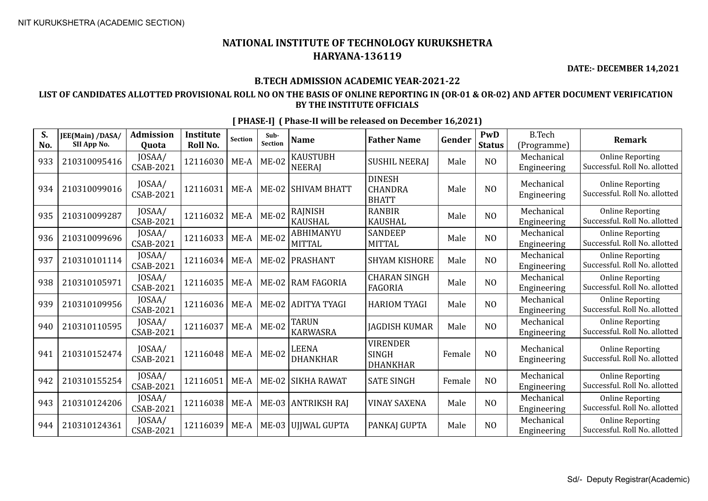**DATE:- DECEMBER 14,2021**

#### **B.TECH ADMISSION ACADEMIC YEAR-2021-22**

### **LIST OF CANDIDATES ALLOTTED PROVISIONAL ROLL NO ON THE BASIS OF ONLINE REPORTING IN (OR-01 & OR-02) AND AFTER DOCUMENT VERIFICATION BY THE INSTITUTE OFFICIALS**

| S.<br>No. | JEE(Main) /DASA/<br>SII App No. | <b>Admission</b><br>Quota  | <b>Institute</b><br>Roll No. | <b>Section</b> | Sub-<br><b>Section</b> | <b>Name</b>                       | <b>Father Name</b>                                 | Gender | PwD<br><b>Status</b> | <b>B.Tech</b><br>(Programme) | <b>Remark</b>                                            |
|-----------|---------------------------------|----------------------------|------------------------------|----------------|------------------------|-----------------------------------|----------------------------------------------------|--------|----------------------|------------------------------|----------------------------------------------------------|
| 933       | 210310095416                    | JOSAA/<br>CSAB-2021        | 12116030                     | $ME-A$         | $ME-02$                | <b>KAUSTUBH</b><br><b>NEERAI</b>  | <b>SUSHIL NEERAJ</b>                               | Male   | N <sub>O</sub>       | Mechanical<br>Engineering    | <b>Online Reporting</b><br>Successful. Roll No. allotted |
| 934       | 210310099016                    | JOSAA/<br><b>CSAB-2021</b> | 12116031                     | ME-A           | $ME-02$                | <b>SHIVAM BHATT</b>               | <b>DINESH</b><br><b>CHANDRA</b><br><b>BHATT</b>    | Male   | N <sub>O</sub>       | Mechanical<br>Engineering    | <b>Online Reporting</b><br>Successful. Roll No. allotted |
| 935       | 210310099287                    | JOSAA/<br><b>CSAB-2021</b> | 12116032                     | $ME-A$         | $ME-02$                | <b>RAJNISH</b><br><b>KAUSHAL</b>  | <b>RANBIR</b><br><b>KAUSHAL</b>                    | Male   | N <sub>O</sub>       | Mechanical<br>Engineering    | <b>Online Reporting</b><br>Successful. Roll No. allotted |
| 936       | 210310099696                    | JOSAA/<br><b>CSAB-2021</b> | 12116033                     | $ME-A$         | $ME-02$                | <b>ABHIMANYU</b><br><b>MITTAL</b> | <b>SANDEEP</b><br><b>MITTAL</b>                    | Male   | N <sub>O</sub>       | Mechanical<br>Engineering    | <b>Online Reporting</b><br>Successful. Roll No. allotted |
| 937       | 210310101114                    | JOSAA/<br><b>CSAB-2021</b> | 12116034                     | $ME-A$         | $ME-02$                | <b>PRASHANT</b>                   | <b>SHYAM KISHORE</b>                               | Male   | N <sub>O</sub>       | Mechanical<br>Engineering    | <b>Online Reporting</b><br>Successful. Roll No. allotted |
| 938       | 210310105971                    | JOSAA/<br>CSAB-2021        | 12116035                     | ME-A           | $ME-02$                | RAM FAGORIA                       | <b>CHARAN SINGH</b><br><b>FAGORIA</b>              | Male   | N <sub>O</sub>       | Mechanical<br>Engineering    | <b>Online Reporting</b><br>Successful. Roll No. allotted |
| 939       | 210310109956                    | JOSAA/<br>CSAB-2021        | 12116036                     | $ME-A$         | $ME-02$                | ADITYA TYAGI                      | <b>HARIOM TYAGI</b>                                | Male   | N <sub>O</sub>       | Mechanical<br>Engineering    | <b>Online Reporting</b><br>Successful. Roll No. allotted |
| 940       | 210310110595                    | JOSAA/<br>CSAB-2021        | 12116037                     | $ME-A$         | $ME-02$                | <b>TARUN</b><br><b>KARWASRA</b>   | <b>JAGDISH KUMAR</b>                               | Male   | N <sub>O</sub>       | Mechanical<br>Engineering    | <b>Online Reporting</b><br>Successful. Roll No. allotted |
| 941       | 210310152474                    | JOSAA/<br>CSAB-2021        | 12116048                     | $ME-A$         | $ME-02$                | <b>LEENA</b><br>DHANKHAR          | <b>VIRENDER</b><br><b>SINGH</b><br><b>DHANKHAR</b> | Female | N <sub>O</sub>       | Mechanical<br>Engineering    | <b>Online Reporting</b><br>Successful. Roll No. allotted |
| 942       | 210310155254                    | JOSAA/<br>CSAB-2021        | 12116051                     | $ME-A$         | $ME-02$                | SIKHA RAWAT                       | <b>SATE SINGH</b>                                  | Female | N <sub>O</sub>       | Mechanical<br>Engineering    | <b>Online Reporting</b><br>Successful. Roll No. allotted |
| 943       | 210310124206                    | JOSAA/<br>CSAB-2021        | 12116038                     | $ME-A$         |                        | ME-03 ANTRIKSH RAJ                | <b>VINAY SAXENA</b>                                | Male   | N <sub>O</sub>       | Mechanical<br>Engineering    | <b>Online Reporting</b><br>Successful. Roll No. allotted |
| 944       | 210310124361                    | JOSAA/<br>CSAB-2021        | 12116039                     | ME-A           | $ME-03$                | UJJWAL GUPTA                      | PANKAJ GUPTA                                       | Male   | N <sub>O</sub>       | Mechanical<br>Engineering    | <b>Online Reporting</b><br>Successful. Roll No. allotted |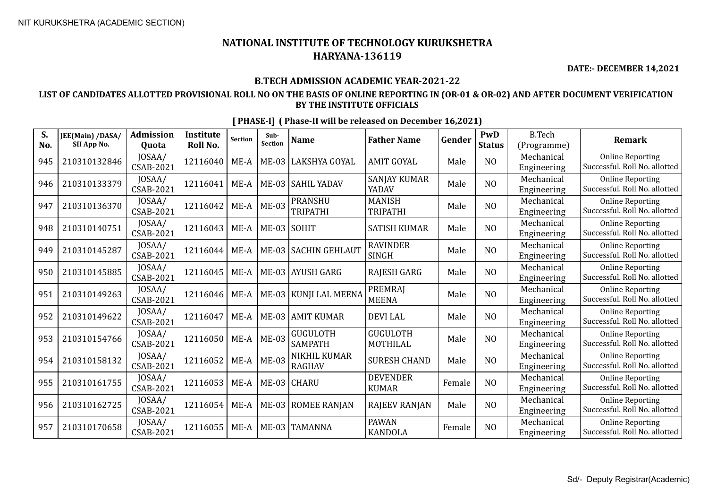**DATE:- DECEMBER 14,2021**

#### **B.TECH ADMISSION ACADEMIC YEAR-2021-22**

### **LIST OF CANDIDATES ALLOTTED PROVISIONAL ROLL NO ON THE BASIS OF ONLINE REPORTING IN (OR-01 & OR-02) AND AFTER DOCUMENT VERIFICATION BY THE INSTITUTE OFFICIALS**

| S.<br>No. | JEE(Main) /DASA/<br>SII App No. | <b>Admission</b><br>Quota | <b>Institute</b><br>Roll No. | <b>Section</b> | Sub-<br>Section | <b>Name</b>                       | <b>Father Name</b>               | Gender | PwD<br><b>Status</b> | <b>B.Tech</b><br>(Programme) | <b>Remark</b>                                            |
|-----------|---------------------------------|---------------------------|------------------------------|----------------|-----------------|-----------------------------------|----------------------------------|--------|----------------------|------------------------------|----------------------------------------------------------|
| 945       | 210310132846                    | JOSAA/<br>CSAB-2021       | 12116040                     | $ME-A$         | $ME-03$         | <b>LAKSHYA GOYAL</b>              | <b>AMIT GOYAL</b>                | Male   | N <sub>O</sub>       | Mechanical<br>Engineering    | <b>Online Reporting</b><br>Successful. Roll No. allotted |
| 946       | 210310133379                    | JOSAA/<br>CSAB-2021       | 12116041                     | $ME-A$         |                 | ME-03 SAHIL YADAV                 | <b>SANJAY KUMAR</b><br>YADAV     | Male   | N <sub>O</sub>       | Mechanical<br>Engineering    | <b>Online Reporting</b><br>Successful. Roll No. allotted |
| 947       | 210310136370                    | JOSAA/<br>CSAB-2021       | 12116042                     | $ME-A$         | <b>ME-03</b>    | <b>PRANSHU</b><br><b>TRIPATHI</b> | <b>MANISH</b><br><b>TRIPATHI</b> | Male   | N <sub>O</sub>       | Mechanical<br>Engineering    | <b>Online Reporting</b><br>Successful. Roll No. allotted |
| 948       | 210310140751                    | JOSAA/<br>CSAB-2021       | 12116043                     | $ME-A$         | ME-03 SOHIT     |                                   | <b>SATISH KUMAR</b>              | Male   | N <sub>O</sub>       | Mechanical<br>Engineering    | <b>Online Reporting</b><br>Successful. Roll No. allotted |
| 949       | 210310145287                    | JOSAA/<br>CSAB-2021       | 12116044                     | $ME-A$         |                 | ME-03   SACHIN GEHLAUT            | <b>RAVINDER</b><br><b>SINGH</b>  | Male   | NO                   | Mechanical<br>Engineering    | <b>Online Reporting</b><br>Successful. Roll No. allotted |
| 950       | 210310145885                    | JOSAA/<br>CSAB-2021       | 12116045                     | $ME-A$         |                 | ME-03 AYUSH GARG                  | RAJESH GARG                      | Male   | N <sub>O</sub>       | Mechanical<br>Engineering    | <b>Online Reporting</b><br>Successful. Roll No. allotted |
| 951       | 210310149263                    | JOSAA/<br>CSAB-2021       | 12116046                     | $ME-A$         |                 | ME-03   KUNJI LAL MEENA           | PREMRAJ<br><b>MEENA</b>          | Male   | N <sub>O</sub>       | Mechanical<br>Engineering    | <b>Online Reporting</b><br>Successful. Roll No. allotted |
| 952       | 210310149622                    | JOSAA/<br>CSAB-2021       | 12116047                     | $ME-A$         |                 | ME-03 AMIT KUMAR                  | <b>DEVILAL</b>                   | Male   | N <sub>O</sub>       | Mechanical<br>Engineering    | <b>Online Reporting</b><br>Successful. Roll No. allotted |
| 953       | 210310154766                    | JOSAA/<br>CSAB-2021       | 12116050                     | $ME-A$         | <b>ME-03</b>    | <b>GUGULOTH</b><br><b>SAMPATH</b> | <b>GUGULOTH</b><br>MOTHILAL      | Male   | NO                   | Mechanical<br>Engineering    | <b>Online Reporting</b><br>Successful. Roll No. allotted |
| 954       | 210310158132                    | JOSAA/<br>CSAB-2021       | 12116052                     | $ME-A$         | <b>ME-03</b>    | NIKHIL KUMAR<br><b>RAGHAV</b>     | <b>SURESH CHAND</b>              | Male   | N <sub>O</sub>       | Mechanical<br>Engineering    | <b>Online Reporting</b><br>Successful. Roll No. allotted |
| 955       | 210310161755                    | JOSAA/<br>CSAB-2021       | 12116053                     | $ME-A$         |                 | ME-03 CHARU                       | <b>DEVENDER</b><br><b>KUMAR</b>  | Female | N <sub>O</sub>       | Mechanical<br>Engineering    | <b>Online Reporting</b><br>Successful. Roll No. allotted |
| 956       | 210310162725                    | JOSAA/<br>CSAB-2021       | 12116054                     | $ME-A$         |                 | ME-03   ROMEE RANJAN              | <b>RAJEEV RANJAN</b>             | Male   | N <sub>O</sub>       | Mechanical<br>Engineering    | <b>Online Reporting</b><br>Successful. Roll No. allotted |
| 957       | 210310170658                    | JOSAA/<br>CSAB-2021       | 12116055                     | $ME-A$         |                 | ME-03 TAMANNA                     | <b>PAWAN</b><br><b>KANDOLA</b>   | Female | N <sub>O</sub>       | Mechanical<br>Engineering    | <b>Online Reporting</b><br>Successful. Roll No. allotted |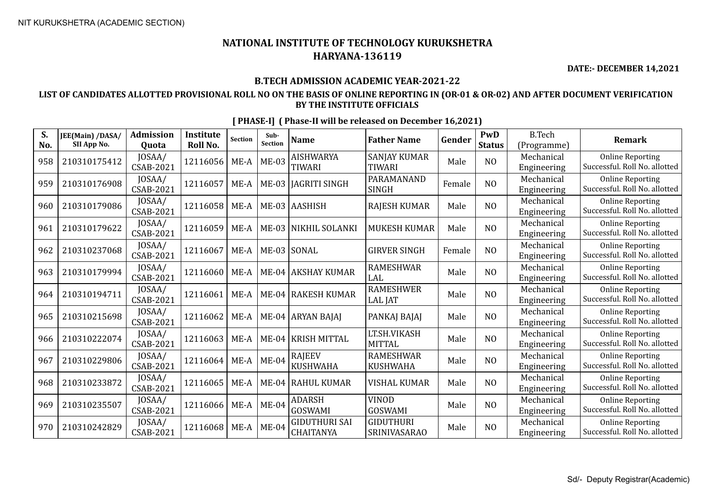**DATE:- DECEMBER 14,2021**

#### **B.TECH ADMISSION ACADEMIC YEAR-2021-22**

### **LIST OF CANDIDATES ALLOTTED PROVISIONAL ROLL NO ON THE BASIS OF ONLINE REPORTING IN (OR-01 & OR-02) AND AFTER DOCUMENT VERIFICATION BY THE INSTITUTE OFFICIALS**

| S.<br>No. | JEE(Main) /DASA/<br>SII App No. | <b>Admission</b><br><b>Quota</b> | <b>Institute</b><br>Roll No. | <b>Section</b> | Sub-<br>Section | <b>Name</b>                              | <b>Father Name</b>                      | Gender | PwD<br><b>Status</b> | <b>B.Tech</b><br>(Programme) | <b>Remark</b>                                            |
|-----------|---------------------------------|----------------------------------|------------------------------|----------------|-----------------|------------------------------------------|-----------------------------------------|--------|----------------------|------------------------------|----------------------------------------------------------|
| 958       | 210310175412                    | JOSAA/<br>CSAB-2021              | 12116056                     | $ME-A$         | $ME-03$         | <b>AISHWARYA</b><br><b>TIWARI</b>        | <b>SANJAY KUMAR</b><br><b>TIWARI</b>    | Male   | N <sub>O</sub>       | Mechanical<br>Engineering    | <b>Online Reporting</b><br>Successful. Roll No. allotted |
| 959       | 210310176908                    | JOSAA/<br>CSAB-2021              | 12116057                     | ME-A           |                 | ME-03   JAGRITI SINGH                    | PARAMANAND<br><b>SINGH</b>              | Female | N <sub>O</sub>       | Mechanical<br>Engineering    | <b>Online Reporting</b><br>Successful. Roll No. allotted |
| 960       | 210310179086                    | JOSAA/<br>CSAB-2021              | 12116058                     | ME-A           |                 | ME-03 AASHISH                            | <b>RAJESH KUMAR</b>                     | Male   | N <sub>O</sub>       | Mechanical<br>Engineering    | <b>Online Reporting</b><br>Successful. Roll No. allotted |
| 961       | 210310179622                    | JOSAA/<br>CSAB-2021              | 12116059                     | ME-A           |                 | ME-03 NIKHIL SOLANKI                     | <b>MUKESH KUMAR</b>                     | Male   | N <sub>O</sub>       | Mechanical<br>Engineering    | <b>Online Reporting</b><br>Successful. Roll No. allotted |
| 962       | 210310237068                    | JOSAA/<br>CSAB-2021              | 12116067                     | $ME-A$         |                 | ME-03 SONAL                              | <b>GIRVER SINGH</b>                     | Female | N <sub>O</sub>       | Mechanical<br>Engineering    | <b>Online Reporting</b><br>Successful. Roll No. allotted |
| 963       | 210310179994                    | JOSAA/<br><b>CSAB-2021</b>       | 12116060                     | ME-A           |                 | ME-04 AKSHAY KUMAR                       | <b>RAMESHWAR</b><br>LAL                 | Male   | N <sub>O</sub>       | Mechanical<br>Engineering    | <b>Online Reporting</b><br>Successful. Roll No. allotted |
| 964       | 210310194711                    | JOSAA/<br>CSAB-2021              | 12116061                     | $ME-A$         |                 | ME-04 RAKESH KUMAR                       | <b>RAMESHWER</b><br><b>LAL JAT</b>      | Male   | N <sub>O</sub>       | Mechanical<br>Engineering    | <b>Online Reporting</b><br>Successful. Roll No. allotted |
| 965       | 210310215698                    | JOSAA/<br><b>CSAB-2021</b>       | 12116062                     | $ME-A$         |                 | ME-04 ARYAN BAJAJ                        | PANKAJ BAJAJ                            | Male   | N <sub>O</sub>       | Mechanical<br>Engineering    | <b>Online Reporting</b><br>Successful. Roll No. allotted |
| 966       | 210310222074                    | JOSAA/<br><b>CSAB-2021</b>       | 12116063                     | ME-A           |                 | ME-04 KRISH MITTAL                       | LT.SH.VIKASH<br><b>MITTAL</b>           | Male   | N <sub>O</sub>       | Mechanical<br>Engineering    | <b>Online Reporting</b><br>Successful. Roll No. allotted |
| 967       | 210310229806                    | JOSAA/<br>CSAB-2021              | 12116064                     | $ME-A$         | $ME-04$         | <b>RAJEEV</b><br><b>KUSHWAHA</b>         | <b>RAMESHWAR</b><br><b>KUSHWAHA</b>     | Male   | NO                   | Mechanical<br>Engineering    | <b>Online Reporting</b><br>Successful. Roll No. allotted |
| 968       | 210310233872                    | JOSAA/<br><b>CSAB-2021</b>       | 12116065                     | ME-A           |                 | ME-04 RAHUL KUMAR                        | <b>VISHAL KUMAR</b>                     | Male   | N <sub>O</sub>       | Mechanical<br>Engineering    | <b>Online Reporting</b><br>Successful. Roll No. allotted |
| 969       | 210310235507                    | JOSAA/<br><b>CSAB-2021</b>       | 12116066                     | $ME-A$         | $ME-04$         | <b>ADARSH</b><br><b>GOSWAMI</b>          | <b>VINOD</b><br><b>GOSWAMI</b>          | Male   | N <sub>O</sub>       | Mechanical<br>Engineering    | <b>Online Reporting</b><br>Successful. Roll No. allotted |
| 970       | 210310242829                    | JOSAA/<br>CSAB-2021              | 12116068                     | $ME-A$         | $ME-04$         | <b>GIDUTHURI SAI</b><br><b>CHAITANYA</b> | <b>GIDUTHURI</b><br><b>SRINIVASARAO</b> | Male   | NO                   | Mechanical<br>Engineering    | <b>Online Reporting</b><br>Successful. Roll No. allotted |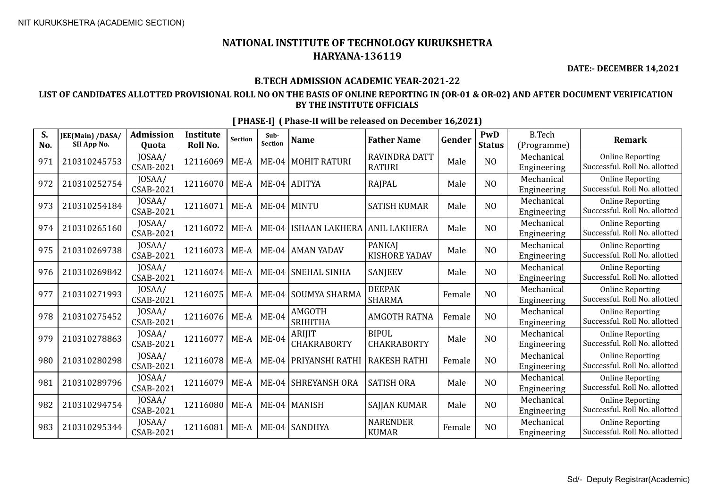**DATE:- DECEMBER 14,2021**

### **B.TECH ADMISSION ACADEMIC YEAR-2021-22**

### **LIST OF CANDIDATES ALLOTTED PROVISIONAL ROLL NO ON THE BASIS OF ONLINE REPORTING IN (OR-01 & OR-02) AND AFTER DOCUMENT VERIFICATION BY THE INSTITUTE OFFICIALS**

| S.<br>No. | JEE(Main) /DASA/<br>SII App No. | <b>Admission</b><br>Quota | <b>Institute</b><br>Roll No. | <b>Section</b> | Sub-<br>Section | <b>Name</b>                  | <b>Father Name</b>                    | Gender | PwD<br><b>Status</b> | <b>B.Tech</b><br>(Programme) | <b>Remark</b>                                            |
|-----------|---------------------------------|---------------------------|------------------------------|----------------|-----------------|------------------------------|---------------------------------------|--------|----------------------|------------------------------|----------------------------------------------------------|
| 971       | 210310245753                    | JOSAA/<br>CSAB-2021       | 12116069                     | $ME-A$         |                 | ME-04   MOHIT RATURI         | <b>RAVINDRA DATT</b><br><b>RATURI</b> | Male   | N <sub>O</sub>       | Mechanical<br>Engineering    | <b>Online Reporting</b><br>Successful. Roll No. allotted |
| 972       | 210310252754                    | JOSAA/<br>CSAB-2021       | 12116070                     | $ME-A$         |                 | $ME-04$ ADITYA               | RAJPAL                                | Male   | N <sub>O</sub>       | Mechanical<br>Engineering    | <b>Online Reporting</b><br>Successful. Roll No. allotted |
| 973       | 210310254184                    | JOSAA/<br>CSAB-2021       | 12116071                     | $ME-A$         |                 | ME-04 MINTU                  | <b>SATISH KUMAR</b>                   | Male   | N <sub>O</sub>       | Mechanical<br>Engineering    | <b>Online Reporting</b><br>Successful. Roll No. allotted |
| 974       | 210310265160                    | JOSAA/<br>CSAB-2021       | 12116072                     | $ME-A$         | $ME-04$         | ISHAAN LAKHERA  ANIL LAKHERA |                                       | Male   | N <sub>O</sub>       | Mechanical<br>Engineering    | <b>Online Reporting</b><br>Successful. Roll No. allotted |
| 975       | 210310269738                    | JOSAA/<br>CSAB-2021       | 12116073                     | $ME-A$         |                 | ME-04   AMAN YADAV           | <b>PANKAI</b><br>KISHORE YADAV        | Male   | NO                   | Mechanical<br>Engineering    | <b>Online Reporting</b><br>Successful. Roll No. allotted |
| 976       | 210310269842                    | JOSAA/<br>CSAB-2021       | 12116074                     | $ME-A$         |                 | ME-04 SNEHAL SINHA           | <b>SANJEEV</b>                        | Male   | NO                   | Mechanical<br>Engineering    | <b>Online Reporting</b><br>Successful. Roll No. allotted |
| 977       | 210310271993                    | JOSAA/<br>CSAB-2021       | 12116075                     | $ME-A$         |                 | ME-04 SOUMYA SHARMA          | <b>DEEPAK</b><br><b>SHARMA</b>        | Female | N <sub>O</sub>       | Mechanical<br>Engineering    | <b>Online Reporting</b><br>Successful. Roll No. allotted |
| 978       | 210310275452                    | JOSAA/<br>CSAB-2021       | 12116076                     | $ME-A$         | $ME-04$         | AMGOTH<br><b>SRIHITHA</b>    | <b>AMGOTH RATNA</b>                   | Female | N <sub>O</sub>       | Mechanical<br>Engineering    | <b>Online Reporting</b><br>Successful. Roll No. allotted |
| 979       | 210310278863                    | JOSAA/<br>CSAB-2021       | 12116077                     | $ME-A$         | $ME-04$         | <b>ARIJIT</b><br>CHAKRABORTY | <b>BIPUL</b><br><b>CHAKRABORTY</b>    | Male   | NO                   | Mechanical<br>Engineering    | <b>Online Reporting</b><br>Successful. Roll No. allotted |
| 980       | 210310280298                    | JOSAA/<br>CSAB-2021       | 12116078                     | $ME-A$         | $ME-04$         | <b>PRIYANSHI RATHI</b>       | <b>RAKESH RATHI</b>                   | Female | N <sub>O</sub>       | Mechanical<br>Engineering    | <b>Online Reporting</b><br>Successful. Roll No. allotted |
| 981       | 210310289796                    | JOSAA/<br>CSAB-2021       | 12116079                     | $ME-A$         |                 | ME-04 SHREYANSH ORA          | <b>SATISH ORA</b>                     | Male   | N <sub>O</sub>       | Mechanical<br>Engineering    | <b>Online Reporting</b><br>Successful. Roll No. allotted |
| 982       | 210310294754                    | JOSAA/<br>CSAB-2021       | 12116080                     | $ME-A$         |                 | ME-04   MANISH               | SAJJAN KUMAR                          | Male   | N <sub>O</sub>       | Mechanical<br>Engineering    | <b>Online Reporting</b><br>Successful. Roll No. allotted |
| 983       | 210310295344                    | JOSAA/<br>CSAB-2021       | 12116081                     | $ME-A$         |                 | ME-04 SANDHYA                | <b>NARENDER</b><br><b>KUMAR</b>       | Female | NO                   | Mechanical<br>Engineering    | <b>Online Reporting</b><br>Successful. Roll No. allotted |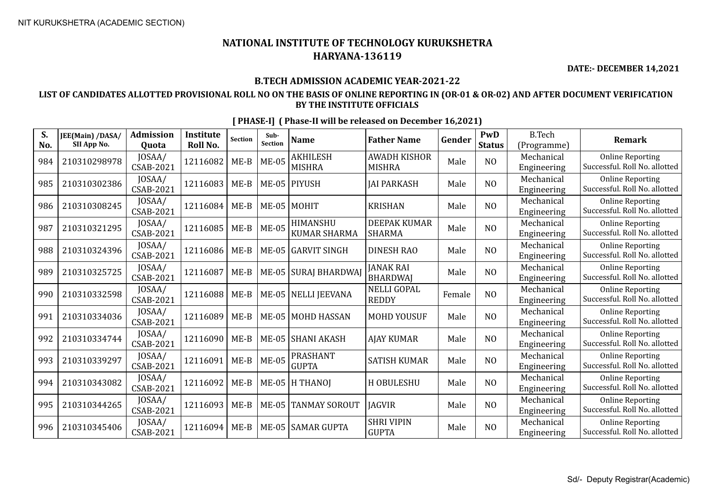**DATE:- DECEMBER 14,2021**

### **B.TECH ADMISSION ACADEMIC YEAR-2021-22**

### **LIST OF CANDIDATES ALLOTTED PROVISIONAL ROLL NO ON THE BASIS OF ONLINE REPORTING IN (OR-01 & OR-02) AND AFTER DOCUMENT VERIFICATION BY THE INSTITUTE OFFICIALS**

| S.<br>No. | JEE(Main) /DASA/<br>SII App No. | <b>Admission</b><br>Quota | <b>Institute</b><br>Roll No. | <b>Section</b> | Sub-<br>Section | <b>Name</b>                      | <b>Father Name</b>                   | Gender | PwD<br><b>Status</b> | <b>B.Tech</b><br>(Programme) | <b>Remark</b>                                            |
|-----------|---------------------------------|---------------------------|------------------------------|----------------|-----------------|----------------------------------|--------------------------------------|--------|----------------------|------------------------------|----------------------------------------------------------|
| 984       | 210310298978                    | JOSAA/<br>CSAB-2021       | 12116082                     | $ME-B$         | $ME-05$         | <b>AKHILESH</b><br><b>MISHRA</b> | <b>AWADH KISHOR</b><br><b>MISHRA</b> | Male   | N <sub>O</sub>       | Mechanical<br>Engineering    | <b>Online Reporting</b><br>Successful. Roll No. allotted |
| 985       | 210310302386                    | JOSAA/<br>CSAB-2021       | 12116083                     | $ME-B$         |                 | ME-05 PIYUSH                     | <b>JAI PARKASH</b>                   | Male   | NO                   | Mechanical<br>Engineering    | <b>Online Reporting</b><br>Successful. Roll No. allotted |
| 986       | 210310308245                    | JOSAA/<br>CSAB-2021       | 12116084                     | $ME-B$         |                 | ME-05 MOHIT                      | <b>KRISHAN</b>                       | Male   | N <sub>O</sub>       | Mechanical<br>Engineering    | <b>Online Reporting</b><br>Successful. Roll No. allotted |
| 987       | 210310321295                    | JOSAA/<br>CSAB-2021       | 12116085                     | $ME-B$         | <b>ME-05</b>    | HIMANSHU<br><b>KUMAR SHARMA</b>  | <b>DEEPAK KUMAR</b><br><b>SHARMA</b> | Male   | N <sub>O</sub>       | Mechanical<br>Engineering    | <b>Online Reporting</b><br>Successful. Roll No. allotted |
| 988       | 210310324396                    | JOSAA/<br>CSAB-2021       | 12116086                     | $ME-B$         |                 | ME-05 GARVIT SINGH               | <b>DINESH RAO</b>                    | Male   | NO                   | Mechanical<br>Engineering    | <b>Online Reporting</b><br>Successful. Roll No. allotted |
| 989       | 210310325725                    | JOSAA/<br>CSAB-2021       | 12116087                     | $ME-B$         |                 | ME-05 SURAJ BHARDWAJ             | <b>JANAK RAI</b><br><b>BHARDWAI</b>  | Male   | N <sub>O</sub>       | Mechanical<br>Engineering    | <b>Online Reporting</b><br>Successful. Roll No. allotted |
| 990       | 210310332598                    | JOSAA/<br>CSAB-2021       | 12116088                     | $ME-B$         |                 | ME-05 NELLI JEEVANA              | <b>NELLI GOPAL</b><br><b>REDDY</b>   | Female | N <sub>O</sub>       | Mechanical<br>Engineering    | <b>Online Reporting</b><br>Successful. Roll No. allotted |
| 991       | 210310334036                    | JOSAA/<br>CSAB-2021       | 12116089                     | $ME-B$         |                 | ME-05   MOHD HASSAN              | <b>MOHD YOUSUF</b>                   | Male   | N <sub>O</sub>       | Mechanical<br>Engineering    | <b>Online Reporting</b><br>Successful. Roll No. allotted |
| 992       | 210310334744                    | JOSAA/<br>CSAB-2021       | 12116090                     | $ME-B$         |                 | ME-05 SHANI AKASH                | <b>AJAY KUMAR</b>                    | Male   | N <sub>O</sub>       | Mechanical<br>Engineering    | <b>Online Reporting</b><br>Successful. Roll No. allotted |
| 993       | 210310339297                    | JOSAA/<br>CSAB-2021       | 12116091                     | $ME-B$         | $ME-05$         | PRASHANT<br><b>GUPTA</b>         | <b>SATISH KUMAR</b>                  | Male   | NO                   | Mechanical<br>Engineering    | <b>Online Reporting</b><br>Successful. Roll No. allotted |
| 994       | 210310343082                    | JOSAA/<br>CSAB-2021       | 12116092                     | $ME-B$         |                 | ME-05 H THANOI                   | H OBULESHU                           | Male   | NO                   | Mechanical<br>Engineering    | <b>Online Reporting</b><br>Successful. Roll No. allotted |
| 995       | 210310344265                    | JOSAA/<br>CSAB-2021       | 12116093                     | $ME-B$         |                 | ME-05 TANMAY SOROUT              | <b>IAGVIR</b>                        | Male   | N <sub>O</sub>       | Mechanical<br>Engineering    | <b>Online Reporting</b><br>Successful. Roll No. allotted |
| 996       | 210310345406                    | JOSAA/<br>CSAB-2021       | 12116094                     | $ME-B$         |                 | ME-05 SAMAR GUPTA                | <b>SHRI VIPIN</b><br><b>GUPTA</b>    | Male   | N <sub>O</sub>       | Mechanical<br>Engineering    | <b>Online Reporting</b><br>Successful. Roll No. allotted |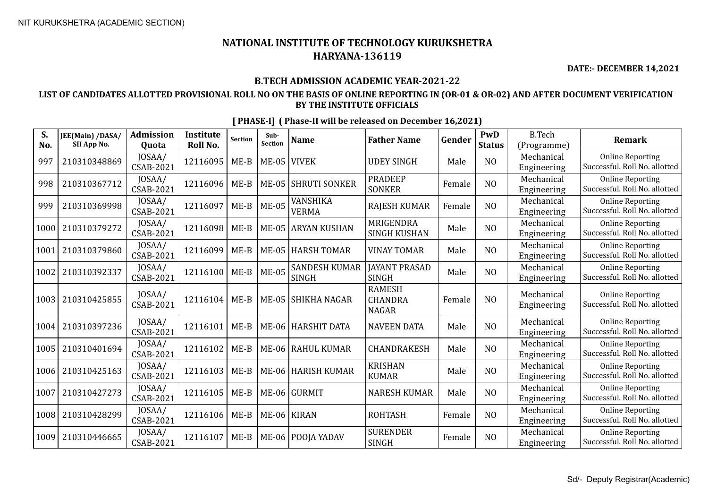**DATE:- DECEMBER 14,2021**

#### **B.TECH ADMISSION ACADEMIC YEAR-2021-22**

### **LIST OF CANDIDATES ALLOTTED PROVISIONAL ROLL NO ON THE BASIS OF ONLINE REPORTING IN (OR-01 & OR-02) AND AFTER DOCUMENT VERIFICATION BY THE INSTITUTE OFFICIALS**

| S.<br>No. | JEE(Main) /DASA/<br>SII App No. | <b>Admission</b><br><b>Ouota</b> | <b>Institute</b><br>Roll No. | Section | Sub-<br>Section | <b>Name</b>                          | <b>Father Name</b>                              | Gender | PwD<br><b>Status</b> | <b>B.Tech</b><br>(Programme) | <b>Remark</b>                                            |
|-----------|---------------------------------|----------------------------------|------------------------------|---------|-----------------|--------------------------------------|-------------------------------------------------|--------|----------------------|------------------------------|----------------------------------------------------------|
| 997       | 210310348869                    | JOSAA/<br>CSAB-2021              | 12116095                     | $ME-B$  | $ME-05$         | <b>VIVEK</b>                         | <b>UDEY SINGH</b>                               | Male   | N <sub>O</sub>       | Mechanical<br>Engineering    | <b>Online Reporting</b><br>Successful. Roll No. allotted |
| 998       | 210310367712                    | JOSAA/<br>CSAB-2021              | 12116096                     | $ME-B$  | <b>ME-05</b>    | <b>SHRUTI SONKER</b>                 | <b>PRADEEP</b><br><b>SONKER</b>                 | Female | N <sub>O</sub>       | Mechanical<br>Engineering    | <b>Online Reporting</b><br>Successful. Roll No. allotted |
| 999       | 210310369998                    | JOSAA/<br>CSAB-2021              | 12116097                     | $ME-B$  | <b>ME-05</b>    | <b>VANSHIKA</b><br><b>VERMA</b>      | <b>RAJESH KUMAR</b>                             | Female | N <sub>O</sub>       | Mechanical<br>Engineering    | <b>Online Reporting</b><br>Successful. Roll No. allotted |
| 1000      | 210310379272                    | JOSAA/<br><b>CSAB-2021</b>       | 12116098                     | $ME-B$  |                 | ME-05 ARYAN KUSHAN                   | MRIGENDRA<br><b>SINGH KUSHAN</b>                | Male   | N <sub>O</sub>       | Mechanical<br>Engineering    | <b>Online Reporting</b><br>Successful. Roll No. allotted |
| 1001      | 210310379860                    | JOSAA/<br>CSAB-2021              | 12116099                     | $ME-B$  | <b>ME-05</b>    | <b>HARSH TOMAR</b>                   | VINAY TOMAR                                     | Male   | N <sub>0</sub>       | Mechanical<br>Engineering    | <b>Online Reporting</b><br>Successful. Roll No. allotted |
| 1002      | 210310392337                    | JOSAA/<br><b>CSAB-2021</b>       | 12116100                     | $ME-B$  | <b>ME-05</b>    | <b>SANDESH KUMAR</b><br><b>SINGH</b> | <b>JAYANT PRASAD</b><br><b>SINGH</b>            | Male   | N <sub>O</sub>       | Mechanical<br>Engineering    | <b>Online Reporting</b><br>Successful. Roll No. allotted |
| 1003      | 210310425855                    | JOSAA/<br>CSAB-2021              | 12116104                     | $ME-B$  | $ME-05$         | <b>SHIKHA NAGAR</b>                  | <b>RAMESH</b><br><b>CHANDRA</b><br><b>NAGAR</b> | Female | NO                   | Mechanical<br>Engineering    | <b>Online Reporting</b><br>Successful. Roll No. allotted |
| 1004      | 210310397236                    | JOSAA/<br>CSAB-2021              | 12116101                     | $ME-B$  | $ME-06$         | <b>HARSHIT DATA</b>                  | <b>NAVEEN DATA</b>                              | Male   | NO                   | Mechanical<br>Engineering    | <b>Online Reporting</b><br>Successful. Roll No. allotted |
| 1005      | 210310401694                    | JOSAA/<br>CSAB-2021              | 12116102                     | $ME-B$  |                 | ME-06   RAHUL KUMAR                  | CHANDRAKESH                                     | Male   | N <sub>O</sub>       | Mechanical<br>Engineering    | <b>Online Reporting</b><br>Successful. Roll No. allotted |
| 1006      | 210310425163                    | JOSAA/<br><b>CSAB-2021</b>       | 12116103                     | $ME-B$  | $ME-06$         | <b>HARISH KUMAR</b>                  | <b>KRISHAN</b><br><b>KUMAR</b>                  | Male   | NO                   | Mechanical<br>Engineering    | <b>Online Reporting</b><br>Successful. Roll No. allotted |
| 1007      | 210310427273                    | JOSAA/<br><b>CSAB-2021</b>       | 12116105                     | $ME-B$  |                 | ME-06 GURMIT                         | <b>NARESH KUMAR</b>                             | Male   | NO                   | Mechanical<br>Engineering    | <b>Online Reporting</b><br>Successful. Roll No. allotted |
| 1008      | 210310428299                    | JOSAA/<br>CSAB-2021              | 12116106                     | $ME-B$  |                 | ME-06 KIRAN                          | <b>ROHTASH</b>                                  | Female | N <sub>O</sub>       | Mechanical<br>Engineering    | <b>Online Reporting</b><br>Successful. Roll No. allotted |
| 1009      | 210310446665                    | JOSAA/<br><b>CSAB-2021</b>       | 12116107                     | $ME-B$  |                 | ME-06   POOJA YADAV                  | <b>SURENDER</b><br><b>SINGH</b>                 | Female | NO                   | Mechanical<br>Engineering    | <b>Online Reporting</b><br>Successful. Roll No. allotted |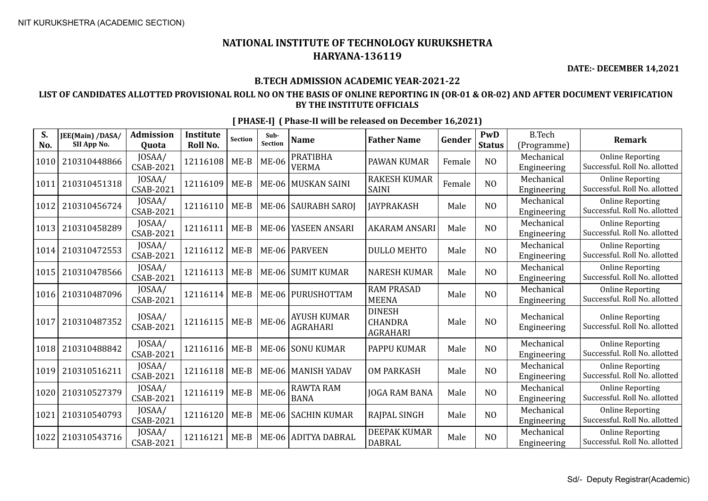**DATE:- DECEMBER 14,2021**

#### **B.TECH ADMISSION ACADEMIC YEAR-2021-22**

### **LIST OF CANDIDATES ALLOTTED PROVISIONAL ROLL NO ON THE BASIS OF ONLINE REPORTING IN (OR-01 & OR-02) AND AFTER DOCUMENT VERIFICATION BY THE INSTITUTE OFFICIALS**

| S.<br>No. | JEE(Main) /DASA/<br>SII App No. | <b>Admission</b><br><b>Ouota</b> | <b>Institute</b><br>Roll No. | <b>Section</b> | Sub-<br><b>Section</b> | <b>Name</b>                           | <b>Father Name</b>                                 | Gender | <b>PwD</b><br><b>Status</b> | <b>B.Tech</b><br>(Programme) | Remark                                                   |
|-----------|---------------------------------|----------------------------------|------------------------------|----------------|------------------------|---------------------------------------|----------------------------------------------------|--------|-----------------------------|------------------------------|----------------------------------------------------------|
| 1010      | 210310448866                    | JOSAA/<br><b>CSAB-2021</b>       | 12116108                     | $ME-B$         | <b>ME-06</b>           | <b>PRATIBHA</b><br><b>VERMA</b>       | PAWAN KUMAR                                        | Female | N <sub>O</sub>              | Mechanical<br>Engineering    | <b>Online Reporting</b><br>Successful. Roll No. allotted |
| 1011      | 210310451318                    | JOSAA/<br><b>CSAB-2021</b>       | 12116109                     | $ME-B$         |                        | ME-06   MUSKAN SAINI                  | <b>RAKESH KUMAR</b><br><b>SAINI</b>                | Female | N <sub>O</sub>              | Mechanical<br>Engineering    | <b>Online Reporting</b><br>Successful. Roll No. allotted |
| 1012      | 210310456724                    | JOSAA/<br><b>CSAB-2021</b>       | 12116110                     | $ME-B$         |                        | ME-06   SAURABH SAROJ                 | <b>JAYPRAKASH</b>                                  | Male   | N <sub>O</sub>              | Mechanical<br>Engineering    | <b>Online Reporting</b><br>Successful. Roll No. allotted |
| 1013      | 210310458289                    | JOSAA/<br><b>CSAB-2021</b>       | 12116111                     | $ME-B$         |                        | ME-06 YASEEN ANSARI                   | <b>AKARAM ANSARI</b>                               | Male   | N <sub>O</sub>              | Mechanical<br>Engineering    | <b>Online Reporting</b><br>Successful. Roll No. allotted |
| 1014      | 210310472553                    | JOSAA/<br><b>CSAB-2021</b>       | 12116112                     | $ME-B$         |                        | ME-06   PARVEEN                       | <b>DULLO MEHTO</b>                                 | Male   | N <sub>O</sub>              | Mechanical<br>Engineering    | <b>Online Reporting</b><br>Successful. Roll No. allotted |
| 1015      | 210310478566                    | JOSAA/<br><b>CSAB-2021</b>       | 12116113                     | $ME-B$         |                        | ME-06 SUMIT KUMAR                     | <b>NARESH KUMAR</b>                                | Male   | N <sub>O</sub>              | Mechanical<br>Engineering    | <b>Online Reporting</b><br>Successful. Roll No. allotted |
| 1016      | 210310487096                    | JOSAA/<br>CSAB-2021              | 12116114                     | $ME-B$         |                        | ME-06   PURUSHOTTAM                   | <b>RAM PRASAD</b><br><b>MEENA</b>                  | Male   | NO                          | Mechanical<br>Engineering    | <b>Online Reporting</b><br>Successful. Roll No. allotted |
| 1017      | 210310487352                    | JOSAA/<br>CSAB-2021              | 12116115                     | $ME-B$         | <b>ME-06</b>           | <b>AYUSH KUMAR</b><br><b>AGRAHARI</b> | <b>DINESH</b><br><b>CHANDRA</b><br><b>AGRAHARI</b> | Male   | N <sub>O</sub>              | Mechanical<br>Engineering    | <b>Online Reporting</b><br>Successful. Roll No. allotted |
| 1018      | 210310488842                    | JOSAA/<br><b>CSAB-2021</b>       | 12116116                     | $ME-B$         |                        | ME-06 SONU KUMAR                      | PAPPU KUMAR                                        | Male   | N <sub>O</sub>              | Mechanical<br>Engineering    | <b>Online Reporting</b><br>Successful. Roll No. allotted |
| 1019      | 210310516211                    | JOSAA/<br><b>CSAB-2021</b>       | 12116118                     | $ME-B$         |                        | ME-06   MANISH YADAV                  | <b>OM PARKASH</b>                                  | Male   | N <sub>O</sub>              | Mechanical<br>Engineering    | <b>Online Reporting</b><br>Successful. Roll No. allotted |
| 1020      | 210310527379                    | JOSAA/<br><b>CSAB-2021</b>       | 12116119                     | $ME-B$         | <b>ME-06</b>           | <b>RAWTA RAM</b><br><b>BANA</b>       | <b>JOGA RAM BANA</b>                               | Male   | N <sub>O</sub>              | Mechanical<br>Engineering    | <b>Online Reporting</b><br>Successful. Roll No. allotted |
| 1021      | 210310540793                    | JOSAA/<br><b>CSAB-2021</b>       | 12116120                     | $ME-B$         |                        | ME-06 SACHIN KUMAR                    | RAJPAL SINGH                                       | Male   | N <sub>O</sub>              | Mechanical<br>Engineering    | <b>Online Reporting</b><br>Successful. Roll No. allotted |
| 1022      | 210310543716                    | JOSAA/<br><b>CSAB-2021</b>       | 12116121                     | $ME-B$         |                        | ME-06 ADITYA DABRAL                   | <b>DEEPAK KUMAR</b><br><b>DABRAL</b>               | Male   | N <sub>O</sub>              | Mechanical<br>Engineering    | <b>Online Reporting</b><br>Successful. Roll No. allotted |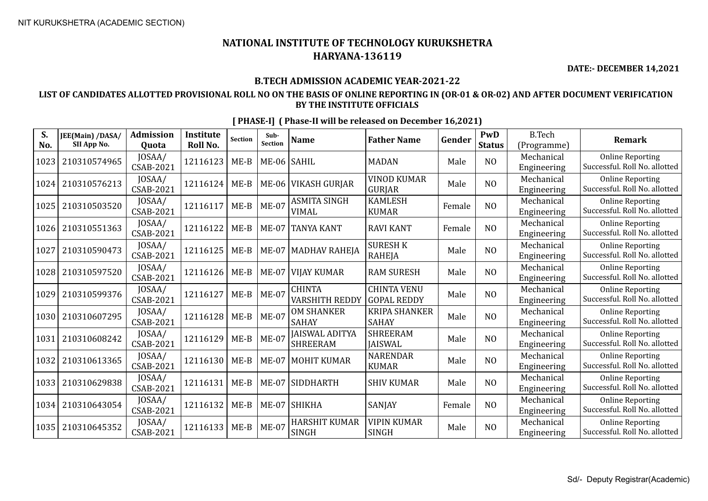**DATE:- DECEMBER 14,2021**

#### **B.TECH ADMISSION ACADEMIC YEAR-2021-22**

### **LIST OF CANDIDATES ALLOTTED PROVISIONAL ROLL NO ON THE BASIS OF ONLINE REPORTING IN (OR-01 & OR-02) AND AFTER DOCUMENT VERIFICATION BY THE INSTITUTE OFFICIALS**

| S.<br>No. | JEE(Main) /DASA/<br>SII App No. | Admission<br>Quota         | <b>Institute</b><br>Roll No. | Section | Sub-<br>Section | <b>Name</b>                              | <b>Father Name</b>                       | Gender | PwD<br><b>Status</b> | <b>B.Tech</b><br>(Programme) | <b>Remark</b>                                            |
|-----------|---------------------------------|----------------------------|------------------------------|---------|-----------------|------------------------------------------|------------------------------------------|--------|----------------------|------------------------------|----------------------------------------------------------|
| 1023      | 210310574965                    | JOSAA/<br><b>CSAB-2021</b> | 12116123                     | $ME-B$  | ME-06 SAHIL     |                                          | <b>MADAN</b>                             | Male   | NO                   | Mechanical<br>Engineering    | <b>Online Reporting</b><br>Successful. Roll No. allotted |
| 1024      | 210310576213                    | JOSAA/<br>CSAB-2021        | 12116124                     | $ME-B$  |                 | ME-06 VIKASH GURJAR                      | <b>VINOD KUMAR</b><br><b>GURJAR</b>      | Male   | N <sub>O</sub>       | Mechanical<br>Engineering    | <b>Online Reporting</b><br>Successful. Roll No. allotted |
| 1025      | 210310503520                    | JOSAA/<br><b>CSAB-2021</b> | 12116117                     | $ME-B$  | <b>ME-07</b>    | <b>ASMITA SINGH</b><br><b>VIMAL</b>      | <b>KAMLESH</b><br><b>KUMAR</b>           | Female | NO                   | Mechanical<br>Engineering    | <b>Online Reporting</b><br>Successful. Roll No. allotted |
| 1026      | 210310551363                    | JOSAA/<br>CSAB-2021        | 12116122                     | $ME-B$  | <b>ME-07</b>    | TANYA KANT                               | <b>RAVI KANT</b>                         | Female | NO                   | Mechanical<br>Engineering    | <b>Online Reporting</b><br>Successful. Roll No. allotted |
| 1027      | 210310590473                    | JOSAA/<br><b>CSAB-2021</b> | 12116125                     | $ME-B$  |                 | ME-07   MADHAV RAHEJA                    | <b>SURESH K</b><br><b>RAHEJA</b>         | Male   | N <sub>O</sub>       | Mechanical<br>Engineering    | <b>Online Reporting</b><br>Successful. Roll No. allotted |
| 1028      | 210310597520                    | JOSAA/<br><b>CSAB-2021</b> | 12116126                     | $ME-B$  | $ME-07$         | <b>VIJAY KUMAR</b>                       | <b>RAM SURESH</b>                        | Male   | NO                   | Mechanical<br>Engineering    | <b>Online Reporting</b><br>Successful. Roll No. allotted |
| 1029      | 210310599376                    | JOSAA/<br>CSAB-2021        | 12116127                     | $ME-B$  | $ME-07$         | <b>CHINTA</b><br><b>VARSHITH REDDY</b>   | <b>CHINTA VENU</b><br><b>GOPAL REDDY</b> | Male   | N <sub>O</sub>       | Mechanical<br>Engineering    | <b>Online Reporting</b><br>Successful. Roll No. allotted |
| 1030      | 210310607295                    | JOSAA/<br><b>CSAB-2021</b> | 12116128                     | $ME-B$  | $ME-07$         | <b>OM SHANKER</b><br><b>SAHAY</b>        | <b>KRIPA SHANKER</b><br><b>SAHAY</b>     | Male   | N <sub>O</sub>       | Mechanical<br>Engineering    | <b>Online Reporting</b><br>Successful. Roll No. allotted |
| 1031      | 210310608242                    | JOSAA/<br><b>CSAB-2021</b> | 12116129                     | $ME-B$  | $ME-07$         | <b>JAISWAL ADITYA</b><br><b>SHREERAM</b> | <b>SHREERAM</b><br><b>IAISWAL</b>        | Male   | NO                   | Mechanical<br>Engineering    | <b>Online Reporting</b><br>Successful. Roll No. allotted |
| 1032      | 210310613365                    | JOSAA/<br><b>CSAB-2021</b> | 12116130                     | $ME-B$  | $ME-07$         | MOHIT KUMAR                              | <b>NARENDAR</b><br><b>KUMAR</b>          | Male   | N <sub>O</sub>       | Mechanical<br>Engineering    | <b>Online Reporting</b><br>Successful. Roll No. allotted |
| 1033      | 210310629838                    | JOSAA/<br>CSAB-2021        | 12116131                     | $ME-B$  |                 | ME-07 SIDDHARTH                          | <b>SHIV KUMAR</b>                        | Male   | N <sub>O</sub>       | Mechanical<br>Engineering    | <b>Online Reporting</b><br>Successful. Roll No. allotted |
| 1034      | 210310643054                    | JOSAA/<br>CSAB-2021        | 12116132                     | $ME-B$  | $ME-07$         | SHIKHA                                   | SANJAY                                   | Female | N <sub>O</sub>       | Mechanical<br>Engineering    | <b>Online Reporting</b><br>Successful. Roll No. allotted |
| 1035      | 210310645352                    | JOSAA/<br><b>CSAB-2021</b> | 12116133                     | $ME-B$  | $ME-07$         | <b>HARSHIT KUMAR</b><br><b>SINGH</b>     | <b>VIPIN KUMAR</b><br><b>SINGH</b>       | Male   | N <sub>O</sub>       | Mechanical<br>Engineering    | <b>Online Reporting</b><br>Successful. Roll No. allotted |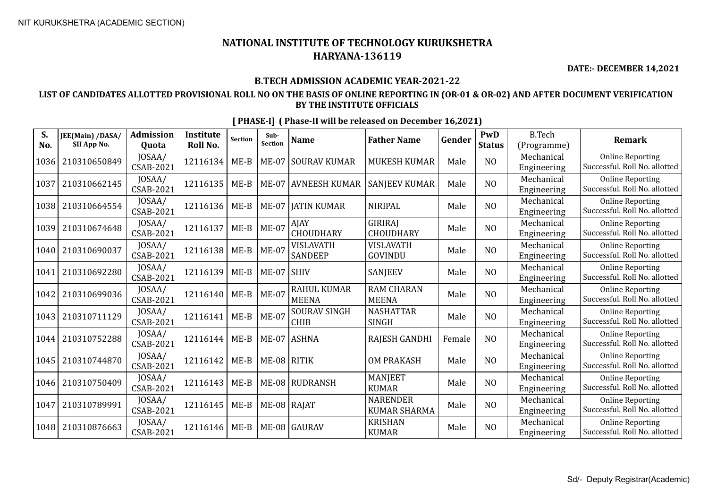**DATE:- DECEMBER 14,2021**

### **B.TECH ADMISSION ACADEMIC YEAR-2021-22**

### **LIST OF CANDIDATES ALLOTTED PROVISIONAL ROLL NO ON THE BASIS OF ONLINE REPORTING IN (OR-01 & OR-02) AND AFTER DOCUMENT VERIFICATION BY THE INSTITUTE OFFICIALS**

| S.<br>No. | JEE(Main) /DASA/<br>SII App No. | Admission<br><b>Quota</b>  | <b>Institute</b><br>Roll No. | <b>Section</b> | Sub-<br>Section | <b>Name</b>                        | <b>Father Name</b>                     | Gender | PwD<br><b>Status</b> | <b>B.Tech</b><br>(Programme) | <b>Remark</b>                                            |
|-----------|---------------------------------|----------------------------|------------------------------|----------------|-----------------|------------------------------------|----------------------------------------|--------|----------------------|------------------------------|----------------------------------------------------------|
| 1036      | 210310650849                    | JOSAA/<br>CSAB-2021        | 12116134                     | $ME-B$         | <b>ME-07</b>    | <b>SOURAV KUMAR</b>                | <b>MUKESH KUMAR</b>                    | Male   | N <sub>O</sub>       | Mechanical<br>Engineering    | <b>Online Reporting</b><br>Successful. Roll No. allotted |
| 1037      | 210310662145                    | JOSAA/<br>CSAB-2021        | 12116135                     | $ME-B$         |                 | ME-07 AVNEESH KUMAR                | <b>SANJEEV KUMAR</b>                   | Male   | N <sub>O</sub>       | Mechanical<br>Engineering    | <b>Online Reporting</b><br>Successful. Roll No. allotted |
| 1038      | 210310664554                    | JOSAA/<br>CSAB-2021        | 12116136                     | $ME-B$         | $ME-07$         | <b>JATIN KUMAR</b>                 | <b>NIRIPAL</b>                         | Male   | N <sub>O</sub>       | Mechanical<br>Engineering    | <b>Online Reporting</b><br>Successful. Roll No. allotted |
| 1039      | 210310674648                    | JOSAA/<br>CSAB-2021        | 12116137                     | $ME-B$         | <b>ME-07</b>    | AJAY<br>CHOUDHARY                  | GIRIRAJ<br><b>CHOUDHARY</b>            | Male   | N <sub>O</sub>       | Mechanical<br>Engineering    | <b>Online Reporting</b><br>Successful. Roll No. allotted |
| 1040      | 210310690037                    | JOSAA/<br>CSAB-2021        | 12116138                     | $ME-B$         | $ME-07$         | VISLAVATH<br>SANDEEP               | VISLAVATH<br>GOVINDU                   | Male   | NO                   | Mechanical<br>Engineering    | <b>Online Reporting</b><br>Successful. Roll No. allotted |
| 1041      | 210310692280                    | JOSAA/<br><b>CSAB-2021</b> | 12116139                     | $ME-B$         | $ME-07$ SHIV    |                                    | <b>SANJEEV</b>                         | Male   | NO                   | Mechanical<br>Engineering    | <b>Online Reporting</b><br>Successful. Roll No. allotted |
| 1042      | 210310699036                    | JOSAA/<br><b>CSAB-2021</b> | 12116140                     | $ME-B$         | <b>ME-07</b>    | <b>RAHUL KUMAR</b><br><b>MEENA</b> | <b>RAM CHARAN</b><br><b>MEENA</b>      | Male   | NO                   | Mechanical<br>Engineering    | <b>Online Reporting</b><br>Successful. Roll No. allotted |
| 1043      | 210310711129                    | JOSAA/<br>CSAB-2021        | 12116141                     | $ME-B$         | $ME-07$         | <b>SOURAV SINGH</b><br><b>CHIB</b> | <b>NASHATTAR</b><br><b>SINGH</b>       | Male   | N <sub>O</sub>       | Mechanical<br>Engineering    | <b>Online Reporting</b><br>Successful. Roll No. allotted |
| 1044      | 210310752288                    | JOSAA/<br>CSAB-2021        | 12116144                     | $ME-B$         |                 | ME-07 ASHNA                        | RAJESH GANDHI                          | Female | NO                   | Mechanical<br>Engineering    | <b>Online Reporting</b><br>Successful. Roll No. allotted |
| 1045      | 210310744870                    | JOSAA/<br>CSAB-2021        | 12116142                     | $ME-B$         | ME-08 RITIK     |                                    | <b>OM PRAKASH</b>                      | Male   | NO                   | Mechanical<br>Engineering    | <b>Online Reporting</b><br>Successful. Roll No. allotted |
| 1046      | 210310750409                    | JOSAA/<br>CSAB-2021        | 12116143                     | $ME-B$         |                 | ME-08 RUDRANSH                     | <b>MANJEET</b><br><b>KUMAR</b>         | Male   | N <sub>O</sub>       | Mechanical<br>Engineering    | <b>Online Reporting</b><br>Successful. Roll No. allotted |
| 1047      | 210310789991                    | JOSAA/<br>CSAB-2021        | 12116145                     | $ME-B$         | ME-08   RAJAT   |                                    | <b>NARENDER</b><br><b>KUMAR SHARMA</b> | Male   | N <sub>O</sub>       | Mechanical<br>Engineering    | <b>Online Reporting</b><br>Successful. Roll No. allotted |
| 1048      | 210310876663                    | JOSAA/<br>CSAB-2021        | 12116146                     | $ME-B$         |                 | ME-08 GAURAV                       | <b>KRISHAN</b><br><b>KUMAR</b>         | Male   | NO                   | Mechanical<br>Engineering    | <b>Online Reporting</b><br>Successful. Roll No. allotted |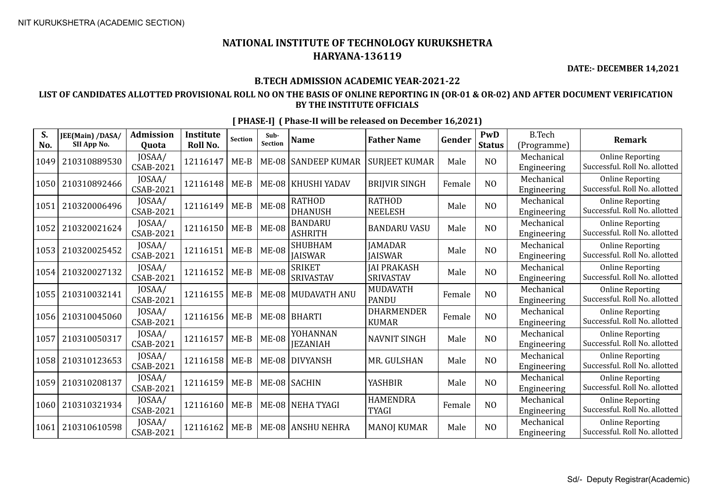**DATE:- DECEMBER 14,2021**

#### **B.TECH ADMISSION ACADEMIC YEAR-2021-22**

### **LIST OF CANDIDATES ALLOTTED PROVISIONAL ROLL NO ON THE BASIS OF ONLINE REPORTING IN (OR-01 & OR-02) AND AFTER DOCUMENT VERIFICATION BY THE INSTITUTE OFFICIALS**

| S.<br>No. | JEE(Main) /DASA/<br>SII App No. | Admission<br><b>Quota</b>  | <b>Institute</b><br>Roll No. | <b>Section</b> | Sub-<br>Section | <b>Name</b>                      | <b>Father Name</b>                     | Gender | PwD<br><b>Status</b> | <b>B.Tech</b><br>(Programme) | <b>Remark</b>                                            |
|-----------|---------------------------------|----------------------------|------------------------------|----------------|-----------------|----------------------------------|----------------------------------------|--------|----------------------|------------------------------|----------------------------------------------------------|
| 1049      | 210310889530                    | JOSAA/<br>CSAB-2021        | 12116147                     | $ME-B$         | <b>ME-08</b>    | <b>SANDEEP KUMAR</b>             | <b>SURJEET KUMAR</b>                   | Male   | N <sub>O</sub>       | Mechanical<br>Engineering    | <b>Online Reporting</b><br>Successful. Roll No. allotted |
| 1050      | 210310892466                    | JOSAA/<br>CSAB-2021        | 12116148                     | $ME-B$         |                 | ME-08   KHUSHI YADAV             | <b>BRIIVIR SINGH</b>                   | Female | N <sub>O</sub>       | Mechanical<br>Engineering    | <b>Online Reporting</b><br>Successful. Roll No. allotted |
| 1051      | 210320006496                    | JOSAA/<br>CSAB-2021        | 12116149                     | $ME-B$         | <b>ME-08</b>    | <b>RATHOD</b><br><b>DHANUSH</b>  | <b>RATHOD</b><br><b>NEELESH</b>        | Male   | N <sub>O</sub>       | Mechanical<br>Engineering    | <b>Online Reporting</b><br>Successful. Roll No. allotted |
| 1052      | 210320021624                    | JOSAA/<br>CSAB-2021        | 12116150                     | $ME-B$         | <b>ME-08</b>    | <b>BANDARU</b><br><b>ASHRITH</b> | <b>BANDARU VASU</b>                    | Male   | NO                   | Mechanical<br>Engineering    | <b>Online Reporting</b><br>Successful. Roll No. allotted |
| 1053      | 210320025452                    | JOSAA/<br>CSAB-2021        | 12116151                     | $ME-B$         | <b>ME-08</b>    | <b>SHUBHAM</b><br><b>JAISWAR</b> | <b>JAMADAR</b><br><b>JAISWAR</b>       | Male   | NO                   | Mechanical<br>Engineering    | <b>Online Reporting</b><br>Successful. Roll No. allotted |
| 1054      | 210320027132                    | JOSAA/<br><b>CSAB-2021</b> | 12116152                     | $ME-B$         | <b>ME-08</b>    | <b>SRIKET</b><br>SRIVASTAV       | <b>JAI PRAKASH</b><br><b>SRIVASTAV</b> | Male   | N <sub>0</sub>       | Mechanical<br>Engineering    | <b>Online Reporting</b><br>Successful. Roll No. allotted |
| 1055      | 210310032141                    | JOSAA/<br><b>CSAB-2021</b> | 12116155                     | $ME-B$         |                 | ME-08   MUDAVATH ANU             | <b>MUDAVATH</b><br><b>PANDU</b>        | Female | NO                   | Mechanical<br>Engineering    | <b>Online Reporting</b><br>Successful. Roll No. allotted |
| 1056      | 210310045060                    | JOSAA/<br>CSAB-2021        | 12116156                     | $ME-B$         |                 | ME-08   BHARTI                   | <b>DHARMENDER</b><br><b>KUMAR</b>      | Female | N <sub>O</sub>       | Mechanical<br>Engineering    | <b>Online Reporting</b><br>Successful. Roll No. allotted |
| 1057      | 210310050317                    | JOSAA/<br><b>CSAB-2021</b> | 12116157                     | $ME-B$         | <b>ME-08</b>    | YOHANNAN<br><b>IEZANIAH</b>      | <b>NAVNIT SINGH</b>                    | Male   | NO                   | Mechanical<br>Engineering    | <b>Online Reporting</b><br>Successful. Roll No. allotted |
| 1058      | 210310123653                    | JOSAA/<br>CSAB-2021        | 12116158                     | $ME-B$         | <b>ME-08</b>    | <b>DIVYANSH</b>                  | MR. GULSHAN                            | Male   | NO                   | Mechanical<br>Engineering    | <b>Online Reporting</b><br>Successful. Roll No. allotted |
| 1059      | 210310208137                    | JOSAA/<br>CSAB-2021        | 12116159                     | $ME-B$         |                 | ME-08 SACHIN                     | <b>YASHBIR</b>                         | Male   | N <sub>O</sub>       | Mechanical<br>Engineering    | <b>Online Reporting</b><br>Successful. Roll No. allotted |
| 1060      | 210310321934                    | JOSAA/<br>CSAB-2021        | 12116160                     | $ME-B$         |                 | ME-08 NEHA TYAGI                 | <b>HAMENDRA</b><br><b>TYAGI</b>        | Female | N <sub>O</sub>       | Mechanical<br>Engineering    | <b>Online Reporting</b><br>Successful. Roll No. allotted |
| 1061      | 210310610598                    | JOSAA/<br>CSAB-2021        | 12116162                     | $ME-B$         |                 | <b>ME-08 ANSHU NEHRA</b>         | <b>MANOJ KUMAR</b>                     | Male   | N <sub>0</sub>       | Mechanical<br>Engineering    | <b>Online Reporting</b><br>Successful. Roll No. allotted |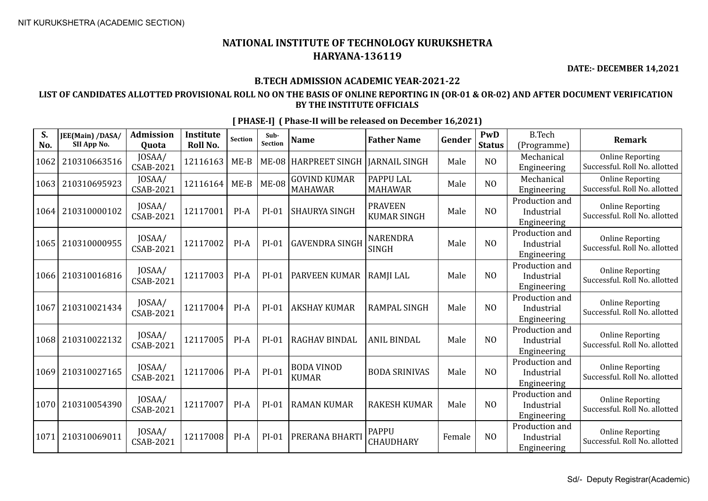**DATE:- DECEMBER 14,2021**

### **B.TECH ADMISSION ACADEMIC YEAR-2021-22**

### **LIST OF CANDIDATES ALLOTTED PROVISIONAL ROLL NO ON THE BASIS OF ONLINE REPORTING IN (OR-01 & OR-02) AND AFTER DOCUMENT VERIFICATION BY THE INSTITUTE OFFICIALS**

| S.<br>No. | JEE(Main) /DASA/<br>SII App No. | <b>Admission</b><br>Quota  | <b>Institute</b><br>Roll No. | <b>Section</b> | Sub-<br>Section | <b>Name</b>                           | <b>Father Name</b>                   | Gender | PwD<br><b>Status</b> | <b>B.Tech</b><br>(Programme)                | <b>Remark</b>                                            |
|-----------|---------------------------------|----------------------------|------------------------------|----------------|-----------------|---------------------------------------|--------------------------------------|--------|----------------------|---------------------------------------------|----------------------------------------------------------|
| 1062      | 210310663516                    | JOSAA/<br>CSAB-2021        | 12116163                     | $ME-B$         | <b>ME-08</b>    | <b>HARPREET SINGH</b>                 | <b>JARNAIL SINGH</b>                 | Male   | NO                   | Mechanical<br>Engineering                   | <b>Online Reporting</b><br>Successful. Roll No. allotted |
| 1063      | 210310695923                    | JOSAA/<br>CSAB-2021        | 12116164                     | $ME-B$         | <b>ME-08</b>    | <b>GOVIND KUMAR</b><br><b>MAHAWAR</b> | PAPPU LAL<br><b>MAHAWAR</b>          | Male   | N <sub>O</sub>       | Mechanical<br>Engineering                   | <b>Online Reporting</b><br>Successful. Roll No. allotted |
| 1064      | 210310000102                    | JOSAA/<br><b>CSAB-2021</b> | 12117001                     | PI-A           | PI-01           | <b>SHAURYA SINGH</b>                  | <b>PRAVEEN</b><br><b>KUMAR SINGH</b> | Male   | N <sub>O</sub>       | Production and<br>Industrial<br>Engineering | <b>Online Reporting</b><br>Successful. Roll No. allotted |
| 1065      | 210310000955                    | JOSAA/<br>CSAB-2021        | 12117002                     | $PI-A$         | $PI-01$         | <b>GAVENDRA SINGH</b>                 | <b>NARENDRA</b><br>SINGH             | Male   | N <sub>0</sub>       | Production and<br>Industrial<br>Engineering | <b>Online Reporting</b><br>Successful. Roll No. allotted |
| 1066      | 210310016816                    | JOSAA/<br>CSAB-2021        | 12117003                     | PI-A           | PI-01           | <b>PARVEEN KUMAR</b>                  | <b>RAMJI LAL</b>                     | Male   | N <sub>O</sub>       | Production and<br>Industrial<br>Engineering | <b>Online Reporting</b><br>Successful. Roll No. allotted |
| 1067      | 210310021434                    | JOSAA/<br><b>CSAB-2021</b> | 12117004                     | PI-A           | PI-01           | <b>AKSHAY KUMAR</b>                   | <b>RAMPAL SINGH</b>                  | Male   | N <sub>O</sub>       | Production and<br>Industrial<br>Engineering | <b>Online Reporting</b><br>Successful. Roll No. allotted |
| 1068      | 210310022132                    | JOSAA/<br><b>CSAB-2021</b> | 12117005                     | PI-A           | PI-01           | RAGHAV BINDAL                         | <b>ANIL BINDAL</b>                   | Male   | NO                   | Production and<br>Industrial<br>Engineering | <b>Online Reporting</b><br>Successful. Roll No. allotted |
| 1069      | 210310027165                    | JOSAA/<br><b>CSAB-2021</b> | 12117006                     | PI-A           | $PI-01$         | <b>BODA VINOD</b><br><b>KUMAR</b>     | <b>BODA SRINIVAS</b>                 | Male   | N <sub>0</sub>       | Production and<br>Industrial<br>Engineering | <b>Online Reporting</b><br>Successful. Roll No. allotted |
| 1070      | 210310054390                    | JOSAA/<br><b>CSAB-2021</b> | 12117007                     | $PI-A$         | $PI-01$         | <b>RAMAN KUMAR</b>                    | <b>RAKESH KUMAR</b>                  | Male   | N <sub>0</sub>       | Production and<br>Industrial<br>Engineering | <b>Online Reporting</b><br>Successful. Roll No. allotted |
| 1071      | 210310069011                    | JOSAA/<br><b>CSAB-2021</b> | 12117008                     | $PI-A$         | $PI-01$         | PRERANA BHARTI                        | <b>PAPPU</b><br>CHAUDHARY            | Female | N <sub>0</sub>       | Production and<br>Industrial<br>Engineering | <b>Online Reporting</b><br>Successful. Roll No. allotted |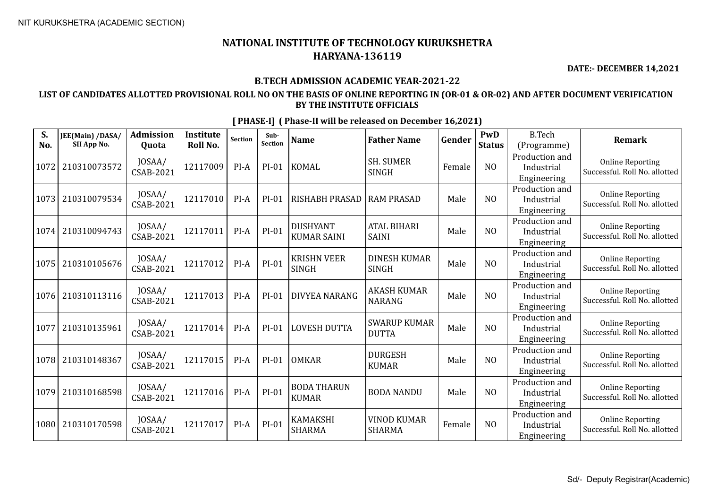**DATE:- DECEMBER 14,2021**

### **B.TECH ADMISSION ACADEMIC YEAR-2021-22**

### **LIST OF CANDIDATES ALLOTTED PROVISIONAL ROLL NO ON THE BASIS OF ONLINE REPORTING IN (OR-01 & OR-02) AND AFTER DOCUMENT VERIFICATION BY THE INSTITUTE OFFICIALS**

| S.<br>No. | JEE(Main) /DASA/<br>SII App No. | <b>Admission</b><br>Quota  | <b>Institute</b><br>Roll No. | <b>Section</b> | Sub-<br>Section | <b>Name</b>                           | <b>Father Name</b>                  | Gender | PwD<br><b>Status</b> | <b>B.Tech</b><br>(Programme)                | <b>Remark</b>                                            |
|-----------|---------------------------------|----------------------------|------------------------------|----------------|-----------------|---------------------------------------|-------------------------------------|--------|----------------------|---------------------------------------------|----------------------------------------------------------|
| 1072      | 210310073572                    | JOSAA/<br><b>CSAB-2021</b> | 12117009                     | $PI-A$         | $PI-01$         | KOMAL                                 | <b>SH. SUMER</b><br><b>SINGH</b>    | Female | N <sub>O</sub>       | Production and<br>Industrial<br>Engineering | <b>Online Reporting</b><br>Successful. Roll No. allotted |
| 1073      | 210310079534                    | JOSAA/<br><b>CSAB-2021</b> | 12117010                     | $PI-A$         | $PI-01$         | <b>RISHABH PRASAD</b>                 | <b>RAM PRASAD</b>                   | Male   | N <sub>O</sub>       | Production and<br>Industrial<br>Engineering | <b>Online Reporting</b><br>Successful. Roll No. allotted |
| 1074      | 210310094743                    | JOSAA/<br>CSAB-2021        | 12117011                     | $PI-A$         | $PI-01$         | <b>DUSHYANT</b><br><b>KUMAR SAINI</b> | <b>ATAL BIHARI</b><br><b>SAINI</b>  | Male   | N <sub>O</sub>       | Production and<br>Industrial<br>Engineering | <b>Online Reporting</b><br>Successful. Roll No. allotted |
| 1075      | 210310105676                    | JOSAA/<br><b>CSAB-2021</b> | 12117012                     | $PI-A$         | $PI-01$         | <b>KRISHN VEER</b><br><b>SINGH</b>    | <b>DINESH KUMAR</b><br><b>SINGH</b> | Male   | N <sub>O</sub>       | Production and<br>Industrial<br>Engineering | <b>Online Reporting</b><br>Successful. Roll No. allotted |
| 1076      | 210310113116                    | JOSAA/<br><b>CSAB-2021</b> | 12117013                     | $PI-A$         | $PI-01$         | <b>DIVYEA NARANG</b>                  | <b>AKASH KUMAR</b><br><b>NARANG</b> | Male   | N <sub>O</sub>       | Production and<br>Industrial<br>Engineering | <b>Online Reporting</b><br>Successful. Roll No. allotted |
| 1077      | 210310135961                    | JOSAA/<br><b>CSAB-2021</b> | 12117014                     | $PI-A$         | $PI-01$         | <b>LOVESH DUTTA</b>                   | <b>SWARUP KUMAR</b><br><b>DUTTA</b> | Male   | N <sub>O</sub>       | Production and<br>Industrial<br>Engineering | <b>Online Reporting</b><br>Successful. Roll No. allotted |
| 1078      | 210310148367                    | JOSAA/<br><b>CSAB-2021</b> | 12117015                     | $PI-A$         | $PI-01$         | <b>OMKAR</b>                          | <b>DURGESH</b><br><b>KUMAR</b>      | Male   | N <sub>O</sub>       | Production and<br>Industrial<br>Engineering | <b>Online Reporting</b><br>Successful. Roll No. allotted |
| 1079      | 210310168598                    | JOSAA/<br><b>CSAB-2021</b> | 12117016                     | $PI-A$         | $PI-01$         | <b>BODA THARUN</b><br><b>KUMAR</b>    | <b>BODA NANDU</b>                   | Male   | N <sub>O</sub>       | Production and<br>Industrial<br>Engineering | <b>Online Reporting</b><br>Successful. Roll No. allotted |
| 1080      | 210310170598                    | JOSAA/<br>CSAB-2021        | 12117017                     | $PI-A$         | $PI-01$         | <b>KAMAKSHI</b><br><b>SHARMA</b>      | <b>VINOD KUMAR</b><br><b>SHARMA</b> | Female | N <sub>O</sub>       | Production and<br>Industrial<br>Engineering | <b>Online Reporting</b><br>Successful. Roll No. allotted |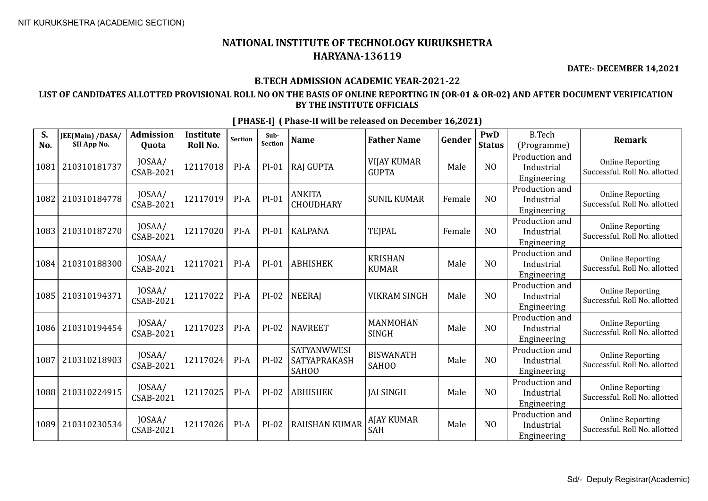**DATE:- DECEMBER 14,2021**

### **B.TECH ADMISSION ACADEMIC YEAR-2021-22**

### **LIST OF CANDIDATES ALLOTTED PROVISIONAL ROLL NO ON THE BASIS OF ONLINE REPORTING IN (OR-01 & OR-02) AND AFTER DOCUMENT VERIFICATION BY THE INSTITUTE OFFICIALS**

| S.<br>No. | JEE(Main) /DASA/<br>SII App No. | <b>Admission</b><br>Quota  | <b>Institute</b><br>Roll No. | <b>Section</b> | Sub-<br>Section | <b>Name</b>                                 | <b>Father Name</b>                 | Gender | PwD<br><b>Status</b> | <b>B.Tech</b><br>(Programme)                | <b>Remark</b>                                            |
|-----------|---------------------------------|----------------------------|------------------------------|----------------|-----------------|---------------------------------------------|------------------------------------|--------|----------------------|---------------------------------------------|----------------------------------------------------------|
| 1081      | 210310181737                    | JOSAA/<br><b>CSAB-2021</b> | 12117018                     | PI-A           | PI-01           | RAJ GUPTA                                   | <b>VIJAY KUMAR</b><br><b>GUPTA</b> | Male   | NO                   | Production and<br>Industrial<br>Engineering | <b>Online Reporting</b><br>Successful. Roll No. allotted |
| 1082      | 210310184778                    | JOSAA/<br>CSAB-2021        | 12117019                     | PI-A           | $PI-01$         | <b>ANKITA</b><br><b>CHOUDHARY</b>           | <b>SUNIL KUMAR</b>                 | Female | N <sub>O</sub>       | Production and<br>Industrial<br>Engineering | <b>Online Reporting</b><br>Successful. Roll No. allotted |
| 1083      | 210310187270                    | JOSAA/<br>CSAB-2021        | 12117020                     | PI-A           | $PI-01$         | KALPANA                                     | <b>TEJPAL</b>                      | Female | N <sub>O</sub>       | Production and<br>Industrial<br>Engineering | <b>Online Reporting</b><br>Successful. Roll No. allotted |
| 1084      | 210310188300                    | JOSAA/<br><b>CSAB-2021</b> | 12117021                     | $PI-A$         | $PI-01$         | <b>ABHISHEK</b>                             | <b>KRISHAN</b><br><b>KUMAR</b>     | Male   | N <sub>O</sub>       | Production and<br>Industrial<br>Engineering | <b>Online Reporting</b><br>Successful. Roll No. allotted |
| 1085      | 210310194371                    | JOSAA/<br><b>CSAB-2021</b> | 12117022                     | $PI-A$         | $PI-02$         | NEERAJ                                      | <b>VIKRAM SINGH</b>                | Male   | NO                   | Production and<br>Industrial<br>Engineering | <b>Online Reporting</b><br>Successful. Roll No. allotted |
| 1086      | 210310194454                    | JOSAA/<br>CSAB-2021        | 12117023                     | $PI-A$         | $PI-02$         | <b>NAVREET</b>                              | MANMOHAN<br><b>SINGH</b>           | Male   | N <sub>0</sub>       | Production and<br>Industrial<br>Engineering | <b>Online Reporting</b><br>Successful. Roll No. allotted |
| 1087      | 210310218903                    | JOSAA/<br><b>CSAB-2021</b> | 12117024                     | $PI-A$         | $PI-02$         | <b>SATYANWWESI</b><br>SATYAPRAKASH<br>SAH00 | <b>BISWANATH</b><br>SAHOO          | Male   | N <sub>O</sub>       | Production and<br>Industrial<br>Engineering | <b>Online Reporting</b><br>Successful. Roll No. allotted |
| 1088      | 210310224915                    | JOSAA/<br>CSAB-2021        | 12117025                     | $PI-A$         | $PI-02$         | <b>ABHISHEK</b>                             | <b>JAI SINGH</b>                   | Male   | NO                   | Production and<br>Industrial<br>Engineering | <b>Online Reporting</b><br>Successful. Roll No. allotted |
| 1089      | 210310230534                    | JOSAA/<br>CSAB-2021        | 12117026                     | $PI-A$         | $PI-02$         | <b>RAUSHAN KUMAR</b>                        | <b>AJAY KUMAR</b><br>SAH           | Male   | N <sub>0</sub>       | Production and<br>Industrial<br>Engineering | <b>Online Reporting</b><br>Successful. Roll No. allotted |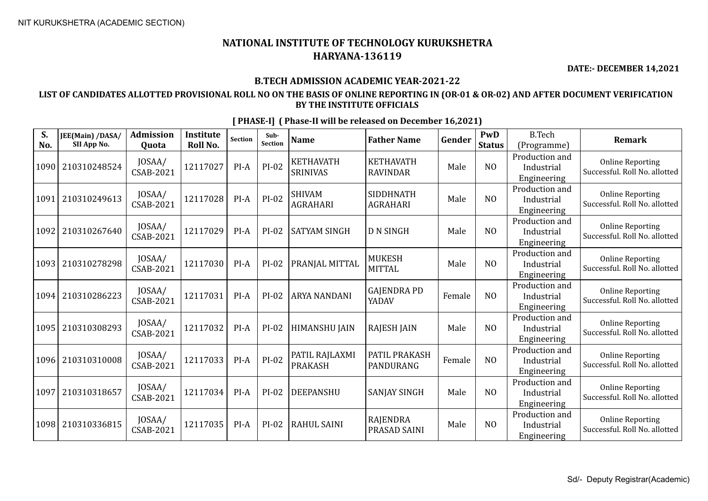**DATE:- DECEMBER 14,2021**

### **B.TECH ADMISSION ACADEMIC YEAR-2021-22**

### **LIST OF CANDIDATES ALLOTTED PROVISIONAL ROLL NO ON THE BASIS OF ONLINE REPORTING IN (OR-01 & OR-02) AND AFTER DOCUMENT VERIFICATION BY THE INSTITUTE OFFICIALS**

| S.<br>No. | JEE(Main) /DASA/<br>SII App No. | <b>Admission</b><br>Quota  | <b>Institute</b><br>Roll No. | Section | Sub-<br>Section | <b>Name</b>                         | <b>Father Name</b>                  | Gender | PwD<br><b>Status</b> | <b>B.Tech</b><br>(Programme)                | Remark                                                   |
|-----------|---------------------------------|----------------------------|------------------------------|---------|-----------------|-------------------------------------|-------------------------------------|--------|----------------------|---------------------------------------------|----------------------------------------------------------|
| 1090      | 210310248524                    | JOSAA/<br><b>CSAB-2021</b> | 12117027                     | $PI-A$  | $PI-02$         | <b>KETHAVATH</b><br><b>SRINIVAS</b> | <b>KETHAVATH</b><br><b>RAVINDAR</b> | Male   | N <sub>0</sub>       | Production and<br>Industrial<br>Engineering | <b>Online Reporting</b><br>Successful. Roll No. allotted |
| 1091      | 210310249613                    | JOSAA/<br>CSAB-2021        | 12117028                     | $PI-A$  | $PI-02$         | <b>SHIVAM</b><br><b>AGRAHARI</b>    | SIDDHNATH<br><b>AGRAHARI</b>        | Male   | N <sub>0</sub>       | Production and<br>Industrial<br>Engineering | <b>Online Reporting</b><br>Successful. Roll No. allotted |
| 1092      | 210310267640                    | JOSAA/<br><b>CSAB-2021</b> | 12117029                     | $PI-A$  | $PI-02$         | <b>SATYAM SINGH</b>                 | <b>D N SINGH</b>                    | Male   | N <sub>0</sub>       | Production and<br>Industrial<br>Engineering | <b>Online Reporting</b><br>Successful. Roll No. allotted |
| 1093      | 210310278298                    | JOSAA/<br>CSAB-2021        | 12117030                     | $PI-A$  | PI-02           | PRANJAL MITTAL                      | <b>MUKESH</b><br><b>MITTAL</b>      | Male   | N <sub>0</sub>       | Production and<br>Industrial<br>Engineering | <b>Online Reporting</b><br>Successful. Roll No. allotted |
| 1094      | 210310286223                    | JOSAA/<br>CSAB-2021        | 12117031                     | $PI-A$  | $PI-02$         | <b>ARYA NANDANI</b>                 | <b>GAJENDRA PD</b><br>YADAV         | Female | N <sub>0</sub>       | Production and<br>Industrial<br>Engineering | <b>Online Reporting</b><br>Successful. Roll No. allotted |
| 1095      | 210310308293                    | JOSAA/<br><b>CSAB-2021</b> | 12117032                     | $PI-A$  | PI-02           | <b>HIMANSHU JAIN</b>                | <b>RAJESH JAIN</b>                  | Male   | N <sub>0</sub>       | Production and<br>Industrial<br>Engineering | <b>Online Reporting</b><br>Successful. Roll No. allotted |
| 1096      | 210310310008                    | JOSAA/<br><b>CSAB-2021</b> | 12117033                     | $PI-A$  | $PI-02$         | PATIL RAJLAXMI<br><b>PRAKASH</b>    | <b>PATIL PRAKASH</b><br>PANDURANG   | Female | N <sub>0</sub>       | Production and<br>Industrial<br>Engineering | <b>Online Reporting</b><br>Successful. Roll No. allotted |
| 1097      | 210310318657                    | JOSAA/<br>CSAB-2021        | 12117034                     | $PI-A$  | $PI-02$         | <b>DEEPANSHU</b>                    | <b>SANJAY SINGH</b>                 | Male   | N <sub>O</sub>       | Production and<br>Industrial<br>Engineering | <b>Online Reporting</b><br>Successful. Roll No. allotted |
| 1098      | 210310336815                    | JOSAA/<br>CSAB-2021        | 12117035                     | $PI-A$  | PI-02           | <b>RAHUL SAINI</b>                  | RAJENDRA<br>PRASAD SAINI            | Male   | N <sub>0</sub>       | Production and<br>Industrial<br>Engineering | <b>Online Reporting</b><br>Successful. Roll No. allotted |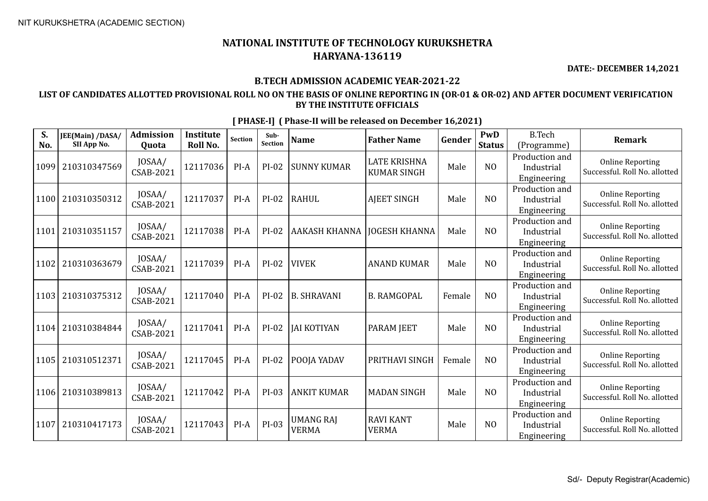**DATE:- DECEMBER 14,2021**

### **B.TECH ADMISSION ACADEMIC YEAR-2021-22**

### **LIST OF CANDIDATES ALLOTTED PROVISIONAL ROLL NO ON THE BASIS OF ONLINE REPORTING IN (OR-01 & OR-02) AND AFTER DOCUMENT VERIFICATION BY THE INSTITUTE OFFICIALS**

| S.<br>No. | JEE(Main) /DASA/<br>SII App No. | <b>Admission</b><br>Quota  | <b>Institute</b><br>Roll No. | <b>Section</b> | Sub-<br>Section | <b>Name</b>                      | <b>Father Name</b>                        | Gender | PwD<br><b>Status</b> | <b>B.Tech</b><br>(Programme)                | Remark                                                   |
|-----------|---------------------------------|----------------------------|------------------------------|----------------|-----------------|----------------------------------|-------------------------------------------|--------|----------------------|---------------------------------------------|----------------------------------------------------------|
| 1099      | 210310347569                    | JOSAA/<br>CSAB-2021        | 12117036                     | $PI-A$         | PI-02           | <b>SUNNY KUMAR</b>               | <b>LATE KRISHNA</b><br><b>KUMAR SINGH</b> | Male   | N <sub>O</sub>       | Production and<br>Industrial<br>Engineering | <b>Online Reporting</b><br>Successful. Roll No. allotted |
| 1100      | 210310350312                    | JOSAA/<br>CSAB-2021        | 12117037                     | $PI-A$         | $PI-02$         | RAHUL                            | <b>AJEET SINGH</b>                        | Male   | N <sub>O</sub>       | Production and<br>Industrial<br>Engineering | <b>Online Reporting</b><br>Successful. Roll No. allotted |
| 1101      | 210310351157                    | JOSAA/<br>CSAB-2021        | 12117038                     | $PI-A$         | PI-02           | AAKASH KHANNA                    | <b>JOGESH KHANNA</b>                      | Male   | N <sub>O</sub>       | Production and<br>Industrial<br>Engineering | <b>Online Reporting</b><br>Successful. Roll No. allotted |
| 1102      | 210310363679                    | JOSAA/<br>CSAB-2021        | 12117039                     | $PI-A$         | $PI-02$         | <b>VIVEK</b>                     | <b>ANAND KUMAR</b>                        | Male   | N <sub>O</sub>       | Production and<br>Industrial<br>Engineering | <b>Online Reporting</b><br>Successful. Roll No. allotted |
| 1103      | 210310375312                    | JOSAA/<br>CSAB-2021        | 12117040                     | $PI-A$         | $PI-02$         | B. SHRAVANI                      | <b>B. RAMGOPAL</b>                        | Female | N <sub>O</sub>       | Production and<br>Industrial<br>Engineering | <b>Online Reporting</b><br>Successful. Roll No. allotted |
| 1104      | 210310384844                    | JOSAA/<br>CSAB-2021        | 12117041                     | $PI-A$         | $PI-02$         | <b>JAI KOTIYAN</b>               | <b>PARAM JEET</b>                         | Male   | N <sub>O</sub>       | Production and<br>Industrial<br>Engineering | <b>Online Reporting</b><br>Successful. Roll No. allotted |
| 1105      | 210310512371                    | JOSAA/<br><b>CSAB-2021</b> | 12117045                     | $PI-A$         | $PI-02$         | POOJA YADAV                      | PRITHAVI SINGH                            | Female | N <sub>O</sub>       | Production and<br>Industrial<br>Engineering | <b>Online Reporting</b><br>Successful. Roll No. allotted |
| 1106      | 210310389813                    | JOSAA/<br><b>CSAB-2021</b> | 12117042                     | $PI-A$         | $PI-03$         | <b>ANKIT KUMAR</b>               | <b>MADAN SINGH</b>                        | Male   | N <sub>O</sub>       | Production and<br>Industrial<br>Engineering | <b>Online Reporting</b><br>Successful. Roll No. allotted |
| 1107      | 210310417173                    | JOSAA/<br>CSAB-2021        | 12117043                     | $PI-A$         | PI-03           | <b>UMANG RAJ</b><br><b>VERMA</b> | <b>RAVI KANT</b><br><b>VERMA</b>          | Male   | N <sub>O</sub>       | Production and<br>Industrial<br>Engineering | <b>Online Reporting</b><br>Successful. Roll No. allotted |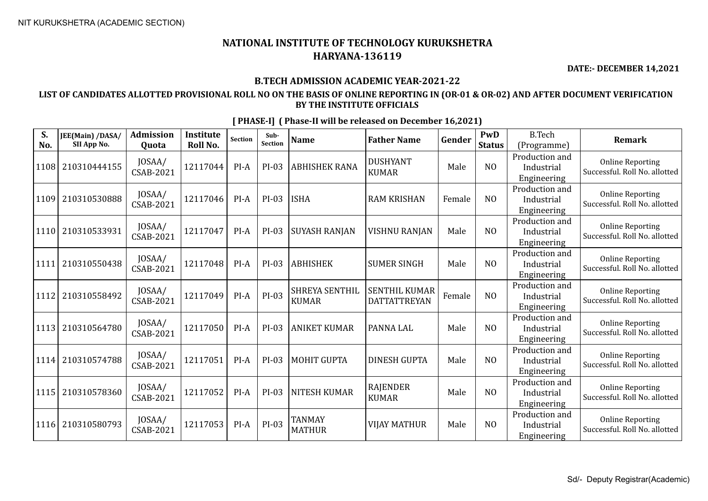**DATE:- DECEMBER 14,2021**

### **B.TECH ADMISSION ACADEMIC YEAR-2021-22**

### **LIST OF CANDIDATES ALLOTTED PROVISIONAL ROLL NO ON THE BASIS OF ONLINE REPORTING IN (OR-01 & OR-02) AND AFTER DOCUMENT VERIFICATION BY THE INSTITUTE OFFICIALS**

| S.<br>No. | JEE(Main) /DASA/<br>SII App No. | <b>Admission</b><br>Quota  | <b>Institute</b><br>Roll No. | <b>Section</b> | Sub-<br>Section | <b>Name</b>                    | <b>Father Name</b>                          | Gender | PwD<br><b>Status</b> | <b>B.Tech</b><br>(Programme)                | <b>Remark</b>                                            |
|-----------|---------------------------------|----------------------------|------------------------------|----------------|-----------------|--------------------------------|---------------------------------------------|--------|----------------------|---------------------------------------------|----------------------------------------------------------|
| 1108      | 210310444155                    | JOSAA/<br>CSAB-2021        | 12117044                     | $PI-A$         | $PI-03$         | <b>ABHISHEK RANA</b>           | <b>DUSHYANT</b><br><b>KUMAR</b>             | Male   | N <sub>0</sub>       | Production and<br>Industrial<br>Engineering | <b>Online Reporting</b><br>Successful. Roll No. allotted |
| 1109      | 210310530888                    | JOSAA/<br>CSAB-2021        | 12117046                     | $PI-A$         | $PI-03$         | <b>ISHA</b>                    | <b>RAM KRISHAN</b>                          | Female | N <sub>O</sub>       | Production and<br>Industrial<br>Engineering | <b>Online Reporting</b><br>Successful. Roll No. allotted |
| 1110      | 210310533931                    | JOSAA/<br>CSAB-2021        | 12117047                     | $PI-A$         | PI-03           | <b>SUYASH RANJAN</b>           | <b>VISHNU RANJAN</b>                        | Male   | N <sub>0</sub>       | Production and<br>Industrial<br>Engineering | <b>Online Reporting</b><br>Successful. Roll No. allotted |
| 1111      | 210310550438                    | JOSAA/<br><b>CSAB-2021</b> | 12117048                     | $PI-A$         | PI-03           | <b>ABHISHEK</b>                | <b>SUMER SINGH</b>                          | Male   | N <sub>0</sub>       | Production and<br>Industrial<br>Engineering | <b>Online Reporting</b><br>Successful. Roll No. allotted |
| 1112      | 210310558492                    | JOSAA/<br>CSAB-2021        | 12117049                     | $PI-A$         | $PI-03$         | SHREYA SENTHIL<br><b>KUMAR</b> | <b>SENTHIL KUMAR</b><br><b>DATTATTREYAN</b> | Female | N <sub>O</sub>       | Production and<br>Industrial<br>Engineering | <b>Online Reporting</b><br>Successful. Roll No. allotted |
| 1113      | 210310564780                    | JOSAA/<br>CSAB-2021        | 12117050                     | $PI-A$         | $PI-03$         | <b>ANIKET KUMAR</b>            | PANNA LAL                                   | Male   | N <sub>0</sub>       | Production and<br>Industrial<br>Engineering | <b>Online Reporting</b><br>Successful. Roll No. allotted |
| 1114      | 210310574788                    | JOSAA/<br><b>CSAB-2021</b> | 12117051                     | $PI-A$         | $PI-03$         | <b>MOHIT GUPTA</b>             | <b>DINESH GUPTA</b>                         | Male   | N <sub>O</sub>       | Production and<br>Industrial<br>Engineering | <b>Online Reporting</b><br>Successful. Roll No. allotted |
| 1115      | 210310578360                    | JOSAA/<br><b>CSAB-2021</b> | 12117052                     | $PI-A$         | $PI-03$         | <b>NITESH KUMAR</b>            | <b>RAJENDER</b><br><b>KUMAR</b>             | Male   | N <sub>0</sub>       | Production and<br>Industrial<br>Engineering | <b>Online Reporting</b><br>Successful. Roll No. allotted |
| 1116      | 210310580793                    | JOSAA/<br><b>CSAB-2021</b> | 12117053                     | PI-A           | $PI-03$         | <b>TANMAY</b><br><b>MATHUR</b> | <b>VIJAY MATHUR</b>                         | Male   | N <sub>O</sub>       | Production and<br>Industrial<br>Engineering | <b>Online Reporting</b><br>Successful. Roll No. allotted |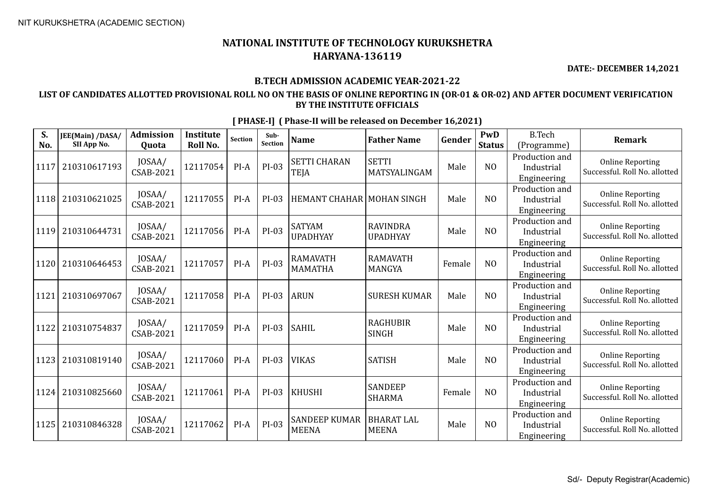**DATE:- DECEMBER 14,2021**

### **B.TECH ADMISSION ACADEMIC YEAR-2021-22**

### **LIST OF CANDIDATES ALLOTTED PROVISIONAL ROLL NO ON THE BASIS OF ONLINE REPORTING IN (OR-01 & OR-02) AND AFTER DOCUMENT VERIFICATION BY THE INSTITUTE OFFICIALS**

| S.<br>No. | JEE(Main) /DASA/<br>SII App No. | <b>Admission</b><br>Quota  | <b>Institute</b><br><b>Roll No.</b> | Section | Sub-<br><b>Section</b> | <b>Name</b>                          | <b>Father Name</b>                 | Gender | PwD<br><b>Status</b> | <b>B.Tech</b><br>(Programme)                | <b>Remark</b>                                            |
|-----------|---------------------------------|----------------------------|-------------------------------------|---------|------------------------|--------------------------------------|------------------------------------|--------|----------------------|---------------------------------------------|----------------------------------------------------------|
| 1117      | 210310617193                    | JOSAA/<br>CSAB-2021        | 12117054                            | PI-A    | $PI-03$                | <b>SETTI CHARAN</b><br><b>TEJA</b>   | <b>SETTI</b><br>MATSYALINGAM       | Male   | N <sub>0</sub>       | Production and<br>Industrial<br>Engineering | <b>Online Reporting</b><br>Successful. Roll No. allotted |
| 1118      | 210310621025                    | JOSAA/<br>CSAB-2021        | 12117055                            | $PI-A$  | PI-03                  | <b>HEMANT CHAHAR MOHAN SINGH</b>     |                                    | Male   | NO                   | Production and<br>Industrial<br>Engineering | <b>Online Reporting</b><br>Successful. Roll No. allotted |
| 1119      | 210310644731                    | JOSAA/<br>CSAB-2021        | 12117056                            | $PI-A$  | $PI-03$                | <b>SATYAM</b><br><b>UPADHYAY</b>     | <b>RAVINDRA</b><br><b>UPADHYAY</b> | Male   | NO                   | Production and<br>Industrial<br>Engineering | <b>Online Reporting</b><br>Successful. Roll No. allotted |
| 1120      | 210310646453                    | JOSAA/<br>CSAB-2021        | 12117057                            | $PI-A$  | $PI-03$                | <b>RAMAVATH</b><br><b>MAMATHA</b>    | <b>RAMAVATH</b><br><b>MANGYA</b>   | Female | NO                   | Production and<br>Industrial<br>Engineering | <b>Online Reporting</b><br>Successful. Roll No. allotted |
| 1121      | 210310697067                    | JOSAA/<br>CSAB-2021        | 12117058                            | PI-A    | $PI-03$                | <b>ARUN</b>                          | <b>SURESH KUMAR</b>                | Male   | NO                   | Production and<br>Industrial<br>Engineering | <b>Online Reporting</b><br>Successful. Roll No. allotted |
| 1122      | 210310754837                    | JOSAA/<br><b>CSAB-2021</b> | 12117059                            | $PI-A$  | $PI-03$                | <b>SAHIL</b>                         | <b>RAGHUBIR</b><br><b>SINGH</b>    | Male   | N <sub>0</sub>       | Production and<br>Industrial<br>Engineering | <b>Online Reporting</b><br>Successful. Roll No. allotted |
| 1123      | 210310819140                    | JOSAA/<br><b>CSAB-2021</b> | 12117060                            | $PI-A$  | $PI-03$                | <b>VIKAS</b>                         | <b>SATISH</b>                      | Male   | NO                   | Production and<br>Industrial<br>Engineering | <b>Online Reporting</b><br>Successful. Roll No. allotted |
| 1124      | 210310825660                    | JOSAA/<br>CSAB-2021        | 12117061                            | $PI-A$  | PI-03                  | <b>KHUSHI</b>                        | <b>SANDEEP</b><br><b>SHARMA</b>    | Female | N <sub>O</sub>       | Production and<br>Industrial<br>Engineering | <b>Online Reporting</b><br>Successful. Roll No. allotted |
| 1125      | 210310846328                    | JOSAA/<br>CSAB-2021        | 12117062                            | $PI-A$  | $PI-03$                | <b>SANDEEP KUMAR</b><br><b>MEENA</b> | <b>BHARAT LAL</b><br><b>MEENA</b>  | Male   | N <sub>0</sub>       | Production and<br>Industrial<br>Engineering | <b>Online Reporting</b><br>Successful. Roll No. allotted |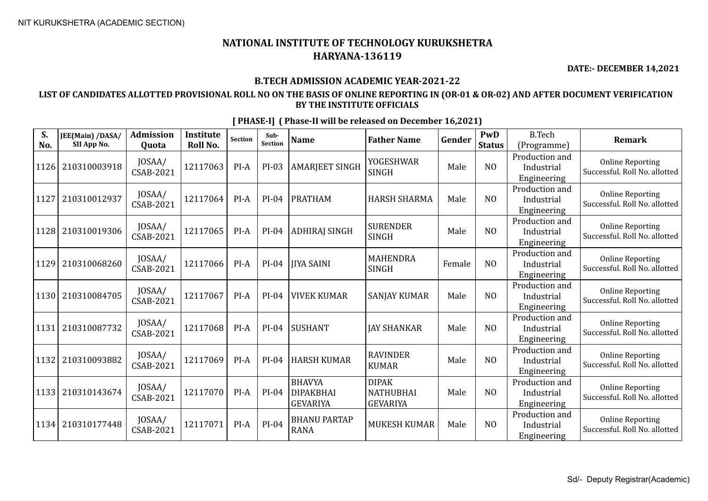**DATE:- DECEMBER 14,2021**

#### **B.TECH ADMISSION ACADEMIC YEAR-2021-22**

### **LIST OF CANDIDATES ALLOTTED PROVISIONAL ROLL NO ON THE BASIS OF ONLINE REPORTING IN (OR-01 & OR-02) AND AFTER DOCUMENT VERIFICATION BY THE INSTITUTE OFFICIALS**

| S.<br>No. | JEE(Main) /DASA/<br>SII App No. | <b>Admission</b><br>Quota  | <b>Institute</b><br>Roll No. | <b>Section</b> | Sub-<br>Section | <b>Name</b>                                          | <b>Father Name</b>                                  | Gender | PwD<br><b>Status</b> | <b>B.Tech</b><br>(Programme)                | <b>Remark</b>                                            |
|-----------|---------------------------------|----------------------------|------------------------------|----------------|-----------------|------------------------------------------------------|-----------------------------------------------------|--------|----------------------|---------------------------------------------|----------------------------------------------------------|
| 1126      | 210310003918                    | JOSAA/<br><b>CSAB-2021</b> | 12117063                     | $PI-A$         | PI-03           | <b>AMARJEET SINGH</b>                                | <b>YOGESHWAR</b><br><b>SINGH</b>                    | Male   | N <sub>O</sub>       | Production and<br>Industrial<br>Engineering | <b>Online Reporting</b><br>Successful. Roll No. allotted |
| 1127      | 210310012937                    | JOSAA/<br><b>CSAB-2021</b> | 12117064                     | $PI-A$         | PI-04           | <b>PRATHAM</b>                                       | <b>HARSH SHARMA</b>                                 | Male   | N <sub>O</sub>       | Production and<br>Industrial<br>Engineering | <b>Online Reporting</b><br>Successful. Roll No. allotted |
| 1128      | 210310019306                    | JOSAA/<br>CSAB-2021        | 12117065                     | $PI-A$         | $PI-04$         | ADHIRAJ SINGH                                        | <b>SURENDER</b><br><b>SINGH</b>                     | Male   | N <sub>0</sub>       | Production and<br>Industrial<br>Engineering | <b>Online Reporting</b><br>Successful. Roll No. allotted |
| 1129      | 210310068260                    | JOSAA/<br><b>CSAB-2021</b> | 12117066                     | $PI-A$         | PI-04           | <b>IIYA SAINI</b>                                    | <b>MAHENDRA</b><br><b>SINGH</b>                     | Female | N <sub>O</sub>       | Production and<br>Industrial<br>Engineering | <b>Online Reporting</b><br>Successful. Roll No. allotted |
| 1130      | 210310084705                    | JOSAA/<br><b>CSAB-2021</b> | 12117067                     | $PI-A$         | PI-04           | <b>VIVEK KUMAR</b>                                   | <b>SANJAY KUMAR</b>                                 | Male   | N <sub>O</sub>       | Production and<br>Industrial<br>Engineering | <b>Online Reporting</b><br>Successful. Roll No. allotted |
| 1131      | 210310087732                    | JOSAA/<br><b>CSAB-2021</b> | 12117068                     | $PI-A$         | $PI-04$         | SUSHANT                                              | <b>JAY SHANKAR</b>                                  | Male   | N <sub>0</sub>       | Production and<br>Industrial<br>Engineering | <b>Online Reporting</b><br>Successful. Roll No. allotted |
| 1132      | 210310093882                    | JOSAA/<br><b>CSAB-2021</b> | 12117069                     | $PI-A$         | $PI-04$         | <b>HARSH KUMAR</b>                                   | <b>RAVINDER</b><br><b>KUMAR</b>                     | Male   | N <sub>O</sub>       | Production and<br>Industrial<br>Engineering | <b>Online Reporting</b><br>Successful. Roll No. allotted |
| 1133      | 210310143674                    | JOSAA/<br><b>CSAB-2021</b> | 12117070                     | $PI-A$         | PI-04           | <b>BHAVYA</b><br><b>DIPAKBHAI</b><br><b>GEVARIYA</b> | <b>DIPAK</b><br><b>NATHUBHAI</b><br><b>GEVARIYA</b> | Male   | N <sub>O</sub>       | Production and<br>Industrial<br>Engineering | <b>Online Reporting</b><br>Successful. Roll No. allotted |
| 1134      | 210310177448                    | JOSAA/<br>CSAB-2021        | 12117071                     | $PI-A$         | $PI-04$         | <b>BHANU PARTAP</b><br><b>RANA</b>                   | <b>MUKESH KUMAR</b>                                 | Male   | N <sub>O</sub>       | Production and<br>Industrial<br>Engineering | <b>Online Reporting</b><br>Successful. Roll No. allotted |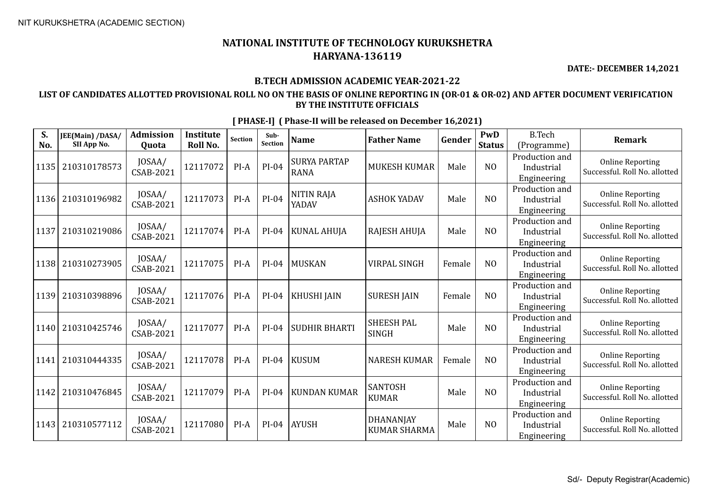**DATE:- DECEMBER 14,2021**

### **B.TECH ADMISSION ACADEMIC YEAR-2021-22**

### **LIST OF CANDIDATES ALLOTTED PROVISIONAL ROLL NO ON THE BASIS OF ONLINE REPORTING IN (OR-01 & OR-02) AND AFTER DOCUMENT VERIFICATION BY THE INSTITUTE OFFICIALS**

| S.<br>No. | JEE(Main) /DASA/<br>SII App No. | <b>Admission</b><br>Quota  | <b>Institute</b><br>Roll No. | <b>Section</b> | Sub-<br>Section | <b>Name</b>                        | <b>Father Name</b>                | Gender | PwD<br><b>Status</b> | <b>B.Tech</b><br>(Programme)                | <b>Remark</b>                                            |
|-----------|---------------------------------|----------------------------|------------------------------|----------------|-----------------|------------------------------------|-----------------------------------|--------|----------------------|---------------------------------------------|----------------------------------------------------------|
| 1135      | 210310178573                    | JOSAA/<br><b>CSAB-2021</b> | 12117072                     | $PI-A$         | $PI-04$         | <b>SURYA PARTAP</b><br><b>RANA</b> | <b>MUKESH KUMAR</b>               | Male   | N <sub>O</sub>       | Production and<br>Industrial<br>Engineering | <b>Online Reporting</b><br>Successful. Roll No. allotted |
| 1136      | 210310196982                    | JOSAA/<br><b>CSAB-2021</b> | 12117073                     | $PI-A$         | PI-04           | <b>NITIN RAJA</b><br>YADAV         | <b>ASHOK YADAV</b>                | Male   | N <sub>O</sub>       | Production and<br>Industrial<br>Engineering | <b>Online Reporting</b><br>Successful. Roll No. allotted |
| 1137      | 210310219086                    | JOSAA/<br>CSAB-2021        | 12117074                     | $PI-A$         | PI-04           | <b>KUNAL AHUJA</b>                 | RAJESH AHUJA                      | Male   | N <sub>O</sub>       | Production and<br>Industrial<br>Engineering | <b>Online Reporting</b><br>Successful. Roll No. allotted |
| 1138      | 210310273905                    | JOSAA/<br><b>CSAB-2021</b> | 12117075                     | $PI-A$         | $PI-04$         | <b>MUSKAN</b>                      | <b>VIRPAL SINGH</b>               | Female | NO                   | Production and<br>Industrial<br>Engineering | <b>Online Reporting</b><br>Successful. Roll No. allotted |
| 1139      | 210310398896                    | JOSAA/<br>CSAB-2021        | 12117076                     | $PI-A$         | $PI-04$         | KHUSHI JAIN                        | <b>SURESH JAIN</b>                | Female | N <sub>0</sub>       | Production and<br>Industrial<br>Engineering | <b>Online Reporting</b><br>Successful. Roll No. allotted |
| 1140      | 210310425746                    | JOSAA/<br><b>CSAB-2021</b> | 12117077                     | $PI-A$         | PI-04           | <b>SUDHIR BHARTI</b>               | <b>SHEESH PAL</b><br><b>SINGH</b> | Male   | N <sub>O</sub>       | Production and<br>Industrial<br>Engineering | <b>Online Reporting</b><br>Successful. Roll No. allotted |
| 1141      | 210310444335                    | JOSAA/<br><b>CSAB-2021</b> | 12117078                     | PI-A           | $PI-04$         | <b>KUSUM</b>                       | <b>NARESH KUMAR</b>               | Female | N <sub>O</sub>       | Production and<br>Industrial<br>Engineering | <b>Online Reporting</b><br>Successful. Roll No. allotted |
| 1142      | 210310476845                    | JOSAA/<br>CSAB-2021        | 12117079                     | $PI-A$         | PI-04           | <b>KUNDAN KUMAR</b>                | <b>SANTOSH</b><br><b>KUMAR</b>    | Male   | N <sub>O</sub>       | Production and<br>Industrial<br>Engineering | <b>Online Reporting</b><br>Successful. Roll No. allotted |
| 1143      | 210310577112                    | JOSAA/<br>CSAB-2021        | 12117080                     | $PI-A$         | $PI-04$         | AYUSH                              | DHANANJAY<br><b>KUMAR SHARMA</b>  | Male   | N <sub>O</sub>       | Production and<br>Industrial<br>Engineering | <b>Online Reporting</b><br>Successful. Roll No. allotted |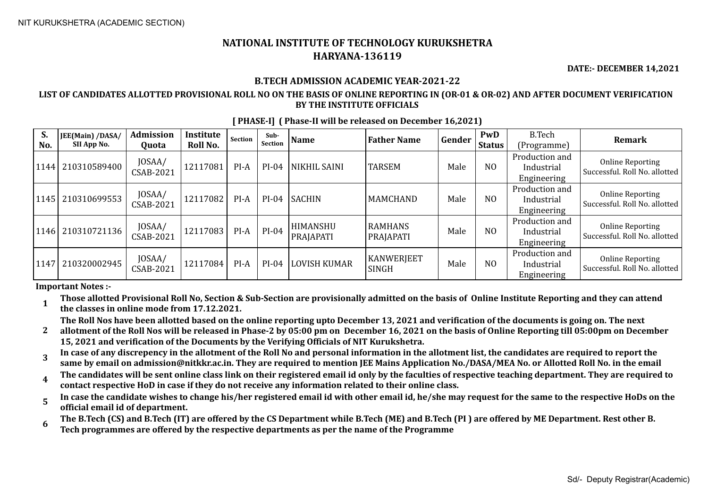**DATE:- DECEMBER 14,2021**

#### **B.TECH ADMISSION ACADEMIC YEAR-2021-22**

#### **LIST OF CANDIDATES ALLOTTED PROVISIONAL ROLL NO ON THE BASIS OF ONLINE REPORTING IN (OR-01 & OR-02) AND AFTER DOCUMENT VERIFICATION BY THE INSTITUTE OFFICIALS**

| S.<br>No. | JEE(Main) /DASA/<br>SII App No. | Admission<br>Quota         | Institute<br>Roll No. | Section | Sub-<br>Section | <b>Name</b>           | <b>Father Name</b>                | Gender | PwD<br><b>Status</b> | B.Tech<br>(Programme)                       | <b>Remark</b>                                     |
|-----------|---------------------------------|----------------------------|-----------------------|---------|-----------------|-----------------------|-----------------------------------|--------|----------------------|---------------------------------------------|---------------------------------------------------|
| 1144      | 210310589400                    | JOSAA/<br><b>CSAB-2021</b> | 12117081              | PI-A    | $PI-04$         | NIKHIL SAINI          | <b>TARSEM</b>                     | Male   | N <sub>0</sub>       | Production and<br>Industrial<br>Engineering | Online Reporting<br>Successful. Roll No. allotted |
|           | 1145   210310699553             | JOSAA/<br>CSAB-2021        | 12117082              | PI-A    | $PI-04$         | <b>SACHIN</b>         | <b>MAMCHAND</b>                   | Male   | N <sub>0</sub>       | Production and<br>Industrial<br>Engineering | Online Reporting<br>Successful. Roll No. allotted |
|           | 1146 210310721136               | JOSAA/<br>CSAB-2021        | 12117083              | $PI-A$  | $PI-04$         | HIMANSHU<br>PRAJAPATI | <b>RAMHANS</b><br>PRAJAPATI       | Male   | N <sub>0</sub>       | Production and<br>Industrial<br>Engineering | Online Reporting<br>Successful. Roll No. allotted |
|           | 1147 210320002945               | JOSAA/<br>CSAB-2021        | 12117084              | PI-A    | $PI-04$         | <b>LOVISH KUMAR</b>   | <b>KANWERJEET</b><br><b>SINGH</b> | Male   | N <sub>0</sub>       | Production and<br>Industrial<br>Engineering | Online Reporting<br>Successful. Roll No. allotted |

**[ PHASE-I] ( Phase-II will be released on December 16,2021)**

**Important Notes :-**

**1 Those allotted Provisional Roll No, Section & Sub-Section are provisionally admitted on the basis of Online Institute Reporting and they can attend the classes in online mode from 17.12.2021.** 

**The Roll Nos have been allotted based on the online reporting upto December 13, 2021 and verification of the documents is going on. The next** 

**2 allotment of the Roll Nos will be released in Phase-2 by 05:00 pm on December 16, 2021 on the basis of Online Reporting till 05:00pm on December 15, 2021 and verification of the Documents by the Verifying Officials of NIT Kurukshetra.**

**3 In case of any discrepency in the allotment of the Roll No and personal information in the allotment list, the candidates are required to report the same by email on admission@nitkkr.ac.in. They are required to mention JEE Mains Application No./DASA/MEA No. or Allotted Roll No. in the email**

**4 The candidates will be sent online class link on their registered email id only by the faculties of respective teaching department. They are required to contact respective HoD in case if they do not receive any information related to their online class.**

**5 In case the candidate wishes to change his/her registered email id with other email id, he/she may request for the same to the respective HoDs on the official email id of department.**

**6 The B.Tech (CS) and B.Tech (IT) are offered by the CS Department while B.Tech (ME) and B.Tech (PI ) are offered by ME Department. Rest other B. Tech programmes are offered by the respective departments as per the name of the Programme**